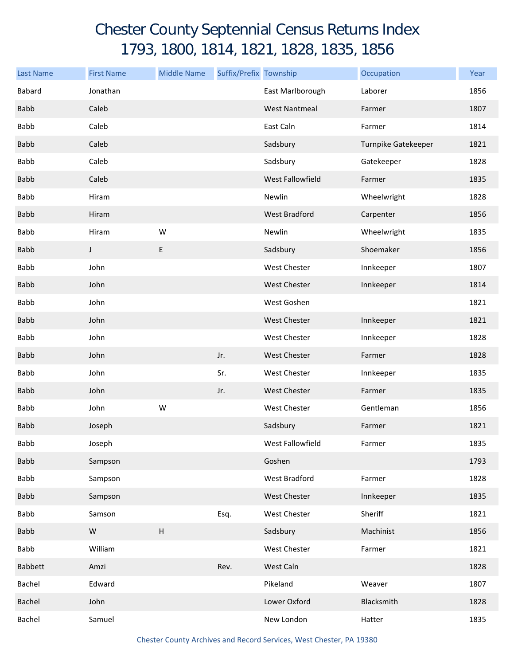## Chester County Septennial Census Returns Index 1793, 1800, 1814, 1821, 1828, 1835, 1856

| <b>Last Name</b> | <b>First Name</b> | <b>Middle Name</b> | Suffix/Prefix Township |                      | Occupation          | Year |
|------------------|-------------------|--------------------|------------------------|----------------------|---------------------|------|
| Babard           | Jonathan          |                    |                        | East Marlborough     | Laborer             | 1856 |
| <b>Babb</b>      | Caleb             |                    |                        | <b>West Nantmeal</b> | Farmer              | 1807 |
| <b>Babb</b>      | Caleb             |                    |                        | East Caln            | Farmer              | 1814 |
| <b>Babb</b>      | Caleb             |                    |                        | Sadsbury             | Turnpike Gatekeeper | 1821 |
| <b>Babb</b>      | Caleb             |                    |                        | Sadsbury             | Gatekeeper          | 1828 |
| <b>Babb</b>      | Caleb             |                    |                        | West Fallowfield     | Farmer              | 1835 |
| Babb             | Hiram             |                    |                        | Newlin               | Wheelwright         | 1828 |
| <b>Babb</b>      | Hiram             |                    |                        | West Bradford        | Carpenter           | 1856 |
| <b>Babb</b>      | Hiram             | W                  |                        | Newlin               | Wheelwright         | 1835 |
| <b>Babb</b>      | J                 | E                  |                        | Sadsbury             | Shoemaker           | 1856 |
| Babb             | John              |                    |                        | <b>West Chester</b>  | Innkeeper           | 1807 |
| <b>Babb</b>      | John              |                    |                        | West Chester         | Innkeeper           | 1814 |
| <b>Babb</b>      | John              |                    |                        | West Goshen          |                     | 1821 |
| <b>Babb</b>      | John              |                    |                        | West Chester         | Innkeeper           | 1821 |
| Babb             | John              |                    |                        | <b>West Chester</b>  | Innkeeper           | 1828 |
| <b>Babb</b>      | John              |                    | Jr.                    | West Chester         | Farmer              | 1828 |
| <b>Babb</b>      | John              |                    | Sr.                    | <b>West Chester</b>  | Innkeeper           | 1835 |
| <b>Babb</b>      | John              |                    | Jr.                    | <b>West Chester</b>  | Farmer              | 1835 |
| <b>Babb</b>      | John              | W                  |                        | West Chester         | Gentleman           | 1856 |
| <b>Babb</b>      | Joseph            |                    |                        | Sadsbury             | Farmer              | 1821 |
| Babb             | Joseph            |                    |                        | West Fallowfield     | Farmer              | 1835 |
| <b>Babb</b>      | Sampson           |                    |                        | Goshen               |                     | 1793 |
| <b>Babb</b>      | Sampson           |                    |                        | West Bradford        | Farmer              | 1828 |
| <b>Babb</b>      | Sampson           |                    |                        | West Chester         | Innkeeper           | 1835 |
| Babb             | Samson            |                    | Esq.                   | West Chester         | Sheriff             | 1821 |
| <b>Babb</b>      | ${\sf W}$         | H                  |                        | Sadsbury             | Machinist           | 1856 |
| Babb             | William           |                    |                        | West Chester         | Farmer              | 1821 |
| <b>Babbett</b>   | Amzi              |                    | Rev.                   | West Caln            |                     | 1828 |
| Bachel           | Edward            |                    |                        | Pikeland             | Weaver              | 1807 |
| Bachel           | John              |                    |                        | Lower Oxford         | Blacksmith          | 1828 |
| Bachel           | Samuel            |                    |                        | New London           | Hatter              | 1835 |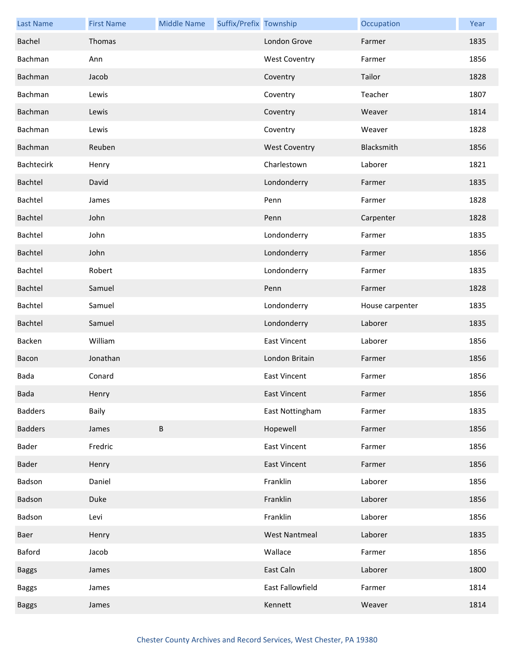| <b>Last Name</b> | <b>First Name</b> | <b>Middle Name</b> | Suffix/Prefix Township |                      | Occupation      | Year |
|------------------|-------------------|--------------------|------------------------|----------------------|-----------------|------|
| Bachel           | Thomas            |                    |                        | London Grove         | Farmer          | 1835 |
| Bachman          | Ann               |                    |                        | <b>West Coventry</b> | Farmer          | 1856 |
| Bachman          | Jacob             |                    |                        | Coventry             | Tailor          | 1828 |
| Bachman          | Lewis             |                    |                        | Coventry             | Teacher         | 1807 |
| Bachman          | Lewis             |                    |                        | Coventry             | Weaver          | 1814 |
| Bachman          | Lewis             |                    |                        | Coventry             | Weaver          | 1828 |
| Bachman          | Reuben            |                    |                        | <b>West Coventry</b> | Blacksmith      | 1856 |
| Bachtecirk       | Henry             |                    |                        | Charlestown          | Laborer         | 1821 |
| Bachtel          | David             |                    |                        | Londonderry          | Farmer          | 1835 |
| Bachtel          | James             |                    |                        | Penn                 | Farmer          | 1828 |
| Bachtel          | John              |                    |                        | Penn                 | Carpenter       | 1828 |
| Bachtel          | John              |                    |                        | Londonderry          | Farmer          | 1835 |
| Bachtel          | John              |                    |                        | Londonderry          | Farmer          | 1856 |
| Bachtel          | Robert            |                    |                        | Londonderry          | Farmer          | 1835 |
| Bachtel          | Samuel            |                    |                        | Penn                 | Farmer          | 1828 |
| Bachtel          | Samuel            |                    |                        | Londonderry          | House carpenter | 1835 |
| Bachtel          | Samuel            |                    |                        | Londonderry          | Laborer         | 1835 |
| Backen           | William           |                    |                        | <b>East Vincent</b>  | Laborer         | 1856 |
| Bacon            | Jonathan          |                    |                        | London Britain       | Farmer          | 1856 |
| Bada             | Conard            |                    |                        | <b>East Vincent</b>  | Farmer          | 1856 |
| <b>Bada</b>      | Henry             |                    |                        | East Vincent         | Farmer          | 1856 |
| <b>Badders</b>   | Baily             |                    |                        | East Nottingham      | Farmer          | 1835 |
| <b>Badders</b>   | James             | $\sf B$            |                        | Hopewell             | Farmer          | 1856 |
| Bader            | Fredric           |                    |                        | <b>East Vincent</b>  | Farmer          | 1856 |
| Bader            | Henry             |                    |                        | <b>East Vincent</b>  | Farmer          | 1856 |
| Badson           | Daniel            |                    |                        | Franklin             | Laborer         | 1856 |
| Badson           | Duke              |                    |                        | Franklin             | Laborer         | 1856 |
| Badson           | Levi              |                    |                        | Franklin             | Laborer         | 1856 |
| Baer             | Henry             |                    |                        | <b>West Nantmeal</b> | Laborer         | 1835 |
| Baford           | Jacob             |                    |                        | Wallace              | Farmer          | 1856 |
| <b>Baggs</b>     | James             |                    |                        | East Caln            | Laborer         | 1800 |
| <b>Baggs</b>     | James             |                    |                        | East Fallowfield     | Farmer          | 1814 |
| <b>Baggs</b>     | James             |                    |                        | Kennett              | Weaver          | 1814 |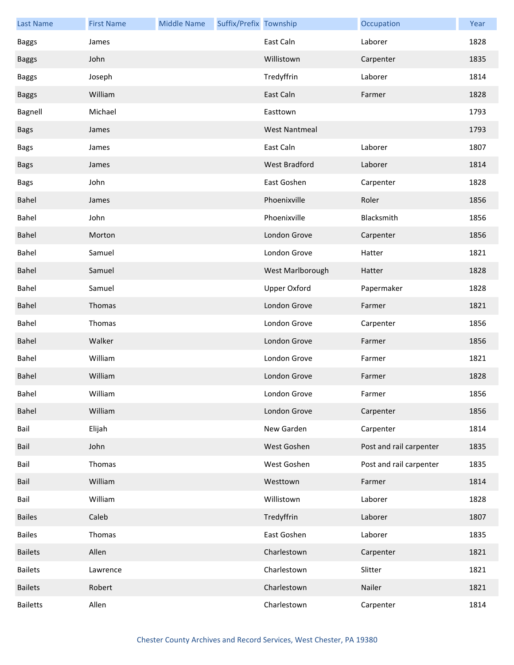| <b>Last Name</b> | <b>First Name</b> | <b>Middle Name</b> | Suffix/Prefix Township |                      | Occupation              | Year |
|------------------|-------------------|--------------------|------------------------|----------------------|-------------------------|------|
| <b>Baggs</b>     | James             |                    |                        | East Caln            | Laborer                 | 1828 |
| <b>Baggs</b>     | John              |                    |                        | Willistown           | Carpenter               | 1835 |
| <b>Baggs</b>     | Joseph            |                    |                        | Tredyffrin           | Laborer                 | 1814 |
| <b>Baggs</b>     | William           |                    |                        | East Caln            | Farmer                  | 1828 |
| Bagnell          | Michael           |                    |                        | Easttown             |                         | 1793 |
| <b>Bags</b>      | James             |                    |                        | <b>West Nantmeal</b> |                         | 1793 |
| <b>Bags</b>      | James             |                    |                        | East Caln            | Laborer                 | 1807 |
| <b>Bags</b>      | James             |                    |                        | West Bradford        | Laborer                 | 1814 |
| <b>Bags</b>      | John              |                    |                        | East Goshen          | Carpenter               | 1828 |
| Bahel            | James             |                    |                        | Phoenixville         | Roler                   | 1856 |
| Bahel            | John              |                    |                        | Phoenixville         | Blacksmith              | 1856 |
| Bahel            | Morton            |                    |                        | London Grove         | Carpenter               | 1856 |
| Bahel            | Samuel            |                    |                        | London Grove         | Hatter                  | 1821 |
| Bahel            | Samuel            |                    |                        | West Marlborough     | Hatter                  | 1828 |
| Bahel            | Samuel            |                    |                        | <b>Upper Oxford</b>  | Papermaker              | 1828 |
| Bahel            | Thomas            |                    |                        | London Grove         | Farmer                  | 1821 |
| Bahel            | Thomas            |                    |                        | London Grove         | Carpenter               | 1856 |
| Bahel            | Walker            |                    |                        | London Grove         | Farmer                  | 1856 |
| Bahel            | William           |                    |                        | London Grove         | Farmer                  | 1821 |
| Bahel            | William           |                    |                        | London Grove         | Farmer                  | 1828 |
| Bahel            | William           |                    |                        | London Grove         | Farmer                  | 1856 |
| Bahel            | William           |                    |                        | London Grove         | Carpenter               | 1856 |
| Bail             | Elijah            |                    |                        | New Garden           | Carpenter               | 1814 |
| Bail             | John              |                    |                        | West Goshen          | Post and rail carpenter | 1835 |
| Bail             | Thomas            |                    |                        | West Goshen          | Post and rail carpenter | 1835 |
| Bail             | William           |                    |                        | Westtown             | Farmer                  | 1814 |
| Bail             | William           |                    |                        | Willistown           | Laborer                 | 1828 |
| <b>Bailes</b>    | Caleb             |                    |                        | Tredyffrin           | Laborer                 | 1807 |
| <b>Bailes</b>    | Thomas            |                    |                        | East Goshen          | Laborer                 | 1835 |
| <b>Bailets</b>   | Allen             |                    |                        | Charlestown          | Carpenter               | 1821 |
| <b>Bailets</b>   | Lawrence          |                    |                        | Charlestown          | Slitter                 | 1821 |
| <b>Bailets</b>   | Robert            |                    |                        | Charlestown          | Nailer                  | 1821 |
| <b>Bailetts</b>  | Allen             |                    |                        | Charlestown          | Carpenter               | 1814 |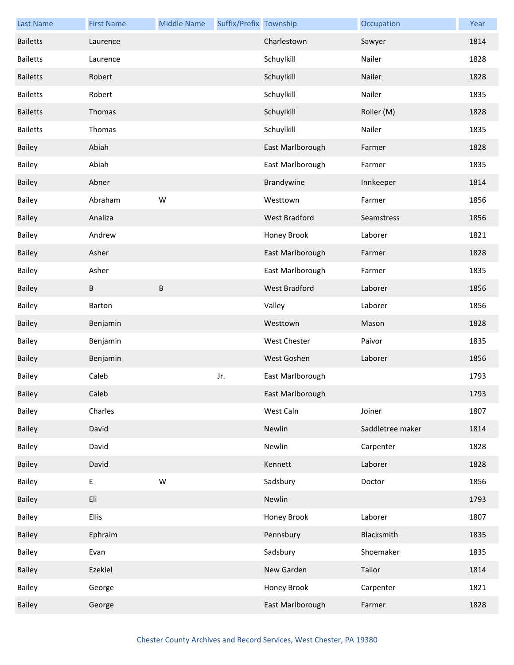| <b>Last Name</b> | <b>First Name</b> | <b>Middle Name</b> | Suffix/Prefix Township |                     | Occupation       | Year |
|------------------|-------------------|--------------------|------------------------|---------------------|------------------|------|
| <b>Bailetts</b>  | Laurence          |                    |                        | Charlestown         | Sawyer           | 1814 |
| <b>Bailetts</b>  | Laurence          |                    |                        | Schuylkill          | Nailer           | 1828 |
| <b>Bailetts</b>  | Robert            |                    |                        | Schuylkill          | Nailer           | 1828 |
| <b>Bailetts</b>  | Robert            |                    |                        | Schuylkill          | Nailer           | 1835 |
| <b>Bailetts</b>  | Thomas            |                    |                        | Schuylkill          | Roller (M)       | 1828 |
| <b>Bailetts</b>  | Thomas            |                    |                        | Schuylkill          | Nailer           | 1835 |
| <b>Bailey</b>    | Abiah             |                    |                        | East Marlborough    | Farmer           | 1828 |
| Bailey           | Abiah             |                    |                        | East Marlborough    | Farmer           | 1835 |
| Bailey           | Abner             |                    |                        | Brandywine          | Innkeeper        | 1814 |
| Bailey           | Abraham           | W                  |                        | Westtown            | Farmer           | 1856 |
| <b>Bailey</b>    | Analiza           |                    |                        | West Bradford       | Seamstress       | 1856 |
| Bailey           | Andrew            |                    |                        | Honey Brook         | Laborer          | 1821 |
| <b>Bailey</b>    | Asher             |                    |                        | East Marlborough    | Farmer           | 1828 |
| <b>Bailey</b>    | Asher             |                    |                        | East Marlborough    | Farmer           | 1835 |
| <b>Bailey</b>    | В                 | $\sf B$            |                        | West Bradford       | Laborer          | 1856 |
| Bailey           | Barton            |                    |                        | Valley              | Laborer          | 1856 |
| Bailey           | Benjamin          |                    |                        | Westtown            | Mason            | 1828 |
| Bailey           | Benjamin          |                    |                        | <b>West Chester</b> | Paivor           | 1835 |
| <b>Bailey</b>    | Benjamin          |                    |                        | West Goshen         | Laborer          | 1856 |
| <b>Bailey</b>    | Caleb             |                    | Jr.                    | East Marlborough    |                  | 1793 |
| Bailey           | Caleb             |                    |                        | East Marlborough    |                  | 1793 |
| Bailey           | Charles           |                    |                        | West Caln           | Joiner           | 1807 |
| Bailey           | David             |                    |                        | Newlin              | Saddletree maker | 1814 |
| Bailey           | David             |                    |                        | Newlin              | Carpenter        | 1828 |
| Bailey           | David             |                    |                        | Kennett             | Laborer          | 1828 |
| Bailey           | Е                 | ${\sf W}$          |                        | Sadsbury            | Doctor           | 1856 |
| Bailey           | Eli               |                    |                        | Newlin              |                  | 1793 |
| Bailey           | <b>Ellis</b>      |                    |                        | Honey Brook         | Laborer          | 1807 |
| Bailey           | Ephraim           |                    |                        | Pennsbury           | Blacksmith       | 1835 |
| Bailey           | Evan              |                    |                        | Sadsbury            | Shoemaker        | 1835 |
| Bailey           | Ezekiel           |                    |                        | New Garden          | Tailor           | 1814 |
| Bailey           | George            |                    |                        | Honey Brook         | Carpenter        | 1821 |
| Bailey           | George            |                    |                        | East Marlborough    | Farmer           | 1828 |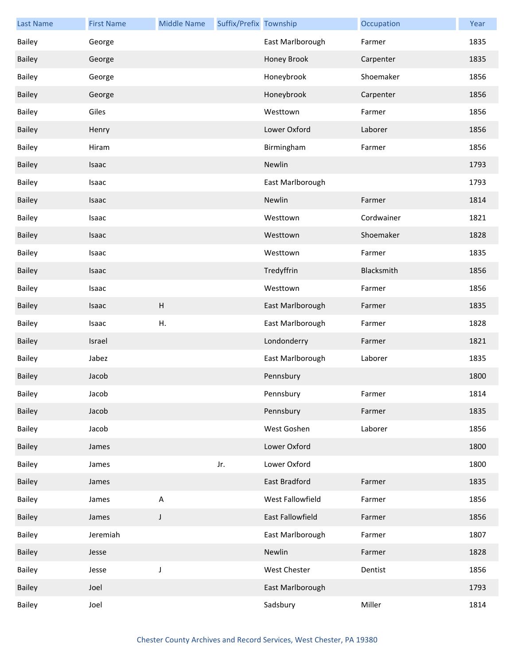| <b>Last Name</b> | <b>First Name</b> | <b>Middle Name</b> | Suffix/Prefix Township |                  | Occupation | Year |
|------------------|-------------------|--------------------|------------------------|------------------|------------|------|
| Bailey           | George            |                    |                        | East Marlborough | Farmer     | 1835 |
| <b>Bailey</b>    | George            |                    |                        | Honey Brook      | Carpenter  | 1835 |
| Bailey           | George            |                    |                        | Honeybrook       | Shoemaker  | 1856 |
| <b>Bailey</b>    | George            |                    |                        | Honeybrook       | Carpenter  | 1856 |
| Bailey           | Giles             |                    |                        | Westtown         | Farmer     | 1856 |
| Bailey           | Henry             |                    |                        | Lower Oxford     | Laborer    | 1856 |
| Bailey           | Hiram             |                    |                        | Birmingham       | Farmer     | 1856 |
| <b>Bailey</b>    | Isaac             |                    |                        | Newlin           |            | 1793 |
| <b>Bailey</b>    | Isaac             |                    |                        | East Marlborough |            | 1793 |
| Bailey           | Isaac             |                    |                        | Newlin           | Farmer     | 1814 |
| Bailey           | Isaac             |                    |                        | Westtown         | Cordwainer | 1821 |
| <b>Bailey</b>    | Isaac             |                    |                        | Westtown         | Shoemaker  | 1828 |
| Bailey           | Isaac             |                    |                        | Westtown         | Farmer     | 1835 |
| Bailey           | Isaac             |                    |                        | Tredyffrin       | Blacksmith | 1856 |
| Bailey           | Isaac             |                    |                        | Westtown         | Farmer     | 1856 |
| <b>Bailey</b>    | Isaac             | $\mathsf{H}%$      |                        | East Marlborough | Farmer     | 1835 |
| <b>Bailey</b>    | Isaac             | Η.                 |                        | East Marlborough | Farmer     | 1828 |
| Bailey           | Israel            |                    |                        | Londonderry      | Farmer     | 1821 |
| <b>Bailey</b>    | Jabez             |                    |                        | East Marlborough | Laborer    | 1835 |
| <b>Bailey</b>    | Jacob             |                    |                        | Pennsbury        |            | 1800 |
| Bailey           | Jacob             |                    |                        | Pennsbury        | Farmer     | 1814 |
| Bailey           | Jacob             |                    |                        | Pennsbury        | Farmer     | 1835 |
| Bailey           | Jacob             |                    |                        | West Goshen      | Laborer    | 1856 |
| Bailey           | James             |                    |                        | Lower Oxford     |            | 1800 |
| Bailey           | James             |                    | Jr.                    | Lower Oxford     |            | 1800 |
| Bailey           | James             |                    |                        | East Bradford    | Farmer     | 1835 |
| Bailey           | James             | $\mathsf A$        |                        | West Fallowfield | Farmer     | 1856 |
| Bailey           | James             | J                  |                        | East Fallowfield | Farmer     | 1856 |
| Bailey           | Jeremiah          |                    |                        | East Marlborough | Farmer     | 1807 |
| <b>Bailey</b>    | Jesse             |                    |                        | Newlin           | Farmer     | 1828 |
| Bailey           | Jesse             | J                  |                        | West Chester     | Dentist    | 1856 |
| Bailey           | Joel              |                    |                        | East Marlborough |            | 1793 |
| Bailey           | Joel              |                    |                        | Sadsbury         | Miller     | 1814 |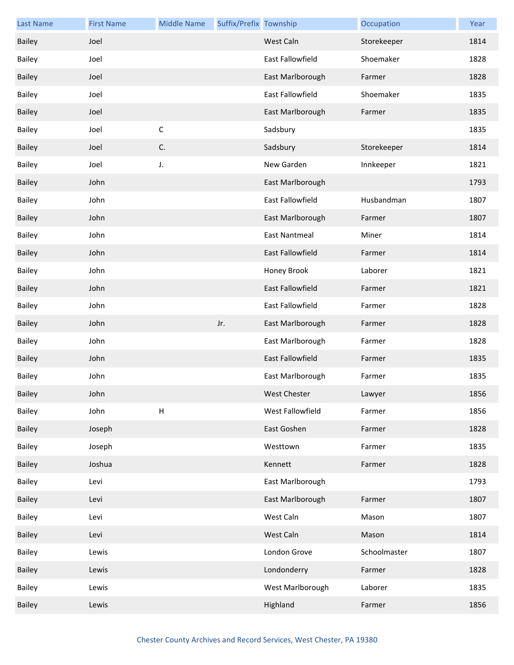| <b>Last Name</b> | <b>First Name</b> | <b>Middle Name</b>        | Suffix/Prefix Township |                      | Occupation   | Year |
|------------------|-------------------|---------------------------|------------------------|----------------------|--------------|------|
| Bailey           | Joel              |                           |                        | West Caln            | Storekeeper  | 1814 |
| <b>Bailey</b>    | Joel              |                           |                        | East Fallowfield     | Shoemaker    | 1828 |
| <b>Bailey</b>    | Joel              |                           |                        | East Marlborough     | Farmer       | 1828 |
| <b>Bailey</b>    | Joel              |                           |                        | East Fallowfield     | Shoemaker    | 1835 |
| <b>Bailey</b>    | Joel              |                           |                        | East Marlborough     | Farmer       | 1835 |
| Bailey           | Joel              | $\mathsf C$               |                        | Sadsbury             |              | 1835 |
| <b>Bailey</b>    | Joel              | C.                        |                        | Sadsbury             | Storekeeper  | 1814 |
| Bailey           | Joel              | J.                        |                        | New Garden           | Innkeeper    | 1821 |
| <b>Bailey</b>    | John              |                           |                        | East Marlborough     |              | 1793 |
| Bailey           | John              |                           |                        | East Fallowfield     | Husbandman   | 1807 |
| <b>Bailey</b>    | John              |                           |                        | East Marlborough     | Farmer       | 1807 |
| Bailey           | John              |                           |                        | <b>East Nantmeal</b> | Miner        | 1814 |
| <b>Bailey</b>    | John              |                           |                        | East Fallowfield     | Farmer       | 1814 |
| Bailey           | John              |                           |                        | Honey Brook          | Laborer      | 1821 |
| <b>Bailey</b>    | John              |                           |                        | East Fallowfield     | Farmer       | 1821 |
| Bailey           | John              |                           |                        | East Fallowfield     | Farmer       | 1828 |
| <b>Bailey</b>    | John              |                           | Jr.                    | East Marlborough     | Farmer       | 1828 |
| Bailey           | John              |                           |                        | East Marlborough     | Farmer       | 1828 |
| <b>Bailey</b>    | John              |                           |                        | East Fallowfield     | Farmer       | 1835 |
| Bailey           | John              |                           |                        | East Marlborough     | Farmer       | 1835 |
| Bailey           | John              |                           |                        | West Chester         | Lawyer       | 1856 |
| Bailey           | John              | $\boldsymbol{\mathsf{H}}$ |                        | West Fallowfield     | Farmer       | 1856 |
| <b>Bailey</b>    | Joseph            |                           |                        | East Goshen          | Farmer       | 1828 |
| Bailey           | Joseph            |                           |                        | Westtown             | Farmer       | 1835 |
| Bailey           | Joshua            |                           |                        | Kennett              | Farmer       | 1828 |
| Bailey           | Levi              |                           |                        | East Marlborough     |              | 1793 |
| <b>Bailey</b>    | Levi              |                           |                        | East Marlborough     | Farmer       | 1807 |
| Bailey           | Levi              |                           |                        | West Caln            | Mason        | 1807 |
| Bailey           | Levi              |                           |                        | West Caln            | Mason        | 1814 |
| Bailey           | Lewis             |                           |                        | London Grove         | Schoolmaster | 1807 |
| Bailey           | Lewis             |                           |                        | Londonderry          | Farmer       | 1828 |
| Bailey           | Lewis             |                           |                        | West Marlborough     | Laborer      | 1835 |
| Bailey           | Lewis             |                           |                        | Highland             | Farmer       | 1856 |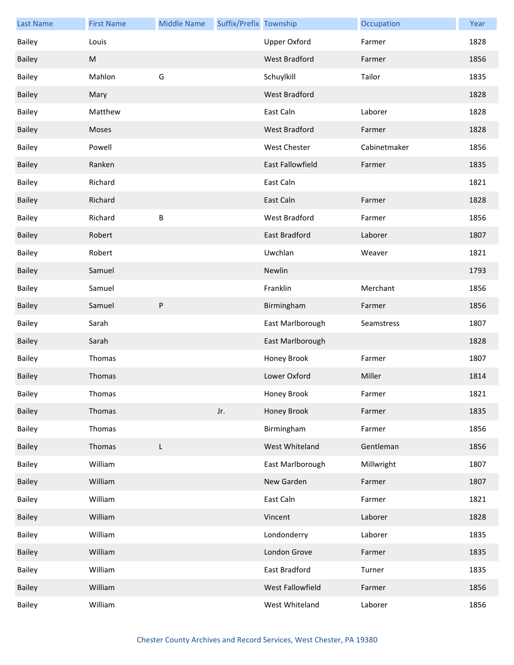| <b>Last Name</b> | <b>First Name</b> | <b>Middle Name</b> | Suffix/Prefix Township |                      | Occupation   | Year |
|------------------|-------------------|--------------------|------------------------|----------------------|--------------|------|
| Bailey           | Louis             |                    |                        | <b>Upper Oxford</b>  | Farmer       | 1828 |
| Bailey           | M                 |                    |                        | <b>West Bradford</b> | Farmer       | 1856 |
| Bailey           | Mahlon            | G                  |                        | Schuylkill           | Tailor       | 1835 |
| <b>Bailey</b>    | Mary              |                    |                        | West Bradford        |              | 1828 |
| Bailey           | Matthew           |                    |                        | East Caln            | Laborer      | 1828 |
| <b>Bailey</b>    | Moses             |                    |                        | <b>West Bradford</b> | Farmer       | 1828 |
| Bailey           | Powell            |                    |                        | <b>West Chester</b>  | Cabinetmaker | 1856 |
| Bailey           | Ranken            |                    |                        | East Fallowfield     | Farmer       | 1835 |
| Bailey           | Richard           |                    |                        | East Caln            |              | 1821 |
| Bailey           | Richard           |                    |                        | East Caln            | Farmer       | 1828 |
| Bailey           | Richard           | B                  |                        | West Bradford        | Farmer       | 1856 |
| <b>Bailey</b>    | Robert            |                    |                        | <b>East Bradford</b> | Laborer      | 1807 |
| Bailey           | Robert            |                    |                        | Uwchlan              | Weaver       | 1821 |
| Bailey           | Samuel            |                    |                        | Newlin               |              | 1793 |
| Bailey           | Samuel            |                    |                        | Franklin             | Merchant     | 1856 |
| <b>Bailey</b>    | Samuel            | $\sf P$            |                        | Birmingham           | Farmer       | 1856 |
| <b>Bailey</b>    | Sarah             |                    |                        | East Marlborough     | Seamstress   | 1807 |
| Bailey           | Sarah             |                    |                        | East Marlborough     |              | 1828 |
| Bailey           | Thomas            |                    |                        | Honey Brook          | Farmer       | 1807 |
| <b>Bailey</b>    | Thomas            |                    |                        | Lower Oxford         | Miller       | 1814 |
| Bailey           | Thomas            |                    |                        | Honey Brook          | Farmer       | 1821 |
| Bailey           | Thomas            |                    | Jr.                    | Honey Brook          | Farmer       | 1835 |
| Bailey           | Thomas            |                    |                        | Birmingham           | Farmer       | 1856 |
| Bailey           | Thomas            | L                  |                        | West Whiteland       | Gentleman    | 1856 |
| Bailey           | William           |                    |                        | East Marlborough     | Millwright   | 1807 |
| Bailey           | William           |                    |                        | New Garden           | Farmer       | 1807 |
| Bailey           | William           |                    |                        | East Caln            | Farmer       | 1821 |
| Bailey           | William           |                    |                        | Vincent              | Laborer      | 1828 |
| Bailey           | William           |                    |                        | Londonderry          | Laborer      | 1835 |
| <b>Bailey</b>    | William           |                    |                        | London Grove         | Farmer       | 1835 |
| Bailey           | William           |                    |                        | East Bradford        | Turner       | 1835 |
| Bailey           | William           |                    |                        | West Fallowfield     | Farmer       | 1856 |
| Bailey           | William           |                    |                        | West Whiteland       | Laborer      | 1856 |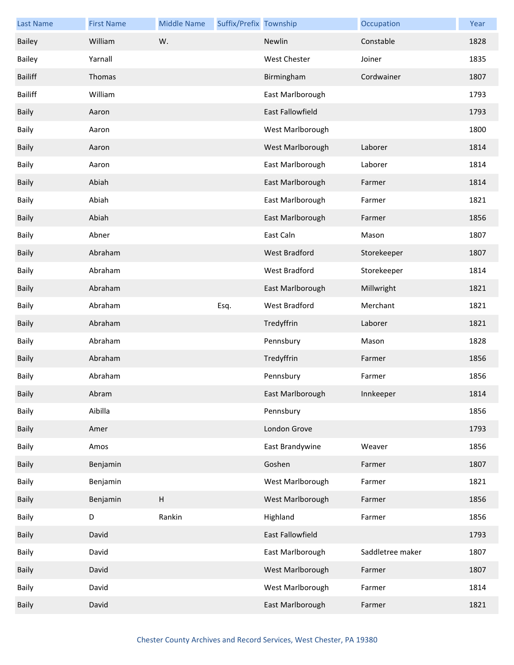| <b>Last Name</b> | <b>First Name</b> | <b>Middle Name</b> | Suffix/Prefix Township |                     | Occupation       | Year |
|------------------|-------------------|--------------------|------------------------|---------------------|------------------|------|
| Bailey           | William           | W.                 |                        | Newlin              | Constable        | 1828 |
| <b>Bailey</b>    | Yarnall           |                    |                        | <b>West Chester</b> | Joiner           | 1835 |
| <b>Bailiff</b>   | Thomas            |                    |                        | Birmingham          | Cordwainer       | 1807 |
| <b>Bailiff</b>   | William           |                    |                        | East Marlborough    |                  | 1793 |
| <b>Baily</b>     | Aaron             |                    |                        | East Fallowfield    |                  | 1793 |
| Baily            | Aaron             |                    |                        | West Marlborough    |                  | 1800 |
| <b>Baily</b>     | Aaron             |                    |                        | West Marlborough    | Laborer          | 1814 |
| <b>Baily</b>     | Aaron             |                    |                        | East Marlborough    | Laborer          | 1814 |
| <b>Baily</b>     | Abiah             |                    |                        | East Marlborough    | Farmer           | 1814 |
| Baily            | Abiah             |                    |                        | East Marlborough    | Farmer           | 1821 |
| <b>Baily</b>     | Abiah             |                    |                        | East Marlborough    | Farmer           | 1856 |
| Baily            | Abner             |                    |                        | East Caln           | Mason            | 1807 |
| <b>Baily</b>     | Abraham           |                    |                        | West Bradford       | Storekeeper      | 1807 |
| <b>Baily</b>     | Abraham           |                    |                        | West Bradford       | Storekeeper      | 1814 |
| <b>Baily</b>     | Abraham           |                    |                        | East Marlborough    | Millwright       | 1821 |
| <b>Baily</b>     | Abraham           |                    | Esq.                   | West Bradford       | Merchant         | 1821 |
| <b>Baily</b>     | Abraham           |                    |                        | Tredyffrin          | Laborer          | 1821 |
| Baily            | Abraham           |                    |                        | Pennsbury           | Mason            | 1828 |
| <b>Baily</b>     | Abraham           |                    |                        | Tredyffrin          | Farmer           | 1856 |
| Baily            | Abraham           |                    |                        | Pennsbury           | Farmer           | 1856 |
| Baily            | Abram             |                    |                        | East Marlborough    | Innkeeper        | 1814 |
| Baily            | Aibilla           |                    |                        | Pennsbury           |                  | 1856 |
| <b>Baily</b>     | Amer              |                    |                        | London Grove        |                  | 1793 |
| Baily            | Amos              |                    |                        | East Brandywine     | Weaver           | 1856 |
| Baily            | Benjamin          |                    |                        | Goshen              | Farmer           | 1807 |
| <b>Baily</b>     | Benjamin          |                    |                        | West Marlborough    | Farmer           | 1821 |
| <b>Baily</b>     | Benjamin          | H                  |                        | West Marlborough    | Farmer           | 1856 |
| Baily            | D                 | Rankin             |                        | Highland            | Farmer           | 1856 |
| Baily            | David             |                    |                        | East Fallowfield    |                  | 1793 |
| Baily            | David             |                    |                        | East Marlborough    | Saddletree maker | 1807 |
| <b>Baily</b>     | David             |                    |                        | West Marlborough    | Farmer           | 1807 |
| Baily            | David             |                    |                        | West Marlborough    | Farmer           | 1814 |
| Baily            | David             |                    |                        | East Marlborough    | Farmer           | 1821 |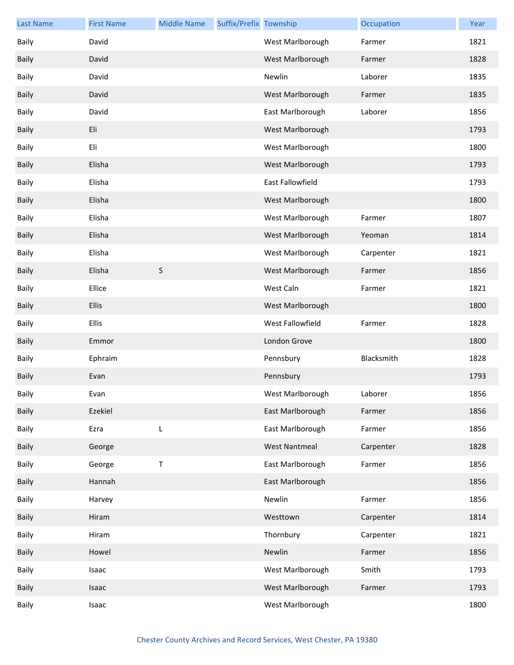| <b>Last Name</b> | <b>First Name</b> | <b>Middle Name</b> | Suffix/Prefix Township |                      | Occupation | Year |
|------------------|-------------------|--------------------|------------------------|----------------------|------------|------|
| <b>Baily</b>     | David             |                    |                        | West Marlborough     | Farmer     | 1821 |
| <b>Baily</b>     | David             |                    |                        | West Marlborough     | Farmer     | 1828 |
| Baily            | David             |                    |                        | Newlin               | Laborer    | 1835 |
| Baily            | David             |                    |                        | West Marlborough     | Farmer     | 1835 |
| Baily            | David             |                    |                        | East Marlborough     | Laborer    | 1856 |
| <b>Baily</b>     | Eli               |                    |                        | West Marlborough     |            | 1793 |
| <b>Baily</b>     | Eli               |                    |                        | West Marlborough     |            | 1800 |
| <b>Baily</b>     | Elisha            |                    |                        | West Marlborough     |            | 1793 |
| <b>Baily</b>     | Elisha            |                    |                        | East Fallowfield     |            | 1793 |
| <b>Baily</b>     | Elisha            |                    |                        | West Marlborough     |            | 1800 |
| <b>Baily</b>     | Elisha            |                    |                        | West Marlborough     | Farmer     | 1807 |
| <b>Baily</b>     | Elisha            |                    |                        | West Marlborough     | Yeoman     | 1814 |
| <b>Baily</b>     | Elisha            |                    |                        | West Marlborough     | Carpenter  | 1821 |
| <b>Baily</b>     | Elisha            | S                  |                        | West Marlborough     | Farmer     | 1856 |
| <b>Baily</b>     | Ellice            |                    |                        | West Caln            | Farmer     | 1821 |
| Baily            | Ellis             |                    |                        | West Marlborough     |            | 1800 |
| <b>Baily</b>     | Ellis             |                    |                        | West Fallowfield     | Farmer     | 1828 |
| <b>Baily</b>     | Emmor             |                    |                        | London Grove         |            | 1800 |
| <b>Baily</b>     | Ephraim           |                    |                        | Pennsbury            | Blacksmith | 1828 |
| <b>Baily</b>     | Evan              |                    |                        | Pennsbury            |            | 1793 |
| Baily            | Evan              |                    |                        | West Marlborough     | Laborer    | 1856 |
| <b>Baily</b>     | Ezekiel           |                    |                        | East Marlborough     | Farmer     | 1856 |
| <b>Baily</b>     | Ezra              | L                  |                        | East Marlborough     | Farmer     | 1856 |
| <b>Baily</b>     | George            |                    |                        | <b>West Nantmeal</b> | Carpenter  | 1828 |
| Baily            | George            | T                  |                        | East Marlborough     | Farmer     | 1856 |
| <b>Baily</b>     | Hannah            |                    |                        | East Marlborough     |            | 1856 |
| Baily            | Harvey            |                    |                        | Newlin               | Farmer     | 1856 |
| <b>Baily</b>     | Hiram             |                    |                        | Westtown             | Carpenter  | 1814 |
| Baily            | Hiram             |                    |                        | Thornbury            | Carpenter  | 1821 |
| <b>Baily</b>     | Howel             |                    |                        | Newlin               | Farmer     | 1856 |
| <b>Baily</b>     | Isaac             |                    |                        | West Marlborough     | Smith      | 1793 |
| <b>Baily</b>     | Isaac             |                    |                        | West Marlborough     | Farmer     | 1793 |
| Baily            | Isaac             |                    |                        | West Marlborough     |            | 1800 |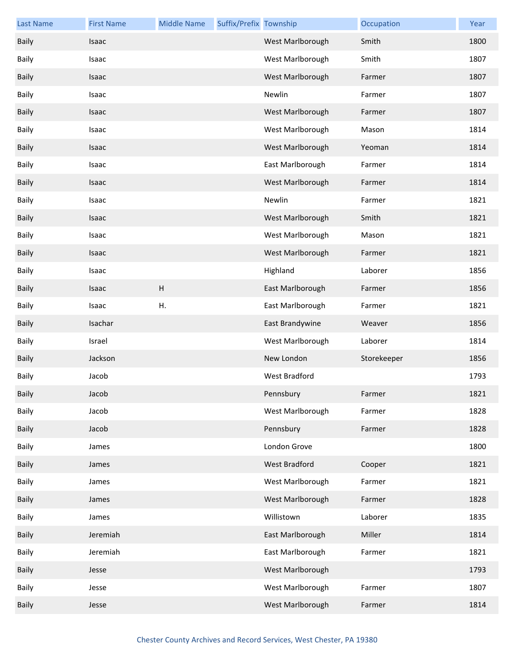| <b>Last Name</b> | <b>First Name</b> | <b>Middle Name</b>        | Suffix/Prefix Township |                  | Occupation  | Year |
|------------------|-------------------|---------------------------|------------------------|------------------|-------------|------|
| <b>Baily</b>     | Isaac             |                           |                        | West Marlborough | Smith       | 1800 |
| <b>Baily</b>     | Isaac             |                           |                        | West Marlborough | Smith       | 1807 |
| <b>Baily</b>     | Isaac             |                           |                        | West Marlborough | Farmer      | 1807 |
| <b>Baily</b>     | Isaac             |                           |                        | Newlin           | Farmer      | 1807 |
| <b>Baily</b>     | Isaac             |                           |                        | West Marlborough | Farmer      | 1807 |
| <b>Baily</b>     | Isaac             |                           |                        | West Marlborough | Mason       | 1814 |
| <b>Baily</b>     | Isaac             |                           |                        | West Marlborough | Yeoman      | 1814 |
| <b>Baily</b>     | Isaac             |                           |                        | East Marlborough | Farmer      | 1814 |
| <b>Baily</b>     | Isaac             |                           |                        | West Marlborough | Farmer      | 1814 |
| <b>Baily</b>     | Isaac             |                           |                        | Newlin           | Farmer      | 1821 |
| <b>Baily</b>     | Isaac             |                           |                        | West Marlborough | Smith       | 1821 |
| <b>Baily</b>     | Isaac             |                           |                        | West Marlborough | Mason       | 1821 |
| <b>Baily</b>     | Isaac             |                           |                        | West Marlborough | Farmer      | 1821 |
| <b>Baily</b>     | Isaac             |                           |                        | Highland         | Laborer     | 1856 |
| <b>Baily</b>     | Isaac             | $\boldsymbol{\mathsf{H}}$ |                        | East Marlborough | Farmer      | 1856 |
| <b>Baily</b>     | Isaac             | Η.                        |                        | East Marlborough | Farmer      | 1821 |
| <b>Baily</b>     | Isachar           |                           |                        | East Brandywine  | Weaver      | 1856 |
| <b>Baily</b>     | Israel            |                           |                        | West Marlborough | Laborer     | 1814 |
| <b>Baily</b>     | Jackson           |                           |                        | New London       | Storekeeper | 1856 |
| <b>Baily</b>     | Jacob             |                           |                        | West Bradford    |             | 1793 |
| Baily            | Jacob             |                           |                        | Pennsbury        | Farmer      | 1821 |
| Baily            | Jacob             |                           |                        | West Marlborough | Farmer      | 1828 |
| <b>Baily</b>     | Jacob             |                           |                        | Pennsbury        | Farmer      | 1828 |
| Baily            | James             |                           |                        | London Grove     |             | 1800 |
| Baily            | James             |                           |                        | West Bradford    | Cooper      | 1821 |
| Baily            | James             |                           |                        | West Marlborough | Farmer      | 1821 |
| <b>Baily</b>     | James             |                           |                        | West Marlborough | Farmer      | 1828 |
| Baily            | James             |                           |                        | Willistown       | Laborer     | 1835 |
| Baily            | Jeremiah          |                           |                        | East Marlborough | Miller      | 1814 |
| Baily            | Jeremiah          |                           |                        | East Marlborough | Farmer      | 1821 |
| <b>Baily</b>     | Jesse             |                           |                        | West Marlborough |             | 1793 |
| Baily            | Jesse             |                           |                        | West Marlborough | Farmer      | 1807 |
| Baily            | Jesse             |                           |                        | West Marlborough | Farmer      | 1814 |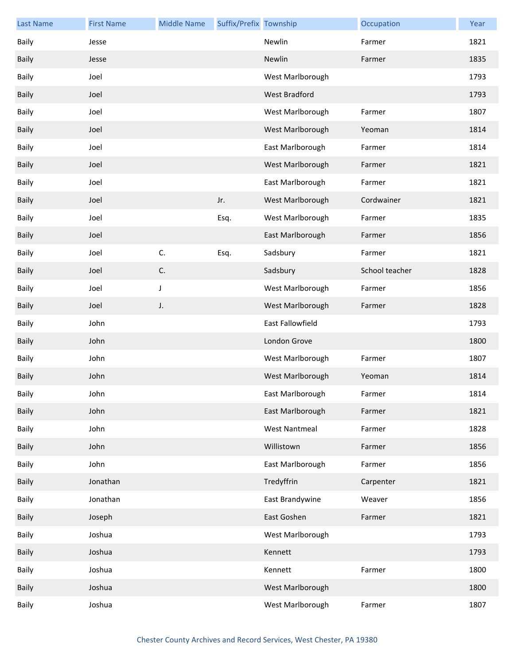| <b>Last Name</b> | <b>First Name</b> | <b>Middle Name</b> | Suffix/Prefix Township |                  | Occupation     | Year |
|------------------|-------------------|--------------------|------------------------|------------------|----------------|------|
| <b>Baily</b>     | Jesse             |                    |                        | Newlin           | Farmer         | 1821 |
| <b>Baily</b>     | Jesse             |                    |                        | Newlin           | Farmer         | 1835 |
| <b>Baily</b>     | Joel              |                    |                        | West Marlborough |                | 1793 |
| <b>Baily</b>     | Joel              |                    |                        | West Bradford    |                | 1793 |
| <b>Baily</b>     | Joel              |                    |                        | West Marlborough | Farmer         | 1807 |
| <b>Baily</b>     | Joel              |                    |                        | West Marlborough | Yeoman         | 1814 |
| <b>Baily</b>     | Joel              |                    |                        | East Marlborough | Farmer         | 1814 |
| <b>Baily</b>     | Joel              |                    |                        | West Marlborough | Farmer         | 1821 |
| <b>Baily</b>     | Joel              |                    |                        | East Marlborough | Farmer         | 1821 |
| <b>Baily</b>     | Joel              |                    | Jr.                    | West Marlborough | Cordwainer     | 1821 |
| <b>Baily</b>     | Joel              |                    | Esq.                   | West Marlborough | Farmer         | 1835 |
| <b>Baily</b>     | Joel              |                    |                        | East Marlborough | Farmer         | 1856 |
| <b>Baily</b>     | Joel              | C.                 | Esq.                   | Sadsbury         | Farmer         | 1821 |
| <b>Baily</b>     | Joel              | C.                 |                        | Sadsbury         | School teacher | 1828 |
| <b>Baily</b>     | Joel              | J                  |                        | West Marlborough | Farmer         | 1856 |
| <b>Baily</b>     | Joel              | J.                 |                        | West Marlborough | Farmer         | 1828 |
| <b>Baily</b>     | John              |                    |                        | East Fallowfield |                | 1793 |
| <b>Baily</b>     | John              |                    |                        | London Grove     |                | 1800 |
| Baily            | John              |                    |                        | West Marlborough | Farmer         | 1807 |
| <b>Baily</b>     | John              |                    |                        | West Marlborough | Yeoman         | 1814 |
| Baily            | John              |                    |                        | East Marlborough | Farmer         | 1814 |
| Baily            | John              |                    |                        | East Marlborough | Farmer         | 1821 |
| Baily            | John              |                    |                        | West Nantmeal    | Farmer         | 1828 |
| Baily            | John              |                    |                        | Willistown       | Farmer         | 1856 |
| Baily            | John              |                    |                        | East Marlborough | Farmer         | 1856 |
| <b>Baily</b>     | Jonathan          |                    |                        | Tredyffrin       | Carpenter      | 1821 |
| Baily            | Jonathan          |                    |                        | East Brandywine  | Weaver         | 1856 |
| <b>Baily</b>     | Joseph            |                    |                        | East Goshen      | Farmer         | 1821 |
| Baily            | Joshua            |                    |                        | West Marlborough |                | 1793 |
| <b>Baily</b>     | Joshua            |                    |                        | Kennett          |                | 1793 |
| Baily            | Joshua            |                    |                        | Kennett          | Farmer         | 1800 |
| <b>Baily</b>     | Joshua            |                    |                        | West Marlborough |                | 1800 |
| Baily            | Joshua            |                    |                        | West Marlborough | Farmer         | 1807 |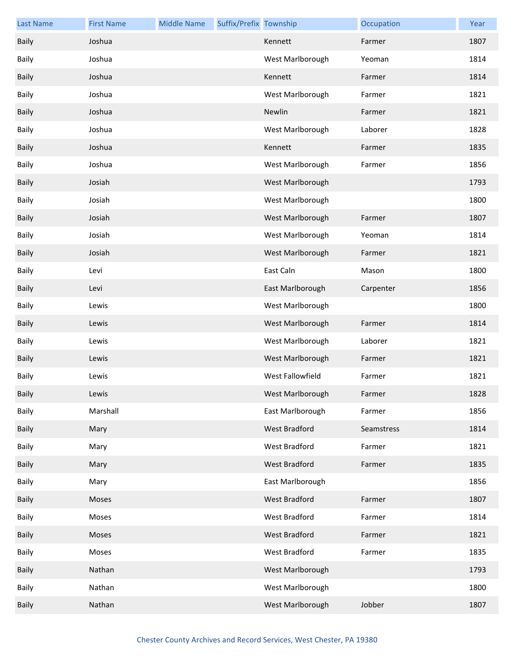| <b>Last Name</b> | <b>First Name</b> | <b>Middle Name</b> | Suffix/Prefix Township |                  | Occupation | Year |
|------------------|-------------------|--------------------|------------------------|------------------|------------|------|
| <b>Baily</b>     | Joshua            |                    |                        | Kennett          | Farmer     | 1807 |
| <b>Baily</b>     | Joshua            |                    |                        | West Marlborough | Yeoman     | 1814 |
| <b>Baily</b>     | Joshua            |                    |                        | Kennett          | Farmer     | 1814 |
| <b>Baily</b>     | Joshua            |                    |                        | West Marlborough | Farmer     | 1821 |
| <b>Baily</b>     | Joshua            |                    |                        | Newlin           | Farmer     | 1821 |
| <b>Baily</b>     | Joshua            |                    |                        | West Marlborough | Laborer    | 1828 |
| <b>Baily</b>     | Joshua            |                    |                        | Kennett          | Farmer     | 1835 |
| <b>Baily</b>     | Joshua            |                    |                        | West Marlborough | Farmer     | 1856 |
| <b>Baily</b>     | Josiah            |                    |                        | West Marlborough |            | 1793 |
| <b>Baily</b>     | Josiah            |                    |                        | West Marlborough |            | 1800 |
| <b>Baily</b>     | Josiah            |                    |                        | West Marlborough | Farmer     | 1807 |
| <b>Baily</b>     | Josiah            |                    |                        | West Marlborough | Yeoman     | 1814 |
| <b>Baily</b>     | Josiah            |                    |                        | West Marlborough | Farmer     | 1821 |
| <b>Baily</b>     | Levi              |                    |                        | East Caln        | Mason      | 1800 |
| <b>Baily</b>     | Levi              |                    |                        | East Marlborough | Carpenter  | 1856 |
| <b>Baily</b>     | Lewis             |                    |                        | West Marlborough |            | 1800 |
| <b>Baily</b>     | Lewis             |                    |                        | West Marlborough | Farmer     | 1814 |
| Baily            | Lewis             |                    |                        | West Marlborough | Laborer    | 1821 |
| <b>Baily</b>     | Lewis             |                    |                        | West Marlborough | Farmer     | 1821 |
| <b>Baily</b>     | Lewis             |                    |                        | West Fallowfield | Farmer     | 1821 |
| Baily            | Lewis             |                    |                        | West Marlborough | Farmer     | 1828 |
| Baily            | Marshall          |                    |                        | East Marlborough | Farmer     | 1856 |
| <b>Baily</b>     | Mary              |                    |                        | West Bradford    | Seamstress | 1814 |
| Baily            | Mary              |                    |                        | West Bradford    | Farmer     | 1821 |
| Baily            | Mary              |                    |                        | West Bradford    | Farmer     | 1835 |
| Baily            | Mary              |                    |                        | East Marlborough |            | 1856 |
| <b>Baily</b>     | Moses             |                    |                        | West Bradford    | Farmer     | 1807 |
| Baily            | Moses             |                    |                        | West Bradford    | Farmer     | 1814 |
| Baily            | Moses             |                    |                        | West Bradford    | Farmer     | 1821 |
| Baily            | Moses             |                    |                        | West Bradford    | Farmer     | 1835 |
| <b>Baily</b>     | Nathan            |                    |                        | West Marlborough |            | 1793 |
| Baily            | Nathan            |                    |                        | West Marlborough |            | 1800 |
| Baily            | Nathan            |                    |                        | West Marlborough | Jobber     | 1807 |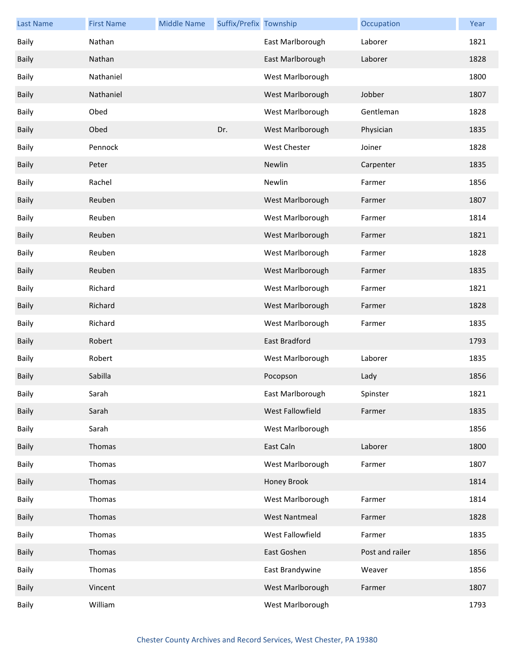| <b>Last Name</b> | <b>First Name</b> | <b>Middle Name</b> | Suffix/Prefix Township |                      | Occupation      | Year |
|------------------|-------------------|--------------------|------------------------|----------------------|-----------------|------|
| <b>Baily</b>     | Nathan            |                    |                        | East Marlborough     | Laborer         | 1821 |
| <b>Baily</b>     | Nathan            |                    |                        | East Marlborough     | Laborer         | 1828 |
| Baily            | Nathaniel         |                    |                        | West Marlborough     |                 | 1800 |
| <b>Baily</b>     | Nathaniel         |                    |                        | West Marlborough     | Jobber          | 1807 |
| <b>Baily</b>     | Obed              |                    |                        | West Marlborough     | Gentleman       | 1828 |
| <b>Baily</b>     | Obed              |                    | Dr.                    | West Marlborough     | Physician       | 1835 |
| Baily            | Pennock           |                    |                        | West Chester         | Joiner          | 1828 |
| Baily            | Peter             |                    |                        | Newlin               | Carpenter       | 1835 |
| Baily            | Rachel            |                    |                        | Newlin               | Farmer          | 1856 |
| Baily            | Reuben            |                    |                        | West Marlborough     | Farmer          | 1807 |
| Baily            | Reuben            |                    |                        | West Marlborough     | Farmer          | 1814 |
| Baily            | Reuben            |                    |                        | West Marlborough     | Farmer          | 1821 |
| Baily            | Reuben            |                    |                        | West Marlborough     | Farmer          | 1828 |
| Baily            | Reuben            |                    |                        | West Marlborough     | Farmer          | 1835 |
| Baily            | Richard           |                    |                        | West Marlborough     | Farmer          | 1821 |
| Baily            | Richard           |                    |                        | West Marlborough     | Farmer          | 1828 |
| Baily            | Richard           |                    |                        | West Marlborough     | Farmer          | 1835 |
| <b>Baily</b>     | Robert            |                    |                        | East Bradford        |                 | 1793 |
| <b>Baily</b>     | Robert            |                    |                        | West Marlborough     | Laborer         | 1835 |
| <b>Baily</b>     | Sabilla           |                    |                        | Pocopson             | Lady            | 1856 |
| Baily            | Sarah             |                    |                        | East Marlborough     | Spinster        | 1821 |
| <b>Baily</b>     | Sarah             |                    |                        | West Fallowfield     | Farmer          | 1835 |
| Baily            | Sarah             |                    |                        | West Marlborough     |                 | 1856 |
| <b>Baily</b>     | Thomas            |                    |                        | East Caln            | Laborer         | 1800 |
| Baily            | Thomas            |                    |                        | West Marlborough     | Farmer          | 1807 |
| <b>Baily</b>     | Thomas            |                    |                        | Honey Brook          |                 | 1814 |
| <b>Baily</b>     | Thomas            |                    |                        | West Marlborough     | Farmer          | 1814 |
| <b>Baily</b>     | Thomas            |                    |                        | <b>West Nantmeal</b> | Farmer          | 1828 |
| Baily            | Thomas            |                    |                        | West Fallowfield     | Farmer          | 1835 |
| <b>Baily</b>     | Thomas            |                    |                        | East Goshen          | Post and railer | 1856 |
| <b>Baily</b>     | Thomas            |                    |                        | East Brandywine      | Weaver          | 1856 |
| <b>Baily</b>     | Vincent           |                    |                        | West Marlborough     | Farmer          | 1807 |
| Baily            | William           |                    |                        | West Marlborough     |                 | 1793 |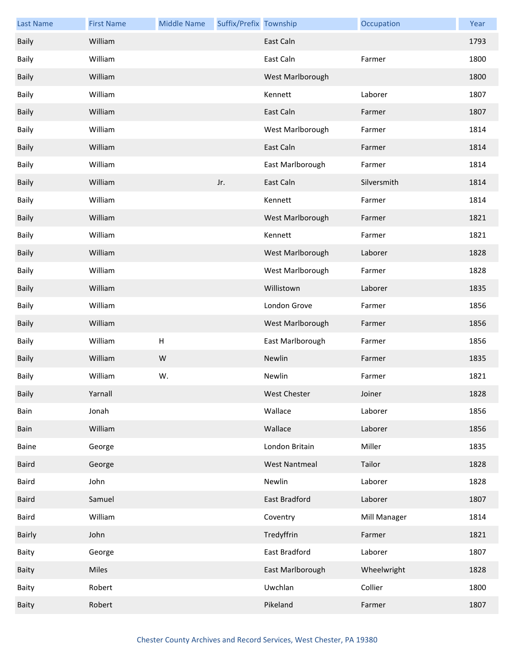| <b>Last Name</b> | <b>First Name</b> | <b>Middle Name</b> | Suffix/Prefix Township |                      | Occupation   | Year |
|------------------|-------------------|--------------------|------------------------|----------------------|--------------|------|
| <b>Baily</b>     | William           |                    |                        | East Caln            |              | 1793 |
| Baily            | William           |                    |                        | East Caln            | Farmer       | 1800 |
| <b>Baily</b>     | William           |                    |                        | West Marlborough     |              | 1800 |
| Baily            | William           |                    |                        | Kennett              | Laborer      | 1807 |
| <b>Baily</b>     | William           |                    |                        | East Caln            | Farmer       | 1807 |
| Baily            | William           |                    |                        | West Marlborough     | Farmer       | 1814 |
| Baily            | William           |                    |                        | East Caln            | Farmer       | 1814 |
| Baily            | William           |                    |                        | East Marlborough     | Farmer       | 1814 |
| <b>Baily</b>     | William           |                    | Jr.                    | East Caln            | Silversmith  | 1814 |
| Baily            | William           |                    |                        | Kennett              | Farmer       | 1814 |
| <b>Baily</b>     | William           |                    |                        | West Marlborough     | Farmer       | 1821 |
| Baily            | William           |                    |                        | Kennett              | Farmer       | 1821 |
| <b>Baily</b>     | William           |                    |                        | West Marlborough     | Laborer      | 1828 |
| Baily            | William           |                    |                        | West Marlborough     | Farmer       | 1828 |
| <b>Baily</b>     | William           |                    |                        | Willistown           | Laborer      | 1835 |
| Baily            | William           |                    |                        | London Grove         | Farmer       | 1856 |
| <b>Baily</b>     | William           |                    |                        | West Marlborough     | Farmer       | 1856 |
| Baily            | William           | $\sf H$            |                        | East Marlborough     | Farmer       | 1856 |
| Baily            | William           | ${\sf W}$          |                        | Newlin               | Farmer       | 1835 |
| Baily            | William           | W.                 |                        | Newlin               | Farmer       | 1821 |
| <b>Baily</b>     | Yarnall           |                    |                        | West Chester         | Joiner       | 1828 |
| Bain             | Jonah             |                    |                        | Wallace              | Laborer      | 1856 |
| Bain             | William           |                    |                        | Wallace              | Laborer      | 1856 |
| Baine            | George            |                    |                        | London Britain       | Miller       | 1835 |
| <b>Baird</b>     | George            |                    |                        | <b>West Nantmeal</b> | Tailor       | 1828 |
| Baird            | John              |                    |                        | Newlin               | Laborer      | 1828 |
| <b>Baird</b>     | Samuel            |                    |                        | East Bradford        | Laborer      | 1807 |
| Baird            | William           |                    |                        | Coventry             | Mill Manager | 1814 |
| <b>Bairly</b>    | John              |                    |                        | Tredyffrin           | Farmer       | 1821 |
| Baity            | George            |                    |                        | East Bradford        | Laborer      | 1807 |
| Baity            | <b>Miles</b>      |                    |                        | East Marlborough     | Wheelwright  | 1828 |
| Baity            | Robert            |                    |                        | Uwchlan              | Collier      | 1800 |
| Baity            | Robert            |                    |                        | Pikeland             | Farmer       | 1807 |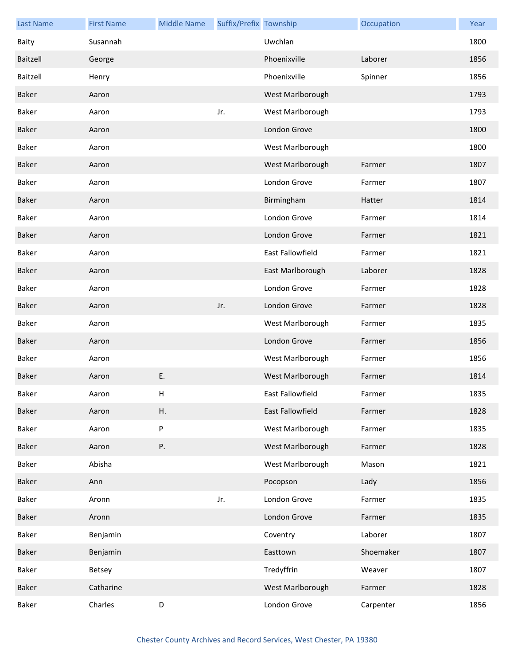| <b>Last Name</b> | <b>First Name</b> | <b>Middle Name</b> | Suffix/Prefix Township |                  | Occupation | Year |
|------------------|-------------------|--------------------|------------------------|------------------|------------|------|
| Baity            | Susannah          |                    |                        | Uwchlan          |            | 1800 |
| Baitzell         | George            |                    |                        | Phoenixville     | Laborer    | 1856 |
| Baitzell         | Henry             |                    |                        | Phoenixville     | Spinner    | 1856 |
| <b>Baker</b>     | Aaron             |                    |                        | West Marlborough |            | 1793 |
| Baker            | Aaron             |                    | Jr.                    | West Marlborough |            | 1793 |
| Baker            | Aaron             |                    |                        | London Grove     |            | 1800 |
| Baker            | Aaron             |                    |                        | West Marlborough |            | 1800 |
| <b>Baker</b>     | Aaron             |                    |                        | West Marlborough | Farmer     | 1807 |
| Baker            | Aaron             |                    |                        | London Grove     | Farmer     | 1807 |
| <b>Baker</b>     | Aaron             |                    |                        | Birmingham       | Hatter     | 1814 |
| Baker            | Aaron             |                    |                        | London Grove     | Farmer     | 1814 |
| Baker            | Aaron             |                    |                        | London Grove     | Farmer     | 1821 |
| Baker            | Aaron             |                    |                        | East Fallowfield | Farmer     | 1821 |
| <b>Baker</b>     | Aaron             |                    |                        | East Marlborough | Laborer    | 1828 |
| Baker            | Aaron             |                    |                        | London Grove     | Farmer     | 1828 |
| Baker            | Aaron             |                    | Jr.                    | London Grove     | Farmer     | 1828 |
| Baker            | Aaron             |                    |                        | West Marlborough | Farmer     | 1835 |
| <b>Baker</b>     | Aaron             |                    |                        | London Grove     | Farmer     | 1856 |
| Baker            | Aaron             |                    |                        | West Marlborough | Farmer     | 1856 |
| <b>Baker</b>     | Aaron             | E.                 |                        | West Marlborough | Farmer     | 1814 |
| Baker            | Aaron             | н                  |                        | East Fallowfield | Farmer     | 1835 |
| Baker            | Aaron             | Η.                 |                        | East Fallowfield | Farmer     | 1828 |
| Baker            | Aaron             | $\sf P$            |                        | West Marlborough | Farmer     | 1835 |
| Baker            | Aaron             | Ρ.                 |                        | West Marlborough | Farmer     | 1828 |
| Baker            | Abisha            |                    |                        | West Marlborough | Mason      | 1821 |
| Baker            | Ann               |                    |                        | Pocopson         | Lady       | 1856 |
| Baker            | Aronn             |                    | Jr.                    | London Grove     | Farmer     | 1835 |
| Baker            | Aronn             |                    |                        | London Grove     | Farmer     | 1835 |
| Baker            | Benjamin          |                    |                        | Coventry         | Laborer    | 1807 |
| Baker            | Benjamin          |                    |                        | Easttown         | Shoemaker  | 1807 |
| Baker            | Betsey            |                    |                        | Tredyffrin       | Weaver     | 1807 |
| Baker            | Catharine         |                    |                        | West Marlborough | Farmer     | 1828 |
| Baker            | Charles           | D                  |                        | London Grove     | Carpenter  | 1856 |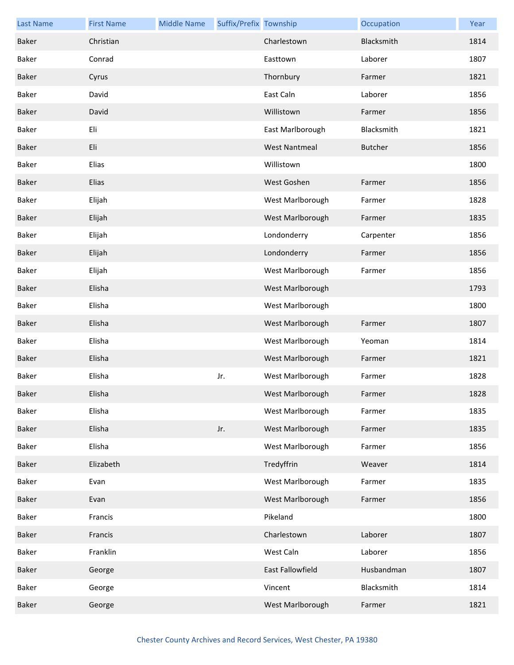| <b>Last Name</b> | <b>First Name</b> | <b>Middle Name</b> | Suffix/Prefix Township |                      | Occupation     | Year |
|------------------|-------------------|--------------------|------------------------|----------------------|----------------|------|
| Baker            | Christian         |                    |                        | Charlestown          | Blacksmith     | 1814 |
| Baker            | Conrad            |                    |                        | Easttown             | Laborer        | 1807 |
| <b>Baker</b>     | Cyrus             |                    |                        | Thornbury            | Farmer         | 1821 |
| Baker            | David             |                    |                        | East Caln            | Laborer        | 1856 |
| Baker            | David             |                    |                        | Willistown           | Farmer         | 1856 |
| Baker            | Eli               |                    |                        | East Marlborough     | Blacksmith     | 1821 |
| <b>Baker</b>     | Eli               |                    |                        | <b>West Nantmeal</b> | <b>Butcher</b> | 1856 |
| Baker            | Elias             |                    |                        | Willistown           |                | 1800 |
| Baker            | Elias             |                    |                        | West Goshen          | Farmer         | 1856 |
| Baker            | Elijah            |                    |                        | West Marlborough     | Farmer         | 1828 |
| <b>Baker</b>     | Elijah            |                    |                        | West Marlborough     | Farmer         | 1835 |
| Baker            | Elijah            |                    |                        | Londonderry          | Carpenter      | 1856 |
| Baker            | Elijah            |                    |                        | Londonderry          | Farmer         | 1856 |
| Baker            | Elijah            |                    |                        | West Marlborough     | Farmer         | 1856 |
| <b>Baker</b>     | Elisha            |                    |                        | West Marlborough     |                | 1793 |
| Baker            | Elisha            |                    |                        | West Marlborough     |                | 1800 |
| Baker            | Elisha            |                    |                        | West Marlborough     | Farmer         | 1807 |
| Baker            | Elisha            |                    |                        | West Marlborough     | Yeoman         | 1814 |
| Baker            | Elisha            |                    |                        | West Marlborough     | Farmer         | 1821 |
| Baker            | Elisha            |                    | Jr.                    | West Marlborough     | Farmer         | 1828 |
| Baker            | Elisha            |                    |                        | West Marlborough     | Farmer         | 1828 |
| Baker            | Elisha            |                    |                        | West Marlborough     | Farmer         | 1835 |
| Baker            | Elisha            |                    | Jr.                    | West Marlborough     | Farmer         | 1835 |
| Baker            | Elisha            |                    |                        | West Marlborough     | Farmer         | 1856 |
| Baker            | Elizabeth         |                    |                        | Tredyffrin           | Weaver         | 1814 |
| Baker            | Evan              |                    |                        | West Marlborough     | Farmer         | 1835 |
| Baker            | Evan              |                    |                        | West Marlborough     | Farmer         | 1856 |
| Baker            | Francis           |                    |                        | Pikeland             |                | 1800 |
| Baker            | Francis           |                    |                        | Charlestown          | Laborer        | 1807 |
| Baker            | Franklin          |                    |                        | West Caln            | Laborer        | 1856 |
| Baker            | George            |                    |                        | East Fallowfield     | Husbandman     | 1807 |
| Baker            | George            |                    |                        | Vincent              | Blacksmith     | 1814 |
| Baker            | George            |                    |                        | West Marlborough     | Farmer         | 1821 |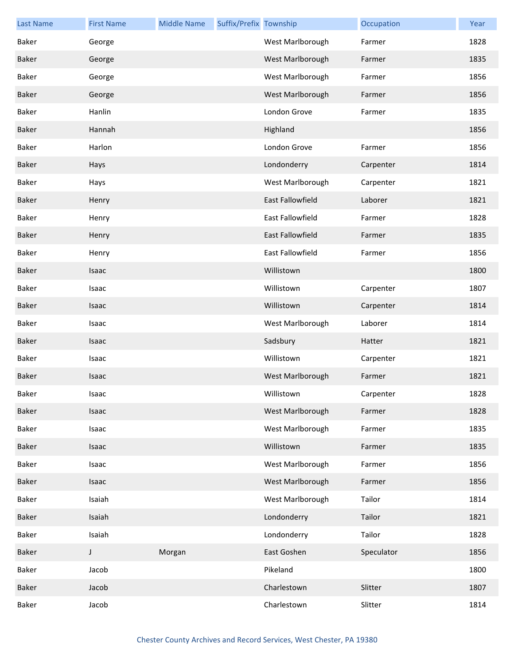| <b>Last Name</b> | <b>First Name</b> | <b>Middle Name</b> | Suffix/Prefix Township |                         | Occupation | Year |
|------------------|-------------------|--------------------|------------------------|-------------------------|------------|------|
| Baker            | George            |                    |                        | West Marlborough        | Farmer     | 1828 |
| <b>Baker</b>     | George            |                    |                        | West Marlborough        | Farmer     | 1835 |
| Baker            | George            |                    |                        | West Marlborough        | Farmer     | 1856 |
| <b>Baker</b>     | George            |                    |                        | West Marlborough        | Farmer     | 1856 |
| Baker            | Hanlin            |                    |                        | London Grove            | Farmer     | 1835 |
| Baker            | Hannah            |                    |                        | Highland                |            | 1856 |
| Baker            | Harlon            |                    |                        | London Grove            | Farmer     | 1856 |
| Baker            | Hays              |                    |                        | Londonderry             | Carpenter  | 1814 |
| Baker            | Hays              |                    |                        | West Marlborough        | Carpenter  | 1821 |
| <b>Baker</b>     | Henry             |                    |                        | <b>East Fallowfield</b> | Laborer    | 1821 |
| Baker            | Henry             |                    |                        | <b>East Fallowfield</b> | Farmer     | 1828 |
| <b>Baker</b>     | Henry             |                    |                        | East Fallowfield        | Farmer     | 1835 |
| Baker            | Henry             |                    |                        | East Fallowfield        | Farmer     | 1856 |
| <b>Baker</b>     | Isaac             |                    |                        | Willistown              |            | 1800 |
| Baker            | Isaac             |                    |                        | Willistown              | Carpenter  | 1807 |
| <b>Baker</b>     | Isaac             |                    |                        | Willistown              | Carpenter  | 1814 |
| Baker            | Isaac             |                    |                        | West Marlborough        | Laborer    | 1814 |
| Baker            | Isaac             |                    |                        | Sadsbury                | Hatter     | 1821 |
| Baker            | Isaac             |                    |                        | Willistown              | Carpenter  | 1821 |
| <b>Baker</b>     | Isaac             |                    |                        | West Marlborough        | Farmer     | 1821 |
| Baker            | Isaac             |                    |                        | Willistown              | Carpenter  | 1828 |
| Baker            | Isaac             |                    |                        | West Marlborough        | Farmer     | 1828 |
| Baker            | Isaac             |                    |                        | West Marlborough        | Farmer     | 1835 |
| Baker            | Isaac             |                    |                        | Willistown              | Farmer     | 1835 |
| Baker            | Isaac             |                    |                        | West Marlborough        | Farmer     | 1856 |
| Baker            | Isaac             |                    |                        | West Marlborough        | Farmer     | 1856 |
| Baker            | Isaiah            |                    |                        | West Marlborough        | Tailor     | 1814 |
| Baker            | Isaiah            |                    |                        | Londonderry             | Tailor     | 1821 |
| Baker            | Isaiah            |                    |                        | Londonderry             | Tailor     | 1828 |
| Baker            | J                 | Morgan             |                        | East Goshen             | Speculator | 1856 |
| Baker            | Jacob             |                    |                        | Pikeland                |            | 1800 |
| Baker            | Jacob             |                    |                        | Charlestown             | Slitter    | 1807 |
| Baker            | Jacob             |                    |                        | Charlestown             | Slitter    | 1814 |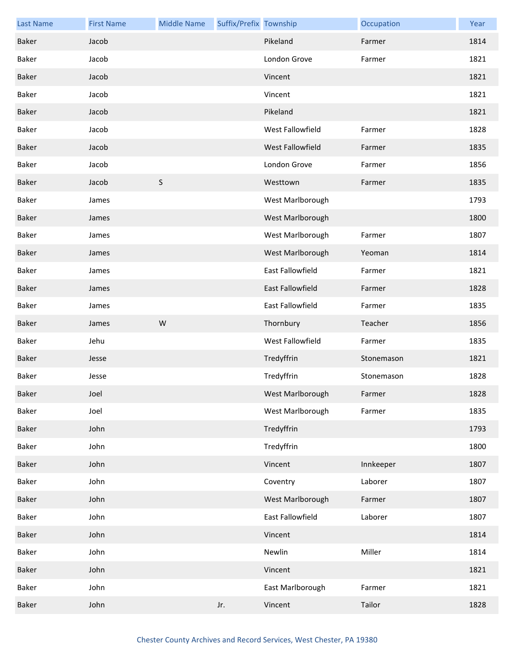| <b>Last Name</b> | <b>First Name</b> | <b>Middle Name</b> | Suffix/Prefix Township |                         | Occupation | Year |
|------------------|-------------------|--------------------|------------------------|-------------------------|------------|------|
| Baker            | Jacob             |                    |                        | Pikeland                | Farmer     | 1814 |
| Baker            | Jacob             |                    |                        | London Grove            | Farmer     | 1821 |
| Baker            | Jacob             |                    |                        | Vincent                 |            | 1821 |
| Baker            | Jacob             |                    |                        | Vincent                 |            | 1821 |
| Baker            | Jacob             |                    |                        | Pikeland                |            | 1821 |
| Baker            | Jacob             |                    |                        | West Fallowfield        | Farmer     | 1828 |
| Baker            | Jacob             |                    |                        | West Fallowfield        | Farmer     | 1835 |
| Baker            | Jacob             |                    |                        | London Grove            | Farmer     | 1856 |
| Baker            | Jacob             | S                  |                        | Westtown                | Farmer     | 1835 |
| Baker            | James             |                    |                        | West Marlborough        |            | 1793 |
| Baker            | James             |                    |                        | West Marlborough        |            | 1800 |
| Baker            | James             |                    |                        | West Marlborough        | Farmer     | 1807 |
| Baker            | James             |                    |                        | West Marlborough        | Yeoman     | 1814 |
| Baker            | James             |                    |                        | East Fallowfield        | Farmer     | 1821 |
| Baker            | James             |                    |                        | <b>East Fallowfield</b> | Farmer     | 1828 |
| Baker            | James             |                    |                        | East Fallowfield        | Farmer     | 1835 |
| Baker            | James             | W                  |                        | Thornbury               | Teacher    | 1856 |
| Baker            | Jehu              |                    |                        | West Fallowfield        | Farmer     | 1835 |
| Baker            | Jesse             |                    |                        | Tredyffrin              | Stonemason | 1821 |
| Baker            | Jesse             |                    |                        | Tredyffrin              | Stonemason | 1828 |
| Baker            | Joel              |                    |                        | West Marlborough        | Farmer     | 1828 |
| Baker            | Joel              |                    |                        | West Marlborough        | Farmer     | 1835 |
| Baker            | John              |                    |                        | Tredyffrin              |            | 1793 |
| Baker            | John              |                    |                        | Tredyffrin              |            | 1800 |
| Baker            | John              |                    |                        | Vincent                 | Innkeeper  | 1807 |
| Baker            | John              |                    |                        | Coventry                | Laborer    | 1807 |
| Baker            | John              |                    |                        | West Marlborough        | Farmer     | 1807 |
| Baker            | John              |                    |                        | East Fallowfield        | Laborer    | 1807 |
| Baker            | John              |                    |                        | Vincent                 |            | 1814 |
| Baker            | John              |                    |                        | Newlin                  | Miller     | 1814 |
| Baker            | John              |                    |                        | Vincent                 |            | 1821 |
| Baker            | John              |                    |                        | East Marlborough        | Farmer     | 1821 |
| Baker            | John              |                    | Jr.                    | Vincent                 | Tailor     | 1828 |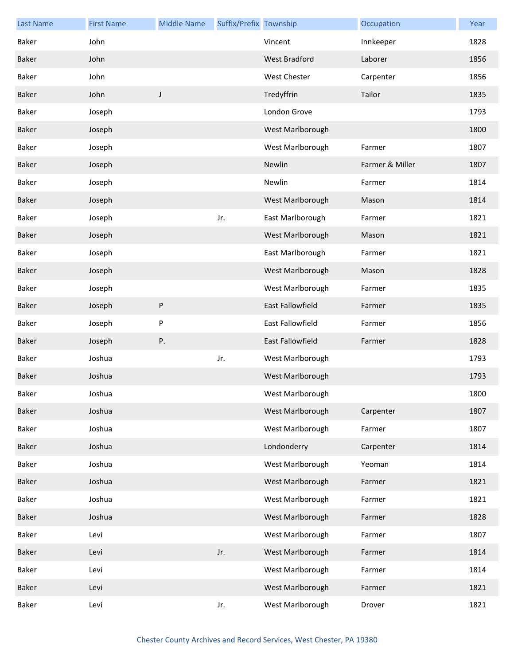| <b>Last Name</b> | <b>First Name</b> | <b>Middle Name</b> | Suffix/Prefix Township |                      | Occupation      | Year |
|------------------|-------------------|--------------------|------------------------|----------------------|-----------------|------|
| Baker            | John              |                    |                        | Vincent              | Innkeeper       | 1828 |
| Baker            | John              |                    |                        | <b>West Bradford</b> | Laborer         | 1856 |
| Baker            | John              |                    |                        | West Chester         | Carpenter       | 1856 |
| Baker            | John              | $\mathsf J$        |                        | Tredyffrin           | Tailor          | 1835 |
| Baker            | Joseph            |                    |                        | London Grove         |                 | 1793 |
| Baker            | Joseph            |                    |                        | West Marlborough     |                 | 1800 |
| Baker            | Joseph            |                    |                        | West Marlborough     | Farmer          | 1807 |
| Baker            | Joseph            |                    |                        | Newlin               | Farmer & Miller | 1807 |
| Baker            | Joseph            |                    |                        | Newlin               | Farmer          | 1814 |
| Baker            | Joseph            |                    |                        | West Marlborough     | Mason           | 1814 |
| Baker            | Joseph            |                    | Jr.                    | East Marlborough     | Farmer          | 1821 |
| Baker            | Joseph            |                    |                        | West Marlborough     | Mason           | 1821 |
| Baker            | Joseph            |                    |                        | East Marlborough     | Farmer          | 1821 |
| Baker            | Joseph            |                    |                        | West Marlborough     | Mason           | 1828 |
| Baker            | Joseph            |                    |                        | West Marlborough     | Farmer          | 1835 |
| Baker            | Joseph            | $\sf P$            |                        | East Fallowfield     | Farmer          | 1835 |
| Baker            | Joseph            | ${\sf P}$          |                        | East Fallowfield     | Farmer          | 1856 |
| Baker            | Joseph            | Ρ.                 |                        | East Fallowfield     | Farmer          | 1828 |
| Baker            | Joshua            |                    | Jr.                    | West Marlborough     |                 | 1793 |
| Baker            | Joshua            |                    |                        | West Marlborough     |                 | 1793 |
| Baker            | Joshua            |                    |                        | West Marlborough     |                 | 1800 |
| Baker            | Joshua            |                    |                        | West Marlborough     | Carpenter       | 1807 |
| Baker            | Joshua            |                    |                        | West Marlborough     | Farmer          | 1807 |
| Baker            | Joshua            |                    |                        | Londonderry          | Carpenter       | 1814 |
| Baker            | Joshua            |                    |                        | West Marlborough     | Yeoman          | 1814 |
| Baker            | Joshua            |                    |                        | West Marlborough     | Farmer          | 1821 |
| Baker            | Joshua            |                    |                        | West Marlborough     | Farmer          | 1821 |
| Baker            | Joshua            |                    |                        | West Marlborough     | Farmer          | 1828 |
| Baker            | Levi              |                    |                        | West Marlborough     | Farmer          | 1807 |
| Baker            | Levi              |                    | Jr.                    | West Marlborough     | Farmer          | 1814 |
| Baker            | Levi              |                    |                        | West Marlborough     | Farmer          | 1814 |
| Baker            | Levi              |                    |                        | West Marlborough     | Farmer          | 1821 |
| Baker            | Levi              |                    | Jr.                    | West Marlborough     | Drover          | 1821 |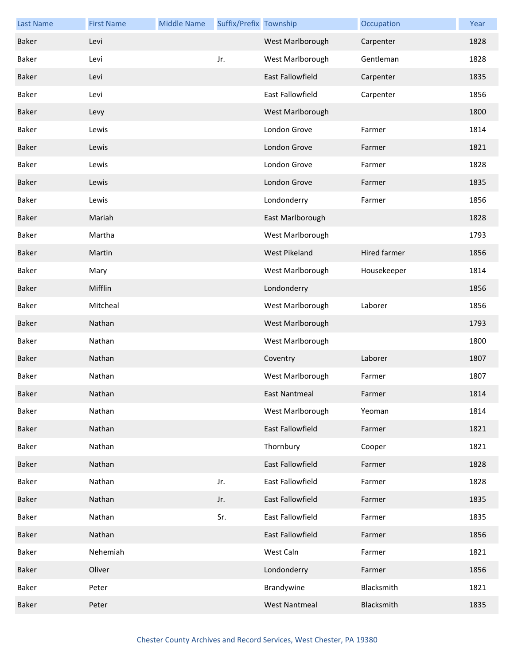| <b>Last Name</b> | <b>First Name</b> | <b>Middle Name</b> | Suffix/Prefix Township |                         | Occupation   | Year |
|------------------|-------------------|--------------------|------------------------|-------------------------|--------------|------|
| Baker            | Levi              |                    |                        | West Marlborough        | Carpenter    | 1828 |
| Baker            | Levi              |                    | Jr.                    | West Marlborough        | Gentleman    | 1828 |
| Baker            | Levi              |                    |                        | East Fallowfield        | Carpenter    | 1835 |
| Baker            | Levi              |                    |                        | <b>East Fallowfield</b> | Carpenter    | 1856 |
| Baker            | Levy              |                    |                        | West Marlborough        |              | 1800 |
| Baker            | Lewis             |                    |                        | London Grove            | Farmer       | 1814 |
| Baker            | Lewis             |                    |                        | London Grove            | Farmer       | 1821 |
| Baker            | Lewis             |                    |                        | London Grove            | Farmer       | 1828 |
| Baker            | Lewis             |                    |                        | London Grove            | Farmer       | 1835 |
| Baker            | Lewis             |                    |                        | Londonderry             | Farmer       | 1856 |
| <b>Baker</b>     | Mariah            |                    |                        | East Marlborough        |              | 1828 |
| Baker            | Martha            |                    |                        | West Marlborough        |              | 1793 |
| Baker            | Martin            |                    |                        | West Pikeland           | Hired farmer | 1856 |
| Baker            | Mary              |                    |                        | West Marlborough        | Housekeeper  | 1814 |
| Baker            | Mifflin           |                    |                        | Londonderry             |              | 1856 |
| Baker            | Mitcheal          |                    |                        | West Marlborough        | Laborer      | 1856 |
| Baker            | Nathan            |                    |                        | West Marlborough        |              | 1793 |
| Baker            | Nathan            |                    |                        | West Marlborough        |              | 1800 |
| Baker            | Nathan            |                    |                        | Coventry                | Laborer      | 1807 |
| Baker            | Nathan            |                    |                        | West Marlborough        | Farmer       | 1807 |
| Baker            | Nathan            |                    |                        | East Nantmeal           | Farmer       | 1814 |
| Baker            | Nathan            |                    |                        | West Marlborough        | Yeoman       | 1814 |
| Baker            | Nathan            |                    |                        | East Fallowfield        | Farmer       | 1821 |
| Baker            | Nathan            |                    |                        | Thornbury               | Cooper       | 1821 |
| Baker            | Nathan            |                    |                        | East Fallowfield        | Farmer       | 1828 |
| Baker            | Nathan            |                    | Jr.                    | East Fallowfield        | Farmer       | 1828 |
| Baker            | Nathan            |                    | Jr.                    | East Fallowfield        | Farmer       | 1835 |
| Baker            | Nathan            |                    | Sr.                    | East Fallowfield        | Farmer       | 1835 |
| Baker            | Nathan            |                    |                        | East Fallowfield        | Farmer       | 1856 |
| Baker            | Nehemiah          |                    |                        | West Caln               | Farmer       | 1821 |
| Baker            | Oliver            |                    |                        | Londonderry             | Farmer       | 1856 |
| Baker            | Peter             |                    |                        | Brandywine              | Blacksmith   | 1821 |
| Baker            | Peter             |                    |                        | <b>West Nantmeal</b>    | Blacksmith   | 1835 |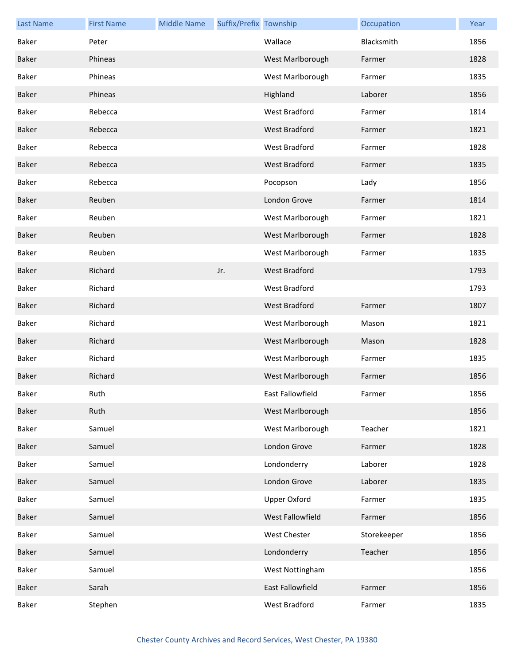| <b>Last Name</b> | <b>First Name</b> | <b>Middle Name</b> | Suffix/Prefix Township |                      | Occupation  | Year |
|------------------|-------------------|--------------------|------------------------|----------------------|-------------|------|
| Baker            | Peter             |                    |                        | Wallace              | Blacksmith  | 1856 |
| Baker            | Phineas           |                    |                        | West Marlborough     | Farmer      | 1828 |
| Baker            | Phineas           |                    |                        | West Marlborough     | Farmer      | 1835 |
| Baker            | Phineas           |                    |                        | Highland             | Laborer     | 1856 |
| Baker            | Rebecca           |                    |                        | West Bradford        | Farmer      | 1814 |
| Baker            | Rebecca           |                    |                        | <b>West Bradford</b> | Farmer      | 1821 |
| Baker            | Rebecca           |                    |                        | West Bradford        | Farmer      | 1828 |
| Baker            | Rebecca           |                    |                        | West Bradford        | Farmer      | 1835 |
| Baker            | Rebecca           |                    |                        | Pocopson             | Lady        | 1856 |
| Baker            | Reuben            |                    |                        | London Grove         | Farmer      | 1814 |
| Baker            | Reuben            |                    |                        | West Marlborough     | Farmer      | 1821 |
| Baker            | Reuben            |                    |                        | West Marlborough     | Farmer      | 1828 |
| Baker            | Reuben            |                    |                        | West Marlborough     | Farmer      | 1835 |
| Baker            | Richard           |                    | Jr.                    | <b>West Bradford</b> |             | 1793 |
| Baker            | Richard           |                    |                        | West Bradford        |             | 1793 |
| Baker            | Richard           |                    |                        | West Bradford        | Farmer      | 1807 |
| Baker            | Richard           |                    |                        | West Marlborough     | Mason       | 1821 |
| Baker            | Richard           |                    |                        | West Marlborough     | Mason       | 1828 |
| Baker            | Richard           |                    |                        | West Marlborough     | Farmer      | 1835 |
| Baker            | Richard           |                    |                        | West Marlborough     | Farmer      | 1856 |
| Baker            | Ruth              |                    |                        | East Fallowfield     | Farmer      | 1856 |
| Baker            | Ruth              |                    |                        | West Marlborough     |             | 1856 |
| Baker            | Samuel            |                    |                        | West Marlborough     | Teacher     | 1821 |
| Baker            | Samuel            |                    |                        | London Grove         | Farmer      | 1828 |
| Baker            | Samuel            |                    |                        | Londonderry          | Laborer     | 1828 |
| Baker            | Samuel            |                    |                        | London Grove         | Laborer     | 1835 |
| Baker            | Samuel            |                    |                        | <b>Upper Oxford</b>  | Farmer      | 1835 |
| Baker            | Samuel            |                    |                        | West Fallowfield     | Farmer      | 1856 |
| Baker            | Samuel            |                    |                        | West Chester         | Storekeeper | 1856 |
| Baker            | Samuel            |                    |                        | Londonderry          | Teacher     | 1856 |
| Baker            | Samuel            |                    |                        | West Nottingham      |             | 1856 |
| Baker            | Sarah             |                    |                        | East Fallowfield     | Farmer      | 1856 |
| Baker            | Stephen           |                    |                        | West Bradford        | Farmer      | 1835 |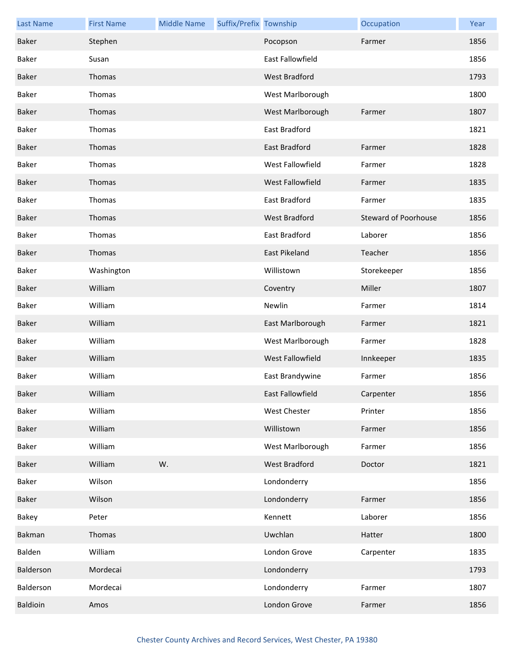| <b>Last Name</b> | <b>First Name</b> | <b>Middle Name</b> | Suffix/Prefix Township |                      | Occupation                  | Year |
|------------------|-------------------|--------------------|------------------------|----------------------|-----------------------------|------|
| Baker            | Stephen           |                    |                        | Pocopson             | Farmer                      | 1856 |
| Baker            | Susan             |                    |                        | East Fallowfield     |                             | 1856 |
| Baker            | Thomas            |                    |                        | <b>West Bradford</b> |                             | 1793 |
| Baker            | Thomas            |                    |                        | West Marlborough     |                             | 1800 |
| Baker            | Thomas            |                    |                        | West Marlborough     | Farmer                      | 1807 |
| Baker            | Thomas            |                    |                        | East Bradford        |                             | 1821 |
| Baker            | Thomas            |                    |                        | East Bradford        | Farmer                      | 1828 |
| Baker            | Thomas            |                    |                        | West Fallowfield     | Farmer                      | 1828 |
| Baker            | Thomas            |                    |                        | West Fallowfield     | Farmer                      | 1835 |
| Baker            | Thomas            |                    |                        | East Bradford        | Farmer                      | 1835 |
| Baker            | Thomas            |                    |                        | <b>West Bradford</b> | <b>Steward of Poorhouse</b> | 1856 |
| Baker            | Thomas            |                    |                        | East Bradford        | Laborer                     | 1856 |
| Baker            | Thomas            |                    |                        | East Pikeland        | Teacher                     | 1856 |
| Baker            | Washington        |                    |                        | Willistown           | Storekeeper                 | 1856 |
| Baker            | William           |                    |                        | Coventry             | Miller                      | 1807 |
| Baker            | William           |                    |                        | Newlin               | Farmer                      | 1814 |
| Baker            | William           |                    |                        | East Marlborough     | Farmer                      | 1821 |
| Baker            | William           |                    |                        | West Marlborough     | Farmer                      | 1828 |
| Baker            | William           |                    |                        | West Fallowfield     | Innkeeper                   | 1835 |
| Baker            | William           |                    |                        | East Brandywine      | Farmer                      | 1856 |
| Baker            | William           |                    |                        | East Fallowfield     | Carpenter                   | 1856 |
| Baker            | William           |                    |                        | <b>West Chester</b>  | Printer                     | 1856 |
| Baker            | William           |                    |                        | Willistown           | Farmer                      | 1856 |
| Baker            | William           |                    |                        | West Marlborough     | Farmer                      | 1856 |
| Baker            | William           | W.                 |                        | <b>West Bradford</b> | Doctor                      | 1821 |
| Baker            | Wilson            |                    |                        | Londonderry          |                             | 1856 |
| Baker            | Wilson            |                    |                        | Londonderry          | Farmer                      | 1856 |
| Bakey            | Peter             |                    |                        | Kennett              | Laborer                     | 1856 |
| Bakman           | Thomas            |                    |                        | Uwchlan              | Hatter                      | 1800 |
| Balden           | William           |                    |                        | London Grove         | Carpenter                   | 1835 |
| Balderson        | Mordecai          |                    |                        | Londonderry          |                             | 1793 |
| Balderson        | Mordecai          |                    |                        | Londonderry          | Farmer                      | 1807 |
| Baldioin         | Amos              |                    |                        | London Grove         | Farmer                      | 1856 |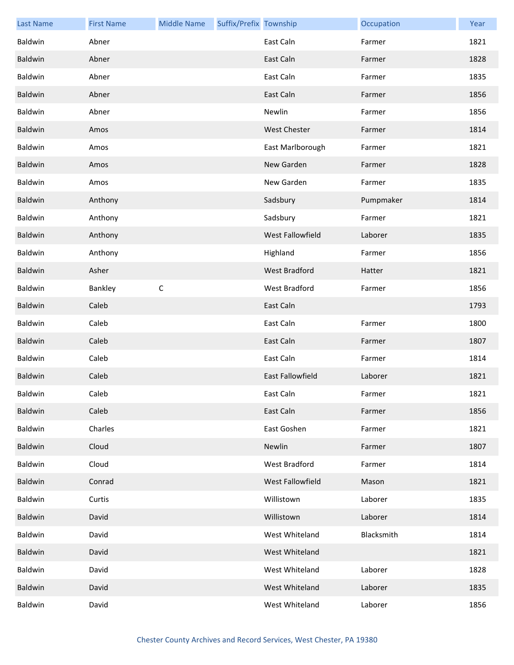| <b>Last Name</b> | <b>First Name</b> | <b>Middle Name</b> | Suffix/Prefix Township |                         | Occupation | Year |
|------------------|-------------------|--------------------|------------------------|-------------------------|------------|------|
| Baldwin          | Abner             |                    |                        | East Caln               | Farmer     | 1821 |
| Baldwin          | Abner             |                    |                        | East Caln               | Farmer     | 1828 |
| Baldwin          | Abner             |                    |                        | East Caln               | Farmer     | 1835 |
| Baldwin          | Abner             |                    |                        | East Caln               | Farmer     | 1856 |
| Baldwin          | Abner             |                    |                        | Newlin                  | Farmer     | 1856 |
| Baldwin          | Amos              |                    |                        | <b>West Chester</b>     | Farmer     | 1814 |
| Baldwin          | Amos              |                    |                        | East Marlborough        | Farmer     | 1821 |
| Baldwin          | Amos              |                    |                        | New Garden              | Farmer     | 1828 |
| Baldwin          | Amos              |                    |                        | New Garden              | Farmer     | 1835 |
| Baldwin          | Anthony           |                    |                        | Sadsbury                | Pumpmaker  | 1814 |
| Baldwin          | Anthony           |                    |                        | Sadsbury                | Farmer     | 1821 |
| Baldwin          | Anthony           |                    |                        | <b>West Fallowfield</b> | Laborer    | 1835 |
| Baldwin          | Anthony           |                    |                        | Highland                | Farmer     | 1856 |
| Baldwin          | Asher             |                    |                        | West Bradford           | Hatter     | 1821 |
| Baldwin          | Bankley           | $\mathsf C$        |                        | West Bradford           | Farmer     | 1856 |
| Baldwin          | Caleb             |                    |                        | East Caln               |            | 1793 |
| Baldwin          | Caleb             |                    |                        | East Caln               | Farmer     | 1800 |
| Baldwin          | Caleb             |                    |                        | East Caln               | Farmer     | 1807 |
| Baldwin          | Caleb             |                    |                        | East Caln               | Farmer     | 1814 |
| Baldwin          | Caleb             |                    |                        | East Fallowfield        | Laborer    | 1821 |
| Baldwin          | Caleb             |                    |                        | East Caln               | Farmer     | 1821 |
| Baldwin          | Caleb             |                    |                        | East Caln               | Farmer     | 1856 |
| Baldwin          | Charles           |                    |                        | East Goshen             | Farmer     | 1821 |
| Baldwin          | Cloud             |                    |                        | Newlin                  | Farmer     | 1807 |
| Baldwin          | Cloud             |                    |                        | West Bradford           | Farmer     | 1814 |
| Baldwin          | Conrad            |                    |                        | West Fallowfield        | Mason      | 1821 |
| Baldwin          | Curtis            |                    |                        | Willistown              | Laborer    | 1835 |
| Baldwin          | David             |                    |                        | Willistown              | Laborer    | 1814 |
| Baldwin          | David             |                    |                        | West Whiteland          | Blacksmith | 1814 |
| Baldwin          | David             |                    |                        | West Whiteland          |            | 1821 |
| Baldwin          | David             |                    |                        | West Whiteland          | Laborer    | 1828 |
| Baldwin          | David             |                    |                        | West Whiteland          | Laborer    | 1835 |
| Baldwin          | David             |                    |                        | West Whiteland          | Laborer    | 1856 |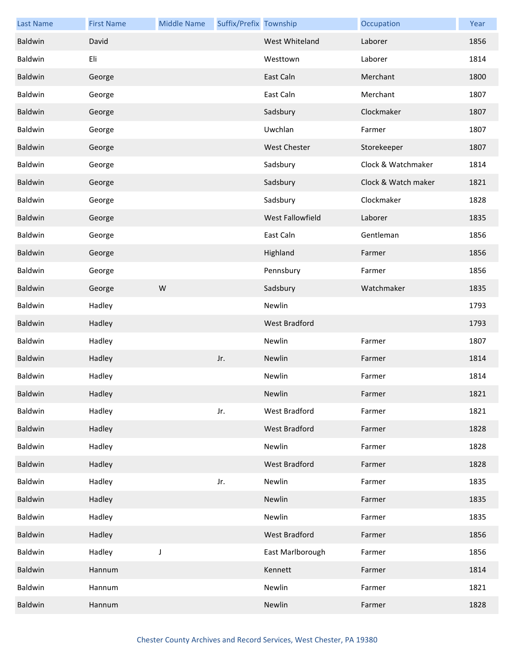| <b>Last Name</b> | <b>First Name</b> | <b>Middle Name</b> | Suffix/Prefix Township |                         | Occupation          | Year |
|------------------|-------------------|--------------------|------------------------|-------------------------|---------------------|------|
| Baldwin          | David             |                    |                        | West Whiteland          | Laborer             | 1856 |
| Baldwin          | Eli               |                    |                        | Westtown                | Laborer             | 1814 |
| Baldwin          | George            |                    |                        | East Caln               | Merchant            | 1800 |
| Baldwin          | George            |                    |                        | East Caln               | Merchant            | 1807 |
| Baldwin          | George            |                    |                        | Sadsbury                | Clockmaker          | 1807 |
| Baldwin          | George            |                    |                        | Uwchlan                 | Farmer              | 1807 |
| Baldwin          | George            |                    |                        | <b>West Chester</b>     | Storekeeper         | 1807 |
| Baldwin          | George            |                    |                        | Sadsbury                | Clock & Watchmaker  | 1814 |
| Baldwin          | George            |                    |                        | Sadsbury                | Clock & Watch maker | 1821 |
| Baldwin          | George            |                    |                        | Sadsbury                | Clockmaker          | 1828 |
| Baldwin          | George            |                    |                        | <b>West Fallowfield</b> | Laborer             | 1835 |
| Baldwin          | George            |                    |                        | East Caln               | Gentleman           | 1856 |
| Baldwin          | George            |                    |                        | Highland                | Farmer              | 1856 |
| Baldwin          | George            |                    |                        | Pennsbury               | Farmer              | 1856 |
| Baldwin          | George            | W                  |                        | Sadsbury                | Watchmaker          | 1835 |
| Baldwin          | Hadley            |                    |                        | Newlin                  |                     | 1793 |
| Baldwin          | Hadley            |                    |                        | <b>West Bradford</b>    |                     | 1793 |
| Baldwin          | Hadley            |                    |                        | Newlin                  | Farmer              | 1807 |
| Baldwin          | Hadley            |                    | Jr.                    | Newlin                  | Farmer              | 1814 |
| Baldwin          | Hadley            |                    |                        | Newlin                  | Farmer              | 1814 |
| Baldwin          | Hadley            |                    |                        | Newlin                  | Farmer              | 1821 |
| Baldwin          | Hadley            |                    | Jr.                    | West Bradford           | Farmer              | 1821 |
| Baldwin          | Hadley            |                    |                        | West Bradford           | Farmer              | 1828 |
| Baldwin          | Hadley            |                    |                        | Newlin                  | Farmer              | 1828 |
| Baldwin          | Hadley            |                    |                        | West Bradford           | Farmer              | 1828 |
| Baldwin          | Hadley            |                    | Jr.                    | Newlin                  | Farmer              | 1835 |
| Baldwin          | Hadley            |                    |                        | Newlin                  | Farmer              | 1835 |
| Baldwin          | Hadley            |                    |                        | Newlin                  | Farmer              | 1835 |
| Baldwin          | Hadley            |                    |                        | West Bradford           | Farmer              | 1856 |
| Baldwin          | Hadley            | J                  |                        | East Marlborough        | Farmer              | 1856 |
| Baldwin          | Hannum            |                    |                        | Kennett                 | Farmer              | 1814 |
| Baldwin          | Hannum            |                    |                        | Newlin                  | Farmer              | 1821 |
| Baldwin          | Hannum            |                    |                        | Newlin                  | Farmer              | 1828 |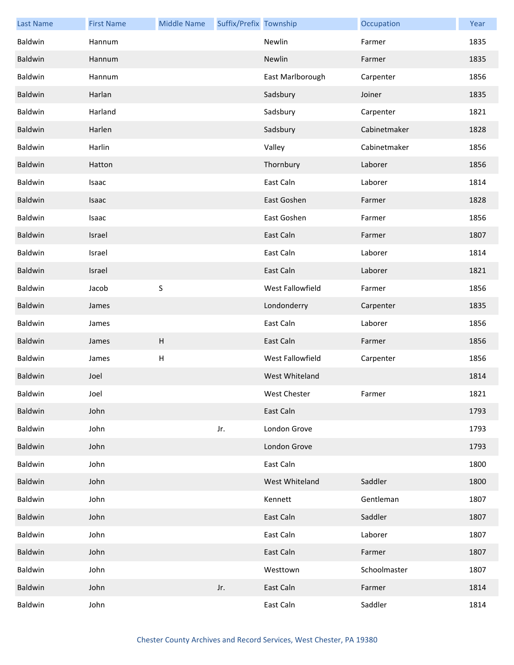| <b>Last Name</b> | <b>First Name</b> | <b>Middle Name</b> | Suffix/Prefix Township |                     | Occupation   | Year |
|------------------|-------------------|--------------------|------------------------|---------------------|--------------|------|
| Baldwin          | Hannum            |                    |                        | Newlin              | Farmer       | 1835 |
| Baldwin          | Hannum            |                    |                        | Newlin              | Farmer       | 1835 |
| Baldwin          | Hannum            |                    |                        | East Marlborough    | Carpenter    | 1856 |
| Baldwin          | Harlan            |                    |                        | Sadsbury            | Joiner       | 1835 |
| Baldwin          | Harland           |                    |                        | Sadsbury            | Carpenter    | 1821 |
| Baldwin          | Harlen            |                    |                        | Sadsbury            | Cabinetmaker | 1828 |
| Baldwin          | Harlin            |                    |                        | Valley              | Cabinetmaker | 1856 |
| Baldwin          | Hatton            |                    |                        | Thornbury           | Laborer      | 1856 |
| Baldwin          | Isaac             |                    |                        | East Caln           | Laborer      | 1814 |
| Baldwin          | Isaac             |                    |                        | East Goshen         | Farmer       | 1828 |
| Baldwin          | Isaac             |                    |                        | East Goshen         | Farmer       | 1856 |
| Baldwin          | Israel            |                    |                        | East Caln           | Farmer       | 1807 |
| Baldwin          | Israel            |                    |                        | East Caln           | Laborer      | 1814 |
| Baldwin          | Israel            |                    |                        | East Caln           | Laborer      | 1821 |
| Baldwin          | Jacob             | $\sf S$            |                        | West Fallowfield    | Farmer       | 1856 |
| Baldwin          | James             |                    |                        | Londonderry         | Carpenter    | 1835 |
| Baldwin          | James             |                    |                        | East Caln           | Laborer      | 1856 |
| Baldwin          | James             | H                  |                        | East Caln           | Farmer       | 1856 |
| Baldwin          | James             | H                  |                        | West Fallowfield    | Carpenter    | 1856 |
| Baldwin          | Joel              |                    |                        | West Whiteland      |              | 1814 |
| Baldwin          | Joel              |                    |                        | <b>West Chester</b> | Farmer       | 1821 |
| Baldwin          | John              |                    |                        | East Caln           |              | 1793 |
| Baldwin          | John              |                    | Jr.                    | London Grove        |              | 1793 |
| Baldwin          | John              |                    |                        | London Grove        |              | 1793 |
| Baldwin          | John              |                    |                        | East Caln           |              | 1800 |
| Baldwin          | John              |                    |                        | West Whiteland      | Saddler      | 1800 |
| Baldwin          | John              |                    |                        | Kennett             | Gentleman    | 1807 |
| Baldwin          | John              |                    |                        | East Caln           | Saddler      | 1807 |
| Baldwin          | John              |                    |                        | East Caln           | Laborer      | 1807 |
| Baldwin          | John              |                    |                        | East Caln           | Farmer       | 1807 |
| Baldwin          | John              |                    |                        | Westtown            | Schoolmaster | 1807 |
| Baldwin          | John              |                    | Jr.                    | East Caln           | Farmer       | 1814 |
| Baldwin          | John              |                    |                        | East Caln           | Saddler      | 1814 |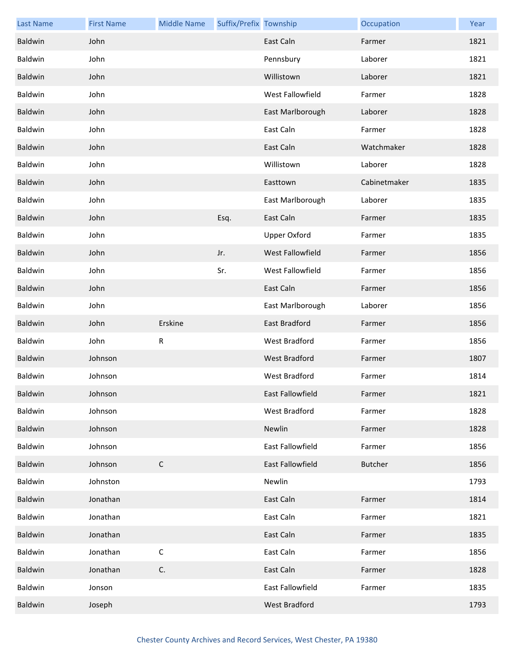| <b>Last Name</b> | <b>First Name</b> | <b>Middle Name</b> | Suffix/Prefix Township |                         | Occupation     | Year |
|------------------|-------------------|--------------------|------------------------|-------------------------|----------------|------|
| Baldwin          | John              |                    |                        | East Caln               | Farmer         | 1821 |
| Baldwin          | John              |                    |                        | Pennsbury               | Laborer        | 1821 |
| Baldwin          | John              |                    |                        | Willistown              | Laborer        | 1821 |
| Baldwin          | John              |                    |                        | West Fallowfield        | Farmer         | 1828 |
| Baldwin          | John              |                    |                        | East Marlborough        | Laborer        | 1828 |
| Baldwin          | John              |                    |                        | East Caln               | Farmer         | 1828 |
| Baldwin          | John              |                    |                        | East Caln               | Watchmaker     | 1828 |
| Baldwin          | John              |                    |                        | Willistown              | Laborer        | 1828 |
| Baldwin          | John              |                    |                        | Easttown                | Cabinetmaker   | 1835 |
| Baldwin          | John              |                    |                        | East Marlborough        | Laborer        | 1835 |
| Baldwin          | John              |                    | Esq.                   | East Caln               | Farmer         | 1835 |
| Baldwin          | John              |                    |                        | <b>Upper Oxford</b>     | Farmer         | 1835 |
| Baldwin          | John              |                    | Jr.                    | West Fallowfield        | Farmer         | 1856 |
| Baldwin          | John              |                    | Sr.                    | West Fallowfield        | Farmer         | 1856 |
| Baldwin          | John              |                    |                        | East Caln               | Farmer         | 1856 |
| Baldwin          | John              |                    |                        | East Marlborough        | Laborer        | 1856 |
| Baldwin          | John              | Erskine            |                        | East Bradford           | Farmer         | 1856 |
| Baldwin          | John              | ${\sf R}$          |                        | West Bradford           | Farmer         | 1856 |
| Baldwin          | Johnson           |                    |                        | <b>West Bradford</b>    | Farmer         | 1807 |
| Baldwin          | Johnson           |                    |                        | West Bradford           | Farmer         | 1814 |
| Baldwin          | Johnson           |                    |                        | East Fallowfield        | Farmer         | 1821 |
| Baldwin          | Johnson           |                    |                        | West Bradford           | Farmer         | 1828 |
| Baldwin          | Johnson           |                    |                        | Newlin                  | Farmer         | 1828 |
| Baldwin          | Johnson           |                    |                        | East Fallowfield        | Farmer         | 1856 |
| Baldwin          | Johnson           | $\mathsf C$        |                        | <b>East Fallowfield</b> | <b>Butcher</b> | 1856 |
| Baldwin          | Johnston          |                    |                        | Newlin                  |                | 1793 |
| Baldwin          | Jonathan          |                    |                        | East Caln               | Farmer         | 1814 |
| Baldwin          | Jonathan          |                    |                        | East Caln               | Farmer         | 1821 |
| Baldwin          | Jonathan          |                    |                        | East Caln               | Farmer         | 1835 |
| Baldwin          | Jonathan          | $\mathsf C$        |                        | East Caln               | Farmer         | 1856 |
| Baldwin          | Jonathan          | C.                 |                        | East Caln               | Farmer         | 1828 |
| Baldwin          | Jonson            |                    |                        | East Fallowfield        | Farmer         | 1835 |
| <b>Baldwin</b>   | Joseph            |                    |                        | <b>West Bradford</b>    |                | 1793 |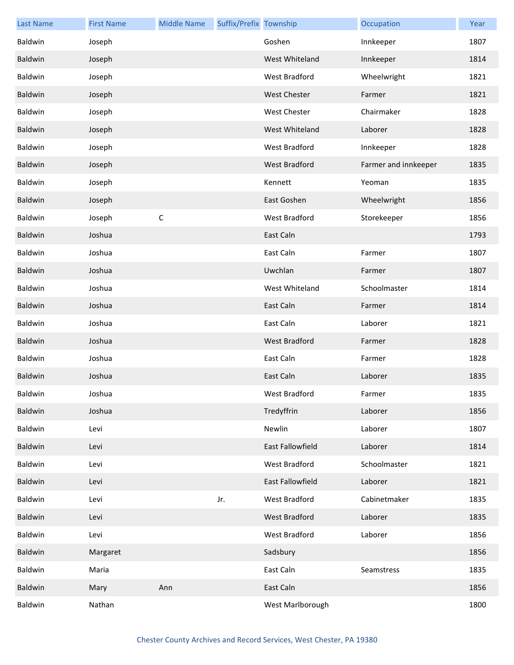| <b>Last Name</b> | <b>First Name</b> | <b>Middle Name</b> | Suffix/Prefix Township |                      | Occupation           | Year |
|------------------|-------------------|--------------------|------------------------|----------------------|----------------------|------|
| Baldwin          | Joseph            |                    |                        | Goshen               | Innkeeper            | 1807 |
| Baldwin          | Joseph            |                    |                        | West Whiteland       | Innkeeper            | 1814 |
| Baldwin          | Joseph            |                    |                        | West Bradford        | Wheelwright          | 1821 |
| Baldwin          | Joseph            |                    |                        | <b>West Chester</b>  | Farmer               | 1821 |
| Baldwin          | Joseph            |                    |                        | <b>West Chester</b>  | Chairmaker           | 1828 |
| Baldwin          | Joseph            |                    |                        | West Whiteland       | Laborer              | 1828 |
| Baldwin          | Joseph            |                    |                        | West Bradford        | Innkeeper            | 1828 |
| Baldwin          | Joseph            |                    |                        | West Bradford        | Farmer and innkeeper | 1835 |
| Baldwin          | Joseph            |                    |                        | Kennett              | Yeoman               | 1835 |
| Baldwin          | Joseph            |                    |                        | East Goshen          | Wheelwright          | 1856 |
| Baldwin          | Joseph            | $\mathsf C$        |                        | West Bradford        | Storekeeper          | 1856 |
| Baldwin          | Joshua            |                    |                        | East Caln            |                      | 1793 |
| Baldwin          | Joshua            |                    |                        | East Caln            | Farmer               | 1807 |
| Baldwin          | Joshua            |                    |                        | Uwchlan              | Farmer               | 1807 |
| Baldwin          | Joshua            |                    |                        | West Whiteland       | Schoolmaster         | 1814 |
| Baldwin          | Joshua            |                    |                        | East Caln            | Farmer               | 1814 |
| Baldwin          | Joshua            |                    |                        | East Caln            | Laborer              | 1821 |
| Baldwin          | Joshua            |                    |                        | <b>West Bradford</b> | Farmer               | 1828 |
| Baldwin          | Joshua            |                    |                        | East Caln            | Farmer               | 1828 |
| Baldwin          | Joshua            |                    |                        | East Caln            | Laborer              | 1835 |
| Baldwin          | Joshua            |                    |                        | West Bradford        | Farmer               | 1835 |
| Baldwin          | Joshua            |                    |                        | Tredyffrin           | Laborer              | 1856 |
| Baldwin          | Levi              |                    |                        | Newlin               | Laborer              | 1807 |
| Baldwin          | Levi              |                    |                        | East Fallowfield     | Laborer              | 1814 |
| Baldwin          | Levi              |                    |                        | West Bradford        | Schoolmaster         | 1821 |
| Baldwin          | Levi              |                    |                        | East Fallowfield     | Laborer              | 1821 |
| Baldwin          | Levi              |                    | Jr.                    | West Bradford        | Cabinetmaker         | 1835 |
| Baldwin          | Levi              |                    |                        | West Bradford        | Laborer              | 1835 |
| Baldwin          | Levi              |                    |                        | West Bradford        | Laborer              | 1856 |
| Baldwin          | Margaret          |                    |                        | Sadsbury             |                      | 1856 |
| Baldwin          | Maria             |                    |                        | East Caln            | Seamstress           | 1835 |
| Baldwin          | Mary              | Ann                |                        | East Caln            |                      | 1856 |
| Baldwin          | Nathan            |                    |                        | West Marlborough     |                      | 1800 |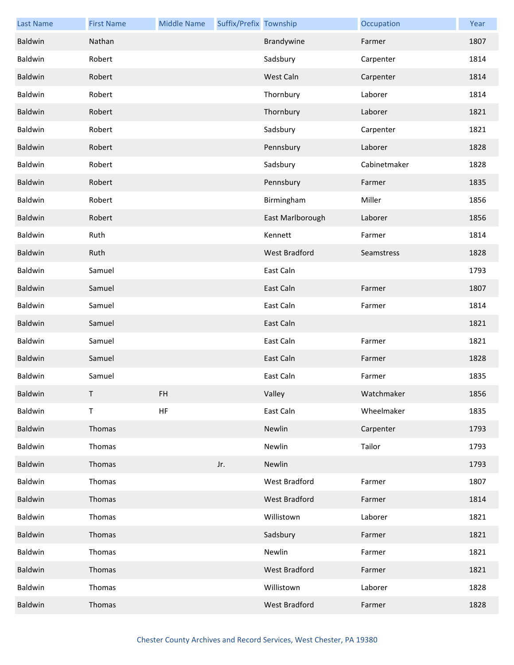| <b>Last Name</b> | <b>First Name</b> | <b>Middle Name</b> | Suffix/Prefix Township |                      | Occupation   | Year |
|------------------|-------------------|--------------------|------------------------|----------------------|--------------|------|
| Baldwin          | Nathan            |                    |                        | Brandywine           | Farmer       | 1807 |
| Baldwin          | Robert            |                    |                        | Sadsbury             | Carpenter    | 1814 |
| Baldwin          | Robert            |                    |                        | West Caln            | Carpenter    | 1814 |
| Baldwin          | Robert            |                    |                        | Thornbury            | Laborer      | 1814 |
| Baldwin          | Robert            |                    |                        | Thornbury            | Laborer      | 1821 |
| Baldwin          | Robert            |                    |                        | Sadsbury             | Carpenter    | 1821 |
| Baldwin          | Robert            |                    |                        | Pennsbury            | Laborer      | 1828 |
| Baldwin          | Robert            |                    |                        | Sadsbury             | Cabinetmaker | 1828 |
| Baldwin          | Robert            |                    |                        | Pennsbury            | Farmer       | 1835 |
| Baldwin          | Robert            |                    |                        | Birmingham           | Miller       | 1856 |
| Baldwin          | Robert            |                    |                        | East Marlborough     | Laborer      | 1856 |
| Baldwin          | Ruth              |                    |                        | Kennett              | Farmer       | 1814 |
| Baldwin          | Ruth              |                    |                        | West Bradford        | Seamstress   | 1828 |
| Baldwin          | Samuel            |                    |                        | East Caln            |              | 1793 |
| Baldwin          | Samuel            |                    |                        | East Caln            | Farmer       | 1807 |
| Baldwin          | Samuel            |                    |                        | East Caln            | Farmer       | 1814 |
| Baldwin          | Samuel            |                    |                        | East Caln            |              | 1821 |
| Baldwin          | Samuel            |                    |                        | East Caln            | Farmer       | 1821 |
| Baldwin          | Samuel            |                    |                        | East Caln            | Farmer       | 1828 |
| Baldwin          | Samuel            |                    |                        | East Caln            | Farmer       | 1835 |
| Baldwin          | T.                | FH                 |                        | Valley               | Watchmaker   | 1856 |
| Baldwin          | Τ                 | HF                 |                        | East Caln            | Wheelmaker   | 1835 |
| Baldwin          | Thomas            |                    |                        | Newlin               | Carpenter    | 1793 |
| Baldwin          | Thomas            |                    |                        | Newlin               | Tailor       | 1793 |
| Baldwin          | Thomas            |                    | Jr.                    | Newlin               |              | 1793 |
| Baldwin          | Thomas            |                    |                        | <b>West Bradford</b> | Farmer       | 1807 |
| Baldwin          | Thomas            |                    |                        | West Bradford        | Farmer       | 1814 |
| Baldwin          | Thomas            |                    |                        | Willistown           | Laborer      | 1821 |
| Baldwin          | Thomas            |                    |                        | Sadsbury             | Farmer       | 1821 |
| Baldwin          | Thomas            |                    |                        | Newlin               | Farmer       | 1821 |
| Baldwin          | Thomas            |                    |                        | West Bradford        | Farmer       | 1821 |
| Baldwin          | Thomas            |                    |                        | Willistown           | Laborer      | 1828 |
| Baldwin          | Thomas            |                    |                        | <b>West Bradford</b> | Farmer       | 1828 |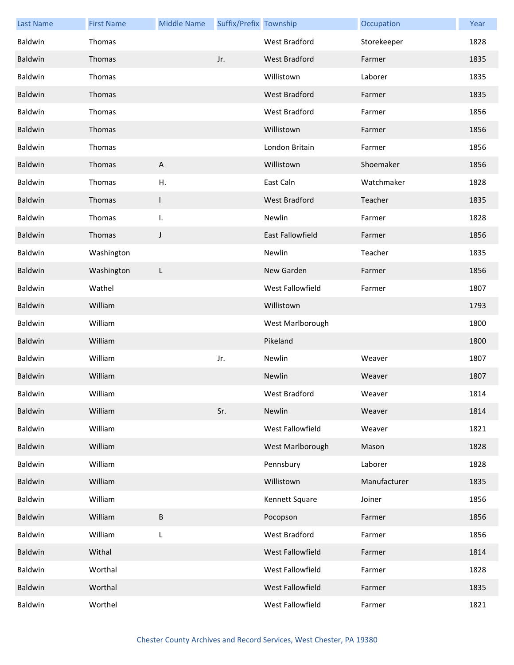| <b>Last Name</b> | <b>First Name</b> | <b>Middle Name</b>        | Suffix/Prefix Township |                         | Occupation   | Year |
|------------------|-------------------|---------------------------|------------------------|-------------------------|--------------|------|
| Baldwin          | Thomas            |                           |                        | West Bradford           | Storekeeper  | 1828 |
| Baldwin          | Thomas            |                           | Jr.                    | West Bradford           | Farmer       | 1835 |
| Baldwin          | Thomas            |                           |                        | Willistown              | Laborer      | 1835 |
| Baldwin          | Thomas            |                           |                        | West Bradford           | Farmer       | 1835 |
| Baldwin          | Thomas            |                           |                        | West Bradford           | Farmer       | 1856 |
| <b>Baldwin</b>   | Thomas            |                           |                        | Willistown              | Farmer       | 1856 |
| Baldwin          | Thomas            |                           |                        | London Britain          | Farmer       | 1856 |
| <b>Baldwin</b>   | Thomas            | $\boldsymbol{\mathsf{A}}$ |                        | Willistown              | Shoemaker    | 1856 |
| Baldwin          | Thomas            | Η.                        |                        | East Caln               | Watchmaker   | 1828 |
| Baldwin          | Thomas            | $\mathsf{L}$              |                        | <b>West Bradford</b>    | Teacher      | 1835 |
| Baldwin          | Thomas            | I.                        |                        | Newlin                  | Farmer       | 1828 |
| Baldwin          | Thomas            | J                         |                        | <b>East Fallowfield</b> | Farmer       | 1856 |
| Baldwin          | Washington        |                           |                        | Newlin                  | Teacher      | 1835 |
| Baldwin          | Washington        | L                         |                        | New Garden              | Farmer       | 1856 |
| Baldwin          | Wathel            |                           |                        | West Fallowfield        | Farmer       | 1807 |
| <b>Baldwin</b>   | William           |                           |                        | Willistown              |              | 1793 |
| Baldwin          | William           |                           |                        | West Marlborough        |              | 1800 |
| Baldwin          | William           |                           |                        | Pikeland                |              | 1800 |
| Baldwin          | William           |                           | Jr.                    | Newlin                  | Weaver       | 1807 |
| Baldwin          | William           |                           |                        | Newlin                  | Weaver       | 1807 |
| Baldwin          | William           |                           |                        | West Bradford           | Weaver       | 1814 |
| Baldwin          | William           |                           | Sr.                    | Newlin                  | Weaver       | 1814 |
| Baldwin          | William           |                           |                        | West Fallowfield        | Weaver       | 1821 |
| Baldwin          | William           |                           |                        | West Marlborough        | Mason        | 1828 |
| Baldwin          | William           |                           |                        | Pennsbury               | Laborer      | 1828 |
| Baldwin          | William           |                           |                        | Willistown              | Manufacturer | 1835 |
| Baldwin          | William           |                           |                        | Kennett Square          | Joiner       | 1856 |
| Baldwin          | William           | $\sf B$                   |                        | Pocopson                | Farmer       | 1856 |
| Baldwin          | William           | L                         |                        | West Bradford           | Farmer       | 1856 |
| Baldwin          | Withal            |                           |                        | West Fallowfield        | Farmer       | 1814 |
| Baldwin          | Worthal           |                           |                        | West Fallowfield        | Farmer       | 1828 |
| Baldwin          | Worthal           |                           |                        | West Fallowfield        | Farmer       | 1835 |
| Baldwin          | Worthel           |                           |                        | West Fallowfield        | Farmer       | 1821 |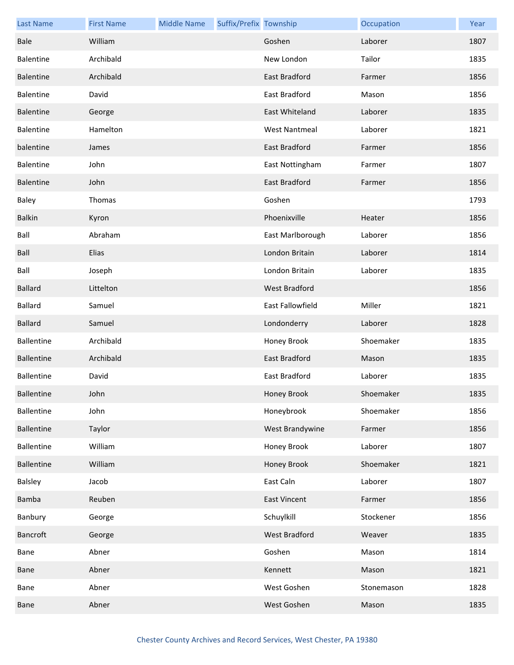| <b>Last Name</b>  | <b>First Name</b> | <b>Middle Name</b> | Suffix/Prefix Township |                      | Occupation | Year |
|-------------------|-------------------|--------------------|------------------------|----------------------|------------|------|
| Bale              | William           |                    |                        | Goshen               | Laborer    | 1807 |
| <b>Balentine</b>  | Archibald         |                    |                        | New London           | Tailor     | 1835 |
| Balentine         | Archibald         |                    |                        | East Bradford        | Farmer     | 1856 |
| <b>Balentine</b>  | David             |                    |                        | East Bradford        | Mason      | 1856 |
| <b>Balentine</b>  | George            |                    |                        | East Whiteland       | Laborer    | 1835 |
| Balentine         | Hamelton          |                    |                        | <b>West Nantmeal</b> | Laborer    | 1821 |
| balentine         | James             |                    |                        | East Bradford        | Farmer     | 1856 |
| <b>Balentine</b>  | John              |                    |                        | East Nottingham      | Farmer     | 1807 |
| <b>Balentine</b>  | John              |                    |                        | East Bradford        | Farmer     | 1856 |
| Baley             | Thomas            |                    |                        | Goshen               |            | 1793 |
| <b>Balkin</b>     | Kyron             |                    |                        | Phoenixville         | Heater     | 1856 |
| Ball              | Abraham           |                    |                        | East Marlborough     | Laborer    | 1856 |
| Ball              | Elias             |                    |                        | London Britain       | Laborer    | 1814 |
| Ball              | Joseph            |                    |                        | London Britain       | Laborer    | 1835 |
| <b>Ballard</b>    | Littelton         |                    |                        | West Bradford        |            | 1856 |
| <b>Ballard</b>    | Samuel            |                    |                        | East Fallowfield     | Miller     | 1821 |
| <b>Ballard</b>    | Samuel            |                    |                        | Londonderry          | Laborer    | 1828 |
| <b>Ballentine</b> | Archibald         |                    |                        | Honey Brook          | Shoemaker  | 1835 |
| <b>Ballentine</b> | Archibald         |                    |                        | <b>East Bradford</b> | Mason      | 1835 |
| <b>Ballentine</b> | David             |                    |                        | East Bradford        | Laborer    | 1835 |
| <b>Ballentine</b> | John              |                    |                        | Honey Brook          | Shoemaker  | 1835 |
| <b>Ballentine</b> | John              |                    |                        | Honeybrook           | Shoemaker  | 1856 |
| <b>Ballentine</b> | Taylor            |                    |                        | West Brandywine      | Farmer     | 1856 |
| <b>Ballentine</b> | William           |                    |                        | Honey Brook          | Laborer    | 1807 |
| <b>Ballentine</b> | William           |                    |                        | Honey Brook          | Shoemaker  | 1821 |
| Balsley           | Jacob             |                    |                        | East Caln            | Laborer    | 1807 |
| Bamba             | Reuben            |                    |                        | <b>East Vincent</b>  | Farmer     | 1856 |
| Banbury           | George            |                    |                        | Schuylkill           | Stockener  | 1856 |
| Bancroft          | George            |                    |                        | West Bradford        | Weaver     | 1835 |
| Bane              | Abner             |                    |                        | Goshen               | Mason      | 1814 |
| Bane              | Abner             |                    |                        | Kennett              | Mason      | 1821 |
| Bane              | Abner             |                    |                        | West Goshen          | Stonemason | 1828 |
| Bane              | Abner             |                    |                        | West Goshen          | Mason      | 1835 |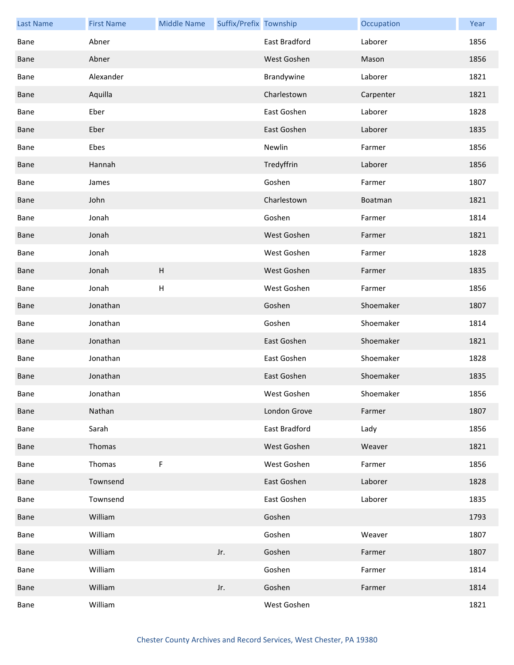| <b>Last Name</b> | <b>First Name</b> | <b>Middle Name</b>        | Suffix/Prefix Township |               | Occupation | Year |
|------------------|-------------------|---------------------------|------------------------|---------------|------------|------|
| Bane             | Abner             |                           |                        | East Bradford | Laborer    | 1856 |
| Bane             | Abner             |                           |                        | West Goshen   | Mason      | 1856 |
| Bane             | Alexander         |                           |                        | Brandywine    | Laborer    | 1821 |
| Bane             | Aquilla           |                           |                        | Charlestown   | Carpenter  | 1821 |
| Bane             | Eber              |                           |                        | East Goshen   | Laborer    | 1828 |
| Bane             | Eber              |                           |                        | East Goshen   | Laborer    | 1835 |
| Bane             | Ebes              |                           |                        | Newlin        | Farmer     | 1856 |
| Bane             | Hannah            |                           |                        | Tredyffrin    | Laborer    | 1856 |
| Bane             | James             |                           |                        | Goshen        | Farmer     | 1807 |
| Bane             | John              |                           |                        | Charlestown   | Boatman    | 1821 |
| Bane             | Jonah             |                           |                        | Goshen        | Farmer     | 1814 |
| Bane             | Jonah             |                           |                        | West Goshen   | Farmer     | 1821 |
| Bane             | Jonah             |                           |                        | West Goshen   | Farmer     | 1828 |
| Bane             | Jonah             | $\boldsymbol{\mathsf{H}}$ |                        | West Goshen   | Farmer     | 1835 |
| Bane             | Jonah             | H                         |                        | West Goshen   | Farmer     | 1856 |
| Bane             | Jonathan          |                           |                        | Goshen        | Shoemaker  | 1807 |
| Bane             | Jonathan          |                           |                        | Goshen        | Shoemaker  | 1814 |
| Bane             | Jonathan          |                           |                        | East Goshen   | Shoemaker  | 1821 |
| Bane             | Jonathan          |                           |                        | East Goshen   | Shoemaker  | 1828 |
| Bane             | Jonathan          |                           |                        | East Goshen   | Shoemaker  | 1835 |
| Bane             | Jonathan          |                           |                        | West Goshen   | Shoemaker  | 1856 |
| Bane             | Nathan            |                           |                        | London Grove  | Farmer     | 1807 |
| Bane             | Sarah             |                           |                        | East Bradford | Lady       | 1856 |
| Bane             | Thomas            |                           |                        | West Goshen   | Weaver     | 1821 |
| Bane             | Thomas            | $\mathsf F$               |                        | West Goshen   | Farmer     | 1856 |
| Bane             | Townsend          |                           |                        | East Goshen   | Laborer    | 1828 |
| Bane             | Townsend          |                           |                        | East Goshen   | Laborer    | 1835 |
| Bane             | William           |                           |                        | Goshen        |            | 1793 |
| Bane             | William           |                           |                        | Goshen        | Weaver     | 1807 |
| Bane             | William           |                           | Jr.                    | Goshen        | Farmer     | 1807 |
| Bane             | William           |                           |                        | Goshen        | Farmer     | 1814 |
| Bane             | William           |                           | Jr.                    | Goshen        | Farmer     | 1814 |
| Bane             | William           |                           |                        | West Goshen   |            | 1821 |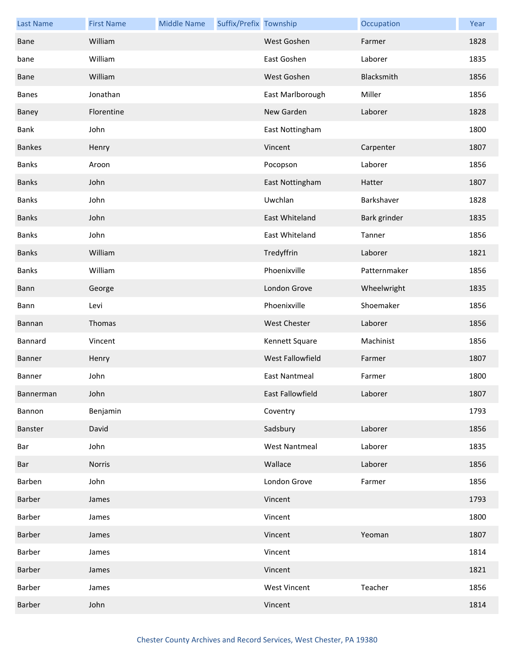| <b>Last Name</b> | <b>First Name</b> | <b>Middle Name</b> | Suffix/Prefix Township |                      | Occupation   | Year |
|------------------|-------------------|--------------------|------------------------|----------------------|--------------|------|
| <b>Bane</b>      | William           |                    |                        | West Goshen          | Farmer       | 1828 |
| bane             | William           |                    |                        | East Goshen          | Laborer      | 1835 |
| <b>Bane</b>      | William           |                    |                        | West Goshen          | Blacksmith   | 1856 |
| <b>Banes</b>     | Jonathan          |                    |                        | East Marlborough     | Miller       | 1856 |
| Baney            | Florentine        |                    |                        | New Garden           | Laborer      | 1828 |
| Bank             | John              |                    |                        | East Nottingham      |              | 1800 |
| <b>Bankes</b>    | Henry             |                    |                        | Vincent              | Carpenter    | 1807 |
| <b>Banks</b>     | Aroon             |                    |                        | Pocopson             | Laborer      | 1856 |
| <b>Banks</b>     | John              |                    |                        | East Nottingham      | Hatter       | 1807 |
| <b>Banks</b>     | John              |                    |                        | Uwchlan              | Barkshaver   | 1828 |
| <b>Banks</b>     | John              |                    |                        | East Whiteland       | Bark grinder | 1835 |
| <b>Banks</b>     | John              |                    |                        | East Whiteland       | Tanner       | 1856 |
| <b>Banks</b>     | William           |                    |                        | Tredyffrin           | Laborer      | 1821 |
| <b>Banks</b>     | William           |                    |                        | Phoenixville         | Patternmaker | 1856 |
| Bann             | George            |                    |                        | London Grove         | Wheelwright  | 1835 |
| Bann             | Levi              |                    |                        | Phoenixville         | Shoemaker    | 1856 |
| Bannan           | Thomas            |                    |                        | <b>West Chester</b>  | Laborer      | 1856 |
| Bannard          | Vincent           |                    |                        | Kennett Square       | Machinist    | 1856 |
| Banner           | Henry             |                    |                        | West Fallowfield     | Farmer       | 1807 |
| Banner           | John              |                    |                        | <b>East Nantmeal</b> | Farmer       | 1800 |
| Bannerman        | John              |                    |                        | East Fallowfield     | Laborer      | 1807 |
| Bannon           | Benjamin          |                    |                        | Coventry             |              | 1793 |
| Banster          | David             |                    |                        | Sadsbury             | Laborer      | 1856 |
| Bar              | John              |                    |                        | <b>West Nantmeal</b> | Laborer      | 1835 |
| Bar              | Norris            |                    |                        | Wallace              | Laborer      | 1856 |
| Barben           | John              |                    |                        | London Grove         | Farmer       | 1856 |
| Barber           | James             |                    |                        | Vincent              |              | 1793 |
| Barber           | James             |                    |                        | Vincent              |              | 1800 |
| Barber           | James             |                    |                        | Vincent              | Yeoman       | 1807 |
| Barber           | James             |                    |                        | Vincent              |              | 1814 |
| Barber           | James             |                    |                        | Vincent              |              | 1821 |
| Barber           | James             |                    |                        | <b>West Vincent</b>  | Teacher      | 1856 |
| Barber           | John              |                    |                        | Vincent              |              | 1814 |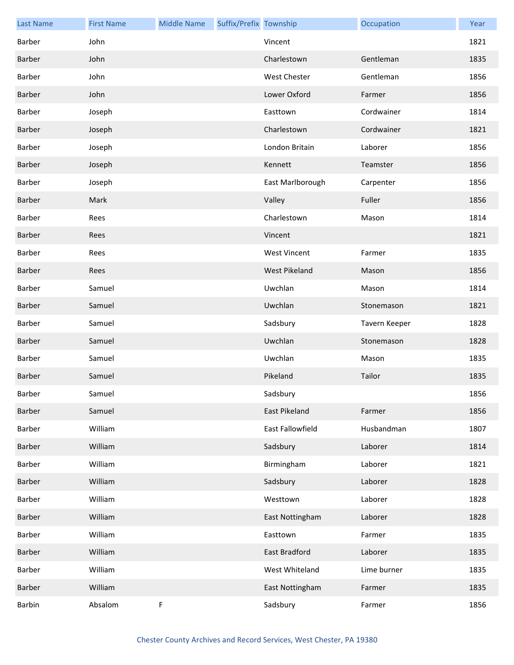| <b>Last Name</b> | <b>First Name</b> | <b>Middle Name</b> | Suffix/Prefix Township |                      | Occupation    | Year |
|------------------|-------------------|--------------------|------------------------|----------------------|---------------|------|
| Barber           | John              |                    |                        | Vincent              |               | 1821 |
| Barber           | John              |                    |                        | Charlestown          | Gentleman     | 1835 |
| Barber           | John              |                    |                        | <b>West Chester</b>  | Gentleman     | 1856 |
| Barber           | John              |                    |                        | Lower Oxford         | Farmer        | 1856 |
| Barber           | Joseph            |                    |                        | Easttown             | Cordwainer    | 1814 |
| Barber           | Joseph            |                    |                        | Charlestown          | Cordwainer    | 1821 |
| Barber           | Joseph            |                    |                        | London Britain       | Laborer       | 1856 |
| Barber           | Joseph            |                    |                        | Kennett              | Teamster      | 1856 |
| Barber           | Joseph            |                    |                        | East Marlborough     | Carpenter     | 1856 |
| Barber           | Mark              |                    |                        | Valley               | Fuller        | 1856 |
| Barber           | Rees              |                    |                        | Charlestown          | Mason         | 1814 |
| Barber           | Rees              |                    |                        | Vincent              |               | 1821 |
| Barber           | Rees              |                    |                        | <b>West Vincent</b>  | Farmer        | 1835 |
| Barber           | Rees              |                    |                        | <b>West Pikeland</b> | Mason         | 1856 |
| Barber           | Samuel            |                    |                        | Uwchlan              | Mason         | 1814 |
| Barber           | Samuel            |                    |                        | Uwchlan              | Stonemason    | 1821 |
| Barber           | Samuel            |                    |                        | Sadsbury             | Tavern Keeper | 1828 |
| Barber           | Samuel            |                    |                        | Uwchlan              | Stonemason    | 1828 |
| Barber           | Samuel            |                    |                        | Uwchlan              | Mason         | 1835 |
| <b>Barber</b>    | Samuel            |                    |                        | Pikeland             | Tailor        | 1835 |
| Barber           | Samuel            |                    |                        | Sadsbury             |               | 1856 |
| Barber           | Samuel            |                    |                        | East Pikeland        | Farmer        | 1856 |
| Barber           | William           |                    |                        | East Fallowfield     | Husbandman    | 1807 |
| Barber           | William           |                    |                        | Sadsbury             | Laborer       | 1814 |
| Barber           | William           |                    |                        | Birmingham           | Laborer       | 1821 |
| Barber           | William           |                    |                        | Sadsbury             | Laborer       | 1828 |
| Barber           | William           |                    |                        | Westtown             | Laborer       | 1828 |
| Barber           | William           |                    |                        | East Nottingham      | Laborer       | 1828 |
| Barber           | William           |                    |                        | Easttown             | Farmer        | 1835 |
| Barber           | William           |                    |                        | East Bradford        | Laborer       | 1835 |
| Barber           | William           |                    |                        | West Whiteland       | Lime burner   | 1835 |
| Barber           | William           |                    |                        | East Nottingham      | Farmer        | 1835 |
| Barbin           | Absalom           | F                  |                        | Sadsbury             | Farmer        | 1856 |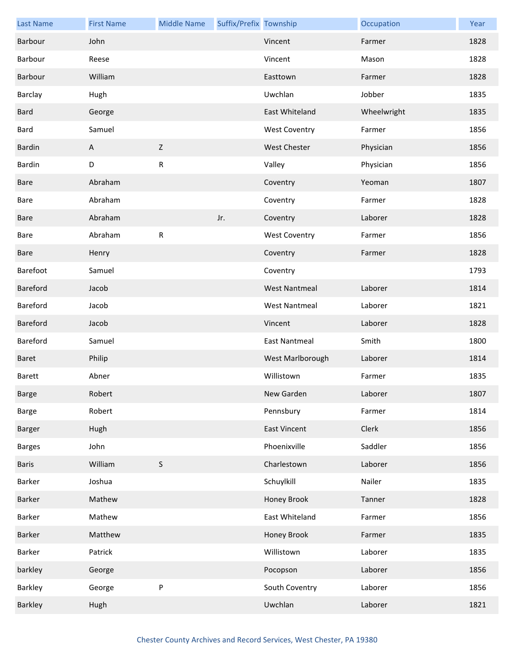| <b>Last Name</b> | <b>First Name</b> | <b>Middle Name</b> | Suffix/Prefix Township |                      | Occupation  | Year |
|------------------|-------------------|--------------------|------------------------|----------------------|-------------|------|
| Barbour          | John              |                    |                        | Vincent              | Farmer      | 1828 |
| Barbour          | Reese             |                    |                        | Vincent              | Mason       | 1828 |
| Barbour          | William           |                    |                        | Easttown             | Farmer      | 1828 |
| Barclay          | Hugh              |                    |                        | Uwchlan              | Jobber      | 1835 |
| <b>Bard</b>      | George            |                    |                        | East Whiteland       | Wheelwright | 1835 |
| Bard             | Samuel            |                    |                        | <b>West Coventry</b> | Farmer      | 1856 |
| Bardin           | A                 | Z                  |                        | West Chester         | Physician   | 1856 |
| Bardin           | D                 | ${\sf R}$          |                        | Valley               | Physician   | 1856 |
| Bare             | Abraham           |                    |                        | Coventry             | Yeoman      | 1807 |
| Bare             | Abraham           |                    |                        | Coventry             | Farmer      | 1828 |
| <b>Bare</b>      | Abraham           |                    | Jr.                    | Coventry             | Laborer     | 1828 |
| Bare             | Abraham           | ${\sf R}$          |                        | <b>West Coventry</b> | Farmer      | 1856 |
| Bare             | Henry             |                    |                        | Coventry             | Farmer      | 1828 |
| Barefoot         | Samuel            |                    |                        | Coventry             |             | 1793 |
| Bareford         | Jacob             |                    |                        | <b>West Nantmeal</b> | Laborer     | 1814 |
| Bareford         | Jacob             |                    |                        | <b>West Nantmeal</b> | Laborer     | 1821 |
| Bareford         | Jacob             |                    |                        | Vincent              | Laborer     | 1828 |
| Bareford         | Samuel            |                    |                        | <b>East Nantmeal</b> | Smith       | 1800 |
| Baret            | Philip            |                    |                        | West Marlborough     | Laborer     | 1814 |
| <b>Barett</b>    | Abner             |                    |                        | Willistown           | Farmer      | 1835 |
| Barge            | Robert            |                    |                        | New Garden           | Laborer     | 1807 |
| Barge            | Robert            |                    |                        | Pennsbury            | Farmer      | 1814 |
| Barger           | Hugh              |                    |                        | <b>East Vincent</b>  | Clerk       | 1856 |
| <b>Barges</b>    | John              |                    |                        | Phoenixville         | Saddler     | 1856 |
| <b>Baris</b>     | William           | $\sf S$            |                        | Charlestown          | Laborer     | 1856 |
| Barker           | Joshua            |                    |                        | Schuylkill           | Nailer      | 1835 |
| Barker           | Mathew            |                    |                        | Honey Brook          | Tanner      | 1828 |
| Barker           | Mathew            |                    |                        | East Whiteland       | Farmer      | 1856 |
| Barker           | Matthew           |                    |                        | Honey Brook          | Farmer      | 1835 |
| Barker           | Patrick           |                    |                        | Willistown           | Laborer     | 1835 |
| barkley          | George            |                    |                        | Pocopson             | Laborer     | 1856 |
| Barkley          | George            | $\sf P$            |                        | South Coventry       | Laborer     | 1856 |
| Barkley          | Hugh              |                    |                        | Uwchlan              | Laborer     | 1821 |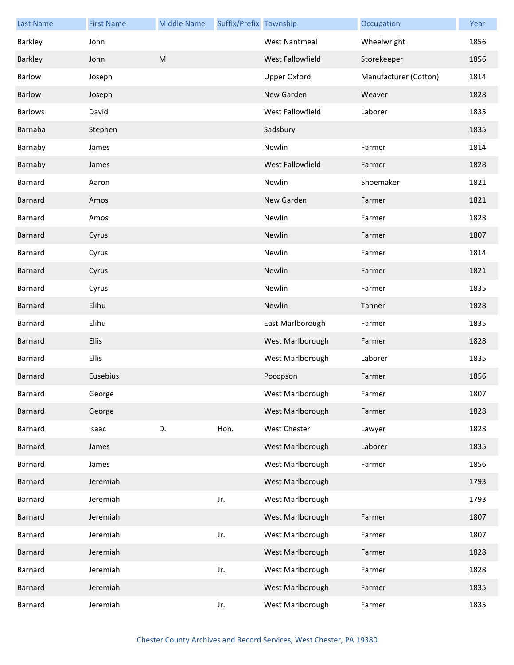| <b>Last Name</b> | <b>First Name</b> | <b>Middle Name</b> | Suffix/Prefix Township |                         | Occupation            | Year |
|------------------|-------------------|--------------------|------------------------|-------------------------|-----------------------|------|
| Barkley          | John              |                    |                        | <b>West Nantmeal</b>    | Wheelwright           | 1856 |
| Barkley          | John              | M                  |                        | West Fallowfield        | Storekeeper           | 1856 |
| Barlow           | Joseph            |                    |                        | <b>Upper Oxford</b>     | Manufacturer (Cotton) | 1814 |
| <b>Barlow</b>    | Joseph            |                    |                        | New Garden              | Weaver                | 1828 |
| <b>Barlows</b>   | David             |                    |                        | West Fallowfield        | Laborer               | 1835 |
| Barnaba          | Stephen           |                    |                        | Sadsbury                |                       | 1835 |
| Barnaby          | James             |                    |                        | Newlin                  | Farmer                | 1814 |
| Barnaby          | James             |                    |                        | <b>West Fallowfield</b> | Farmer                | 1828 |
| Barnard          | Aaron             |                    |                        | Newlin                  | Shoemaker             | 1821 |
| <b>Barnard</b>   | Amos              |                    |                        | New Garden              | Farmer                | 1821 |
| Barnard          | Amos              |                    |                        | Newlin                  | Farmer                | 1828 |
| Barnard          | Cyrus             |                    |                        | Newlin                  | Farmer                | 1807 |
| Barnard          | Cyrus             |                    |                        | Newlin                  | Farmer                | 1814 |
| Barnard          | Cyrus             |                    |                        | Newlin                  | Farmer                | 1821 |
| Barnard          | Cyrus             |                    |                        | Newlin                  | Farmer                | 1835 |
| Barnard          | Elihu             |                    |                        | Newlin                  | Tanner                | 1828 |
| Barnard          | Elihu             |                    |                        | East Marlborough        | Farmer                | 1835 |
| <b>Barnard</b>   | <b>Ellis</b>      |                    |                        | West Marlborough        | Farmer                | 1828 |
| Barnard          | <b>Ellis</b>      |                    |                        | West Marlborough        | Laborer               | 1835 |
| Barnard          | Eusebius          |                    |                        | Pocopson                | Farmer                | 1856 |
| Barnard          | George            |                    |                        | West Marlborough        | Farmer                | 1807 |
| Barnard          | George            |                    |                        | West Marlborough        | Farmer                | 1828 |
| Barnard          | Isaac             | D.                 | Hon.                   | West Chester            | Lawyer                | 1828 |
| Barnard          | James             |                    |                        | West Marlborough        | Laborer               | 1835 |
| Barnard          | James             |                    |                        | West Marlborough        | Farmer                | 1856 |
| Barnard          | Jeremiah          |                    |                        | West Marlborough        |                       | 1793 |
| Barnard          | Jeremiah          |                    | Jr.                    | West Marlborough        |                       | 1793 |
| Barnard          | Jeremiah          |                    |                        | West Marlborough        | Farmer                | 1807 |
| Barnard          | Jeremiah          |                    | Jr.                    | West Marlborough        | Farmer                | 1807 |
| Barnard          | Jeremiah          |                    |                        | West Marlborough        | Farmer                | 1828 |
| Barnard          | Jeremiah          |                    | Jr.                    | West Marlborough        | Farmer                | 1828 |
| Barnard          | Jeremiah          |                    |                        | West Marlborough        | Farmer                | 1835 |
| Barnard          | Jeremiah          |                    | Jr.                    | West Marlborough        | Farmer                | 1835 |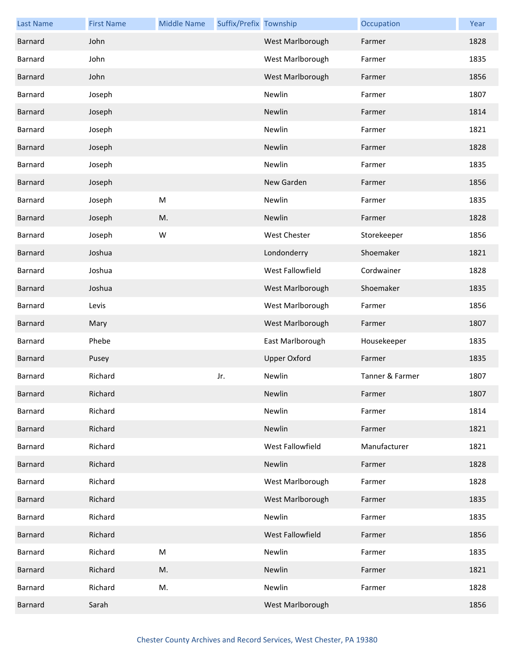| <b>Last Name</b> | <b>First Name</b> | <b>Middle Name</b> | Suffix/Prefix Township |                         | Occupation      | Year |
|------------------|-------------------|--------------------|------------------------|-------------------------|-----------------|------|
| Barnard          | John              |                    |                        | West Marlborough        | Farmer          | 1828 |
| Barnard          | John              |                    |                        | West Marlborough        | Farmer          | 1835 |
| Barnard          | John              |                    |                        | West Marlborough        | Farmer          | 1856 |
| Barnard          | Joseph            |                    |                        | Newlin                  | Farmer          | 1807 |
| Barnard          | Joseph            |                    |                        | Newlin                  | Farmer          | 1814 |
| Barnard          | Joseph            |                    |                        | Newlin                  | Farmer          | 1821 |
| Barnard          | Joseph            |                    |                        | Newlin                  | Farmer          | 1828 |
| Barnard          | Joseph            |                    |                        | Newlin                  | Farmer          | 1835 |
| Barnard          | Joseph            |                    |                        | New Garden              | Farmer          | 1856 |
| Barnard          | Joseph            | M                  |                        | Newlin                  | Farmer          | 1835 |
| Barnard          | Joseph            | M.                 |                        | Newlin                  | Farmer          | 1828 |
| Barnard          | Joseph            | W                  |                        | West Chester            | Storekeeper     | 1856 |
| Barnard          | Joshua            |                    |                        | Londonderry             | Shoemaker       | 1821 |
| Barnard          | Joshua            |                    |                        | West Fallowfield        | Cordwainer      | 1828 |
| <b>Barnard</b>   | Joshua            |                    |                        | West Marlborough        | Shoemaker       | 1835 |
| Barnard          | Levis             |                    |                        | West Marlborough        | Farmer          | 1856 |
| Barnard          | Mary              |                    |                        | West Marlborough        | Farmer          | 1807 |
| Barnard          | Phebe             |                    |                        | East Marlborough        | Housekeeper     | 1835 |
| <b>Barnard</b>   | Pusey             |                    |                        | <b>Upper Oxford</b>     | Farmer          | 1835 |
| Barnard          | Richard           |                    | Jr.                    | Newlin                  | Tanner & Farmer | 1807 |
| Barnard          | Richard           |                    |                        | Newlin                  | Farmer          | 1807 |
| Barnard          | Richard           |                    |                        | Newlin                  | Farmer          | 1814 |
| Barnard          | Richard           |                    |                        | Newlin                  | Farmer          | 1821 |
| Barnard          | Richard           |                    |                        | West Fallowfield        | Manufacturer    | 1821 |
| Barnard          | Richard           |                    |                        | Newlin                  | Farmer          | 1828 |
| Barnard          | Richard           |                    |                        | West Marlborough        | Farmer          | 1828 |
| Barnard          | Richard           |                    |                        | West Marlborough        | Farmer          | 1835 |
| Barnard          | Richard           |                    |                        | Newlin                  | Farmer          | 1835 |
| Barnard          | Richard           |                    |                        | <b>West Fallowfield</b> | Farmer          | 1856 |
| Barnard          | Richard           | M                  |                        | Newlin                  | Farmer          | 1835 |
| Barnard          | Richard           | M.                 |                        | Newlin                  | Farmer          | 1821 |
| Barnard          | Richard           | M.                 |                        | Newlin                  | Farmer          | 1828 |
| Barnard          | Sarah             |                    |                        | West Marlborough        |                 | 1856 |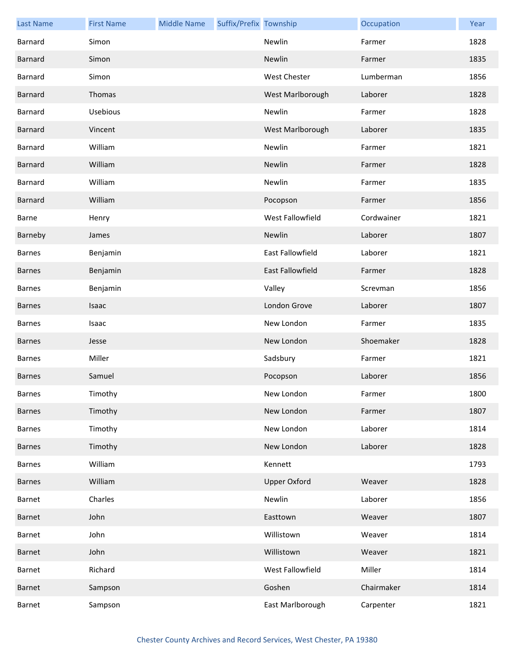| <b>Last Name</b> | <b>First Name</b> | <b>Middle Name</b> | Suffix/Prefix Township |                     | Occupation | Year |
|------------------|-------------------|--------------------|------------------------|---------------------|------------|------|
| Barnard          | Simon             |                    |                        | Newlin              | Farmer     | 1828 |
| <b>Barnard</b>   | Simon             |                    |                        | Newlin              | Farmer     | 1835 |
| Barnard          | Simon             |                    |                        | West Chester        | Lumberman  | 1856 |
| <b>Barnard</b>   | Thomas            |                    |                        | West Marlborough    | Laborer    | 1828 |
| Barnard          | Usebious          |                    |                        | Newlin              | Farmer     | 1828 |
| <b>Barnard</b>   | Vincent           |                    |                        | West Marlborough    | Laborer    | 1835 |
| Barnard          | William           |                    |                        | Newlin              | Farmer     | 1821 |
| Barnard          | William           |                    |                        | Newlin              | Farmer     | 1828 |
| Barnard          | William           |                    |                        | Newlin              | Farmer     | 1835 |
| <b>Barnard</b>   | William           |                    |                        | Pocopson            | Farmer     | 1856 |
| Barne            | Henry             |                    |                        | West Fallowfield    | Cordwainer | 1821 |
| Barneby          | James             |                    |                        | Newlin              | Laborer    | 1807 |
| <b>Barnes</b>    | Benjamin          |                    |                        | East Fallowfield    | Laborer    | 1821 |
| <b>Barnes</b>    | Benjamin          |                    |                        | East Fallowfield    | Farmer     | 1828 |
| <b>Barnes</b>    | Benjamin          |                    |                        | Valley              | Screvman   | 1856 |
| <b>Barnes</b>    | Isaac             |                    |                        | London Grove        | Laborer    | 1807 |
| <b>Barnes</b>    | Isaac             |                    |                        | New London          | Farmer     | 1835 |
| <b>Barnes</b>    | Jesse             |                    |                        | New London          | Shoemaker  | 1828 |
| <b>Barnes</b>    | Miller            |                    |                        | Sadsbury            | Farmer     | 1821 |
| <b>Barnes</b>    | Samuel            |                    |                        | Pocopson            | Laborer    | 1856 |
| <b>Barnes</b>    | Timothy           |                    |                        | New London          | Farmer     | 1800 |
| <b>Barnes</b>    | Timothy           |                    |                        | New London          | Farmer     | 1807 |
| <b>Barnes</b>    | Timothy           |                    |                        | New London          | Laborer    | 1814 |
| <b>Barnes</b>    | Timothy           |                    |                        | New London          | Laborer    | 1828 |
| Barnes           | William           |                    |                        | Kennett             |            | 1793 |
| <b>Barnes</b>    | William           |                    |                        | <b>Upper Oxford</b> | Weaver     | 1828 |
| Barnet           | Charles           |                    |                        | Newlin              | Laborer    | 1856 |
| Barnet           | John              |                    |                        | Easttown            | Weaver     | 1807 |
| Barnet           | John              |                    |                        | Willistown          | Weaver     | 1814 |
| Barnet           | John              |                    |                        | Willistown          | Weaver     | 1821 |
| Barnet           | Richard           |                    |                        | West Fallowfield    | Miller     | 1814 |
| Barnet           | Sampson           |                    |                        | Goshen              | Chairmaker | 1814 |
| Barnet           | Sampson           |                    |                        | East Marlborough    | Carpenter  | 1821 |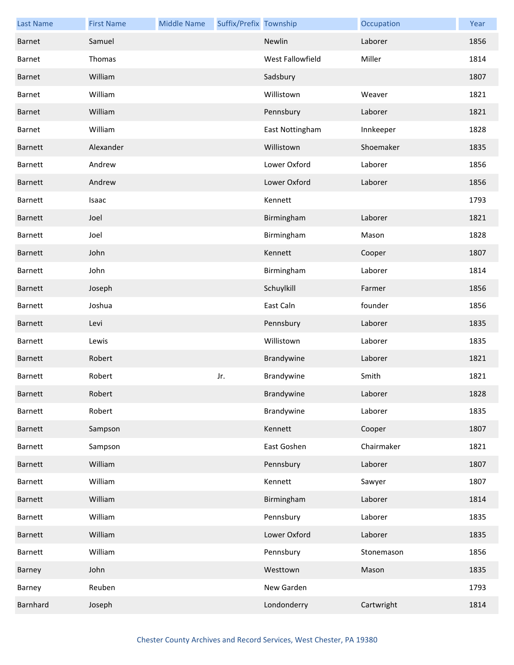| <b>Last Name</b> | <b>First Name</b> | <b>Middle Name</b> | Suffix/Prefix Township |                  | Occupation | Year |
|------------------|-------------------|--------------------|------------------------|------------------|------------|------|
| Barnet           | Samuel            |                    |                        | Newlin           | Laborer    | 1856 |
| Barnet           | Thomas            |                    |                        | West Fallowfield | Miller     | 1814 |
| Barnet           | William           |                    |                        | Sadsbury         |            | 1807 |
| Barnet           | William           |                    |                        | Willistown       | Weaver     | 1821 |
| Barnet           | William           |                    |                        | Pennsbury        | Laborer    | 1821 |
| Barnet           | William           |                    |                        | East Nottingham  | Innkeeper  | 1828 |
| Barnett          | Alexander         |                    |                        | Willistown       | Shoemaker  | 1835 |
| Barnett          | Andrew            |                    |                        | Lower Oxford     | Laborer    | 1856 |
| Barnett          | Andrew            |                    |                        | Lower Oxford     | Laborer    | 1856 |
| Barnett          | Isaac             |                    |                        | Kennett          |            | 1793 |
| Barnett          | Joel              |                    |                        | Birmingham       | Laborer    | 1821 |
| Barnett          | Joel              |                    |                        | Birmingham       | Mason      | 1828 |
| Barnett          | John              |                    |                        | Kennett          | Cooper     | 1807 |
| Barnett          | John              |                    |                        | Birmingham       | Laborer    | 1814 |
| Barnett          | Joseph            |                    |                        | Schuylkill       | Farmer     | 1856 |
| Barnett          | Joshua            |                    |                        | East Caln        | founder    | 1856 |
| Barnett          | Levi              |                    |                        | Pennsbury        | Laborer    | 1835 |
| Barnett          | Lewis             |                    |                        | Willistown       | Laborer    | 1835 |
| Barnett          | Robert            |                    |                        | Brandywine       | Laborer    | 1821 |
| Barnett          | Robert            |                    | Jr.                    | Brandywine       | Smith      | 1821 |
| Barnett          | Robert            |                    |                        | Brandywine       | Laborer    | 1828 |
| Barnett          | Robert            |                    |                        | Brandywine       | Laborer    | 1835 |
| Barnett          | Sampson           |                    |                        | Kennett          | Cooper     | 1807 |
| Barnett          | Sampson           |                    |                        | East Goshen      | Chairmaker | 1821 |
| Barnett          | William           |                    |                        | Pennsbury        | Laborer    | 1807 |
| Barnett          | William           |                    |                        | Kennett          | Sawyer     | 1807 |
| Barnett          | William           |                    |                        | Birmingham       | Laborer    | 1814 |
| Barnett          | William           |                    |                        | Pennsbury        | Laborer    | 1835 |
| <b>Barnett</b>   | William           |                    |                        | Lower Oxford     | Laborer    | 1835 |
| Barnett          | William           |                    |                        | Pennsbury        | Stonemason | 1856 |
| Barney           | John              |                    |                        | Westtown         | Mason      | 1835 |
| Barney           | Reuben            |                    |                        | New Garden       |            | 1793 |
| Barnhard         | Joseph            |                    |                        | Londonderry      | Cartwright | 1814 |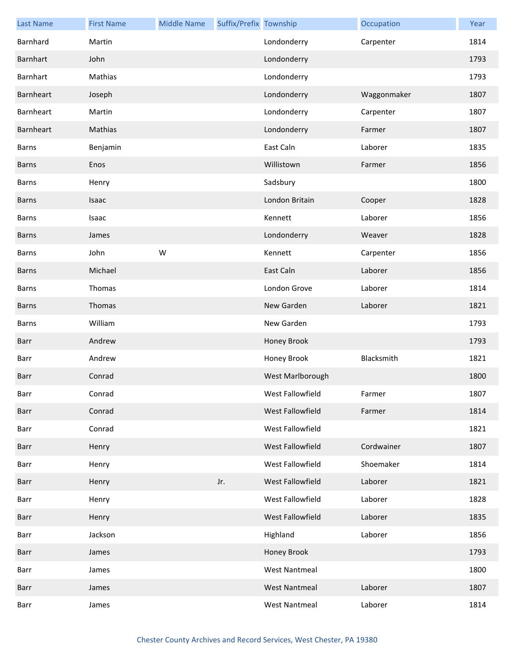| <b>Last Name</b> | <b>First Name</b> | <b>Middle Name</b> | Suffix/Prefix Township |                      | Occupation  | Year |
|------------------|-------------------|--------------------|------------------------|----------------------|-------------|------|
| Barnhard         | Martin            |                    |                        | Londonderry          | Carpenter   | 1814 |
| Barnhart         | John              |                    |                        | Londonderry          |             | 1793 |
| Barnhart         | Mathias           |                    |                        | Londonderry          |             | 1793 |
| Barnheart        | Joseph            |                    |                        | Londonderry          | Waggonmaker | 1807 |
| Barnheart        | Martin            |                    |                        | Londonderry          | Carpenter   | 1807 |
| Barnheart        | Mathias           |                    |                        | Londonderry          | Farmer      | 1807 |
| Barns            | Benjamin          |                    |                        | East Caln            | Laborer     | 1835 |
| <b>Barns</b>     | Enos              |                    |                        | Willistown           | Farmer      | 1856 |
| <b>Barns</b>     | Henry             |                    |                        | Sadsbury             |             | 1800 |
| <b>Barns</b>     | Isaac             |                    |                        | London Britain       | Cooper      | 1828 |
| Barns            | Isaac             |                    |                        | Kennett              | Laborer     | 1856 |
| <b>Barns</b>     | James             |                    |                        | Londonderry          | Weaver      | 1828 |
| <b>Barns</b>     | John              | W                  |                        | Kennett              | Carpenter   | 1856 |
| <b>Barns</b>     | Michael           |                    |                        | East Caln            | Laborer     | 1856 |
| Barns            | Thomas            |                    |                        | London Grove         | Laborer     | 1814 |
| <b>Barns</b>     | Thomas            |                    |                        | New Garden           | Laborer     | 1821 |
| Barns            | William           |                    |                        | New Garden           |             | 1793 |
| Barr             | Andrew            |                    |                        | Honey Brook          |             | 1793 |
| Barr             | Andrew            |                    |                        | Honey Brook          | Blacksmith  | 1821 |
| Barr             | Conrad            |                    |                        | West Marlborough     |             | 1800 |
| Barr             | Conrad            |                    |                        | West Fallowfield     | Farmer      | 1807 |
| Barr             | Conrad            |                    |                        | West Fallowfield     | Farmer      | 1814 |
| Barr             | Conrad            |                    |                        | West Fallowfield     |             | 1821 |
| Barr             | Henry             |                    |                        | West Fallowfield     | Cordwainer  | 1807 |
| Barr             | Henry             |                    |                        | West Fallowfield     | Shoemaker   | 1814 |
| Barr             | Henry             |                    | Jr.                    | West Fallowfield     | Laborer     | 1821 |
| Barr             | Henry             |                    |                        | West Fallowfield     | Laborer     | 1828 |
| Barr             | Henry             |                    |                        | West Fallowfield     | Laborer     | 1835 |
| Barr             | Jackson           |                    |                        | Highland             | Laborer     | 1856 |
| Barr             | James             |                    |                        | Honey Brook          |             | 1793 |
| Barr             | James             |                    |                        | <b>West Nantmeal</b> |             | 1800 |
| Barr             | James             |                    |                        | <b>West Nantmeal</b> | Laborer     | 1807 |
| Barr             | James             |                    |                        | <b>West Nantmeal</b> | Laborer     | 1814 |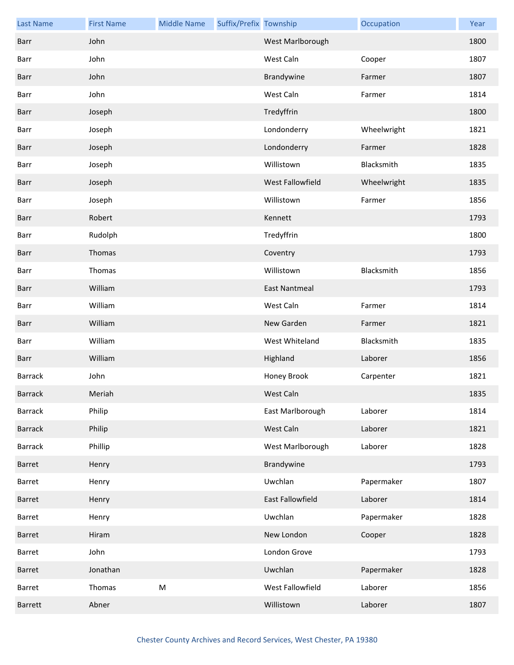| <b>Last Name</b> | <b>First Name</b> | <b>Middle Name</b> | Suffix/Prefix Township |                      | Occupation  | Year |
|------------------|-------------------|--------------------|------------------------|----------------------|-------------|------|
| Barr             | John              |                    |                        | West Marlborough     |             | 1800 |
| Barr             | John              |                    |                        | West Caln            | Cooper      | 1807 |
| Barr             | John              |                    |                        | Brandywine           | Farmer      | 1807 |
| Barr             | John              |                    |                        | West Caln            | Farmer      | 1814 |
| Barr             | Joseph            |                    |                        | Tredyffrin           |             | 1800 |
| Barr             | Joseph            |                    |                        | Londonderry          | Wheelwright | 1821 |
| Barr             | Joseph            |                    |                        | Londonderry          | Farmer      | 1828 |
| Barr             | Joseph            |                    |                        | Willistown           | Blacksmith  | 1835 |
| Barr             | Joseph            |                    |                        | West Fallowfield     | Wheelwright | 1835 |
| Barr             | Joseph            |                    |                        | Willistown           | Farmer      | 1856 |
| Barr             | Robert            |                    |                        | Kennett              |             | 1793 |
| Barr             | Rudolph           |                    |                        | Tredyffrin           |             | 1800 |
| Barr             | Thomas            |                    |                        | Coventry             |             | 1793 |
| Barr             | Thomas            |                    |                        | Willistown           | Blacksmith  | 1856 |
| Barr             | William           |                    |                        | <b>East Nantmeal</b> |             | 1793 |
| Barr             | William           |                    |                        | West Caln            | Farmer      | 1814 |
| Barr             | William           |                    |                        | New Garden           | Farmer      | 1821 |
| Barr             | William           |                    |                        | West Whiteland       | Blacksmith  | 1835 |
| Barr             | William           |                    |                        | Highland             | Laborer     | 1856 |
| <b>Barrack</b>   | John              |                    |                        | Honey Brook          | Carpenter   | 1821 |
| <b>Barrack</b>   | Meriah            |                    |                        | West Caln            |             | 1835 |
| <b>Barrack</b>   | Philip            |                    |                        | East Marlborough     | Laborer     | 1814 |
| <b>Barrack</b>   | Philip            |                    |                        | West Caln            | Laborer     | 1821 |
| <b>Barrack</b>   | Phillip           |                    |                        | West Marlborough     | Laborer     | 1828 |
| Barret           | Henry             |                    |                        | Brandywine           |             | 1793 |
| Barret           | Henry             |                    |                        | Uwchlan              | Papermaker  | 1807 |
| Barret           | Henry             |                    |                        | East Fallowfield     | Laborer     | 1814 |
| Barret           | Henry             |                    |                        | Uwchlan              | Papermaker  | 1828 |
| Barret           | Hiram             |                    |                        | New London           | Cooper      | 1828 |
| Barret           | John              |                    |                        | London Grove         |             | 1793 |
| Barret           | Jonathan          |                    |                        | Uwchlan              | Papermaker  | 1828 |
| Barret           | Thomas            | ${\sf M}$          |                        | West Fallowfield     | Laborer     | 1856 |
| <b>Barrett</b>   | Abner             |                    |                        | Willistown           | Laborer     | 1807 |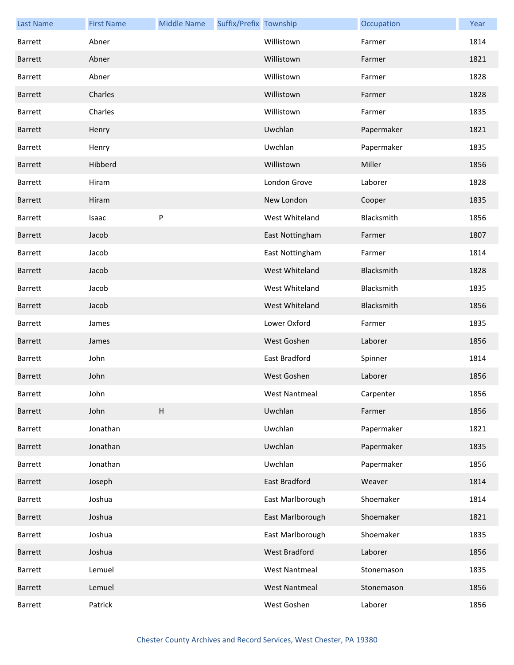| <b>Last Name</b> | <b>First Name</b> | <b>Middle Name</b> | Suffix/Prefix Township |                      | Occupation | Year |
|------------------|-------------------|--------------------|------------------------|----------------------|------------|------|
| <b>Barrett</b>   | Abner             |                    |                        | Willistown           | Farmer     | 1814 |
| <b>Barrett</b>   | Abner             |                    |                        | Willistown           | Farmer     | 1821 |
| <b>Barrett</b>   | Abner             |                    |                        | Willistown           | Farmer     | 1828 |
| <b>Barrett</b>   | Charles           |                    |                        | Willistown           | Farmer     | 1828 |
| <b>Barrett</b>   | Charles           |                    |                        | Willistown           | Farmer     | 1835 |
| <b>Barrett</b>   | Henry             |                    |                        | Uwchlan              | Papermaker | 1821 |
| Barrett          | Henry             |                    |                        | Uwchlan              | Papermaker | 1835 |
| <b>Barrett</b>   | Hibberd           |                    |                        | Willistown           | Miller     | 1856 |
| Barrett          | Hiram             |                    |                        | London Grove         | Laborer    | 1828 |
| <b>Barrett</b>   | Hiram             |                    |                        | New London           | Cooper     | 1835 |
| <b>Barrett</b>   | Isaac             | P                  |                        | West Whiteland       | Blacksmith | 1856 |
| <b>Barrett</b>   | Jacob             |                    |                        | East Nottingham      | Farmer     | 1807 |
| Barrett          | Jacob             |                    |                        | East Nottingham      | Farmer     | 1814 |
| <b>Barrett</b>   | Jacob             |                    |                        | West Whiteland       | Blacksmith | 1828 |
| <b>Barrett</b>   | Jacob             |                    |                        | West Whiteland       | Blacksmith | 1835 |
| <b>Barrett</b>   | Jacob             |                    |                        | West Whiteland       | Blacksmith | 1856 |
| <b>Barrett</b>   | James             |                    |                        | Lower Oxford         | Farmer     | 1835 |
| Barrett          | James             |                    |                        | West Goshen          | Laborer    | 1856 |
| <b>Barrett</b>   | John              |                    |                        | East Bradford        | Spinner    | 1814 |
| <b>Barrett</b>   | John              |                    |                        | West Goshen          | Laborer    | 1856 |
| Barrett          | John              |                    |                        | West Nantmeal        | Carpenter  | 1856 |
| Barrett          | John              | $\sf H$            |                        | Uwchlan              | Farmer     | 1856 |
| Barrett          | Jonathan          |                    |                        | Uwchlan              | Papermaker | 1821 |
| Barrett          | Jonathan          |                    |                        | Uwchlan              | Papermaker | 1835 |
| Barrett          | Jonathan          |                    |                        | Uwchlan              | Papermaker | 1856 |
| Barrett          | Joseph            |                    |                        | East Bradford        | Weaver     | 1814 |
| Barrett          | Joshua            |                    |                        | East Marlborough     | Shoemaker  | 1814 |
| Barrett          | Joshua            |                    |                        | East Marlborough     | Shoemaker  | 1821 |
| Barrett          | Joshua            |                    |                        | East Marlborough     | Shoemaker  | 1835 |
| Barrett          | Joshua            |                    |                        | West Bradford        | Laborer    | 1856 |
| Barrett          | Lemuel            |                    |                        | <b>West Nantmeal</b> | Stonemason | 1835 |
| Barrett          | Lemuel            |                    |                        | <b>West Nantmeal</b> | Stonemason | 1856 |
| Barrett          | Patrick           |                    |                        | West Goshen          | Laborer    | 1856 |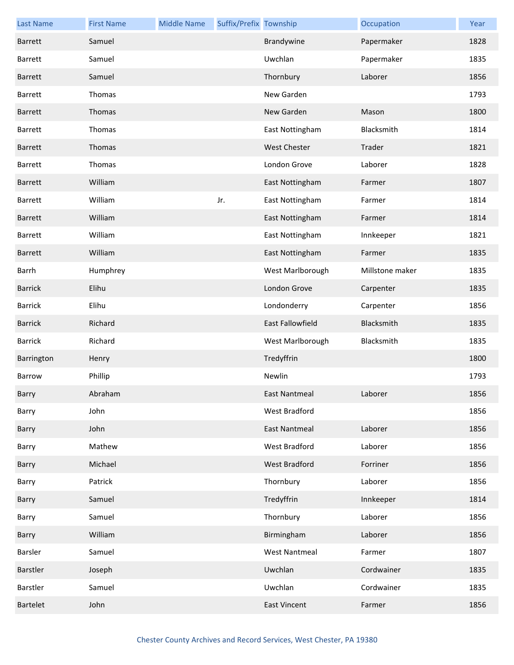| <b>Last Name</b> | <b>First Name</b> | <b>Middle Name</b> | Suffix/Prefix Township |                      | Occupation      | Year |
|------------------|-------------------|--------------------|------------------------|----------------------|-----------------|------|
| <b>Barrett</b>   | Samuel            |                    |                        | Brandywine           | Papermaker      | 1828 |
| Barrett          | Samuel            |                    |                        | Uwchlan              | Papermaker      | 1835 |
| <b>Barrett</b>   | Samuel            |                    |                        | Thornbury            | Laborer         | 1856 |
| <b>Barrett</b>   | Thomas            |                    |                        | New Garden           |                 | 1793 |
| Barrett          | Thomas            |                    |                        | New Garden           | Mason           | 1800 |
| <b>Barrett</b>   | Thomas            |                    |                        | East Nottingham      | Blacksmith      | 1814 |
| <b>Barrett</b>   | Thomas            |                    |                        | <b>West Chester</b>  | Trader          | 1821 |
| Barrett          | Thomas            |                    |                        | London Grove         | Laborer         | 1828 |
| Barrett          | William           |                    |                        | East Nottingham      | Farmer          | 1807 |
| <b>Barrett</b>   | William           |                    | Jr.                    | East Nottingham      | Farmer          | 1814 |
| <b>Barrett</b>   | William           |                    |                        | East Nottingham      | Farmer          | 1814 |
| <b>Barrett</b>   | William           |                    |                        | East Nottingham      | Innkeeper       | 1821 |
| Barrett          | William           |                    |                        | East Nottingham      | Farmer          | 1835 |
| Barrh            | Humphrey          |                    |                        | West Marlborough     | Millstone maker | 1835 |
| <b>Barrick</b>   | Elihu             |                    |                        | London Grove         | Carpenter       | 1835 |
| <b>Barrick</b>   | Elihu             |                    |                        | Londonderry          | Carpenter       | 1856 |
| <b>Barrick</b>   | Richard           |                    |                        | East Fallowfield     | Blacksmith      | 1835 |
| <b>Barrick</b>   | Richard           |                    |                        | West Marlborough     | Blacksmith      | 1835 |
| Barrington       | Henry             |                    |                        | Tredyffrin           |                 | 1800 |
| Barrow           | Phillip           |                    |                        | Newlin               |                 | 1793 |
| Barry            | Abraham           |                    |                        | East Nantmeal        | Laborer         | 1856 |
| Barry            | John              |                    |                        | West Bradford        |                 | 1856 |
| Barry            | John              |                    |                        | <b>East Nantmeal</b> | Laborer         | 1856 |
| Barry            | Mathew            |                    |                        | West Bradford        | Laborer         | 1856 |
| Barry            | Michael           |                    |                        | <b>West Bradford</b> | Forriner        | 1856 |
| Barry            | Patrick           |                    |                        | Thornbury            | Laborer         | 1856 |
| Barry            | Samuel            |                    |                        | Tredyffrin           | Innkeeper       | 1814 |
| Barry            | Samuel            |                    |                        | Thornbury            | Laborer         | 1856 |
| Barry            | William           |                    |                        | Birmingham           | Laborer         | 1856 |
| Barsler          | Samuel            |                    |                        | <b>West Nantmeal</b> | Farmer          | 1807 |
| Barstler         | Joseph            |                    |                        | Uwchlan              | Cordwainer      | 1835 |
| Barstler         | Samuel            |                    |                        | Uwchlan              | Cordwainer      | 1835 |
| <b>Bartelet</b>  | John              |                    |                        | <b>East Vincent</b>  | Farmer          | 1856 |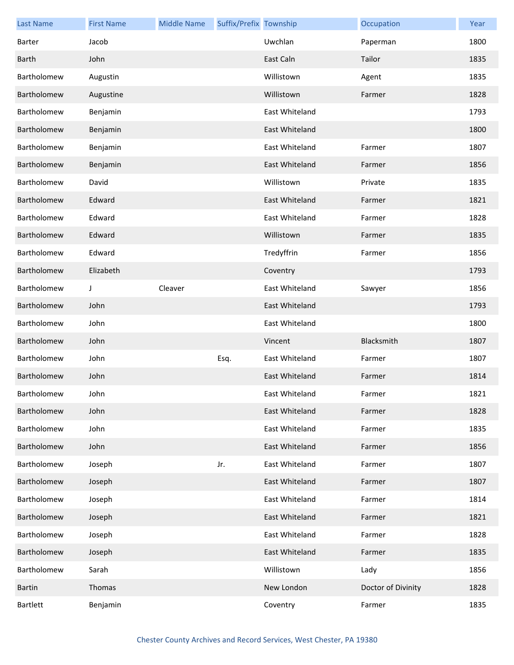| <b>Last Name</b> | <b>First Name</b> | <b>Middle Name</b> | Suffix/Prefix Township |                | Occupation         | Year |
|------------------|-------------------|--------------------|------------------------|----------------|--------------------|------|
| Barter           | Jacob             |                    |                        | Uwchlan        | Paperman           | 1800 |
| <b>Barth</b>     | John              |                    |                        | East Caln      | Tailor             | 1835 |
| Bartholomew      | Augustin          |                    |                        | Willistown     | Agent              | 1835 |
| Bartholomew      | Augustine         |                    |                        | Willistown     | Farmer             | 1828 |
| Bartholomew      | Benjamin          |                    |                        | East Whiteland |                    | 1793 |
| Bartholomew      | Benjamin          |                    |                        | East Whiteland |                    | 1800 |
| Bartholomew      | Benjamin          |                    |                        | East Whiteland | Farmer             | 1807 |
| Bartholomew      | Benjamin          |                    |                        | East Whiteland | Farmer             | 1856 |
| Bartholomew      | David             |                    |                        | Willistown     | Private            | 1835 |
| Bartholomew      | Edward            |                    |                        | East Whiteland | Farmer             | 1821 |
| Bartholomew      | Edward            |                    |                        | East Whiteland | Farmer             | 1828 |
| Bartholomew      | Edward            |                    |                        | Willistown     | Farmer             | 1835 |
| Bartholomew      | Edward            |                    |                        | Tredyffrin     | Farmer             | 1856 |
| Bartholomew      | Elizabeth         |                    |                        | Coventry       |                    | 1793 |
| Bartholomew      | J                 | Cleaver            |                        | East Whiteland | Sawyer             | 1856 |
| Bartholomew      | John              |                    |                        | East Whiteland |                    | 1793 |
| Bartholomew      | John              |                    |                        | East Whiteland |                    | 1800 |
| Bartholomew      | John              |                    |                        | Vincent        | Blacksmith         | 1807 |
| Bartholomew      | John              |                    | Esq.                   | East Whiteland | Farmer             | 1807 |
| Bartholomew      | John              |                    |                        | East Whiteland | Farmer             | 1814 |
| Bartholomew      | John              |                    |                        | East Whiteland | Farmer             | 1821 |
| Bartholomew      | John              |                    |                        | East Whiteland | Farmer             | 1828 |
| Bartholomew      | John              |                    |                        | East Whiteland | Farmer             | 1835 |
| Bartholomew      | John              |                    |                        | East Whiteland | Farmer             | 1856 |
| Bartholomew      | Joseph            |                    | Jr.                    | East Whiteland | Farmer             | 1807 |
| Bartholomew      | Joseph            |                    |                        | East Whiteland | Farmer             | 1807 |
| Bartholomew      | Joseph            |                    |                        | East Whiteland | Farmer             | 1814 |
| Bartholomew      | Joseph            |                    |                        | East Whiteland | Farmer             | 1821 |
| Bartholomew      | Joseph            |                    |                        | East Whiteland | Farmer             | 1828 |
| Bartholomew      | Joseph            |                    |                        | East Whiteland | Farmer             | 1835 |
| Bartholomew      | Sarah             |                    |                        | Willistown     | Lady               | 1856 |
| <b>Bartin</b>    | Thomas            |                    |                        | New London     | Doctor of Divinity | 1828 |
| <b>Bartlett</b>  | Benjamin          |                    |                        | Coventry       | Farmer             | 1835 |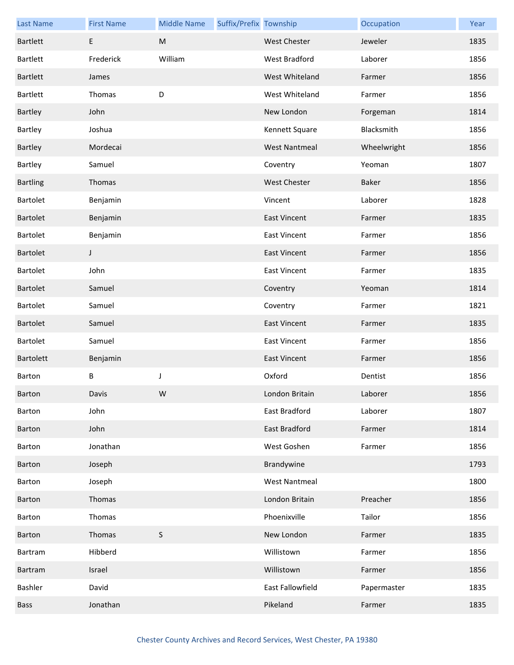| <b>Last Name</b> | <b>First Name</b> | <b>Middle Name</b> | Suffix/Prefix Township |                      | Occupation  | Year |
|------------------|-------------------|--------------------|------------------------|----------------------|-------------|------|
| <b>Bartlett</b>  | E                 | M                  |                        | <b>West Chester</b>  | Jeweler     | 1835 |
| Bartlett         | Frederick         | William            |                        | West Bradford        | Laborer     | 1856 |
| Bartlett         | James             |                    |                        | West Whiteland       | Farmer      | 1856 |
| Bartlett         | Thomas            | D                  |                        | West Whiteland       | Farmer      | 1856 |
| Bartley          | John              |                    |                        | New London           | Forgeman    | 1814 |
| Bartley          | Joshua            |                    |                        | Kennett Square       | Blacksmith  | 1856 |
| Bartley          | Mordecai          |                    |                        | <b>West Nantmeal</b> | Wheelwright | 1856 |
| Bartley          | Samuel            |                    |                        | Coventry             | Yeoman      | 1807 |
| <b>Bartling</b>  | Thomas            |                    |                        | <b>West Chester</b>  | Baker       | 1856 |
| Bartolet         | Benjamin          |                    |                        | Vincent              | Laborer     | 1828 |
| Bartolet         | Benjamin          |                    |                        | <b>East Vincent</b>  | Farmer      | 1835 |
| Bartolet         | Benjamin          |                    |                        | <b>East Vincent</b>  | Farmer      | 1856 |
| <b>Bartolet</b>  | J                 |                    |                        | <b>East Vincent</b>  | Farmer      | 1856 |
| <b>Bartolet</b>  | John              |                    |                        | <b>East Vincent</b>  | Farmer      | 1835 |
| <b>Bartolet</b>  | Samuel            |                    |                        | Coventry             | Yeoman      | 1814 |
| Bartolet         | Samuel            |                    |                        | Coventry             | Farmer      | 1821 |
| <b>Bartolet</b>  | Samuel            |                    |                        | <b>East Vincent</b>  | Farmer      | 1835 |
| Bartolet         | Samuel            |                    |                        | <b>East Vincent</b>  | Farmer      | 1856 |
| <b>Bartolett</b> | Benjamin          |                    |                        | <b>East Vincent</b>  | Farmer      | 1856 |
| Barton           | B                 | $\mathsf J$        |                        | Oxford               | Dentist     | 1856 |
| Barton           | Davis             | W                  |                        | London Britain       | Laborer     | 1856 |
| Barton           | John              |                    |                        | East Bradford        | Laborer     | 1807 |
| <b>Barton</b>    | John              |                    |                        | <b>East Bradford</b> | Farmer      | 1814 |
| Barton           | Jonathan          |                    |                        | West Goshen          | Farmer      | 1856 |
| Barton           | Joseph            |                    |                        | Brandywine           |             | 1793 |
| Barton           | Joseph            |                    |                        | <b>West Nantmeal</b> |             | 1800 |
| Barton           | Thomas            |                    |                        | London Britain       | Preacher    | 1856 |
| Barton           | Thomas            |                    |                        | Phoenixville         | Tailor      | 1856 |
| Barton           | Thomas            | $\mathsf S$        |                        | New London           | Farmer      | 1835 |
| Bartram          | Hibberd           |                    |                        | Willistown           | Farmer      | 1856 |
| Bartram          | Israel            |                    |                        | Willistown           | Farmer      | 1856 |
| Bashler          | David             |                    |                        | East Fallowfield     | Papermaster | 1835 |
| <b>Bass</b>      | Jonathan          |                    |                        | Pikeland             | Farmer      | 1835 |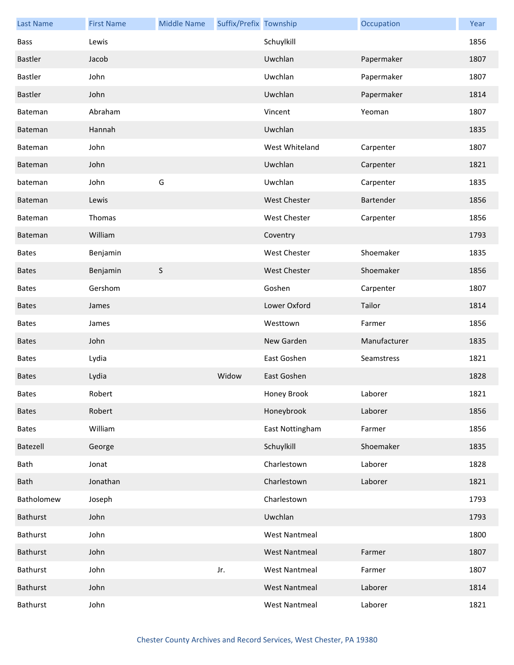| <b>Last Name</b> | <b>First Name</b> | <b>Middle Name</b> | Suffix/Prefix Township |                      | Occupation   | Year |
|------------------|-------------------|--------------------|------------------------|----------------------|--------------|------|
| Bass             | Lewis             |                    |                        | Schuylkill           |              | 1856 |
| Bastler          | Jacob             |                    |                        | Uwchlan              | Papermaker   | 1807 |
| Bastler          | John              |                    |                        | Uwchlan              | Papermaker   | 1807 |
| Bastler          | John              |                    |                        | Uwchlan              | Papermaker   | 1814 |
| Bateman          | Abraham           |                    |                        | Vincent              | Yeoman       | 1807 |
| Bateman          | Hannah            |                    |                        | Uwchlan              |              | 1835 |
| Bateman          | John              |                    |                        | West Whiteland       | Carpenter    | 1807 |
| Bateman          | John              |                    |                        | Uwchlan              | Carpenter    | 1821 |
| bateman          | John              | G                  |                        | Uwchlan              | Carpenter    | 1835 |
| Bateman          | Lewis             |                    |                        | <b>West Chester</b>  | Bartender    | 1856 |
| Bateman          | Thomas            |                    |                        | <b>West Chester</b>  | Carpenter    | 1856 |
| Bateman          | William           |                    |                        | Coventry             |              | 1793 |
| <b>Bates</b>     | Benjamin          |                    |                        | West Chester         | Shoemaker    | 1835 |
| <b>Bates</b>     | Benjamin          | $\mathsf S$        |                        | <b>West Chester</b>  | Shoemaker    | 1856 |
| <b>Bates</b>     | Gershom           |                    |                        | Goshen               | Carpenter    | 1807 |
| <b>Bates</b>     | James             |                    |                        | Lower Oxford         | Tailor       | 1814 |
| <b>Bates</b>     | James             |                    |                        | Westtown             | Farmer       | 1856 |
| <b>Bates</b>     | John              |                    |                        | New Garden           | Manufacturer | 1835 |
| <b>Bates</b>     | Lydia             |                    |                        | East Goshen          | Seamstress   | 1821 |
| <b>Bates</b>     | Lydia             |                    | Widow                  | East Goshen          |              | 1828 |
| Bates            | Robert            |                    |                        | Honey Brook          | Laborer      | 1821 |
| <b>Bates</b>     | Robert            |                    |                        | Honeybrook           | Laborer      | 1856 |
| <b>Bates</b>     | William           |                    |                        | East Nottingham      | Farmer       | 1856 |
| Batezell         | George            |                    |                        | Schuylkill           | Shoemaker    | 1835 |
| Bath             | Jonat             |                    |                        | Charlestown          | Laborer      | 1828 |
| Bath             | Jonathan          |                    |                        | Charlestown          | Laborer      | 1821 |
| Batholomew       | Joseph            |                    |                        | Charlestown          |              | 1793 |
| Bathurst         | John              |                    |                        | Uwchlan              |              | 1793 |
| Bathurst         | John              |                    |                        | <b>West Nantmeal</b> |              | 1800 |
| Bathurst         | John              |                    |                        | <b>West Nantmeal</b> | Farmer       | 1807 |
| Bathurst         | John              |                    | Jr.                    | <b>West Nantmeal</b> | Farmer       | 1807 |
| Bathurst         | John              |                    |                        | <b>West Nantmeal</b> | Laborer      | 1814 |
| Bathurst         | John              |                    |                        | <b>West Nantmeal</b> | Laborer      | 1821 |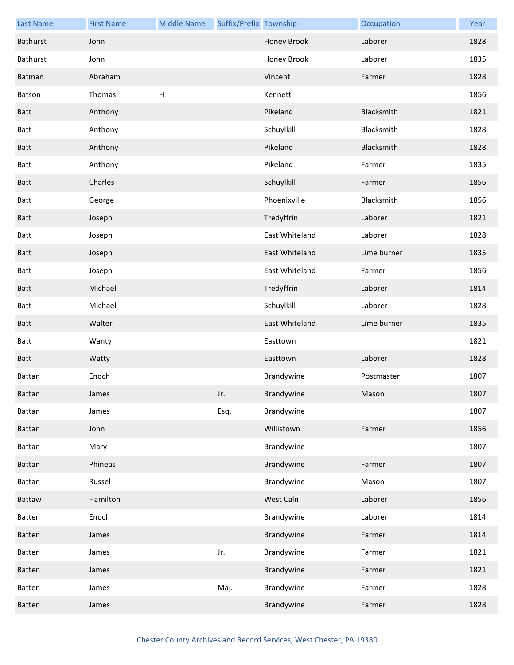| <b>Last Name</b> | <b>First Name</b> | <b>Middle Name</b> | Suffix/Prefix Township |                | Occupation  | Year |
|------------------|-------------------|--------------------|------------------------|----------------|-------------|------|
| Bathurst         | John              |                    |                        | Honey Brook    | Laborer     | 1828 |
| Bathurst         | John              |                    |                        | Honey Brook    | Laborer     | 1835 |
| Batman           | Abraham           |                    |                        | Vincent        | Farmer      | 1828 |
| Batson           | Thomas            | $\sf H$            |                        | Kennett        |             | 1856 |
| Batt             | Anthony           |                    |                        | Pikeland       | Blacksmith  | 1821 |
| Batt             | Anthony           |                    |                        | Schuylkill     | Blacksmith  | 1828 |
| <b>Batt</b>      | Anthony           |                    |                        | Pikeland       | Blacksmith  | 1828 |
| Batt             | Anthony           |                    |                        | Pikeland       | Farmer      | 1835 |
| Batt             | Charles           |                    |                        | Schuylkill     | Farmer      | 1856 |
| Batt             | George            |                    |                        | Phoenixville   | Blacksmith  | 1856 |
| <b>Batt</b>      | Joseph            |                    |                        | Tredyffrin     | Laborer     | 1821 |
| Batt             | Joseph            |                    |                        | East Whiteland | Laborer     | 1828 |
| <b>Batt</b>      | Joseph            |                    |                        | East Whiteland | Lime burner | 1835 |
| Batt             | Joseph            |                    |                        | East Whiteland | Farmer      | 1856 |
| <b>Batt</b>      | Michael           |                    |                        | Tredyffrin     | Laborer     | 1814 |
| Batt             | Michael           |                    |                        | Schuylkill     | Laborer     | 1828 |
| <b>Batt</b>      | Walter            |                    |                        | East Whiteland | Lime burner | 1835 |
| Batt             | Wanty             |                    |                        | Easttown       |             | 1821 |
| Batt             | Watty             |                    |                        | Easttown       | Laborer     | 1828 |
| <b>Battan</b>    | Enoch             |                    |                        | Brandywine     | Postmaster  | 1807 |
| <b>Battan</b>    | James             |                    | Jr.                    | Brandywine     | Mason       | 1807 |
| Battan           | James             |                    | Esq.                   | Brandywine     |             | 1807 |
| Battan           | John              |                    |                        | Willistown     | Farmer      | 1856 |
| Battan           | Mary              |                    |                        | Brandywine     |             | 1807 |
| Battan           | Phineas           |                    |                        | Brandywine     | Farmer      | 1807 |
| Battan           | Russel            |                    |                        | Brandywine     | Mason       | 1807 |
| Battaw           | Hamilton          |                    |                        | West Caln      | Laborer     | 1856 |
| Batten           | Enoch             |                    |                        | Brandywine     | Laborer     | 1814 |
| Batten           | James             |                    |                        | Brandywine     | Farmer      | 1814 |
| Batten           | James             |                    | Jr.                    | Brandywine     | Farmer      | 1821 |
| Batten           | James             |                    |                        | Brandywine     | Farmer      | 1821 |
| Batten           | James             |                    | Maj.                   | Brandywine     | Farmer      | 1828 |
| Batten           | James             |                    |                        | Brandywine     | Farmer      | 1828 |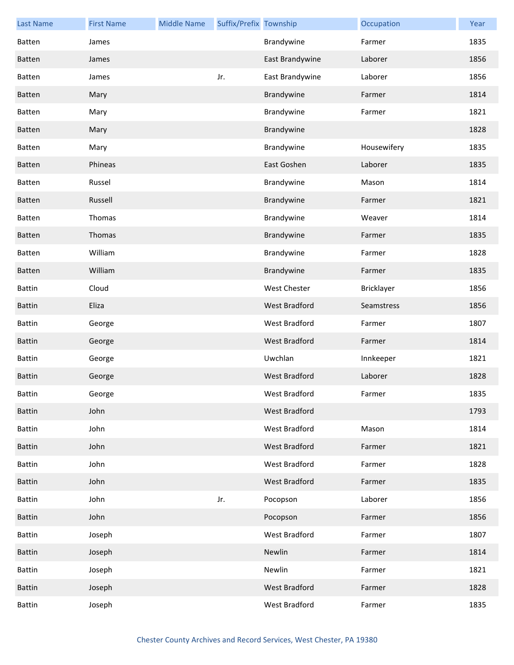| <b>Last Name</b> | <b>First Name</b> | <b>Middle Name</b> | Suffix/Prefix Township |                      | Occupation  | Year |
|------------------|-------------------|--------------------|------------------------|----------------------|-------------|------|
| Batten           | James             |                    |                        | Brandywine           | Farmer      | 1835 |
| <b>Batten</b>    | James             |                    |                        | East Brandywine      | Laborer     | 1856 |
| Batten           | James             |                    | Jr.                    | East Brandywine      | Laborer     | 1856 |
| <b>Batten</b>    | Mary              |                    |                        | Brandywine           | Farmer      | 1814 |
| Batten           | Mary              |                    |                        | Brandywine           | Farmer      | 1821 |
| Batten           | Mary              |                    |                        | Brandywine           |             | 1828 |
| Batten           | Mary              |                    |                        | Brandywine           | Housewifery | 1835 |
| Batten           | Phineas           |                    |                        | East Goshen          | Laborer     | 1835 |
| Batten           | Russel            |                    |                        | Brandywine           | Mason       | 1814 |
| Batten           | Russell           |                    |                        | Brandywine           | Farmer      | 1821 |
| Batten           | Thomas            |                    |                        | Brandywine           | Weaver      | 1814 |
| Batten           | Thomas            |                    |                        | Brandywine           | Farmer      | 1835 |
| Batten           | William           |                    |                        | Brandywine           | Farmer      | 1828 |
| Batten           | William           |                    |                        | Brandywine           | Farmer      | 1835 |
| <b>Battin</b>    | Cloud             |                    |                        | West Chester         | Bricklayer  | 1856 |
| <b>Battin</b>    | Eliza             |                    |                        | West Bradford        | Seamstress  | 1856 |
| <b>Battin</b>    | George            |                    |                        | West Bradford        | Farmer      | 1807 |
| <b>Battin</b>    | George            |                    |                        | West Bradford        | Farmer      | 1814 |
| <b>Battin</b>    | George            |                    |                        | Uwchlan              | Innkeeper   | 1821 |
| <b>Battin</b>    | George            |                    |                        | <b>West Bradford</b> | Laborer     | 1828 |
| <b>Battin</b>    | George            |                    |                        | West Bradford        | Farmer      | 1835 |
| <b>Battin</b>    | John              |                    |                        | <b>West Bradford</b> |             | 1793 |
| <b>Battin</b>    | John              |                    |                        | West Bradford        | Mason       | 1814 |
| <b>Battin</b>    | John              |                    |                        | West Bradford        | Farmer      | 1821 |
| <b>Battin</b>    | John              |                    |                        | West Bradford        | Farmer      | 1828 |
| <b>Battin</b>    | John              |                    |                        | West Bradford        | Farmer      | 1835 |
| <b>Battin</b>    | John              |                    | Jr.                    | Pocopson             | Laborer     | 1856 |
| <b>Battin</b>    | John              |                    |                        | Pocopson             | Farmer      | 1856 |
| Battin           | Joseph            |                    |                        | West Bradford        | Farmer      | 1807 |
| <b>Battin</b>    | Joseph            |                    |                        | Newlin               | Farmer      | 1814 |
| Battin           | Joseph            |                    |                        | Newlin               | Farmer      | 1821 |
| <b>Battin</b>    | Joseph            |                    |                        | West Bradford        | Farmer      | 1828 |
| Battin           | Joseph            |                    |                        | West Bradford        | Farmer      | 1835 |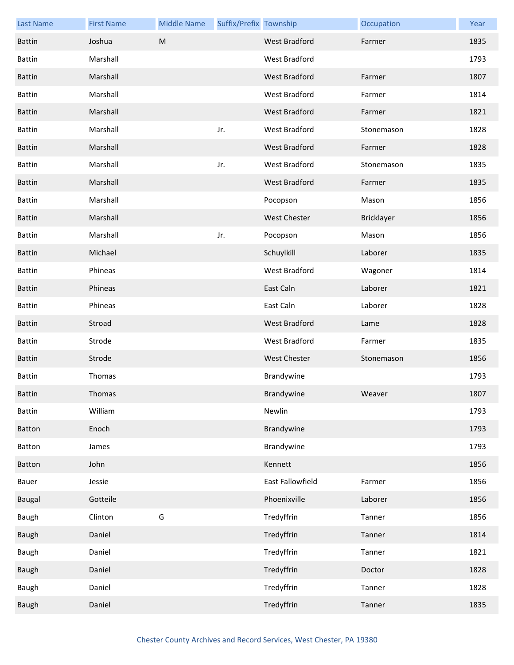| <b>Last Name</b> | <b>First Name</b> | <b>Middle Name</b> | Suffix/Prefix Township |                      | Occupation | Year |
|------------------|-------------------|--------------------|------------------------|----------------------|------------|------|
| <b>Battin</b>    | Joshua            | ${\sf M}$          |                        | <b>West Bradford</b> | Farmer     | 1835 |
| <b>Battin</b>    | Marshall          |                    |                        | West Bradford        |            | 1793 |
| <b>Battin</b>    | Marshall          |                    |                        | <b>West Bradford</b> | Farmer     | 1807 |
| <b>Battin</b>    | Marshall          |                    |                        | West Bradford        | Farmer     | 1814 |
| <b>Battin</b>    | Marshall          |                    |                        | West Bradford        | Farmer     | 1821 |
| <b>Battin</b>    | Marshall          |                    | Jr.                    | West Bradford        | Stonemason | 1828 |
| <b>Battin</b>    | Marshall          |                    |                        | <b>West Bradford</b> | Farmer     | 1828 |
| <b>Battin</b>    | Marshall          |                    | Jr.                    | West Bradford        | Stonemason | 1835 |
| <b>Battin</b>    | Marshall          |                    |                        | <b>West Bradford</b> | Farmer     | 1835 |
| <b>Battin</b>    | Marshall          |                    |                        | Pocopson             | Mason      | 1856 |
| <b>Battin</b>    | Marshall          |                    |                        | <b>West Chester</b>  | Bricklayer | 1856 |
| <b>Battin</b>    | Marshall          |                    | Jr.                    | Pocopson             | Mason      | 1856 |
| <b>Battin</b>    | Michael           |                    |                        | Schuylkill           | Laborer    | 1835 |
| <b>Battin</b>    | Phineas           |                    |                        | West Bradford        | Wagoner    | 1814 |
| <b>Battin</b>    | Phineas           |                    |                        | East Caln            | Laborer    | 1821 |
| <b>Battin</b>    | Phineas           |                    |                        | East Caln            | Laborer    | 1828 |
| <b>Battin</b>    | Stroad            |                    |                        | West Bradford        | Lame       | 1828 |
| <b>Battin</b>    | Strode            |                    |                        | West Bradford        | Farmer     | 1835 |
| <b>Battin</b>    | Strode            |                    |                        | West Chester         | Stonemason | 1856 |
| <b>Battin</b>    | Thomas            |                    |                        | Brandywine           |            | 1793 |
| <b>Battin</b>    | Thomas            |                    |                        | Brandywine           | Weaver     | 1807 |
| <b>Battin</b>    | William           |                    |                        | Newlin               |            | 1793 |
| Batton           | Enoch             |                    |                        | Brandywine           |            | 1793 |
| Batton           | James             |                    |                        | Brandywine           |            | 1793 |
| Batton           | John              |                    |                        | Kennett              |            | 1856 |
| Bauer            | Jessie            |                    |                        | East Fallowfield     | Farmer     | 1856 |
| Baugal           | Gotteile          |                    |                        | Phoenixville         | Laborer    | 1856 |
| Baugh            | Clinton           | G                  |                        | Tredyffrin           | Tanner     | 1856 |
| Baugh            | Daniel            |                    |                        | Tredyffrin           | Tanner     | 1814 |
| Baugh            | Daniel            |                    |                        | Tredyffrin           | Tanner     | 1821 |
| Baugh            | Daniel            |                    |                        | Tredyffrin           | Doctor     | 1828 |
| Baugh            | Daniel            |                    |                        | Tredyffrin           | Tanner     | 1828 |
| Baugh            | Daniel            |                    |                        | Tredyffrin           | Tanner     | 1835 |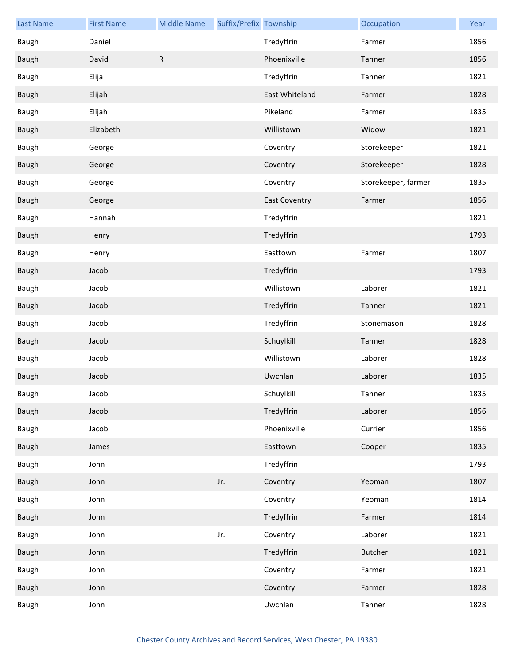| <b>Last Name</b> | <b>First Name</b> | <b>Middle Name</b> | Suffix/Prefix Township |                      | Occupation          | Year |
|------------------|-------------------|--------------------|------------------------|----------------------|---------------------|------|
| Baugh            | Daniel            |                    |                        | Tredyffrin           | Farmer              | 1856 |
| Baugh            | David             | ${\sf R}$          |                        | Phoenixville         | Tanner              | 1856 |
| Baugh            | Elija             |                    |                        | Tredyffrin           | Tanner              | 1821 |
| <b>Baugh</b>     | Elijah            |                    |                        | East Whiteland       | Farmer              | 1828 |
| Baugh            | Elijah            |                    |                        | Pikeland             | Farmer              | 1835 |
| Baugh            | Elizabeth         |                    |                        | Willistown           | Widow               | 1821 |
| Baugh            | George            |                    |                        | Coventry             | Storekeeper         | 1821 |
| Baugh            | George            |                    |                        | Coventry             | Storekeeper         | 1828 |
| Baugh            | George            |                    |                        | Coventry             | Storekeeper, farmer | 1835 |
| Baugh            | George            |                    |                        | <b>East Coventry</b> | Farmer              | 1856 |
| Baugh            | Hannah            |                    |                        | Tredyffrin           |                     | 1821 |
| <b>Baugh</b>     | Henry             |                    |                        | Tredyffrin           |                     | 1793 |
| Baugh            | Henry             |                    |                        | Easttown             | Farmer              | 1807 |
| Baugh            | Jacob             |                    |                        | Tredyffrin           |                     | 1793 |
| Baugh            | Jacob             |                    |                        | Willistown           | Laborer             | 1821 |
| Baugh            | Jacob             |                    |                        | Tredyffrin           | Tanner              | 1821 |
| Baugh            | Jacob             |                    |                        | Tredyffrin           | Stonemason          | 1828 |
| Baugh            | Jacob             |                    |                        | Schuylkill           | Tanner              | 1828 |
| Baugh            | Jacob             |                    |                        | Willistown           | Laborer             | 1828 |
| Baugh            | Jacob             |                    |                        | Uwchlan              | Laborer             | 1835 |
| Baugh            | Jacob             |                    |                        | Schuylkill           | Tanner              | 1835 |
| Baugh            | Jacob             |                    |                        | Tredyffrin           | Laborer             | 1856 |
| Baugh            | Jacob             |                    |                        | Phoenixville         | Currier             | 1856 |
| Baugh            | James             |                    |                        | Easttown             | Cooper              | 1835 |
| Baugh            | John              |                    |                        | Tredyffrin           |                     | 1793 |
| Baugh            | John              |                    | Jr.                    | Coventry             | Yeoman              | 1807 |
| Baugh            | John              |                    |                        | Coventry             | Yeoman              | 1814 |
| Baugh            | John              |                    |                        | Tredyffrin           | Farmer              | 1814 |
| Baugh            | John              |                    | Jr.                    | Coventry             | Laborer             | 1821 |
| Baugh            | John              |                    |                        | Tredyffrin           | <b>Butcher</b>      | 1821 |
| Baugh            | John              |                    |                        | Coventry             | Farmer              | 1821 |
| Baugh            | John              |                    |                        | Coventry             | Farmer              | 1828 |
| Baugh            | John              |                    |                        | Uwchlan              | Tanner              | 1828 |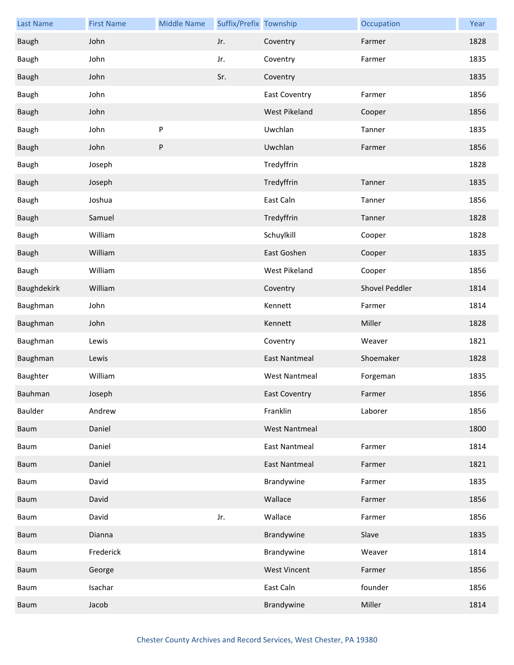| <b>Last Name</b> | <b>First Name</b> | <b>Middle Name</b> | Suffix/Prefix Township |                      | Occupation     | Year |
|------------------|-------------------|--------------------|------------------------|----------------------|----------------|------|
| Baugh            | John              |                    | Jr.                    | Coventry             | Farmer         | 1828 |
| Baugh            | John              |                    | Jr.                    | Coventry             | Farmer         | 1835 |
| Baugh            | John              |                    | Sr.                    | Coventry             |                | 1835 |
| Baugh            | John              |                    |                        | <b>East Coventry</b> | Farmer         | 1856 |
| Baugh            | John              |                    |                        | <b>West Pikeland</b> | Cooper         | 1856 |
| Baugh            | John              | ${\sf P}$          |                        | Uwchlan              | Tanner         | 1835 |
| Baugh            | John              | $\sf P$            |                        | Uwchlan              | Farmer         | 1856 |
| Baugh            | Joseph            |                    |                        | Tredyffrin           |                | 1828 |
| Baugh            | Joseph            |                    |                        | Tredyffrin           | Tanner         | 1835 |
| Baugh            | Joshua            |                    |                        | East Caln            | Tanner         | 1856 |
| Baugh            | Samuel            |                    |                        | Tredyffrin           | Tanner         | 1828 |
| Baugh            | William           |                    |                        | Schuylkill           | Cooper         | 1828 |
| <b>Baugh</b>     | William           |                    |                        | East Goshen          | Cooper         | 1835 |
| Baugh            | William           |                    |                        | West Pikeland        | Cooper         | 1856 |
| Baughdekirk      | William           |                    |                        | Coventry             | Shovel Peddler | 1814 |
| Baughman         | John              |                    |                        | Kennett              | Farmer         | 1814 |
| Baughman         | John              |                    |                        | Kennett              | Miller         | 1828 |
| Baughman         | Lewis             |                    |                        | Coventry             | Weaver         | 1821 |
| Baughman         | Lewis             |                    |                        | <b>East Nantmeal</b> | Shoemaker      | 1828 |
| Baughter         | William           |                    |                        | <b>West Nantmeal</b> | Forgeman       | 1835 |
| Bauhman          | Joseph            |                    |                        | <b>East Coventry</b> | Farmer         | 1856 |
| Baulder          | Andrew            |                    |                        | Franklin             | Laborer        | 1856 |
| Baum             | Daniel            |                    |                        | <b>West Nantmeal</b> |                | 1800 |
| Baum             | Daniel            |                    |                        | <b>East Nantmeal</b> | Farmer         | 1814 |
| Baum             | Daniel            |                    |                        | <b>East Nantmeal</b> | Farmer         | 1821 |
| Baum             | David             |                    |                        | Brandywine           | Farmer         | 1835 |
| Baum             | David             |                    |                        | Wallace              | Farmer         | 1856 |
| Baum             | David             |                    | Jr.                    | Wallace              | Farmer         | 1856 |
| Baum             | Dianna            |                    |                        | Brandywine           | Slave          | 1835 |
| Baum             | Frederick         |                    |                        | Brandywine           | Weaver         | 1814 |
| Baum             | George            |                    |                        | <b>West Vincent</b>  | Farmer         | 1856 |
| Baum             | Isachar           |                    |                        | East Caln            | founder        | 1856 |
| Baum             | Jacob             |                    |                        | Brandywine           | Miller         | 1814 |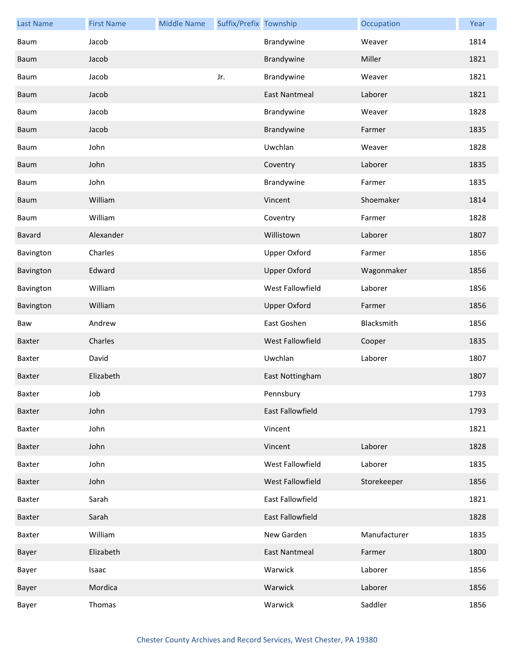| <b>Last Name</b> | <b>First Name</b> | <b>Middle Name</b> | Suffix/Prefix Township |                      | Occupation   | Year |
|------------------|-------------------|--------------------|------------------------|----------------------|--------------|------|
| Baum             | Jacob             |                    |                        | Brandywine           | Weaver       | 1814 |
| Baum             | Jacob             |                    |                        | Brandywine           | Miller       | 1821 |
| Baum             | Jacob             |                    | Jr.                    | Brandywine           | Weaver       | 1821 |
| Baum             | Jacob             |                    |                        | <b>East Nantmeal</b> | Laborer      | 1821 |
| Baum             | Jacob             |                    |                        | Brandywine           | Weaver       | 1828 |
| Baum             | Jacob             |                    |                        | Brandywine           | Farmer       | 1835 |
| Baum             | John              |                    |                        | Uwchlan              | Weaver       | 1828 |
| Baum             | John              |                    |                        | Coventry             | Laborer      | 1835 |
| Baum             | John              |                    |                        | Brandywine           | Farmer       | 1835 |
| Baum             | William           |                    |                        | Vincent              | Shoemaker    | 1814 |
| Baum             | William           |                    |                        | Coventry             | Farmer       | 1828 |
| Bavard           | Alexander         |                    |                        | Willistown           | Laborer      | 1807 |
| Bavington        | Charles           |                    |                        | <b>Upper Oxford</b>  | Farmer       | 1856 |
| Bavington        | Edward            |                    |                        | <b>Upper Oxford</b>  | Wagonmaker   | 1856 |
| Bavington        | William           |                    |                        | West Fallowfield     | Laborer      | 1856 |
| Bavington        | William           |                    |                        | <b>Upper Oxford</b>  | Farmer       | 1856 |
| Baw              | Andrew            |                    |                        | East Goshen          | Blacksmith   | 1856 |
| Baxter           | Charles           |                    |                        | West Fallowfield     | Cooper       | 1835 |
| Baxter           | David             |                    |                        | Uwchlan              | Laborer      | 1807 |
| Baxter           | Elizabeth         |                    |                        | East Nottingham      |              | 1807 |
| Baxter           | Job               |                    |                        | Pennsbury            |              | 1793 |
| Baxter           | John              |                    |                        | East Fallowfield     |              | 1793 |
| Baxter           | John              |                    |                        | Vincent              |              | 1821 |
| Baxter           | John              |                    |                        | Vincent              | Laborer      | 1828 |
| Baxter           | John              |                    |                        | West Fallowfield     | Laborer      | 1835 |
| Baxter           | John              |                    |                        | West Fallowfield     | Storekeeper  | 1856 |
| Baxter           | Sarah             |                    |                        | East Fallowfield     |              | 1821 |
| Baxter           | Sarah             |                    |                        | East Fallowfield     |              | 1828 |
| Baxter           | William           |                    |                        | New Garden           | Manufacturer | 1835 |
| Bayer            | Elizabeth         |                    |                        | <b>East Nantmeal</b> | Farmer       | 1800 |
| Bayer            | Isaac             |                    |                        | Warwick              | Laborer      | 1856 |
| Bayer            | Mordica           |                    |                        | Warwick              | Laborer      | 1856 |
| Bayer            | Thomas            |                    |                        | Warwick              | Saddler      | 1856 |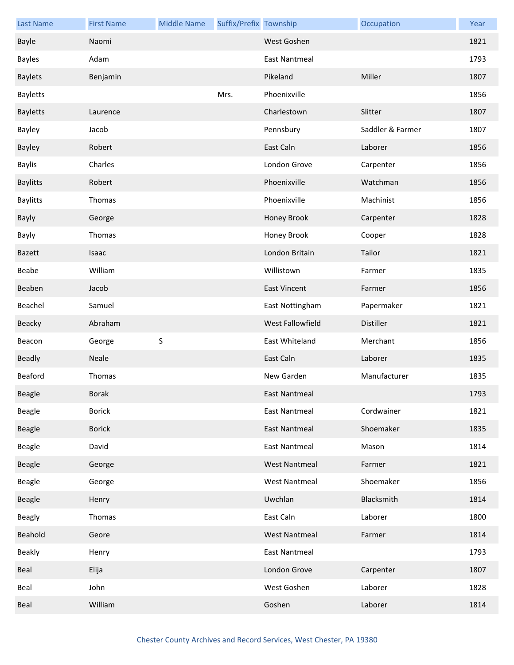| <b>Last Name</b> | <b>First Name</b> | <b>Middle Name</b> | Suffix/Prefix Township |                         | Occupation       | Year |
|------------------|-------------------|--------------------|------------------------|-------------------------|------------------|------|
| Bayle            | Naomi             |                    |                        | West Goshen             |                  | 1821 |
| <b>Bayles</b>    | Adam              |                    |                        | East Nantmeal           |                  | 1793 |
| <b>Baylets</b>   | Benjamin          |                    |                        | Pikeland                | Miller           | 1807 |
| <b>Bayletts</b>  |                   |                    | Mrs.                   | Phoenixville            |                  | 1856 |
| <b>Bayletts</b>  | Laurence          |                    |                        | Charlestown             | Slitter          | 1807 |
| Bayley           | Jacob             |                    |                        | Pennsbury               | Saddler & Farmer | 1807 |
| Bayley           | Robert            |                    |                        | East Caln               | Laborer          | 1856 |
| <b>Baylis</b>    | Charles           |                    |                        | London Grove            | Carpenter        | 1856 |
| <b>Baylitts</b>  | Robert            |                    |                        | Phoenixville            | Watchman         | 1856 |
| <b>Baylitts</b>  | Thomas            |                    |                        | Phoenixville            | Machinist        | 1856 |
| Bayly            | George            |                    |                        | Honey Brook             | Carpenter        | 1828 |
| Bayly            | Thomas            |                    |                        | Honey Brook             | Cooper           | 1828 |
| Bazett           | Isaac             |                    |                        | London Britain          | Tailor           | 1821 |
| Beabe            | William           |                    |                        | Willistown              | Farmer           | 1835 |
| Beaben           | Jacob             |                    |                        | <b>East Vincent</b>     | Farmer           | 1856 |
| Beachel          | Samuel            |                    |                        | East Nottingham         | Papermaker       | 1821 |
| Beacky           | Abraham           |                    |                        | <b>West Fallowfield</b> | Distiller        | 1821 |
| Beacon           | George            | $\sf S$            |                        | East Whiteland          | Merchant         | 1856 |
| <b>Beadly</b>    | Neale             |                    |                        | East Caln               | Laborer          | 1835 |
| Beaford          | Thomas            |                    |                        | New Garden              | Manufacturer     | 1835 |
| <b>Beagle</b>    | <b>Borak</b>      |                    |                        | East Nantmeal           |                  | 1793 |
| Beagle           | <b>Borick</b>     |                    |                        | <b>East Nantmeal</b>    | Cordwainer       | 1821 |
| Beagle           | <b>Borick</b>     |                    |                        | <b>East Nantmeal</b>    | Shoemaker        | 1835 |
| Beagle           | David             |                    |                        | <b>East Nantmeal</b>    | Mason            | 1814 |
| Beagle           | George            |                    |                        | <b>West Nantmeal</b>    | Farmer           | 1821 |
| Beagle           | George            |                    |                        | <b>West Nantmeal</b>    | Shoemaker        | 1856 |
| Beagle           | Henry             |                    |                        | Uwchlan                 | Blacksmith       | 1814 |
| <b>Beagly</b>    | Thomas            |                    |                        | East Caln               | Laborer          | 1800 |
| Beahold          | Geore             |                    |                        | <b>West Nantmeal</b>    | Farmer           | 1814 |
| Beakly           | Henry             |                    |                        | East Nantmeal           |                  | 1793 |
| Beal             | Elija             |                    |                        | London Grove            | Carpenter        | 1807 |
| Beal             | John              |                    |                        | West Goshen             | Laborer          | 1828 |
| Beal             | William           |                    |                        | Goshen                  | Laborer          | 1814 |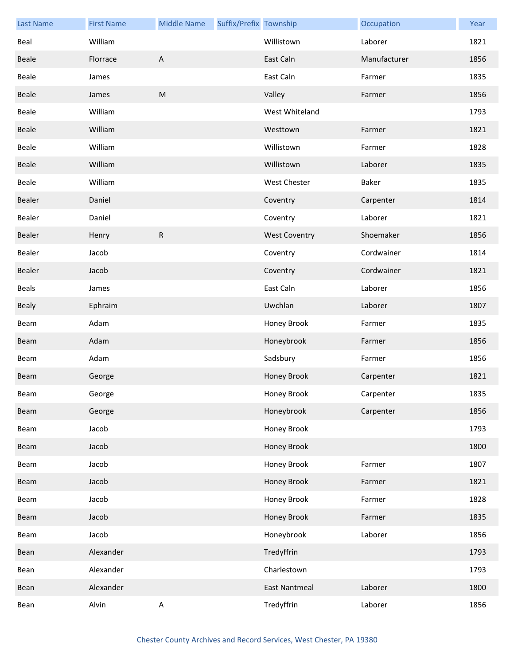| <b>Last Name</b> | <b>First Name</b> | <b>Middle Name</b>        | Suffix/Prefix Township |                      | Occupation   | Year |
|------------------|-------------------|---------------------------|------------------------|----------------------|--------------|------|
| Beal             | William           |                           |                        | Willistown           | Laborer      | 1821 |
| <b>Beale</b>     | Florrace          | $\boldsymbol{\mathsf{A}}$ |                        | East Caln            | Manufacturer | 1856 |
| Beale            | James             |                           |                        | East Caln            | Farmer       | 1835 |
| Beale            | James             | ${\sf M}$                 |                        | Valley               | Farmer       | 1856 |
| <b>Beale</b>     | William           |                           |                        | West Whiteland       |              | 1793 |
| Beale            | William           |                           |                        | Westtown             | Farmer       | 1821 |
| Beale            | William           |                           |                        | Willistown           | Farmer       | 1828 |
| Beale            | William           |                           |                        | Willistown           | Laborer      | 1835 |
| <b>Beale</b>     | William           |                           |                        | <b>West Chester</b>  | <b>Baker</b> | 1835 |
| Bealer           | Daniel            |                           |                        | Coventry             | Carpenter    | 1814 |
| Bealer           | Daniel            |                           |                        | Coventry             | Laborer      | 1821 |
| Bealer           | Henry             | ${\sf R}$                 |                        | <b>West Coventry</b> | Shoemaker    | 1856 |
| Bealer           | Jacob             |                           |                        | Coventry             | Cordwainer   | 1814 |
| Bealer           | Jacob             |                           |                        | Coventry             | Cordwainer   | 1821 |
| <b>Beals</b>     | James             |                           |                        | East Caln            | Laborer      | 1856 |
| <b>Bealy</b>     | Ephraim           |                           |                        | Uwchlan              | Laborer      | 1807 |
| Beam             | Adam              |                           |                        | Honey Brook          | Farmer       | 1835 |
| Beam             | Adam              |                           |                        | Honeybrook           | Farmer       | 1856 |
| Beam             | Adam              |                           |                        | Sadsbury             | Farmer       | 1856 |
| Beam             | George            |                           |                        | Honey Brook          | Carpenter    | 1821 |
| Beam             | George            |                           |                        | Honey Brook          | Carpenter    | 1835 |
| Beam             | George            |                           |                        | Honeybrook           | Carpenter    | 1856 |
| Beam             | Jacob             |                           |                        | Honey Brook          |              | 1793 |
| Beam             | Jacob             |                           |                        | Honey Brook          |              | 1800 |
| Beam             | Jacob             |                           |                        | Honey Brook          | Farmer       | 1807 |
| Beam             | Jacob             |                           |                        | Honey Brook          | Farmer       | 1821 |
| Beam             | Jacob             |                           |                        | Honey Brook          | Farmer       | 1828 |
| Beam             | Jacob             |                           |                        | Honey Brook          | Farmer       | 1835 |
| Beam             | Jacob             |                           |                        | Honeybrook           | Laborer      | 1856 |
| Bean             | Alexander         |                           |                        | Tredyffrin           |              | 1793 |
| Bean             | Alexander         |                           |                        | Charlestown          |              | 1793 |
| Bean             | Alexander         |                           |                        | <b>East Nantmeal</b> | Laborer      | 1800 |
| Bean             | Alvin             | $\mathsf A$               |                        | Tredyffrin           | Laborer      | 1856 |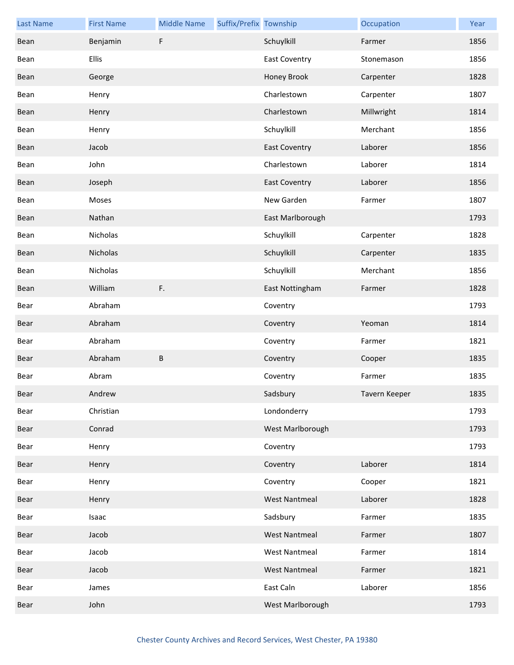| <b>Last Name</b> | <b>First Name</b> | <b>Middle Name</b> | Suffix/Prefix Township |                      | Occupation    | Year |
|------------------|-------------------|--------------------|------------------------|----------------------|---------------|------|
| Bean             | Benjamin          | F                  |                        | Schuylkill           | Farmer        | 1856 |
| Bean             | <b>Ellis</b>      |                    |                        | <b>East Coventry</b> | Stonemason    | 1856 |
| Bean             | George            |                    |                        | Honey Brook          | Carpenter     | 1828 |
| Bean             | Henry             |                    |                        | Charlestown          | Carpenter     | 1807 |
| Bean             | Henry             |                    |                        | Charlestown          | Millwright    | 1814 |
| Bean             | Henry             |                    |                        | Schuylkill           | Merchant      | 1856 |
| Bean             | Jacob             |                    |                        | <b>East Coventry</b> | Laborer       | 1856 |
| Bean             | John              |                    |                        | Charlestown          | Laborer       | 1814 |
| Bean             | Joseph            |                    |                        | <b>East Coventry</b> | Laborer       | 1856 |
| Bean             | Moses             |                    |                        | New Garden           | Farmer        | 1807 |
| Bean             | Nathan            |                    |                        | East Marlborough     |               | 1793 |
| Bean             | Nicholas          |                    |                        | Schuylkill           | Carpenter     | 1828 |
| Bean             | Nicholas          |                    |                        | Schuylkill           | Carpenter     | 1835 |
| Bean             | Nicholas          |                    |                        | Schuylkill           | Merchant      | 1856 |
| Bean             | William           | F.                 |                        | East Nottingham      | Farmer        | 1828 |
| Bear             | Abraham           |                    |                        | Coventry             |               | 1793 |
| Bear             | Abraham           |                    |                        | Coventry             | Yeoman        | 1814 |
| Bear             | Abraham           |                    |                        | Coventry             | Farmer        | 1821 |
| Bear             | Abraham           | B                  |                        | Coventry             | Cooper        | 1835 |
| Bear             | Abram             |                    |                        | Coventry             | Farmer        | 1835 |
| Bear             | Andrew            |                    |                        | Sadsbury             | Tavern Keeper | 1835 |
| Bear             | Christian         |                    |                        | Londonderry          |               | 1793 |
| Bear             | Conrad            |                    |                        | West Marlborough     |               | 1793 |
| Bear             | Henry             |                    |                        | Coventry             |               | 1793 |
| Bear             | Henry             |                    |                        | Coventry             | Laborer       | 1814 |
| Bear             | Henry             |                    |                        | Coventry             | Cooper        | 1821 |
| Bear             | Henry             |                    |                        | <b>West Nantmeal</b> | Laborer       | 1828 |
| Bear             | Isaac             |                    |                        | Sadsbury             | Farmer        | 1835 |
| Bear             | Jacob             |                    |                        | <b>West Nantmeal</b> | Farmer        | 1807 |
| Bear             | Jacob             |                    |                        | <b>West Nantmeal</b> | Farmer        | 1814 |
| Bear             | Jacob             |                    |                        | <b>West Nantmeal</b> | Farmer        | 1821 |
| Bear             | James             |                    |                        | East Caln            | Laborer       | 1856 |
| Bear             | John              |                    |                        | West Marlborough     |               | 1793 |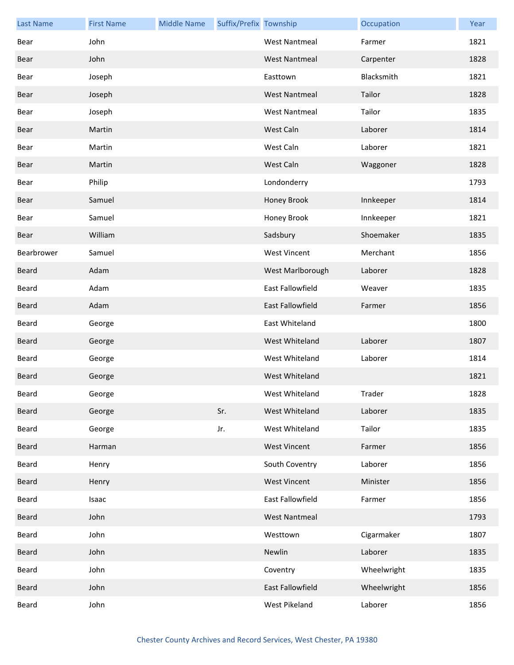| <b>Last Name</b> | <b>First Name</b> | <b>Middle Name</b> | Suffix/Prefix Township |                      | Occupation  | Year |
|------------------|-------------------|--------------------|------------------------|----------------------|-------------|------|
| Bear             | John              |                    |                        | <b>West Nantmeal</b> | Farmer      | 1821 |
| Bear             | John              |                    |                        | <b>West Nantmeal</b> | Carpenter   | 1828 |
| Bear             | Joseph            |                    |                        | Easttown             | Blacksmith  | 1821 |
| Bear             | Joseph            |                    |                        | <b>West Nantmeal</b> | Tailor      | 1828 |
| Bear             | Joseph            |                    |                        | <b>West Nantmeal</b> | Tailor      | 1835 |
| Bear             | Martin            |                    |                        | West Caln            | Laborer     | 1814 |
| Bear             | Martin            |                    |                        | West Caln            | Laborer     | 1821 |
| Bear             | Martin            |                    |                        | West Caln            | Waggoner    | 1828 |
| Bear             | Philip            |                    |                        | Londonderry          |             | 1793 |
| Bear             | Samuel            |                    |                        | Honey Brook          | Innkeeper   | 1814 |
| Bear             | Samuel            |                    |                        | Honey Brook          | Innkeeper   | 1821 |
| Bear             | William           |                    |                        | Sadsbury             | Shoemaker   | 1835 |
| Bearbrower       | Samuel            |                    |                        | <b>West Vincent</b>  | Merchant    | 1856 |
| Beard            | Adam              |                    |                        | West Marlborough     | Laborer     | 1828 |
| Beard            | Adam              |                    |                        | East Fallowfield     | Weaver      | 1835 |
| Beard            | Adam              |                    |                        | East Fallowfield     | Farmer      | 1856 |
| Beard            | George            |                    |                        | East Whiteland       |             | 1800 |
| Beard            | George            |                    |                        | West Whiteland       | Laborer     | 1807 |
| Beard            | George            |                    |                        | West Whiteland       | Laborer     | 1814 |
| <b>Beard</b>     | George            |                    |                        | West Whiteland       |             | 1821 |
| Beard            | George            |                    |                        | West Whiteland       | Trader      | 1828 |
| Beard            | George            |                    | Sr.                    | West Whiteland       | Laborer     | 1835 |
| Beard            | George            |                    | Jr.                    | West Whiteland       | Tailor      | 1835 |
| Beard            | Harman            |                    |                        | <b>West Vincent</b>  | Farmer      | 1856 |
| Beard            | Henry             |                    |                        | South Coventry       | Laborer     | 1856 |
| Beard            | Henry             |                    |                        | <b>West Vincent</b>  | Minister    | 1856 |
| Beard            | Isaac             |                    |                        | East Fallowfield     | Farmer      | 1856 |
| Beard            | John              |                    |                        | <b>West Nantmeal</b> |             | 1793 |
| Beard            | John              |                    |                        | Westtown             | Cigarmaker  | 1807 |
| Beard            | John              |                    |                        | Newlin               | Laborer     | 1835 |
| Beard            | John              |                    |                        | Coventry             | Wheelwright | 1835 |
| Beard            | John              |                    |                        | East Fallowfield     | Wheelwright | 1856 |
| Beard            | John              |                    |                        | West Pikeland        | Laborer     | 1856 |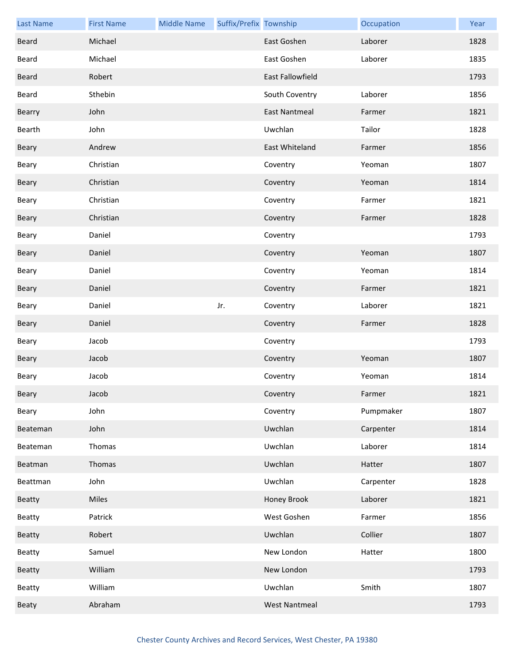| <b>Last Name</b> | <b>First Name</b> | <b>Middle Name</b> | Suffix/Prefix Township |                      | Occupation | Year |
|------------------|-------------------|--------------------|------------------------|----------------------|------------|------|
| Beard            | Michael           |                    |                        | East Goshen          | Laborer    | 1828 |
| Beard            | Michael           |                    |                        | East Goshen          | Laborer    | 1835 |
| Beard            | Robert            |                    |                        | East Fallowfield     |            | 1793 |
| Beard            | Sthebin           |                    |                        | South Coventry       | Laborer    | 1856 |
| Bearry           | John              |                    |                        | <b>East Nantmeal</b> | Farmer     | 1821 |
| Bearth           | John              |                    |                        | Uwchlan              | Tailor     | 1828 |
| Beary            | Andrew            |                    |                        | East Whiteland       | Farmer     | 1856 |
| Beary            | Christian         |                    |                        | Coventry             | Yeoman     | 1807 |
| Beary            | Christian         |                    |                        | Coventry             | Yeoman     | 1814 |
| Beary            | Christian         |                    |                        | Coventry             | Farmer     | 1821 |
| Beary            | Christian         |                    |                        | Coventry             | Farmer     | 1828 |
| Beary            | Daniel            |                    |                        | Coventry             |            | 1793 |
| Beary            | Daniel            |                    |                        | Coventry             | Yeoman     | 1807 |
| Beary            | Daniel            |                    |                        | Coventry             | Yeoman     | 1814 |
| Beary            | Daniel            |                    |                        | Coventry             | Farmer     | 1821 |
| Beary            | Daniel            |                    | Jr.                    | Coventry             | Laborer    | 1821 |
| Beary            | Daniel            |                    |                        | Coventry             | Farmer     | 1828 |
| Beary            | Jacob             |                    |                        | Coventry             |            | 1793 |
| Beary            | Jacob             |                    |                        | Coventry             | Yeoman     | 1807 |
| Beary            | Jacob             |                    |                        | Coventry             | Yeoman     | 1814 |
| Beary            | Jacob             |                    |                        | Coventry             | Farmer     | 1821 |
| Beary            | John              |                    |                        | Coventry             | Pumpmaker  | 1807 |
| Beateman         | John              |                    |                        | Uwchlan              | Carpenter  | 1814 |
| Beateman         | Thomas            |                    |                        | Uwchlan              | Laborer    | 1814 |
| Beatman          | Thomas            |                    |                        | Uwchlan              | Hatter     | 1807 |
| Beattman         | John              |                    |                        | Uwchlan              | Carpenter  | 1828 |
| <b>Beatty</b>    | Miles             |                    |                        | Honey Brook          | Laborer    | 1821 |
| Beatty           | Patrick           |                    |                        | West Goshen          | Farmer     | 1856 |
| Beatty           | Robert            |                    |                        | Uwchlan              | Collier    | 1807 |
| Beatty           | Samuel            |                    |                        | New London           | Hatter     | 1800 |
| <b>Beatty</b>    | William           |                    |                        | New London           |            | 1793 |
| Beatty           | William           |                    |                        | Uwchlan              | Smith      | 1807 |
| Beaty            | Abraham           |                    |                        | <b>West Nantmeal</b> |            | 1793 |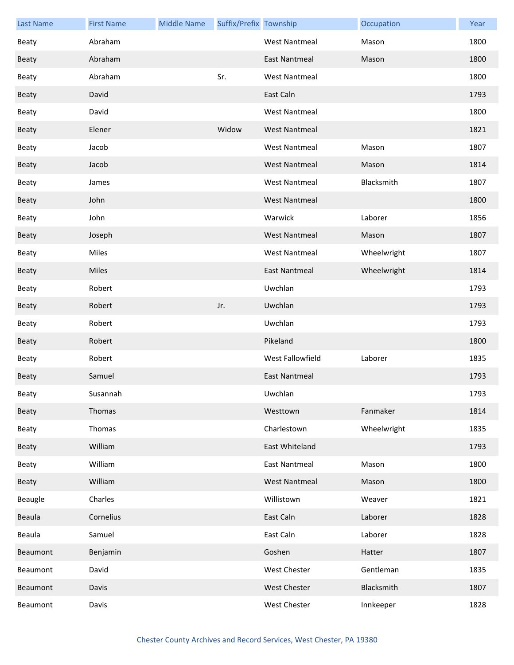| <b>Last Name</b> | <b>First Name</b> | <b>Middle Name</b> | Suffix/Prefix Township |                      | Occupation  | Year |
|------------------|-------------------|--------------------|------------------------|----------------------|-------------|------|
| Beaty            | Abraham           |                    |                        | <b>West Nantmeal</b> | Mason       | 1800 |
| <b>Beaty</b>     | Abraham           |                    |                        | <b>East Nantmeal</b> | Mason       | 1800 |
| <b>Beaty</b>     | Abraham           |                    | Sr.                    | <b>West Nantmeal</b> |             | 1800 |
| <b>Beaty</b>     | David             |                    |                        | East Caln            |             | 1793 |
| Beaty            | David             |                    |                        | <b>West Nantmeal</b> |             | 1800 |
| Beaty            | Elener            |                    | Widow                  | <b>West Nantmeal</b> |             | 1821 |
| <b>Beaty</b>     | Jacob             |                    |                        | <b>West Nantmeal</b> | Mason       | 1807 |
| <b>Beaty</b>     | Jacob             |                    |                        | <b>West Nantmeal</b> | Mason       | 1814 |
| Beaty            | James             |                    |                        | <b>West Nantmeal</b> | Blacksmith  | 1807 |
| Beaty            | John              |                    |                        | <b>West Nantmeal</b> |             | 1800 |
| Beaty            | John              |                    |                        | Warwick              | Laborer     | 1856 |
| <b>Beaty</b>     | Joseph            |                    |                        | <b>West Nantmeal</b> | Mason       | 1807 |
| Beaty            | Miles             |                    |                        | <b>West Nantmeal</b> | Wheelwright | 1807 |
| Beaty            | Miles             |                    |                        | <b>East Nantmeal</b> | Wheelwright | 1814 |
| Beaty            | Robert            |                    |                        | Uwchlan              |             | 1793 |
| Beaty            | Robert            |                    | Jr.                    | Uwchlan              |             | 1793 |
| Beaty            | Robert            |                    |                        | Uwchlan              |             | 1793 |
| Beaty            | Robert            |                    |                        | Pikeland             |             | 1800 |
| <b>Beaty</b>     | Robert            |                    |                        | West Fallowfield     | Laborer     | 1835 |
| <b>Beaty</b>     | Samuel            |                    |                        | <b>East Nantmeal</b> |             | 1793 |
| Beaty            | Susannah          |                    |                        | Uwchlan              |             | 1793 |
| Beaty            | Thomas            |                    |                        | Westtown             | Fanmaker    | 1814 |
| Beaty            | Thomas            |                    |                        | Charlestown          | Wheelwright | 1835 |
| <b>Beaty</b>     | William           |                    |                        | East Whiteland       |             | 1793 |
| Beaty            | William           |                    |                        | <b>East Nantmeal</b> | Mason       | 1800 |
| Beaty            | William           |                    |                        | <b>West Nantmeal</b> | Mason       | 1800 |
| Beaugle          | Charles           |                    |                        | Willistown           | Weaver      | 1821 |
| Beaula           | Cornelius         |                    |                        | East Caln            | Laborer     | 1828 |
| Beaula           | Samuel            |                    |                        | East Caln            | Laborer     | 1828 |
| Beaumont         | Benjamin          |                    |                        | Goshen               | Hatter      | 1807 |
| Beaumont         | David             |                    |                        | West Chester         | Gentleman   | 1835 |
| Beaumont         | Davis             |                    |                        | West Chester         | Blacksmith  | 1807 |
| Beaumont         | Davis             |                    |                        | West Chester         | Innkeeper   | 1828 |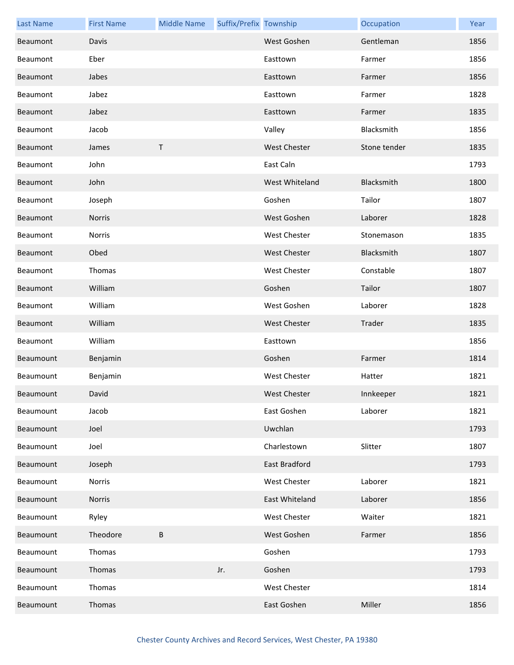| <b>Last Name</b> | <b>First Name</b> | <b>Middle Name</b> | Suffix/Prefix Township |                      | Occupation   | Year |
|------------------|-------------------|--------------------|------------------------|----------------------|--------------|------|
| Beaumont         | Davis             |                    |                        | West Goshen          | Gentleman    | 1856 |
| Beaumont         | Eber              |                    |                        | Easttown             | Farmer       | 1856 |
| Beaumont         | Jabes             |                    |                        | Easttown             | Farmer       | 1856 |
| Beaumont         | Jabez             |                    |                        | Easttown             | Farmer       | 1828 |
| Beaumont         | Jabez             |                    |                        | Easttown             | Farmer       | 1835 |
| Beaumont         | Jacob             |                    |                        | Valley               | Blacksmith   | 1856 |
| Beaumont         | James             | T                  |                        | <b>West Chester</b>  | Stone tender | 1835 |
| Beaumont         | John              |                    |                        | East Caln            |              | 1793 |
| Beaumont         | John              |                    |                        | West Whiteland       | Blacksmith   | 1800 |
| Beaumont         | Joseph            |                    |                        | Goshen               | Tailor       | 1807 |
| Beaumont         | Norris            |                    |                        | West Goshen          | Laborer      | 1828 |
| Beaumont         | Norris            |                    |                        | <b>West Chester</b>  | Stonemason   | 1835 |
| Beaumont         | Obed              |                    |                        | <b>West Chester</b>  | Blacksmith   | 1807 |
| Beaumont         | Thomas            |                    |                        | West Chester         | Constable    | 1807 |
| Beaumont         | William           |                    |                        | Goshen               | Tailor       | 1807 |
| Beaumont         | William           |                    |                        | West Goshen          | Laborer      | 1828 |
| Beaumont         | William           |                    |                        | <b>West Chester</b>  | Trader       | 1835 |
| Beaumont         | William           |                    |                        | Easttown             |              | 1856 |
| Beaumount        | Benjamin          |                    |                        | Goshen               | Farmer       | 1814 |
| Beaumount        | Benjamin          |                    |                        | <b>West Chester</b>  | Hatter       | 1821 |
| Beaumount        | David             |                    |                        | West Chester         | Innkeeper    | 1821 |
| Beaumount        | Jacob             |                    |                        | East Goshen          | Laborer      | 1821 |
| Beaumount        | Joel              |                    |                        | Uwchlan              |              | 1793 |
| Beaumount        | Joel              |                    |                        | Charlestown          | Slitter      | 1807 |
| Beaumount        | Joseph            |                    |                        | <b>East Bradford</b> |              | 1793 |
| Beaumount        | <b>Norris</b>     |                    |                        | West Chester         | Laborer      | 1821 |
| Beaumount        | Norris            |                    |                        | East Whiteland       | Laborer      | 1856 |
| Beaumount        | Ryley             |                    |                        | <b>West Chester</b>  | Waiter       | 1821 |
| Beaumount        | Theodore          | B                  |                        | West Goshen          | Farmer       | 1856 |
| Beaumount        | Thomas            |                    |                        | Goshen               |              | 1793 |
| Beaumount        | Thomas            |                    | Jr.                    | Goshen               |              | 1793 |
| Beaumount        | Thomas            |                    |                        | West Chester         |              | 1814 |
| Beaumount        | Thomas            |                    |                        | East Goshen          | Miller       | 1856 |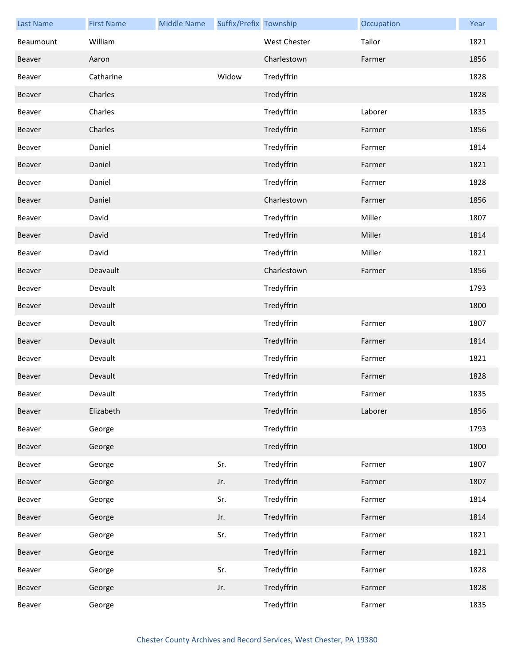| <b>Last Name</b> | <b>First Name</b> | <b>Middle Name</b> | Suffix/Prefix Township |                     | Occupation | Year |
|------------------|-------------------|--------------------|------------------------|---------------------|------------|------|
| Beaumount        | William           |                    |                        | <b>West Chester</b> | Tailor     | 1821 |
| Beaver           | Aaron             |                    |                        | Charlestown         | Farmer     | 1856 |
| Beaver           | Catharine         |                    | Widow                  | Tredyffrin          |            | 1828 |
| Beaver           | Charles           |                    |                        | Tredyffrin          |            | 1828 |
| Beaver           | Charles           |                    |                        | Tredyffrin          | Laborer    | 1835 |
| Beaver           | Charles           |                    |                        | Tredyffrin          | Farmer     | 1856 |
| Beaver           | Daniel            |                    |                        | Tredyffrin          | Farmer     | 1814 |
| Beaver           | Daniel            |                    |                        | Tredyffrin          | Farmer     | 1821 |
| Beaver           | Daniel            |                    |                        | Tredyffrin          | Farmer     | 1828 |
| Beaver           | Daniel            |                    |                        | Charlestown         | Farmer     | 1856 |
| Beaver           | David             |                    |                        | Tredyffrin          | Miller     | 1807 |
| Beaver           | David             |                    |                        | Tredyffrin          | Miller     | 1814 |
| Beaver           | David             |                    |                        | Tredyffrin          | Miller     | 1821 |
| Beaver           | Deavault          |                    |                        | Charlestown         | Farmer     | 1856 |
| Beaver           | Devault           |                    |                        | Tredyffrin          |            | 1793 |
| Beaver           | Devault           |                    |                        | Tredyffrin          |            | 1800 |
| Beaver           | Devault           |                    |                        | Tredyffrin          | Farmer     | 1807 |
| Beaver           | Devault           |                    |                        | Tredyffrin          | Farmer     | 1814 |
| Beaver           | Devault           |                    |                        | Tredyffrin          | Farmer     | 1821 |
| Beaver           | Devault           |                    |                        | Tredyffrin          | Farmer     | 1828 |
| Beaver           | Devault           |                    |                        | Tredyffrin          | Farmer     | 1835 |
| Beaver           | Elizabeth         |                    |                        | Tredyffrin          | Laborer    | 1856 |
| Beaver           | George            |                    |                        | Tredyffrin          |            | 1793 |
| Beaver           | George            |                    |                        | Tredyffrin          |            | 1800 |
| Beaver           | George            |                    | Sr.                    | Tredyffrin          | Farmer     | 1807 |
| Beaver           | George            |                    | Jr.                    | Tredyffrin          | Farmer     | 1807 |
| Beaver           | George            |                    | Sr.                    | Tredyffrin          | Farmer     | 1814 |
| Beaver           | George            |                    | Jr.                    | Tredyffrin          | Farmer     | 1814 |
| Beaver           | George            |                    | Sr.                    | Tredyffrin          | Farmer     | 1821 |
| Beaver           | George            |                    |                        | Tredyffrin          | Farmer     | 1821 |
| Beaver           | George            |                    | Sr.                    | Tredyffrin          | Farmer     | 1828 |
| Beaver           | George            |                    | Jr.                    | Tredyffrin          | Farmer     | 1828 |
| Beaver           | George            |                    |                        | Tredyffrin          | Farmer     | 1835 |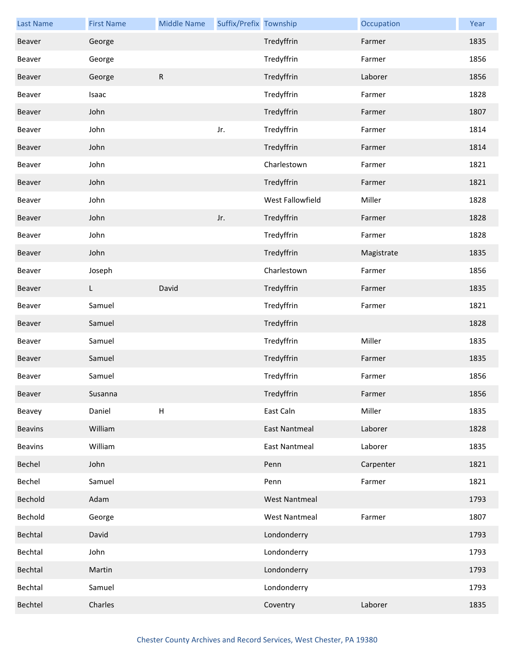| <b>Last Name</b> | <b>First Name</b> | <b>Middle Name</b> | Suffix/Prefix Township |                      | Occupation | Year |
|------------------|-------------------|--------------------|------------------------|----------------------|------------|------|
| Beaver           | George            |                    |                        | Tredyffrin           | Farmer     | 1835 |
| Beaver           | George            |                    |                        | Tredyffrin           | Farmer     | 1856 |
| Beaver           | George            | ${\sf R}$          |                        | Tredyffrin           | Laborer    | 1856 |
| Beaver           | Isaac             |                    |                        | Tredyffrin           | Farmer     | 1828 |
| Beaver           | John              |                    |                        | Tredyffrin           | Farmer     | 1807 |
| Beaver           | John              |                    | Jr.                    | Tredyffrin           | Farmer     | 1814 |
| Beaver           | John              |                    |                        | Tredyffrin           | Farmer     | 1814 |
| Beaver           | John              |                    |                        | Charlestown          | Farmer     | 1821 |
| Beaver           | John              |                    |                        | Tredyffrin           | Farmer     | 1821 |
| Beaver           | John              |                    |                        | West Fallowfield     | Miller     | 1828 |
| Beaver           | John              |                    | Jr.                    | Tredyffrin           | Farmer     | 1828 |
| Beaver           | John              |                    |                        | Tredyffrin           | Farmer     | 1828 |
| Beaver           | John              |                    |                        | Tredyffrin           | Magistrate | 1835 |
| Beaver           | Joseph            |                    |                        | Charlestown          | Farmer     | 1856 |
| Beaver           | L.                | David              |                        | Tredyffrin           | Farmer     | 1835 |
| Beaver           | Samuel            |                    |                        | Tredyffrin           | Farmer     | 1821 |
| Beaver           | Samuel            |                    |                        | Tredyffrin           |            | 1828 |
| Beaver           | Samuel            |                    |                        | Tredyffrin           | Miller     | 1835 |
| Beaver           | Samuel            |                    |                        | Tredyffrin           | Farmer     | 1835 |
| Beaver           | Samuel            |                    |                        | Tredyffrin           | Farmer     | 1856 |
| Beaver           | Susanna           |                    |                        | Tredyffrin           | Farmer     | 1856 |
| Beavey           | Daniel            | H                  |                        | East Caln            | Miller     | 1835 |
| <b>Beavins</b>   | William           |                    |                        | <b>East Nantmeal</b> | Laborer    | 1828 |
| <b>Beavins</b>   | William           |                    |                        | East Nantmeal        | Laborer    | 1835 |
| Bechel           | John              |                    |                        | Penn                 | Carpenter  | 1821 |
| Bechel           | Samuel            |                    |                        | Penn                 | Farmer     | 1821 |
| Bechold          | Adam              |                    |                        | <b>West Nantmeal</b> |            | 1793 |
| Bechold          | George            |                    |                        | <b>West Nantmeal</b> | Farmer     | 1807 |
| Bechtal          | David             |                    |                        | Londonderry          |            | 1793 |
| Bechtal          | John              |                    |                        | Londonderry          |            | 1793 |
| Bechtal          | Martin            |                    |                        | Londonderry          |            | 1793 |
| Bechtal          | Samuel            |                    |                        | Londonderry          |            | 1793 |
| Bechtel          | Charles           |                    |                        | Coventry             | Laborer    | 1835 |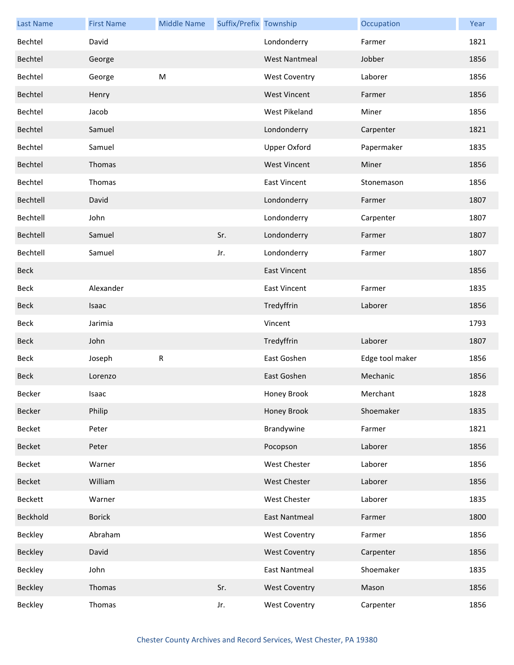| <b>Last Name</b> | <b>First Name</b> | <b>Middle Name</b> | Suffix/Prefix Township |                      | Occupation      | Year |
|------------------|-------------------|--------------------|------------------------|----------------------|-----------------|------|
| Bechtel          | David             |                    |                        | Londonderry          | Farmer          | 1821 |
| Bechtel          | George            |                    |                        | <b>West Nantmeal</b> | Jobber          | 1856 |
| Bechtel          | George            | M                  |                        | <b>West Coventry</b> | Laborer         | 1856 |
| Bechtel          | Henry             |                    |                        | <b>West Vincent</b>  | Farmer          | 1856 |
| Bechtel          | Jacob             |                    |                        | West Pikeland        | Miner           | 1856 |
| Bechtel          | Samuel            |                    |                        | Londonderry          | Carpenter       | 1821 |
| Bechtel          | Samuel            |                    |                        | <b>Upper Oxford</b>  | Papermaker      | 1835 |
| Bechtel          | Thomas            |                    |                        | <b>West Vincent</b>  | Miner           | 1856 |
| Bechtel          | Thomas            |                    |                        | <b>East Vincent</b>  | Stonemason      | 1856 |
| Bechtell         | David             |                    |                        | Londonderry          | Farmer          | 1807 |
| Bechtell         | John              |                    |                        | Londonderry          | Carpenter       | 1807 |
| Bechtell         | Samuel            |                    | Sr.                    | Londonderry          | Farmer          | 1807 |
| Bechtell         | Samuel            |                    | Jr.                    | Londonderry          | Farmer          | 1807 |
| Beck             |                   |                    |                        | <b>East Vincent</b>  |                 | 1856 |
| Beck             | Alexander         |                    |                        | <b>East Vincent</b>  | Farmer          | 1835 |
| <b>Beck</b>      | Isaac             |                    |                        | Tredyffrin           | Laborer         | 1856 |
| Beck             | Jarimia           |                    |                        | Vincent              |                 | 1793 |
| Beck             | John              |                    |                        | Tredyffrin           | Laborer         | 1807 |
| Beck             | Joseph            | R                  |                        | East Goshen          | Edge tool maker | 1856 |
| <b>Beck</b>      | Lorenzo           |                    |                        | East Goshen          | Mechanic        | 1856 |
| Becker           | Isaac             |                    |                        | Honey Brook          | Merchant        | 1828 |
| Becker           | Philip            |                    |                        | Honey Brook          | Shoemaker       | 1835 |
| Becket           | Peter             |                    |                        | Brandywine           | Farmer          | 1821 |
| Becket           | Peter             |                    |                        | Pocopson             | Laborer         | 1856 |
| Becket           | Warner            |                    |                        | <b>West Chester</b>  | Laborer         | 1856 |
| <b>Becket</b>    | William           |                    |                        | West Chester         | Laborer         | 1856 |
| Beckett          | Warner            |                    |                        | West Chester         | Laborer         | 1835 |
| Beckhold         | <b>Borick</b>     |                    |                        | <b>East Nantmeal</b> | Farmer          | 1800 |
| Beckley          | Abraham           |                    |                        | <b>West Coventry</b> | Farmer          | 1856 |
| Beckley          | David             |                    |                        | <b>West Coventry</b> | Carpenter       | 1856 |
| Beckley          | John              |                    |                        | <b>East Nantmeal</b> | Shoemaker       | 1835 |
| Beckley          | Thomas            |                    | Sr.                    | <b>West Coventry</b> | Mason           | 1856 |
| Beckley          | Thomas            |                    | Jr.                    | <b>West Coventry</b> | Carpenter       | 1856 |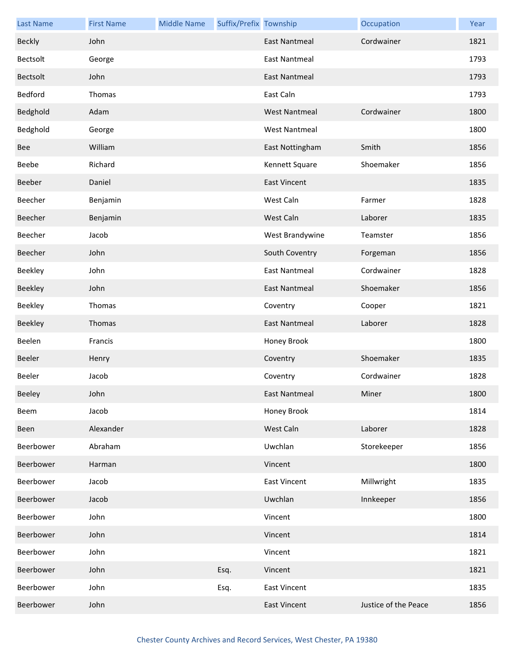| <b>Last Name</b> | <b>First Name</b> | <b>Middle Name</b> | Suffix/Prefix Township |                      | Occupation           | Year |
|------------------|-------------------|--------------------|------------------------|----------------------|----------------------|------|
| <b>Beckly</b>    | John              |                    |                        | <b>East Nantmeal</b> | Cordwainer           | 1821 |
| Bectsolt         | George            |                    |                        | East Nantmeal        |                      | 1793 |
| <b>Bectsolt</b>  | John              |                    |                        | <b>East Nantmeal</b> |                      | 1793 |
| Bedford          | Thomas            |                    |                        | East Caln            |                      | 1793 |
| Bedghold         | Adam              |                    |                        | <b>West Nantmeal</b> | Cordwainer           | 1800 |
| Bedghold         | George            |                    |                        | <b>West Nantmeal</b> |                      | 1800 |
| Bee              | William           |                    |                        | East Nottingham      | Smith                | 1856 |
| Beebe            | Richard           |                    |                        | Kennett Square       | Shoemaker            | 1856 |
| Beeber           | Daniel            |                    |                        | <b>East Vincent</b>  |                      | 1835 |
| Beecher          | Benjamin          |                    |                        | West Caln            | Farmer               | 1828 |
| Beecher          | Benjamin          |                    |                        | West Caln            | Laborer              | 1835 |
| Beecher          | Jacob             |                    |                        | West Brandywine      | Teamster             | 1856 |
| Beecher          | John              |                    |                        | South Coventry       | Forgeman             | 1856 |
| Beekley          | John              |                    |                        | <b>East Nantmeal</b> | Cordwainer           | 1828 |
| Beekley          | John              |                    |                        | East Nantmeal        | Shoemaker            | 1856 |
| Beekley          | Thomas            |                    |                        | Coventry             | Cooper               | 1821 |
| Beekley          | Thomas            |                    |                        | <b>East Nantmeal</b> | Laborer              | 1828 |
| Beelen           | Francis           |                    |                        | Honey Brook          |                      | 1800 |
| Beeler           | Henry             |                    |                        | Coventry             | Shoemaker            | 1835 |
| Beeler           | Jacob             |                    |                        | Coventry             | Cordwainer           | 1828 |
| Beeley           | John              |                    |                        | East Nantmeal        | Miner                | 1800 |
| Beem             | Jacob             |                    |                        | Honey Brook          |                      | 1814 |
| Been             | Alexander         |                    |                        | West Caln            | Laborer              | 1828 |
| Beerbower        | Abraham           |                    |                        | Uwchlan              | Storekeeper          | 1856 |
| Beerbower        | Harman            |                    |                        | Vincent              |                      | 1800 |
| Beerbower        | Jacob             |                    |                        | <b>East Vincent</b>  | Millwright           | 1835 |
| Beerbower        | Jacob             |                    |                        | Uwchlan              | Innkeeper            | 1856 |
| Beerbower        | John              |                    |                        | Vincent              |                      | 1800 |
| Beerbower        | John              |                    |                        | Vincent              |                      | 1814 |
| Beerbower        | John              |                    |                        | Vincent              |                      | 1821 |
| Beerbower        | John              |                    | Esq.                   | Vincent              |                      | 1821 |
| Beerbower        | John              |                    | Esq.                   | <b>East Vincent</b>  |                      | 1835 |
| Beerbower        | John              |                    |                        | <b>East Vincent</b>  | Justice of the Peace | 1856 |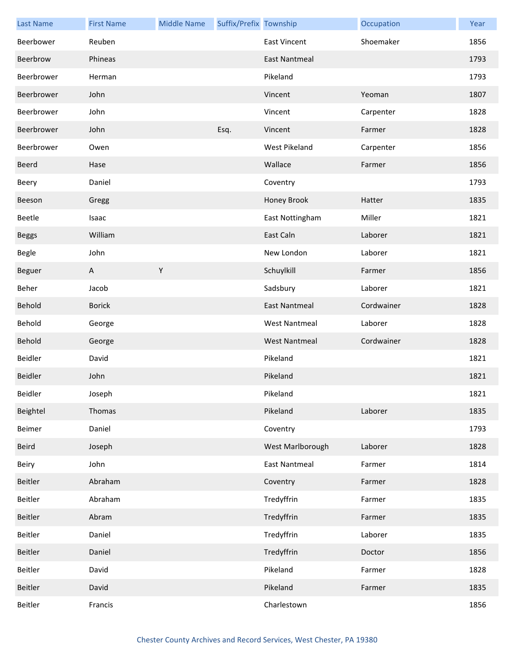| <b>Last Name</b> | <b>First Name</b> | <b>Middle Name</b> | Suffix/Prefix Township |                      | Occupation | Year |
|------------------|-------------------|--------------------|------------------------|----------------------|------------|------|
| Beerbower        | Reuben            |                    |                        | <b>East Vincent</b>  | Shoemaker  | 1856 |
| Beerbrow         | Phineas           |                    |                        | <b>East Nantmeal</b> |            | 1793 |
| Beerbrower       | Herman            |                    |                        | Pikeland             |            | 1793 |
| Beerbrower       | John              |                    |                        | Vincent              | Yeoman     | 1807 |
| Beerbrower       | John              |                    |                        | Vincent              | Carpenter  | 1828 |
| Beerbrower       | John              |                    | Esq.                   | Vincent              | Farmer     | 1828 |
| Beerbrower       | Owen              |                    |                        | West Pikeland        | Carpenter  | 1856 |
| Beerd            | Hase              |                    |                        | Wallace              | Farmer     | 1856 |
| Beery            | Daniel            |                    |                        | Coventry             |            | 1793 |
| Beeson           | Gregg             |                    |                        | Honey Brook          | Hatter     | 1835 |
| Beetle           | Isaac             |                    |                        | East Nottingham      | Miller     | 1821 |
| <b>Beggs</b>     | William           |                    |                        | East Caln            | Laborer    | 1821 |
| Begle            | John              |                    |                        | New London           | Laborer    | 1821 |
| Beguer           | A                 | $\mathsf Y$        |                        | Schuylkill           | Farmer     | 1856 |
| Beher            | Jacob             |                    |                        | Sadsbury             | Laborer    | 1821 |
| Behold           | <b>Borick</b>     |                    |                        | <b>East Nantmeal</b> | Cordwainer | 1828 |
| Behold           | George            |                    |                        | <b>West Nantmeal</b> | Laborer    | 1828 |
| Behold           | George            |                    |                        | <b>West Nantmeal</b> | Cordwainer | 1828 |
| Beidler          | David             |                    |                        | Pikeland             |            | 1821 |
| Beidler          | John              |                    |                        | Pikeland             |            | 1821 |
| Beidler          | Joseph            |                    |                        | Pikeland             |            | 1821 |
| Beightel         | Thomas            |                    |                        | Pikeland             | Laborer    | 1835 |
| Beimer           | Daniel            |                    |                        | Coventry             |            | 1793 |
| Beird            | Joseph            |                    |                        | West Marlborough     | Laborer    | 1828 |
| Beiry            | John              |                    |                        | <b>East Nantmeal</b> | Farmer     | 1814 |
| Beitler          | Abraham           |                    |                        | Coventry             | Farmer     | 1828 |
| Beitler          | Abraham           |                    |                        | Tredyffrin           | Farmer     | 1835 |
| Beitler          | Abram             |                    |                        | Tredyffrin           | Farmer     | 1835 |
| Beitler          | Daniel            |                    |                        | Tredyffrin           | Laborer    | 1835 |
| Beitler          | Daniel            |                    |                        | Tredyffrin           | Doctor     | 1856 |
| Beitler          | David             |                    |                        | Pikeland             | Farmer     | 1828 |
| Beitler          | David             |                    |                        | Pikeland             | Farmer     | 1835 |
| Beitler          | Francis           |                    |                        | Charlestown          |            | 1856 |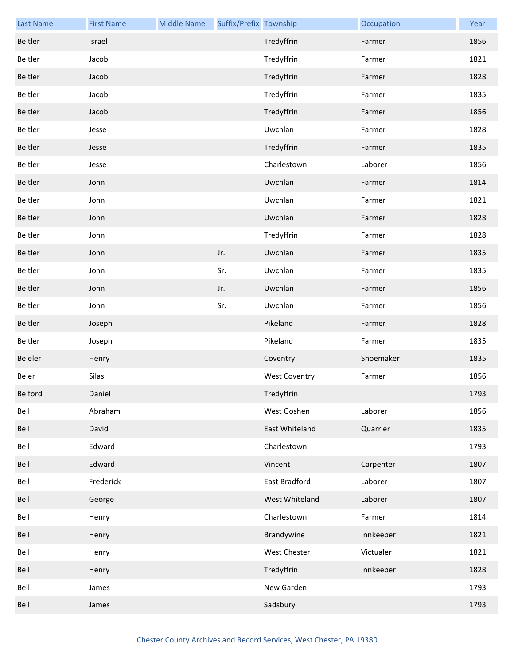| <b>Last Name</b> | <b>First Name</b> | <b>Middle Name</b> | Suffix/Prefix Township |                      | Occupation | Year |
|------------------|-------------------|--------------------|------------------------|----------------------|------------|------|
| Beitler          | Israel            |                    |                        | Tredyffrin           | Farmer     | 1856 |
| Beitler          | Jacob             |                    |                        | Tredyffrin           | Farmer     | 1821 |
| Beitler          | Jacob             |                    |                        | Tredyffrin           | Farmer     | 1828 |
| Beitler          | Jacob             |                    |                        | Tredyffrin           | Farmer     | 1835 |
| Beitler          | Jacob             |                    |                        | Tredyffrin           | Farmer     | 1856 |
| Beitler          | Jesse             |                    |                        | Uwchlan              | Farmer     | 1828 |
| Beitler          | Jesse             |                    |                        | Tredyffrin           | Farmer     | 1835 |
| Beitler          | Jesse             |                    |                        | Charlestown          | Laborer    | 1856 |
| Beitler          | John              |                    |                        | Uwchlan              | Farmer     | 1814 |
| Beitler          | John              |                    |                        | Uwchlan              | Farmer     | 1821 |
| Beitler          | John              |                    |                        | Uwchlan              | Farmer     | 1828 |
| Beitler          | John              |                    |                        | Tredyffrin           | Farmer     | 1828 |
| Beitler          | John              |                    | Jr.                    | Uwchlan              | Farmer     | 1835 |
| Beitler          | John              |                    | Sr.                    | Uwchlan              | Farmer     | 1835 |
| Beitler          | John              |                    | Jr.                    | Uwchlan              | Farmer     | 1856 |
| Beitler          | John              |                    | Sr.                    | Uwchlan              | Farmer     | 1856 |
| Beitler          | Joseph            |                    |                        | Pikeland             | Farmer     | 1828 |
| Beitler          | Joseph            |                    |                        | Pikeland             | Farmer     | 1835 |
| Beleler          | Henry             |                    |                        | Coventry             | Shoemaker  | 1835 |
| Beler            | Silas             |                    |                        | <b>West Coventry</b> | Farmer     | 1856 |
| Belford          | Daniel            |                    |                        | Tredyffrin           |            | 1793 |
| Bell             | Abraham           |                    |                        | West Goshen          | Laborer    | 1856 |
| Bell             | David             |                    |                        | East Whiteland       | Quarrier   | 1835 |
| Bell             | Edward            |                    |                        | Charlestown          |            | 1793 |
| Bell             | Edward            |                    |                        | Vincent              | Carpenter  | 1807 |
| Bell             | Frederick         |                    |                        | East Bradford        | Laborer    | 1807 |
| Bell             | George            |                    |                        | West Whiteland       | Laborer    | 1807 |
| Bell             | Henry             |                    |                        | Charlestown          | Farmer     | 1814 |
| Bell             | Henry             |                    |                        | Brandywine           | Innkeeper  | 1821 |
| Bell             | Henry             |                    |                        | West Chester         | Victualer  | 1821 |
| Bell             | Henry             |                    |                        | Tredyffrin           | Innkeeper  | 1828 |
| Bell             | James             |                    |                        | New Garden           |            | 1793 |
| Bell             | James             |                    |                        | Sadsbury             |            | 1793 |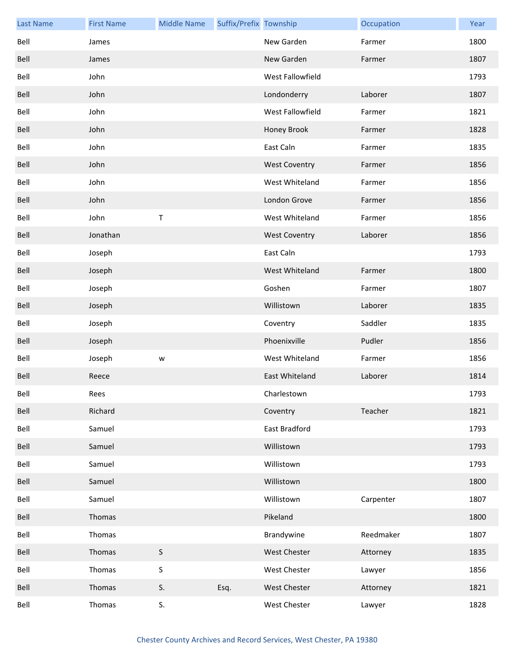| <b>Last Name</b> | <b>First Name</b> | <b>Middle Name</b> | Suffix/Prefix Township |                      | Occupation | Year |
|------------------|-------------------|--------------------|------------------------|----------------------|------------|------|
| Bell             | James             |                    |                        | New Garden           | Farmer     | 1800 |
| Bell             | James             |                    |                        | New Garden           | Farmer     | 1807 |
| Bell             | John              |                    |                        | West Fallowfield     |            | 1793 |
| Bell             | John              |                    |                        | Londonderry          | Laborer    | 1807 |
| Bell             | John              |                    |                        | West Fallowfield     | Farmer     | 1821 |
| Bell             | John              |                    |                        | Honey Brook          | Farmer     | 1828 |
| Bell             | John              |                    |                        | East Caln            | Farmer     | 1835 |
| Bell             | John              |                    |                        | <b>West Coventry</b> | Farmer     | 1856 |
| Bell             | John              |                    |                        | West Whiteland       | Farmer     | 1856 |
| Bell             | John              |                    |                        | London Grove         | Farmer     | 1856 |
| Bell             | John              | $\sf T$            |                        | West Whiteland       | Farmer     | 1856 |
| Bell             | Jonathan          |                    |                        | <b>West Coventry</b> | Laborer    | 1856 |
| Bell             | Joseph            |                    |                        | East Caln            |            | 1793 |
| Bell             | Joseph            |                    |                        | West Whiteland       | Farmer     | 1800 |
| Bell             | Joseph            |                    |                        | Goshen               | Farmer     | 1807 |
| Bell             | Joseph            |                    |                        | Willistown           | Laborer    | 1835 |
| Bell             | Joseph            |                    |                        | Coventry             | Saddler    | 1835 |
| Bell             | Joseph            |                    |                        | Phoenixville         | Pudler     | 1856 |
| Bell             | Joseph            | ${\mathsf w}$      |                        | West Whiteland       | Farmer     | 1856 |
| Bell             | Reece             |                    |                        | East Whiteland       | Laborer    | 1814 |
| Bell             | Rees              |                    |                        | Charlestown          |            | 1793 |
| Bell             | Richard           |                    |                        | Coventry             | Teacher    | 1821 |
| Bell             | Samuel            |                    |                        | East Bradford        |            | 1793 |
| Bell             | Samuel            |                    |                        | Willistown           |            | 1793 |
| Bell             | Samuel            |                    |                        | Willistown           |            | 1793 |
| Bell             | Samuel            |                    |                        | Willistown           |            | 1800 |
| Bell             | Samuel            |                    |                        | Willistown           | Carpenter  | 1807 |
| Bell             | Thomas            |                    |                        | Pikeland             |            | 1800 |
| Bell             | Thomas            |                    |                        | Brandywine           | Reedmaker  | 1807 |
| Bell             | Thomas            | $\sf S$            |                        | <b>West Chester</b>  | Attorney   | 1835 |
| Bell             | Thomas            | $\sf S$            |                        | West Chester         | Lawyer     | 1856 |
| Bell             | Thomas            | S.                 | Esq.                   | West Chester         | Attorney   | 1821 |
| Bell             | Thomas            | S.                 |                        | West Chester         | Lawyer     | 1828 |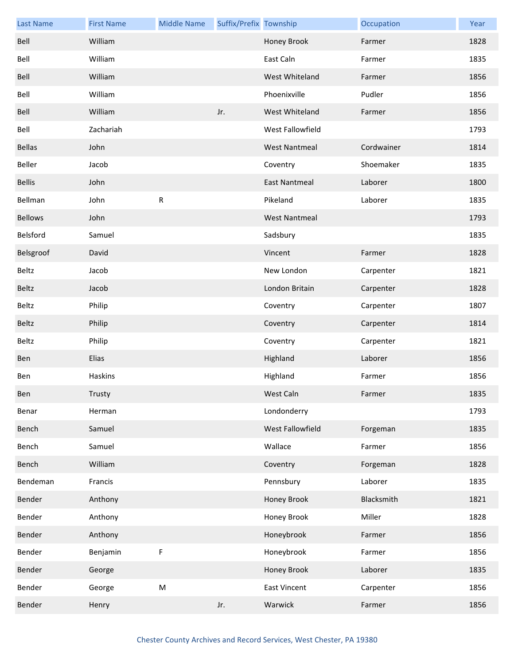| <b>Last Name</b> | <b>First Name</b> | <b>Middle Name</b> | Suffix/Prefix Township |                      | Occupation | Year |
|------------------|-------------------|--------------------|------------------------|----------------------|------------|------|
| Bell             | William           |                    |                        | Honey Brook          | Farmer     | 1828 |
| Bell             | William           |                    |                        | East Caln            | Farmer     | 1835 |
| Bell             | William           |                    |                        | West Whiteland       | Farmer     | 1856 |
| Bell             | William           |                    |                        | Phoenixville         | Pudler     | 1856 |
| Bell             | William           |                    | Jr.                    | West Whiteland       | Farmer     | 1856 |
| Bell             | Zachariah         |                    |                        | West Fallowfield     |            | 1793 |
| <b>Bellas</b>    | John              |                    |                        | <b>West Nantmeal</b> | Cordwainer | 1814 |
| Beller           | Jacob             |                    |                        | Coventry             | Shoemaker  | 1835 |
| <b>Bellis</b>    | John              |                    |                        | <b>East Nantmeal</b> | Laborer    | 1800 |
| Bellman          | John              | ${\sf R}$          |                        | Pikeland             | Laborer    | 1835 |
| <b>Bellows</b>   | John              |                    |                        | <b>West Nantmeal</b> |            | 1793 |
| Belsford         | Samuel            |                    |                        | Sadsbury             |            | 1835 |
| Belsgroof        | David             |                    |                        | Vincent              | Farmer     | 1828 |
| Beltz            | Jacob             |                    |                        | New London           | Carpenter  | 1821 |
| Beltz            | Jacob             |                    |                        | London Britain       | Carpenter  | 1828 |
| Beltz            | Philip            |                    |                        | Coventry             | Carpenter  | 1807 |
| Beltz            | Philip            |                    |                        | Coventry             | Carpenter  | 1814 |
| Beltz            | Philip            |                    |                        | Coventry             | Carpenter  | 1821 |
| <b>Ben</b>       | Elias             |                    |                        | Highland             | Laborer    | 1856 |
| Ben              | Haskins           |                    |                        | Highland             | Farmer     | 1856 |
| Ben              | Trusty            |                    |                        | West Caln            | Farmer     | 1835 |
| Benar            | Herman            |                    |                        | Londonderry          |            | 1793 |
| Bench            | Samuel            |                    |                        | West Fallowfield     | Forgeman   | 1835 |
| Bench            | Samuel            |                    |                        | Wallace              | Farmer     | 1856 |
| Bench            | William           |                    |                        | Coventry             | Forgeman   | 1828 |
| Bendeman         | Francis           |                    |                        | Pennsbury            | Laborer    | 1835 |
| Bender           | Anthony           |                    |                        | Honey Brook          | Blacksmith | 1821 |
| Bender           | Anthony           |                    |                        | Honey Brook          | Miller     | 1828 |
| Bender           | Anthony           |                    |                        | Honeybrook           | Farmer     | 1856 |
| Bender           | Benjamin          | F                  |                        | Honeybrook           | Farmer     | 1856 |
| Bender           | George            |                    |                        | Honey Brook          | Laborer    | 1835 |
| Bender           | George            | ${\sf M}$          |                        | <b>East Vincent</b>  | Carpenter  | 1856 |
| Bender           | Henry             |                    | Jr.                    | Warwick              | Farmer     | 1856 |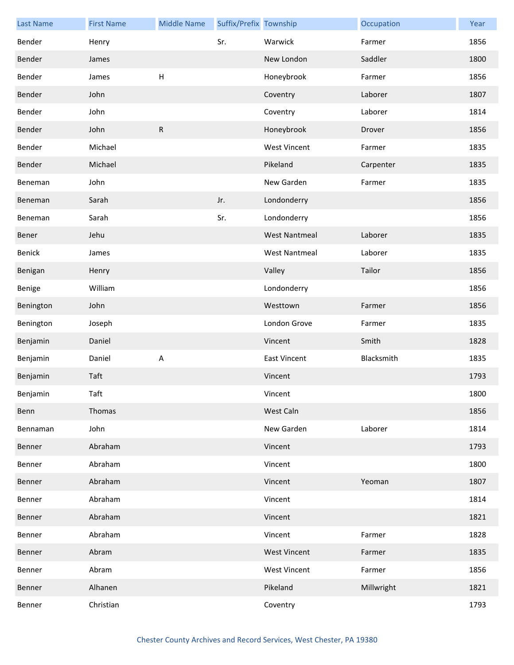| <b>Last Name</b> | <b>First Name</b> | <b>Middle Name</b> | Suffix/Prefix Township |                      | Occupation | Year |
|------------------|-------------------|--------------------|------------------------|----------------------|------------|------|
| Bender           | Henry             |                    | Sr.                    | Warwick              | Farmer     | 1856 |
| Bender           | James             |                    |                        | New London           | Saddler    | 1800 |
| Bender           | James             | H                  |                        | Honeybrook           | Farmer     | 1856 |
| Bender           | John              |                    |                        | Coventry             | Laborer    | 1807 |
| Bender           | John              |                    |                        | Coventry             | Laborer    | 1814 |
| Bender           | John              | $\mathsf{R}$       |                        | Honeybrook           | Drover     | 1856 |
| Bender           | Michael           |                    |                        | <b>West Vincent</b>  | Farmer     | 1835 |
| Bender           | Michael           |                    |                        | Pikeland             | Carpenter  | 1835 |
| Beneman          | John              |                    |                        | New Garden           | Farmer     | 1835 |
| Beneman          | Sarah             |                    | Jr.                    | Londonderry          |            | 1856 |
| Beneman          | Sarah             |                    | Sr.                    | Londonderry          |            | 1856 |
| Bener            | Jehu              |                    |                        | <b>West Nantmeal</b> | Laborer    | 1835 |
| Benick           | James             |                    |                        | <b>West Nantmeal</b> | Laborer    | 1835 |
| Benigan          | Henry             |                    |                        | Valley               | Tailor     | 1856 |
| Benige           | William           |                    |                        | Londonderry          |            | 1856 |
| Benington        | John              |                    |                        | Westtown             | Farmer     | 1856 |
| Benington        | Joseph            |                    |                        | London Grove         | Farmer     | 1835 |
| Benjamin         | Daniel            |                    |                        | Vincent              | Smith      | 1828 |
| Benjamin         | Daniel            | A                  |                        | <b>East Vincent</b>  | Blacksmith | 1835 |
| Benjamin         | Taft              |                    |                        | Vincent              |            | 1793 |
| Benjamin         | Taft              |                    |                        | Vincent              |            | 1800 |
| Benn             | Thomas            |                    |                        | West Caln            |            | 1856 |
| Bennaman         | John              |                    |                        | New Garden           | Laborer    | 1814 |
| Benner           | Abraham           |                    |                        | Vincent              |            | 1793 |
| Benner           | Abraham           |                    |                        | Vincent              |            | 1800 |
| Benner           | Abraham           |                    |                        | Vincent              | Yeoman     | 1807 |
| Benner           | Abraham           |                    |                        | Vincent              |            | 1814 |
| Benner           | Abraham           |                    |                        | Vincent              |            | 1821 |
| Benner           | Abraham           |                    |                        | Vincent              | Farmer     | 1828 |
| Benner           | Abram             |                    |                        | <b>West Vincent</b>  | Farmer     | 1835 |
| Benner           | Abram             |                    |                        | <b>West Vincent</b>  | Farmer     | 1856 |
| Benner           | Alhanen           |                    |                        | Pikeland             | Millwright | 1821 |
| Benner           | Christian         |                    |                        | Coventry             |            | 1793 |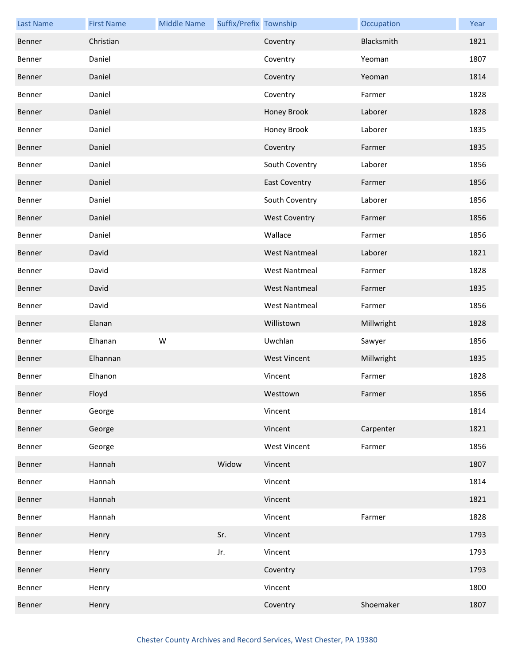| <b>Last Name</b> | <b>First Name</b> | <b>Middle Name</b> | Suffix/Prefix Township |                      | Occupation | Year |
|------------------|-------------------|--------------------|------------------------|----------------------|------------|------|
| Benner           | Christian         |                    |                        | Coventry             | Blacksmith | 1821 |
| Benner           | Daniel            |                    |                        | Coventry             | Yeoman     | 1807 |
| Benner           | Daniel            |                    |                        | Coventry             | Yeoman     | 1814 |
| Benner           | Daniel            |                    |                        | Coventry             | Farmer     | 1828 |
| Benner           | Daniel            |                    |                        | Honey Brook          | Laborer    | 1828 |
| Benner           | Daniel            |                    |                        | Honey Brook          | Laborer    | 1835 |
| Benner           | Daniel            |                    |                        | Coventry             | Farmer     | 1835 |
| Benner           | Daniel            |                    |                        | South Coventry       | Laborer    | 1856 |
| Benner           | Daniel            |                    |                        | <b>East Coventry</b> | Farmer     | 1856 |
| Benner           | Daniel            |                    |                        | South Coventry       | Laborer    | 1856 |
| Benner           | Daniel            |                    |                        | <b>West Coventry</b> | Farmer     | 1856 |
| Benner           | Daniel            |                    |                        | Wallace              | Farmer     | 1856 |
| Benner           | David             |                    |                        | <b>West Nantmeal</b> | Laborer    | 1821 |
| Benner           | David             |                    |                        | <b>West Nantmeal</b> | Farmer     | 1828 |
| Benner           | David             |                    |                        | <b>West Nantmeal</b> | Farmer     | 1835 |
| Benner           | David             |                    |                        | <b>West Nantmeal</b> | Farmer     | 1856 |
| Benner           | Elanan            |                    |                        | Willistown           | Millwright | 1828 |
| Benner           | Elhanan           | W                  |                        | Uwchlan              | Sawyer     | 1856 |
| Benner           | Elhannan          |                    |                        | <b>West Vincent</b>  | Millwright | 1835 |
| Benner           | Elhanon           |                    |                        | Vincent              | Farmer     | 1828 |
| Benner           | Floyd             |                    |                        | Westtown             | Farmer     | 1856 |
| Benner           | George            |                    |                        | Vincent              |            | 1814 |
| Benner           | George            |                    |                        | Vincent              | Carpenter  | 1821 |
| Benner           | George            |                    |                        | <b>West Vincent</b>  | Farmer     | 1856 |
| Benner           | Hannah            |                    | Widow                  | Vincent              |            | 1807 |
| Benner           | Hannah            |                    |                        | Vincent              |            | 1814 |
| Benner           | Hannah            |                    |                        | Vincent              |            | 1821 |
| Benner           | Hannah            |                    |                        | Vincent              | Farmer     | 1828 |
| Benner           | Henry             |                    | Sr.                    | Vincent              |            | 1793 |
| Benner           | Henry             |                    | Jr.                    | Vincent              |            | 1793 |
| Benner           | Henry             |                    |                        | Coventry             |            | 1793 |
| Benner           | Henry             |                    |                        | Vincent              |            | 1800 |
| Benner           | Henry             |                    |                        | Coventry             | Shoemaker  | 1807 |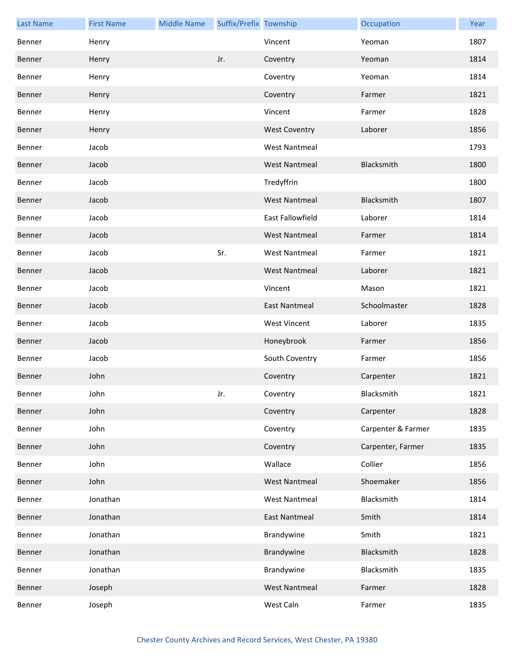| <b>Last Name</b> | <b>First Name</b> | <b>Middle Name</b> | Suffix/Prefix Township |                         | Occupation         | Year |
|------------------|-------------------|--------------------|------------------------|-------------------------|--------------------|------|
| Benner           | Henry             |                    |                        | Vincent                 | Yeoman             | 1807 |
| Benner           | Henry             |                    | Jr.                    | Coventry                | Yeoman             | 1814 |
| Benner           | Henry             |                    |                        | Coventry                | Yeoman             | 1814 |
| Benner           | Henry             |                    |                        | Coventry                | Farmer             | 1821 |
| Benner           | Henry             |                    |                        | Vincent                 | Farmer             | 1828 |
| Benner           | Henry             |                    |                        | <b>West Coventry</b>    | Laborer            | 1856 |
| Benner           | Jacob             |                    |                        | <b>West Nantmeal</b>    |                    | 1793 |
| Benner           | Jacob             |                    |                        | <b>West Nantmeal</b>    | Blacksmith         | 1800 |
| Benner           | Jacob             |                    |                        | Tredyffrin              |                    | 1800 |
| Benner           | Jacob             |                    |                        | <b>West Nantmeal</b>    | Blacksmith         | 1807 |
| Benner           | Jacob             |                    |                        | <b>East Fallowfield</b> | Laborer            | 1814 |
| Benner           | Jacob             |                    |                        | <b>West Nantmeal</b>    | Farmer             | 1814 |
| Benner           | Jacob             |                    | Sr.                    | <b>West Nantmeal</b>    | Farmer             | 1821 |
| Benner           | Jacob             |                    |                        | <b>West Nantmeal</b>    | Laborer            | 1821 |
| Benner           | Jacob             |                    |                        | Vincent                 | Mason              | 1821 |
| Benner           | Jacob             |                    |                        | <b>East Nantmeal</b>    | Schoolmaster       | 1828 |
| Benner           | Jacob             |                    |                        | <b>West Vincent</b>     | Laborer            | 1835 |
| Benner           | Jacob             |                    |                        | Honeybrook              | Farmer             | 1856 |
| Benner           | Jacob             |                    |                        | South Coventry          | Farmer             | 1856 |
| Benner           | John              |                    |                        | Coventry                | Carpenter          | 1821 |
| Benner           | John              |                    | Jr.                    | Coventry                | Blacksmith         | 1821 |
| Benner           | John              |                    |                        | Coventry                | Carpenter          | 1828 |
| Benner           | John              |                    |                        | Coventry                | Carpenter & Farmer | 1835 |
| Benner           | John              |                    |                        | Coventry                | Carpenter, Farmer  | 1835 |
| Benner           | John              |                    |                        | Wallace                 | Collier            | 1856 |
| Benner           | John              |                    |                        | <b>West Nantmeal</b>    | Shoemaker          | 1856 |
| Benner           | Jonathan          |                    |                        | <b>West Nantmeal</b>    | Blacksmith         | 1814 |
| Benner           | Jonathan          |                    |                        | <b>East Nantmeal</b>    | Smith              | 1814 |
| Benner           | Jonathan          |                    |                        | Brandywine              | Smith              | 1821 |
| Benner           | Jonathan          |                    |                        | Brandywine              | Blacksmith         | 1828 |
| Benner           | Jonathan          |                    |                        | Brandywine              | Blacksmith         | 1835 |
| Benner           | Joseph            |                    |                        | <b>West Nantmeal</b>    | Farmer             | 1828 |
| Benner           | Joseph            |                    |                        | West Caln               | Farmer             | 1835 |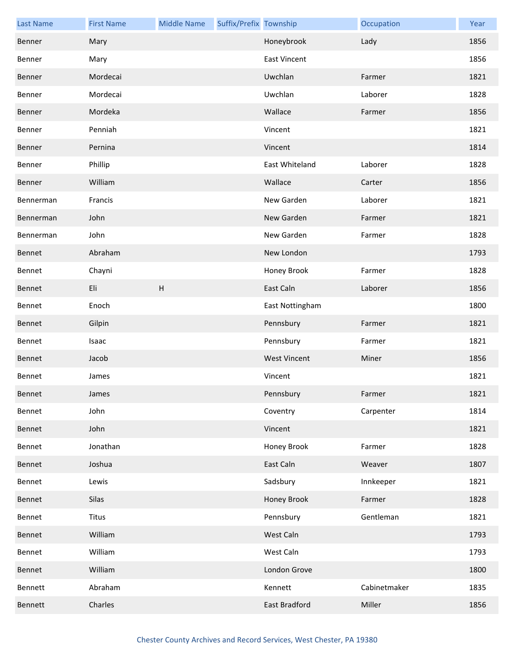| <b>Last Name</b> | <b>First Name</b> | <b>Middle Name</b> | Suffix/Prefix Township |                     | Occupation   | Year |
|------------------|-------------------|--------------------|------------------------|---------------------|--------------|------|
| Benner           | Mary              |                    |                        | Honeybrook          | Lady         | 1856 |
| Benner           | Mary              |                    |                        | <b>East Vincent</b> |              | 1856 |
| Benner           | Mordecai          |                    |                        | Uwchlan             | Farmer       | 1821 |
| Benner           | Mordecai          |                    |                        | Uwchlan             | Laborer      | 1828 |
| Benner           | Mordeka           |                    |                        | Wallace             | Farmer       | 1856 |
| Benner           | Penniah           |                    |                        | Vincent             |              | 1821 |
| Benner           | Pernina           |                    |                        | Vincent             |              | 1814 |
| Benner           | Phillip           |                    |                        | East Whiteland      | Laborer      | 1828 |
| Benner           | William           |                    |                        | Wallace             | Carter       | 1856 |
| Bennerman        | Francis           |                    |                        | New Garden          | Laborer      | 1821 |
| Bennerman        | John              |                    |                        | New Garden          | Farmer       | 1821 |
| Bennerman        | John              |                    |                        | New Garden          | Farmer       | 1828 |
| Bennet           | Abraham           |                    |                        | New London          |              | 1793 |
| Bennet           | Chayni            |                    |                        | Honey Brook         | Farmer       | 1828 |
| Bennet           | Eli               | H                  |                        | East Caln           | Laborer      | 1856 |
| Bennet           | Enoch             |                    |                        | East Nottingham     |              | 1800 |
| Bennet           | Gilpin            |                    |                        | Pennsbury           | Farmer       | 1821 |
| Bennet           | Isaac             |                    |                        | Pennsbury           | Farmer       | 1821 |
| Bennet           | Jacob             |                    |                        | <b>West Vincent</b> | Miner        | 1856 |
| Bennet           | James             |                    |                        | Vincent             |              | 1821 |
| Bennet           | James             |                    |                        | Pennsbury           | Farmer       | 1821 |
| Bennet           | John              |                    |                        | Coventry            | Carpenter    | 1814 |
| Bennet           | John              |                    |                        | Vincent             |              | 1821 |
| Bennet           | Jonathan          |                    |                        | Honey Brook         | Farmer       | 1828 |
| Bennet           | Joshua            |                    |                        | East Caln           | Weaver       | 1807 |
| Bennet           | Lewis             |                    |                        | Sadsbury            | Innkeeper    | 1821 |
| Bennet           | Silas             |                    |                        | Honey Brook         | Farmer       | 1828 |
| Bennet           | <b>Titus</b>      |                    |                        | Pennsbury           | Gentleman    | 1821 |
| Bennet           | William           |                    |                        | West Caln           |              | 1793 |
| Bennet           | William           |                    |                        | West Caln           |              | 1793 |
| Bennet           | William           |                    |                        | London Grove        |              | 1800 |
| Bennett          | Abraham           |                    |                        | Kennett             | Cabinetmaker | 1835 |
| Bennett          | Charles           |                    |                        | East Bradford       | Miller       | 1856 |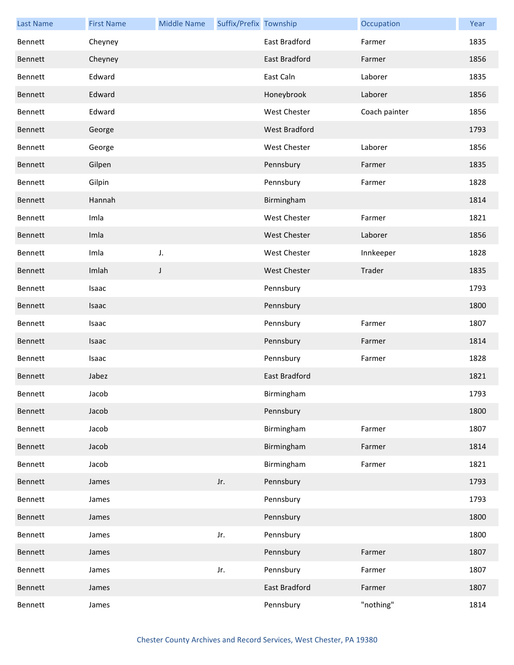| <b>Last Name</b> | <b>First Name</b> | <b>Middle Name</b> | Suffix/Prefix Township |                     | Occupation    | Year |
|------------------|-------------------|--------------------|------------------------|---------------------|---------------|------|
| Bennett          | Cheyney           |                    |                        | East Bradford       | Farmer        | 1835 |
| Bennett          | Cheyney           |                    |                        | East Bradford       | Farmer        | 1856 |
| Bennett          | Edward            |                    |                        | East Caln           | Laborer       | 1835 |
| Bennett          | Edward            |                    |                        | Honeybrook          | Laborer       | 1856 |
| Bennett          | Edward            |                    |                        | West Chester        | Coach painter | 1856 |
| Bennett          | George            |                    |                        | West Bradford       |               | 1793 |
| Bennett          | George            |                    |                        | West Chester        | Laborer       | 1856 |
| Bennett          | Gilpen            |                    |                        | Pennsbury           | Farmer        | 1835 |
| Bennett          | Gilpin            |                    |                        | Pennsbury           | Farmer        | 1828 |
| Bennett          | Hannah            |                    |                        | Birmingham          |               | 1814 |
| Bennett          | Imla              |                    |                        | West Chester        | Farmer        | 1821 |
| Bennett          | Imla              |                    |                        | <b>West Chester</b> | Laborer       | 1856 |
| Bennett          | Imla              | J.                 |                        | West Chester        | Innkeeper     | 1828 |
| Bennett          | Imlah             | J                  |                        | <b>West Chester</b> | Trader        | 1835 |
| Bennett          | Isaac             |                    |                        | Pennsbury           |               | 1793 |
| Bennett          | Isaac             |                    |                        | Pennsbury           |               | 1800 |
| Bennett          | Isaac             |                    |                        | Pennsbury           | Farmer        | 1807 |
| Bennett          | Isaac             |                    |                        | Pennsbury           | Farmer        | 1814 |
| Bennett          | Isaac             |                    |                        | Pennsbury           | Farmer        | 1828 |
| Bennett          | Jabez             |                    |                        | East Bradford       |               | 1821 |
| Bennett          | Jacob             |                    |                        | Birmingham          |               | 1793 |
| Bennett          | Jacob             |                    |                        | Pennsbury           |               | 1800 |
| Bennett          | Jacob             |                    |                        | Birmingham          | Farmer        | 1807 |
| Bennett          | Jacob             |                    |                        | Birmingham          | Farmer        | 1814 |
| Bennett          | Jacob             |                    |                        | Birmingham          | Farmer        | 1821 |
| Bennett          | James             |                    | Jr.                    | Pennsbury           |               | 1793 |
| Bennett          | James             |                    |                        | Pennsbury           |               | 1793 |
| Bennett          | James             |                    |                        | Pennsbury           |               | 1800 |
| Bennett          | James             |                    | Jr.                    | Pennsbury           |               | 1800 |
| Bennett          | James             |                    |                        | Pennsbury           | Farmer        | 1807 |
| Bennett          | James             |                    | Jr.                    | Pennsbury           | Farmer        | 1807 |
| Bennett          | James             |                    |                        | East Bradford       | Farmer        | 1807 |
| Bennett          | James             |                    |                        | Pennsbury           | "nothing"     | 1814 |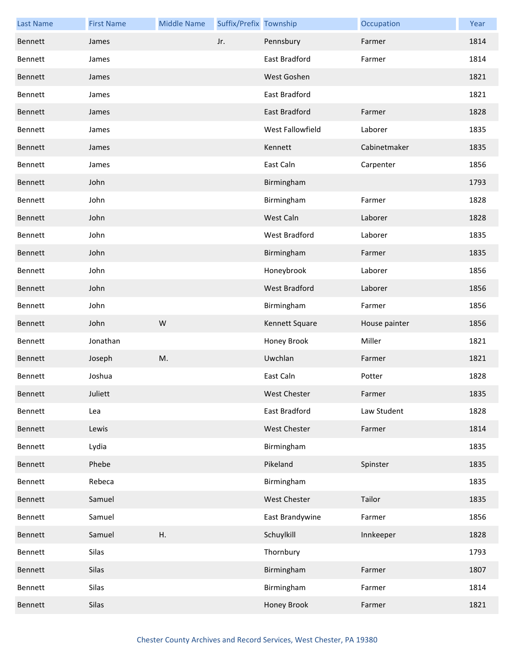| <b>Last Name</b> | <b>First Name</b> | <b>Middle Name</b> | Suffix/Prefix Township |                      | Occupation    | Year |
|------------------|-------------------|--------------------|------------------------|----------------------|---------------|------|
| Bennett          | James             |                    | Jr.                    | Pennsbury            | Farmer        | 1814 |
| Bennett          | James             |                    |                        | East Bradford        | Farmer        | 1814 |
| Bennett          | James             |                    |                        | West Goshen          |               | 1821 |
| Bennett          | James             |                    |                        | East Bradford        |               | 1821 |
| Bennett          | James             |                    |                        | East Bradford        | Farmer        | 1828 |
| Bennett          | James             |                    |                        | West Fallowfield     | Laborer       | 1835 |
| Bennett          | James             |                    |                        | Kennett              | Cabinetmaker  | 1835 |
| Bennett          | James             |                    |                        | East Caln            | Carpenter     | 1856 |
| Bennett          | John              |                    |                        | Birmingham           |               | 1793 |
| Bennett          | John              |                    |                        | Birmingham           | Farmer        | 1828 |
| Bennett          | John              |                    |                        | West Caln            | Laborer       | 1828 |
| Bennett          | John              |                    |                        | <b>West Bradford</b> | Laborer       | 1835 |
| Bennett          | John              |                    |                        | Birmingham           | Farmer        | 1835 |
| Bennett          | John              |                    |                        | Honeybrook           | Laborer       | 1856 |
| Bennett          | John              |                    |                        | West Bradford        | Laborer       | 1856 |
| Bennett          | John              |                    |                        | Birmingham           | Farmer        | 1856 |
| Bennett          | John              | W                  |                        | Kennett Square       | House painter | 1856 |
| Bennett          | Jonathan          |                    |                        | Honey Brook          | Miller        | 1821 |
| Bennett          | Joseph            | M.                 |                        | Uwchlan              | Farmer        | 1821 |
| Bennett          | Joshua            |                    |                        | East Caln            | Potter        | 1828 |
| Bennett          | Juliett           |                    |                        | <b>West Chester</b>  | Farmer        | 1835 |
| Bennett          | Lea               |                    |                        | East Bradford        | Law Student   | 1828 |
| Bennett          | Lewis             |                    |                        | West Chester         | Farmer        | 1814 |
| Bennett          | Lydia             |                    |                        | Birmingham           |               | 1835 |
| Bennett          | Phebe             |                    |                        | Pikeland             | Spinster      | 1835 |
| Bennett          | Rebeca            |                    |                        | Birmingham           |               | 1835 |
| Bennett          | Samuel            |                    |                        | West Chester         | Tailor        | 1835 |
| Bennett          | Samuel            |                    |                        | East Brandywine      | Farmer        | 1856 |
| Bennett          | Samuel            | Η.                 |                        | Schuylkill           | Innkeeper     | 1828 |
| Bennett          | Silas             |                    |                        | Thornbury            |               | 1793 |
| Bennett          | Silas             |                    |                        | Birmingham           | Farmer        | 1807 |
| Bennett          | Silas             |                    |                        | Birmingham           | Farmer        | 1814 |
| <b>Bennett</b>   | Silas             |                    |                        | Honey Brook          | Farmer        | 1821 |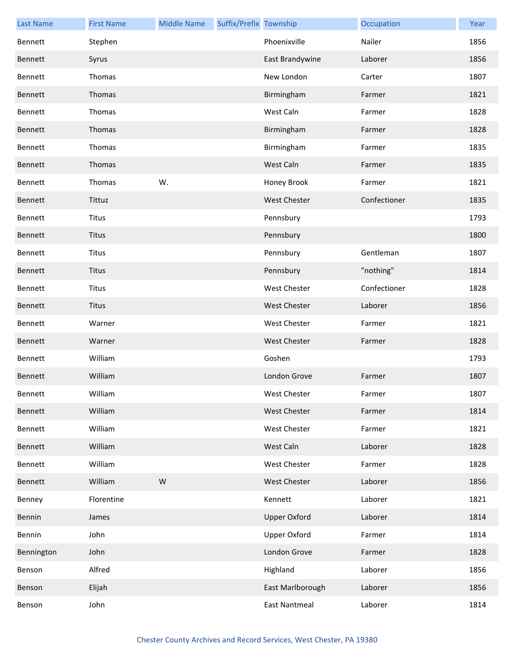| <b>Last Name</b> | <b>First Name</b> | <b>Middle Name</b> | Suffix/Prefix Township |                      | Occupation   | Year |
|------------------|-------------------|--------------------|------------------------|----------------------|--------------|------|
| Bennett          | Stephen           |                    |                        | Phoenixville         | Nailer       | 1856 |
| Bennett          | Syrus             |                    |                        | East Brandywine      | Laborer      | 1856 |
| Bennett          | Thomas            |                    |                        | New London           | Carter       | 1807 |
| Bennett          | Thomas            |                    |                        | Birmingham           | Farmer       | 1821 |
| Bennett          | Thomas            |                    |                        | West Caln            | Farmer       | 1828 |
| Bennett          | Thomas            |                    |                        | Birmingham           | Farmer       | 1828 |
| Bennett          | Thomas            |                    |                        | Birmingham           | Farmer       | 1835 |
| Bennett          | Thomas            |                    |                        | West Caln            | Farmer       | 1835 |
| Bennett          | Thomas            | W.                 |                        | Honey Brook          | Farmer       | 1821 |
| Bennett          | Tittuz            |                    |                        | <b>West Chester</b>  | Confectioner | 1835 |
| Bennett          | <b>Titus</b>      |                    |                        | Pennsbury            |              | 1793 |
| Bennett          | <b>Titus</b>      |                    |                        | Pennsbury            |              | 1800 |
| Bennett          | <b>Titus</b>      |                    |                        | Pennsbury            | Gentleman    | 1807 |
| Bennett          | Titus             |                    |                        | Pennsbury            | "nothing"    | 1814 |
| Bennett          | <b>Titus</b>      |                    |                        | <b>West Chester</b>  | Confectioner | 1828 |
| Bennett          | <b>Titus</b>      |                    |                        | <b>West Chester</b>  | Laborer      | 1856 |
| Bennett          | Warner            |                    |                        | West Chester         | Farmer       | 1821 |
| Bennett          | Warner            |                    |                        | <b>West Chester</b>  | Farmer       | 1828 |
| Bennett          | William           |                    |                        | Goshen               |              | 1793 |
| Bennett          | William           |                    |                        | London Grove         | Farmer       | 1807 |
| Bennett          | William           |                    |                        | <b>West Chester</b>  | Farmer       | 1807 |
| Bennett          | William           |                    |                        | <b>West Chester</b>  | Farmer       | 1814 |
| Bennett          | William           |                    |                        | West Chester         | Farmer       | 1821 |
| Bennett          | William           |                    |                        | West Caln            | Laborer      | 1828 |
| Bennett          | William           |                    |                        | West Chester         | Farmer       | 1828 |
| Bennett          | William           | W                  |                        | <b>West Chester</b>  | Laborer      | 1856 |
| Benney           | Florentine        |                    |                        | Kennett              | Laborer      | 1821 |
| Bennin           | James             |                    |                        | <b>Upper Oxford</b>  | Laborer      | 1814 |
| Bennin           | John              |                    |                        | <b>Upper Oxford</b>  | Farmer       | 1814 |
| Bennington       | John              |                    |                        | London Grove         | Farmer       | 1828 |
| Benson           | Alfred            |                    |                        | Highland             | Laborer      | 1856 |
| Benson           | Elijah            |                    |                        | East Marlborough     | Laborer      | 1856 |
| Benson           | John              |                    |                        | <b>East Nantmeal</b> | Laborer      | 1814 |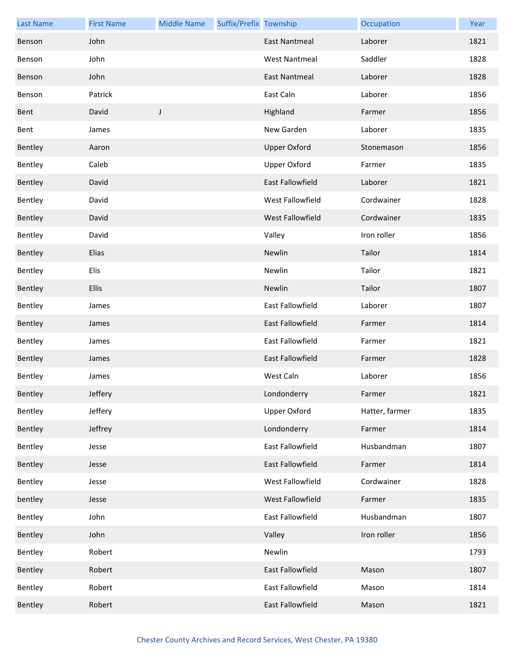| <b>Last Name</b> | <b>First Name</b> | <b>Middle Name</b> | Suffix/Prefix Township |                      | Occupation     | Year |
|------------------|-------------------|--------------------|------------------------|----------------------|----------------|------|
| Benson           | John              |                    |                        | <b>East Nantmeal</b> | Laborer        | 1821 |
| Benson           | John              |                    |                        | <b>West Nantmeal</b> | Saddler        | 1828 |
| Benson           | John              |                    |                        | <b>East Nantmeal</b> | Laborer        | 1828 |
| Benson           | Patrick           |                    |                        | East Caln            | Laborer        | 1856 |
| Bent             | David             | J                  |                        | Highland             | Farmer         | 1856 |
| Bent             | James             |                    |                        | New Garden           | Laborer        | 1835 |
| Bentley          | Aaron             |                    |                        | <b>Upper Oxford</b>  | Stonemason     | 1856 |
| Bentley          | Caleb             |                    |                        | <b>Upper Oxford</b>  | Farmer         | 1835 |
| Bentley          | David             |                    |                        | East Fallowfield     | Laborer        | 1821 |
| Bentley          | David             |                    |                        | West Fallowfield     | Cordwainer     | 1828 |
| Bentley          | David             |                    |                        | West Fallowfield     | Cordwainer     | 1835 |
| Bentley          | David             |                    |                        | Valley               | Iron roller    | 1856 |
| Bentley          | Elias             |                    |                        | Newlin               | Tailor         | 1814 |
| Bentley          | Elis              |                    |                        | Newlin               | Tailor         | 1821 |
| Bentley          | <b>Ellis</b>      |                    |                        | Newlin               | Tailor         | 1807 |
| Bentley          | James             |                    |                        | East Fallowfield     | Laborer        | 1807 |
| Bentley          | James             |                    |                        | East Fallowfield     | Farmer         | 1814 |
| Bentley          | James             |                    |                        | East Fallowfield     | Farmer         | 1821 |
| Bentley          | James             |                    |                        | East Fallowfield     | Farmer         | 1828 |
| Bentley          | James             |                    |                        | West Caln            | Laborer        | 1856 |
| Bentley          | Jeffery           |                    |                        | Londonderry          | Farmer         | 1821 |
| Bentley          | Jeffery           |                    |                        | <b>Upper Oxford</b>  | Hatter, farmer | 1835 |
| Bentley          | Jeffrey           |                    |                        | Londonderry          | Farmer         | 1814 |
| Bentley          | Jesse             |                    |                        | East Fallowfield     | Husbandman     | 1807 |
| Bentley          | Jesse             |                    |                        | East Fallowfield     | Farmer         | 1814 |
| Bentley          | Jesse             |                    |                        | West Fallowfield     | Cordwainer     | 1828 |
| bentley          | Jesse             |                    |                        | West Fallowfield     | Farmer         | 1835 |
| Bentley          | John              |                    |                        | East Fallowfield     | Husbandman     | 1807 |
| Bentley          | John              |                    |                        | Valley               | Iron roller    | 1856 |
| Bentley          | Robert            |                    |                        | Newlin               |                | 1793 |
| Bentley          | Robert            |                    |                        | East Fallowfield     | Mason          | 1807 |
| Bentley          | Robert            |                    |                        | East Fallowfield     | Mason          | 1814 |
| Bentley          | Robert            |                    |                        | East Fallowfield     | Mason          | 1821 |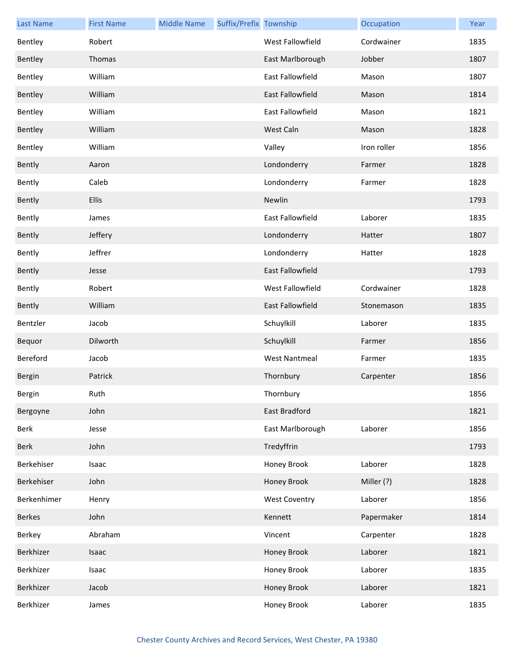| <b>Last Name</b> | <b>First Name</b> | <b>Middle Name</b> | Suffix/Prefix Township |                         | Occupation  | Year |
|------------------|-------------------|--------------------|------------------------|-------------------------|-------------|------|
| Bentley          | Robert            |                    |                        | West Fallowfield        | Cordwainer  | 1835 |
| Bentley          | Thomas            |                    |                        | East Marlborough        | Jobber      | 1807 |
| Bentley          | William           |                    |                        | <b>East Fallowfield</b> | Mason       | 1807 |
| Bentley          | William           |                    |                        | East Fallowfield        | Mason       | 1814 |
| Bentley          | William           |                    |                        | East Fallowfield        | Mason       | 1821 |
| Bentley          | William           |                    |                        | West Caln               | Mason       | 1828 |
| Bentley          | William           |                    |                        | Valley                  | Iron roller | 1856 |
| Bently           | Aaron             |                    |                        | Londonderry             | Farmer      | 1828 |
| Bently           | Caleb             |                    |                        | Londonderry             | Farmer      | 1828 |
| Bently           | <b>Ellis</b>      |                    |                        | Newlin                  |             | 1793 |
| Bently           | James             |                    |                        | <b>East Fallowfield</b> | Laborer     | 1835 |
| Bently           | Jeffery           |                    |                        | Londonderry             | Hatter      | 1807 |
| Bently           | Jeffrer           |                    |                        | Londonderry             | Hatter      | 1828 |
| Bently           | Jesse             |                    |                        | <b>East Fallowfield</b> |             | 1793 |
| Bently           | Robert            |                    |                        | West Fallowfield        | Cordwainer  | 1828 |
| Bently           | William           |                    |                        | <b>East Fallowfield</b> | Stonemason  | 1835 |
| Bentzler         | Jacob             |                    |                        | Schuylkill              | Laborer     | 1835 |
| Bequor           | Dilworth          |                    |                        | Schuylkill              | Farmer      | 1856 |
| Bereford         | Jacob             |                    |                        | <b>West Nantmeal</b>    | Farmer      | 1835 |
| Bergin           | Patrick           |                    |                        | Thornbury               | Carpenter   | 1856 |
| Bergin           | Ruth              |                    |                        | Thornbury               |             | 1856 |
| Bergoyne         | John              |                    |                        | East Bradford           |             | 1821 |
| Berk             | Jesse             |                    |                        | East Marlborough        | Laborer     | 1856 |
| Berk             | John              |                    |                        | Tredyffrin              |             | 1793 |
| Berkehiser       | Isaac             |                    |                        | Honey Brook             | Laborer     | 1828 |
| Berkehiser       | John              |                    |                        | Honey Brook             | Miller (?)  | 1828 |
| Berkenhimer      | Henry             |                    |                        | <b>West Coventry</b>    | Laborer     | 1856 |
| <b>Berkes</b>    | John              |                    |                        | Kennett                 | Papermaker  | 1814 |
| Berkey           | Abraham           |                    |                        | Vincent                 | Carpenter   | 1828 |
| Berkhizer        | Isaac             |                    |                        | Honey Brook             | Laborer     | 1821 |
| Berkhizer        | Isaac             |                    |                        | Honey Brook             | Laborer     | 1835 |
| Berkhizer        | Jacob             |                    |                        | Honey Brook             | Laborer     | 1821 |
| Berkhizer        | James             |                    |                        | Honey Brook             | Laborer     | 1835 |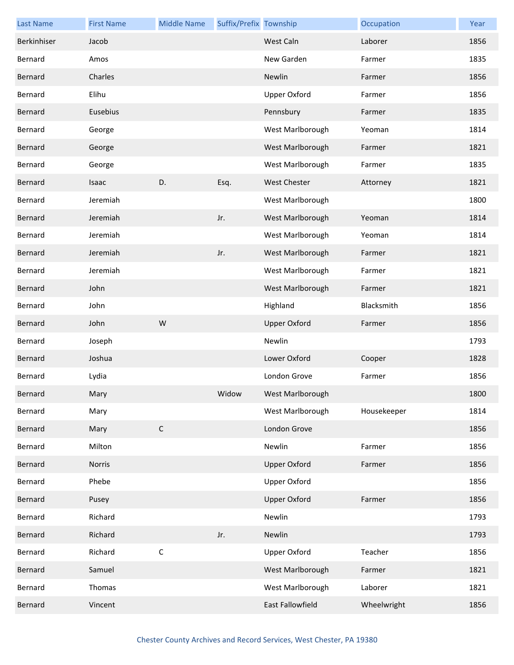| <b>Last Name</b> | <b>First Name</b> | <b>Middle Name</b> | Suffix/Prefix Township |                     | Occupation  | Year |
|------------------|-------------------|--------------------|------------------------|---------------------|-------------|------|
| Berkinhiser      | Jacob             |                    |                        | West Caln           | Laborer     | 1856 |
| Bernard          | Amos              |                    |                        | New Garden          | Farmer      | 1835 |
| Bernard          | Charles           |                    |                        | Newlin              | Farmer      | 1856 |
| Bernard          | Elihu             |                    |                        | <b>Upper Oxford</b> | Farmer      | 1856 |
| Bernard          | Eusebius          |                    |                        | Pennsbury           | Farmer      | 1835 |
| Bernard          | George            |                    |                        | West Marlborough    | Yeoman      | 1814 |
| Bernard          | George            |                    |                        | West Marlborough    | Farmer      | 1821 |
| Bernard          | George            |                    |                        | West Marlborough    | Farmer      | 1835 |
| Bernard          | Isaac             | D.                 | Esq.                   | <b>West Chester</b> | Attorney    | 1821 |
| Bernard          | Jeremiah          |                    |                        | West Marlborough    |             | 1800 |
| Bernard          | Jeremiah          |                    | Jr.                    | West Marlborough    | Yeoman      | 1814 |
| Bernard          | Jeremiah          |                    |                        | West Marlborough    | Yeoman      | 1814 |
| Bernard          | Jeremiah          |                    | Jr.                    | West Marlborough    | Farmer      | 1821 |
| Bernard          | Jeremiah          |                    |                        | West Marlborough    | Farmer      | 1821 |
| Bernard          | John              |                    |                        | West Marlborough    | Farmer      | 1821 |
| Bernard          | John              |                    |                        | Highland            | Blacksmith  | 1856 |
| Bernard          | John              | W                  |                        | <b>Upper Oxford</b> | Farmer      | 1856 |
| Bernard          | Joseph            |                    |                        | Newlin              |             | 1793 |
| Bernard          | Joshua            |                    |                        | Lower Oxford        | Cooper      | 1828 |
| Bernard          | Lydia             |                    |                        | London Grove        | Farmer      | 1856 |
| Bernard          | Mary              |                    | Widow                  | West Marlborough    |             | 1800 |
| Bernard          | Mary              |                    |                        | West Marlborough    | Housekeeper | 1814 |
| Bernard          | Mary              | $\mathsf C$        |                        | London Grove        |             | 1856 |
| Bernard          | Milton            |                    |                        | Newlin              | Farmer      | 1856 |
| Bernard          | Norris            |                    |                        | <b>Upper Oxford</b> | Farmer      | 1856 |
| Bernard          | Phebe             |                    |                        | <b>Upper Oxford</b> |             | 1856 |
| Bernard          | Pusey             |                    |                        | <b>Upper Oxford</b> | Farmer      | 1856 |
| Bernard          | Richard           |                    |                        | Newlin              |             | 1793 |
| Bernard          | Richard           |                    | Jr.                    | Newlin              |             | 1793 |
| Bernard          | Richard           | $\mathsf C$        |                        | <b>Upper Oxford</b> | Teacher     | 1856 |
| Bernard          | Samuel            |                    |                        | West Marlborough    | Farmer      | 1821 |
| Bernard          | Thomas            |                    |                        | West Marlborough    | Laborer     | 1821 |
| Bernard          | Vincent           |                    |                        | East Fallowfield    | Wheelwright | 1856 |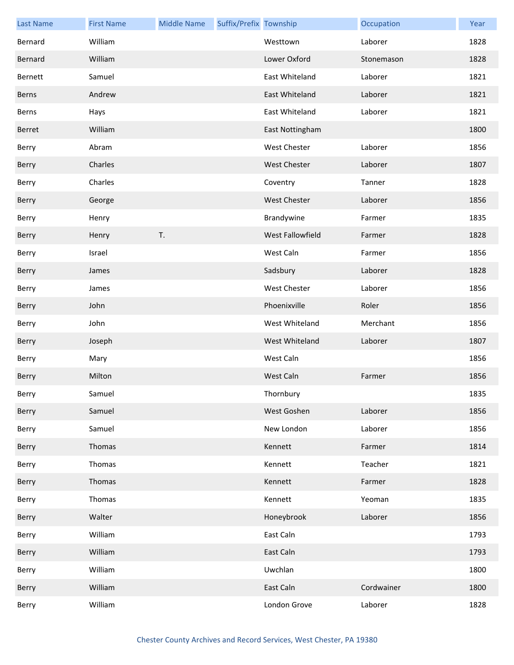| <b>Last Name</b> | <b>First Name</b> | <b>Middle Name</b> | Suffix/Prefix Township |                     | Occupation | Year |
|------------------|-------------------|--------------------|------------------------|---------------------|------------|------|
| Bernard          | William           |                    |                        | Westtown            | Laborer    | 1828 |
| Bernard          | William           |                    |                        | Lower Oxford        | Stonemason | 1828 |
| Bernett          | Samuel            |                    |                        | East Whiteland      | Laborer    | 1821 |
| Berns            | Andrew            |                    |                        | East Whiteland      | Laborer    | 1821 |
| Berns            | Hays              |                    |                        | East Whiteland      | Laborer    | 1821 |
| Berret           | William           |                    |                        | East Nottingham     |            | 1800 |
| Berry            | Abram             |                    |                        | West Chester        | Laborer    | 1856 |
| Berry            | Charles           |                    |                        | <b>West Chester</b> | Laborer    | 1807 |
| Berry            | Charles           |                    |                        | Coventry            | Tanner     | 1828 |
| Berry            | George            |                    |                        | <b>West Chester</b> | Laborer    | 1856 |
| Berry            | Henry             |                    |                        | Brandywine          | Farmer     | 1835 |
| Berry            | Henry             | T.                 |                        | West Fallowfield    | Farmer     | 1828 |
| Berry            | Israel            |                    |                        | West Caln           | Farmer     | 1856 |
| Berry            | James             |                    |                        | Sadsbury            | Laborer    | 1828 |
| Berry            | James             |                    |                        | West Chester        | Laborer    | 1856 |
| Berry            | John              |                    |                        | Phoenixville        | Roler      | 1856 |
| Berry            | John              |                    |                        | West Whiteland      | Merchant   | 1856 |
| Berry            | Joseph            |                    |                        | West Whiteland      | Laborer    | 1807 |
| Berry            | Mary              |                    |                        | West Caln           |            | 1856 |
| Berry            | Milton            |                    |                        | West Caln           | Farmer     | 1856 |
| Berry            | Samuel            |                    |                        | Thornbury           |            | 1835 |
| Berry            | Samuel            |                    |                        | West Goshen         | Laborer    | 1856 |
| Berry            | Samuel            |                    |                        | New London          | Laborer    | 1856 |
| Berry            | Thomas            |                    |                        | Kennett             | Farmer     | 1814 |
| Berry            | Thomas            |                    |                        | Kennett             | Teacher    | 1821 |
| Berry            | Thomas            |                    |                        | Kennett             | Farmer     | 1828 |
| Berry            | Thomas            |                    |                        | Kennett             | Yeoman     | 1835 |
| Berry            | Walter            |                    |                        | Honeybrook          | Laborer    | 1856 |
| Berry            | William           |                    |                        | East Caln           |            | 1793 |
| Berry            | William           |                    |                        | East Caln           |            | 1793 |
| Berry            | William           |                    |                        | Uwchlan             |            | 1800 |
| Berry            | William           |                    |                        | East Caln           | Cordwainer | 1800 |
| Berry            | William           |                    |                        | London Grove        | Laborer    | 1828 |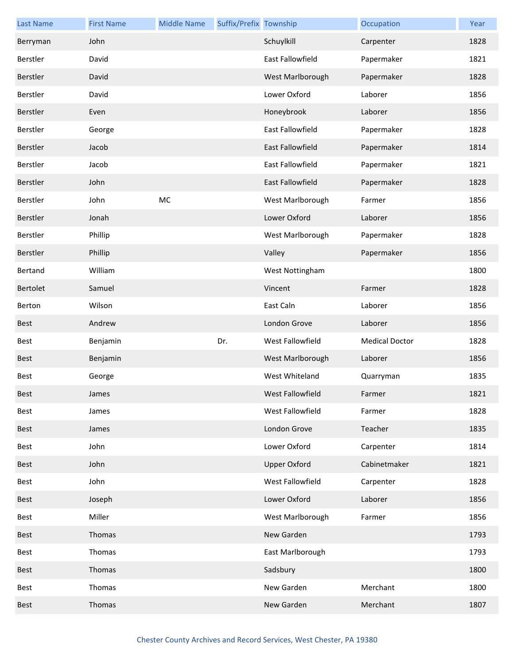| <b>Last Name</b> | <b>First Name</b> | <b>Middle Name</b> | Suffix/Prefix Township |                         | Occupation            | Year |
|------------------|-------------------|--------------------|------------------------|-------------------------|-----------------------|------|
| Berryman         | John              |                    |                        | Schuylkill              | Carpenter             | 1828 |
| Berstler         | David             |                    |                        | <b>East Fallowfield</b> | Papermaker            | 1821 |
| Berstler         | David             |                    |                        | West Marlborough        | Papermaker            | 1828 |
| Berstler         | David             |                    |                        | Lower Oxford            | Laborer               | 1856 |
| Berstler         | Even              |                    |                        | Honeybrook              | Laborer               | 1856 |
| Berstler         | George            |                    |                        | <b>East Fallowfield</b> | Papermaker            | 1828 |
| Berstler         | Jacob             |                    |                        | East Fallowfield        | Papermaker            | 1814 |
| Berstler         | Jacob             |                    |                        | East Fallowfield        | Papermaker            | 1821 |
| Berstler         | John              |                    |                        | East Fallowfield        | Papermaker            | 1828 |
| Berstler         | John              | MC                 |                        | West Marlborough        | Farmer                | 1856 |
| Berstler         | Jonah             |                    |                        | Lower Oxford            | Laborer               | 1856 |
| Berstler         | Phillip           |                    |                        | West Marlborough        | Papermaker            | 1828 |
| Berstler         | Phillip           |                    |                        | Valley                  | Papermaker            | 1856 |
| Bertand          | William           |                    |                        | West Nottingham         |                       | 1800 |
| Bertolet         | Samuel            |                    |                        | Vincent                 | Farmer                | 1828 |
| Berton           | Wilson            |                    |                        | East Caln               | Laborer               | 1856 |
| <b>Best</b>      | Andrew            |                    |                        | London Grove            | Laborer               | 1856 |
| Best             | Benjamin          |                    | Dr.                    | West Fallowfield        | <b>Medical Doctor</b> | 1828 |
| <b>Best</b>      | Benjamin          |                    |                        | West Marlborough        | Laborer               | 1856 |
| Best             | George            |                    |                        | West Whiteland          | Quarryman             | 1835 |
| <b>Best</b>      | James             |                    |                        | West Fallowfield        | Farmer                | 1821 |
| Best             | James             |                    |                        | West Fallowfield        | Farmer                | 1828 |
| Best             | James             |                    |                        | London Grove            | Teacher               | 1835 |
| Best             | John              |                    |                        | Lower Oxford            | Carpenter             | 1814 |
| Best             | John              |                    |                        | <b>Upper Oxford</b>     | Cabinetmaker          | 1821 |
| Best             | John              |                    |                        | West Fallowfield        | Carpenter             | 1828 |
| Best             | Joseph            |                    |                        | Lower Oxford            | Laborer               | 1856 |
| Best             | Miller            |                    |                        | West Marlborough        | Farmer                | 1856 |
| <b>Best</b>      | Thomas            |                    |                        | New Garden              |                       | 1793 |
| Best             | Thomas            |                    |                        | East Marlborough        |                       | 1793 |
| Best             | Thomas            |                    |                        | Sadsbury                |                       | 1800 |
| Best             | Thomas            |                    |                        | New Garden              | Merchant              | 1800 |
| <b>Best</b>      | Thomas            |                    |                        | New Garden              | Merchant              | 1807 |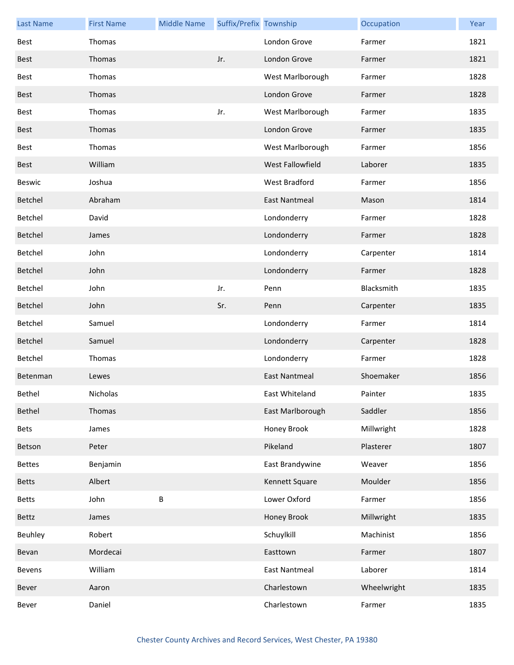| <b>Last Name</b> | <b>First Name</b> | <b>Middle Name</b> | Suffix/Prefix Township |                      | Occupation  | Year |
|------------------|-------------------|--------------------|------------------------|----------------------|-------------|------|
| Best             | Thomas            |                    |                        | London Grove         | Farmer      | 1821 |
| <b>Best</b>      | Thomas            |                    | Jr.                    | London Grove         | Farmer      | 1821 |
| Best             | Thomas            |                    |                        | West Marlborough     | Farmer      | 1828 |
| Best             | Thomas            |                    |                        | London Grove         | Farmer      | 1828 |
| Best             | Thomas            |                    | Jr.                    | West Marlborough     | Farmer      | 1835 |
| <b>Best</b>      | Thomas            |                    |                        | London Grove         | Farmer      | 1835 |
| Best             | Thomas            |                    |                        | West Marlborough     | Farmer      | 1856 |
| <b>Best</b>      | William           |                    |                        | West Fallowfield     | Laborer     | 1835 |
| Beswic           | Joshua            |                    |                        | West Bradford        | Farmer      | 1856 |
| Betchel          | Abraham           |                    |                        | East Nantmeal        | Mason       | 1814 |
| Betchel          | David             |                    |                        | Londonderry          | Farmer      | 1828 |
| Betchel          | James             |                    |                        | Londonderry          | Farmer      | 1828 |
| Betchel          | John              |                    |                        | Londonderry          | Carpenter   | 1814 |
| Betchel          | John              |                    |                        | Londonderry          | Farmer      | 1828 |
| Betchel          | John              |                    | Jr.                    | Penn                 | Blacksmith  | 1835 |
| Betchel          | John              |                    | Sr.                    | Penn                 | Carpenter   | 1835 |
| Betchel          | Samuel            |                    |                        | Londonderry          | Farmer      | 1814 |
| Betchel          | Samuel            |                    |                        | Londonderry          | Carpenter   | 1828 |
| Betchel          | Thomas            |                    |                        | Londonderry          | Farmer      | 1828 |
| Betenman         | Lewes             |                    |                        | <b>East Nantmeal</b> | Shoemaker   | 1856 |
| Bethel           | Nicholas          |                    |                        | East Whiteland       | Painter     | 1835 |
| Bethel           | Thomas            |                    |                        | East Marlborough     | Saddler     | 1856 |
| <b>Bets</b>      | James             |                    |                        | Honey Brook          | Millwright  | 1828 |
| Betson           | Peter             |                    |                        | Pikeland             | Plasterer   | 1807 |
| <b>Bettes</b>    | Benjamin          |                    |                        | East Brandywine      | Weaver      | 1856 |
| <b>Betts</b>     | Albert            |                    |                        | Kennett Square       | Moulder     | 1856 |
| <b>Betts</b>     | John              | B                  |                        | Lower Oxford         | Farmer      | 1856 |
| Bettz            | James             |                    |                        | Honey Brook          | Millwright  | 1835 |
| Beuhley          | Robert            |                    |                        | Schuylkill           | Machinist   | 1856 |
| Bevan            | Mordecai          |                    |                        | Easttown             | Farmer      | 1807 |
| Bevens           | William           |                    |                        | <b>East Nantmeal</b> | Laborer     | 1814 |
| Bever            | Aaron             |                    |                        | Charlestown          | Wheelwright | 1835 |
| Bever            | Daniel            |                    |                        | Charlestown          | Farmer      | 1835 |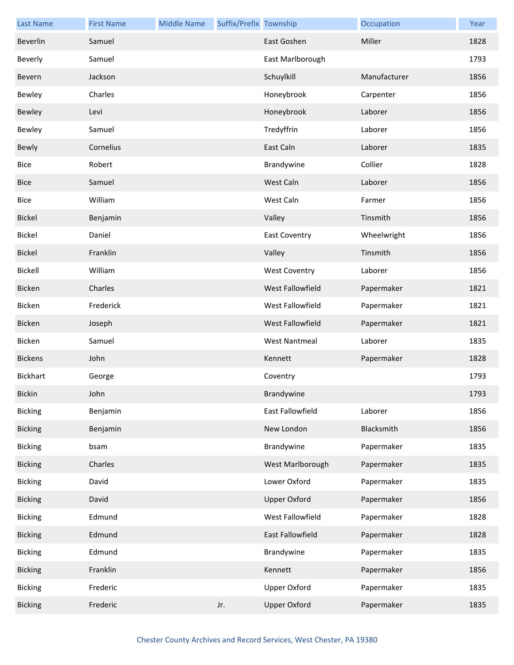| <b>Last Name</b> | <b>First Name</b> | <b>Middle Name</b> | Suffix/Prefix Township |                      | Occupation   | Year |
|------------------|-------------------|--------------------|------------------------|----------------------|--------------|------|
| Beverlin         | Samuel            |                    |                        | East Goshen          | Miller       | 1828 |
| Beverly          | Samuel            |                    |                        | East Marlborough     |              | 1793 |
| Bevern           | Jackson           |                    |                        | Schuylkill           | Manufacturer | 1856 |
| Bewley           | Charles           |                    |                        | Honeybrook           | Carpenter    | 1856 |
| Bewley           | Levi              |                    |                        | Honeybrook           | Laborer      | 1856 |
| Bewley           | Samuel            |                    |                        | Tredyffrin           | Laborer      | 1856 |
| Bewly            | Cornelius         |                    |                        | East Caln            | Laborer      | 1835 |
| <b>Bice</b>      | Robert            |                    |                        | Brandywine           | Collier      | 1828 |
| <b>Bice</b>      | Samuel            |                    |                        | West Caln            | Laborer      | 1856 |
| Bice             | William           |                    |                        | West Caln            | Farmer       | 1856 |
| <b>Bickel</b>    | Benjamin          |                    |                        | Valley               | Tinsmith     | 1856 |
| Bickel           | Daniel            |                    |                        | <b>East Coventry</b> | Wheelwright  | 1856 |
| <b>Bickel</b>    | Franklin          |                    |                        | Valley               | Tinsmith     | 1856 |
| Bickell          | William           |                    |                        | <b>West Coventry</b> | Laborer      | 1856 |
| Bicken           | Charles           |                    |                        | West Fallowfield     | Papermaker   | 1821 |
| Bicken           | Frederick         |                    |                        | West Fallowfield     | Papermaker   | 1821 |
| Bicken           | Joseph            |                    |                        | West Fallowfield     | Papermaker   | 1821 |
| Bicken           | Samuel            |                    |                        | <b>West Nantmeal</b> | Laborer      | 1835 |
| <b>Bickens</b>   | John              |                    |                        | Kennett              | Papermaker   | 1828 |
| <b>Bickhart</b>  | George            |                    |                        | Coventry             |              | 1793 |
| <b>Bickin</b>    | John              |                    |                        | Brandywine           |              | 1793 |
| <b>Bicking</b>   | Benjamin          |                    |                        | East Fallowfield     | Laborer      | 1856 |
| <b>Bicking</b>   | Benjamin          |                    |                        | New London           | Blacksmith   | 1856 |
| <b>Bicking</b>   | bsam              |                    |                        | Brandywine           | Papermaker   | 1835 |
| <b>Bicking</b>   | Charles           |                    |                        | West Marlborough     | Papermaker   | 1835 |
| <b>Bicking</b>   | David             |                    |                        | Lower Oxford         | Papermaker   | 1835 |
| <b>Bicking</b>   | David             |                    |                        | <b>Upper Oxford</b>  | Papermaker   | 1856 |
| <b>Bicking</b>   | Edmund            |                    |                        | West Fallowfield     | Papermaker   | 1828 |
| <b>Bicking</b>   | Edmund            |                    |                        | East Fallowfield     | Papermaker   | 1828 |
| <b>Bicking</b>   | Edmund            |                    |                        | Brandywine           | Papermaker   | 1835 |
| <b>Bicking</b>   | Franklin          |                    |                        | Kennett              | Papermaker   | 1856 |
| <b>Bicking</b>   | Frederic          |                    |                        | <b>Upper Oxford</b>  | Papermaker   | 1835 |
| <b>Bicking</b>   | Frederic          |                    | Jr.                    | <b>Upper Oxford</b>  | Papermaker   | 1835 |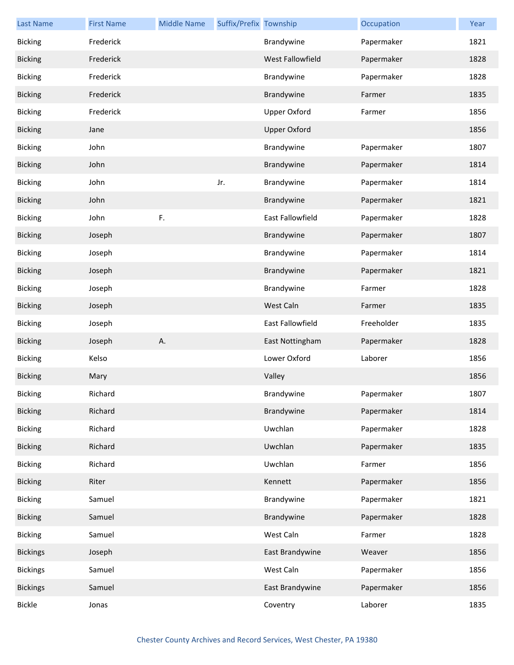| <b>Last Name</b> | <b>First Name</b> | <b>Middle Name</b> | Suffix/Prefix Township |                     | Occupation | Year |
|------------------|-------------------|--------------------|------------------------|---------------------|------------|------|
| <b>Bicking</b>   | Frederick         |                    |                        | Brandywine          | Papermaker | 1821 |
| <b>Bicking</b>   | Frederick         |                    |                        | West Fallowfield    | Papermaker | 1828 |
| <b>Bicking</b>   | Frederick         |                    |                        | Brandywine          | Papermaker | 1828 |
| <b>Bicking</b>   | Frederick         |                    |                        | Brandywine          | Farmer     | 1835 |
| <b>Bicking</b>   | Frederick         |                    |                        | <b>Upper Oxford</b> | Farmer     | 1856 |
| <b>Bicking</b>   | Jane              |                    |                        | <b>Upper Oxford</b> |            | 1856 |
| <b>Bicking</b>   | John              |                    |                        | Brandywine          | Papermaker | 1807 |
| <b>Bicking</b>   | John              |                    |                        | Brandywine          | Papermaker | 1814 |
| <b>Bicking</b>   | John              |                    | Jr.                    | Brandywine          | Papermaker | 1814 |
| <b>Bicking</b>   | John              |                    |                        | Brandywine          | Papermaker | 1821 |
| <b>Bicking</b>   | John              | F.                 |                        | East Fallowfield    | Papermaker | 1828 |
| <b>Bicking</b>   | Joseph            |                    |                        | Brandywine          | Papermaker | 1807 |
| <b>Bicking</b>   | Joseph            |                    |                        | Brandywine          | Papermaker | 1814 |
| <b>Bicking</b>   | Joseph            |                    |                        | Brandywine          | Papermaker | 1821 |
| <b>Bicking</b>   | Joseph            |                    |                        | Brandywine          | Farmer     | 1828 |
| <b>Bicking</b>   | Joseph            |                    |                        | West Caln           | Farmer     | 1835 |
| <b>Bicking</b>   | Joseph            |                    |                        | East Fallowfield    | Freeholder | 1835 |
| <b>Bicking</b>   | Joseph            | Α.                 |                        | East Nottingham     | Papermaker | 1828 |
| <b>Bicking</b>   | Kelso             |                    |                        | Lower Oxford        | Laborer    | 1856 |
| <b>Bicking</b>   | Mary              |                    |                        | Valley              |            | 1856 |
| <b>Bicking</b>   | Richard           |                    |                        | Brandywine          | Papermaker | 1807 |
| <b>Bicking</b>   | Richard           |                    |                        | Brandywine          | Papermaker | 1814 |
| <b>Bicking</b>   | Richard           |                    |                        | Uwchlan             | Papermaker | 1828 |
| <b>Bicking</b>   | Richard           |                    |                        | Uwchlan             | Papermaker | 1835 |
| <b>Bicking</b>   | Richard           |                    |                        | Uwchlan             | Farmer     | 1856 |
| <b>Bicking</b>   | Riter             |                    |                        | Kennett             | Papermaker | 1856 |
| <b>Bicking</b>   | Samuel            |                    |                        | Brandywine          | Papermaker | 1821 |
| <b>Bicking</b>   | Samuel            |                    |                        | Brandywine          | Papermaker | 1828 |
| <b>Bicking</b>   | Samuel            |                    |                        | West Caln           | Farmer     | 1828 |
| <b>Bickings</b>  | Joseph            |                    |                        | East Brandywine     | Weaver     | 1856 |
| <b>Bickings</b>  | Samuel            |                    |                        | West Caln           | Papermaker | 1856 |
| <b>Bickings</b>  | Samuel            |                    |                        | East Brandywine     | Papermaker | 1856 |
| <b>Bickle</b>    | Jonas             |                    |                        | Coventry            | Laborer    | 1835 |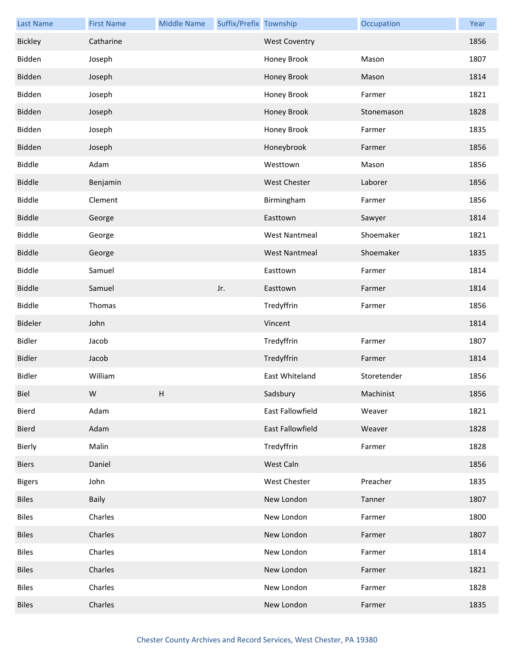| <b>Last Name</b> | <b>First Name</b> | <b>Middle Name</b> | Suffix/Prefix Township |                      | Occupation  | Year |
|------------------|-------------------|--------------------|------------------------|----------------------|-------------|------|
| Bickley          | Catharine         |                    |                        | <b>West Coventry</b> |             | 1856 |
| Bidden           | Joseph            |                    |                        | Honey Brook          | Mason       | 1807 |
| Bidden           | Joseph            |                    |                        | Honey Brook          | Mason       | 1814 |
| Bidden           | Joseph            |                    |                        | Honey Brook          | Farmer      | 1821 |
| Bidden           | Joseph            |                    |                        | Honey Brook          | Stonemason  | 1828 |
| Bidden           | Joseph            |                    |                        | Honey Brook          | Farmer      | 1835 |
| Bidden           | Joseph            |                    |                        | Honeybrook           | Farmer      | 1856 |
| <b>Biddle</b>    | Adam              |                    |                        | Westtown             | Mason       | 1856 |
| <b>Biddle</b>    | Benjamin          |                    |                        | <b>West Chester</b>  | Laborer     | 1856 |
| Biddle           | Clement           |                    |                        | Birmingham           | Farmer      | 1856 |
| <b>Biddle</b>    | George            |                    |                        | Easttown             | Sawyer      | 1814 |
| <b>Biddle</b>    | George            |                    |                        | <b>West Nantmeal</b> | Shoemaker   | 1821 |
| <b>Biddle</b>    | George            |                    |                        | <b>West Nantmeal</b> | Shoemaker   | 1835 |
| Biddle           | Samuel            |                    |                        | Easttown             | Farmer      | 1814 |
| <b>Biddle</b>    | Samuel            |                    | Jr.                    | Easttown             | Farmer      | 1814 |
| Biddle           | Thomas            |                    |                        | Tredyffrin           | Farmer      | 1856 |
| Bideler          | John              |                    |                        | Vincent              |             | 1814 |
| <b>Bidler</b>    | Jacob             |                    |                        | Tredyffrin           | Farmer      | 1807 |
| <b>Bidler</b>    | Jacob             |                    |                        | Tredyffrin           | Farmer      | 1814 |
| <b>Bidler</b>    | William           |                    |                        | East Whiteland       | Storetender | 1856 |
| <b>Biel</b>      | W                 | H                  |                        | Sadsbury             | Machinist   | 1856 |
| Bierd            | Adam              |                    |                        | East Fallowfield     | Weaver      | 1821 |
| Bierd            | Adam              |                    |                        | East Fallowfield     | Weaver      | 1828 |
| Bierly           | Malin             |                    |                        | Tredyffrin           | Farmer      | 1828 |
| <b>Biers</b>     | Daniel            |                    |                        | West Caln            |             | 1856 |
| <b>Bigers</b>    | John              |                    |                        | <b>West Chester</b>  | Preacher    | 1835 |
| <b>Biles</b>     | Baily             |                    |                        | New London           | Tanner      | 1807 |
| <b>Biles</b>     | Charles           |                    |                        | New London           | Farmer      | 1800 |
| <b>Biles</b>     | Charles           |                    |                        | New London           | Farmer      | 1807 |
| <b>Biles</b>     | Charles           |                    |                        | New London           | Farmer      | 1814 |
| <b>Biles</b>     | Charles           |                    |                        | New London           | Farmer      | 1821 |
| <b>Biles</b>     | Charles           |                    |                        | New London           | Farmer      | 1828 |
| <b>Biles</b>     | Charles           |                    |                        | New London           | Farmer      | 1835 |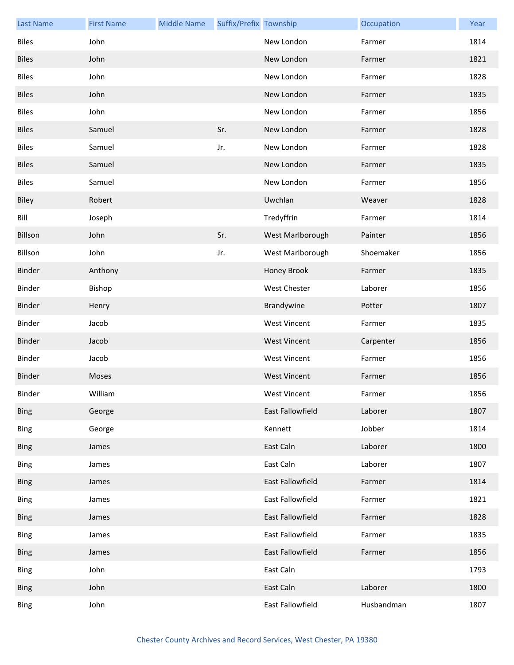| <b>Last Name</b> | <b>First Name</b> | <b>Middle Name</b> | Suffix/Prefix Township |                         | Occupation | Year |
|------------------|-------------------|--------------------|------------------------|-------------------------|------------|------|
| <b>Biles</b>     | John              |                    |                        | New London              | Farmer     | 1814 |
| <b>Biles</b>     | John              |                    |                        | New London              | Farmer     | 1821 |
| <b>Biles</b>     | John              |                    |                        | New London              | Farmer     | 1828 |
| <b>Biles</b>     | John              |                    |                        | New London              | Farmer     | 1835 |
| <b>Biles</b>     | John              |                    |                        | New London              | Farmer     | 1856 |
| <b>Biles</b>     | Samuel            |                    | Sr.                    | New London              | Farmer     | 1828 |
| <b>Biles</b>     | Samuel            |                    | Jr.                    | New London              | Farmer     | 1828 |
| <b>Biles</b>     | Samuel            |                    |                        | New London              | Farmer     | 1835 |
| <b>Biles</b>     | Samuel            |                    |                        | New London              | Farmer     | 1856 |
| Biley            | Robert            |                    |                        | Uwchlan                 | Weaver     | 1828 |
| Bill             | Joseph            |                    |                        | Tredyffrin              | Farmer     | 1814 |
| Billson          | John              |                    | Sr.                    | West Marlborough        | Painter    | 1856 |
| Billson          | John              |                    | Jr.                    | West Marlborough        | Shoemaker  | 1856 |
| Binder           | Anthony           |                    |                        | Honey Brook             | Farmer     | 1835 |
| Binder           | Bishop            |                    |                        | West Chester            | Laborer    | 1856 |
| Binder           | Henry             |                    |                        | Brandywine              | Potter     | 1807 |
| Binder           | Jacob             |                    |                        | <b>West Vincent</b>     | Farmer     | 1835 |
| Binder           | Jacob             |                    |                        | <b>West Vincent</b>     | Carpenter  | 1856 |
| Binder           | Jacob             |                    |                        | <b>West Vincent</b>     | Farmer     | 1856 |
| <b>Binder</b>    | Moses             |                    |                        | <b>West Vincent</b>     | Farmer     | 1856 |
| Binder           | William           |                    |                        | West Vincent            | Farmer     | 1856 |
| <b>Bing</b>      | George            |                    |                        | East Fallowfield        | Laborer    | 1807 |
| <b>Bing</b>      | George            |                    |                        | Kennett                 | Jobber     | 1814 |
| <b>Bing</b>      | James             |                    |                        | East Caln               | Laborer    | 1800 |
| <b>Bing</b>      | James             |                    |                        | East Caln               | Laborer    | 1807 |
| <b>Bing</b>      | James             |                    |                        | <b>East Fallowfield</b> | Farmer     | 1814 |
| <b>Bing</b>      | James             |                    |                        | East Fallowfield        | Farmer     | 1821 |
| <b>Bing</b>      | James             |                    |                        | East Fallowfield        | Farmer     | 1828 |
| <b>Bing</b>      | James             |                    |                        | East Fallowfield        | Farmer     | 1835 |
| <b>Bing</b>      | James             |                    |                        | East Fallowfield        | Farmer     | 1856 |
| <b>Bing</b>      | John              |                    |                        | East Caln               |            | 1793 |
| <b>Bing</b>      | John              |                    |                        | East Caln               | Laborer    | 1800 |
| <b>Bing</b>      | John              |                    |                        | East Fallowfield        | Husbandman | 1807 |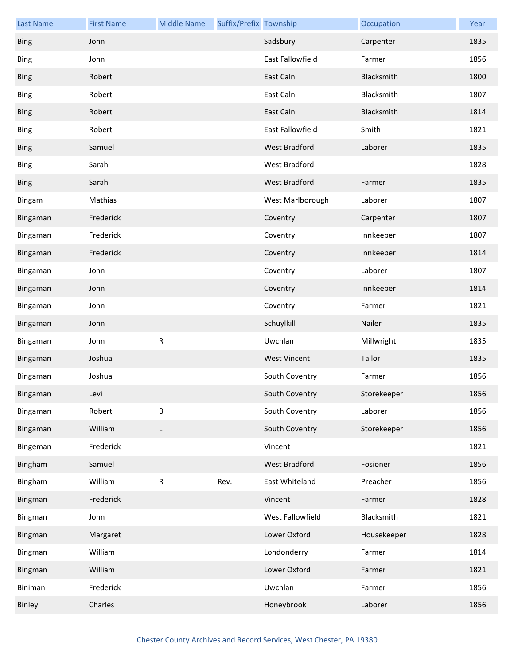| <b>Last Name</b> | <b>First Name</b> | <b>Middle Name</b> | Suffix/Prefix Township |                     | Occupation  | Year |
|------------------|-------------------|--------------------|------------------------|---------------------|-------------|------|
| <b>Bing</b>      | John              |                    |                        | Sadsbury            | Carpenter   | 1835 |
| <b>Bing</b>      | John              |                    |                        | East Fallowfield    | Farmer      | 1856 |
| <b>Bing</b>      | Robert            |                    |                        | East Caln           | Blacksmith  | 1800 |
| <b>Bing</b>      | Robert            |                    |                        | East Caln           | Blacksmith  | 1807 |
| <b>Bing</b>      | Robert            |                    |                        | East Caln           | Blacksmith  | 1814 |
| <b>Bing</b>      | Robert            |                    |                        | East Fallowfield    | Smith       | 1821 |
| <b>Bing</b>      | Samuel            |                    |                        | West Bradford       | Laborer     | 1835 |
| <b>Bing</b>      | Sarah             |                    |                        | West Bradford       |             | 1828 |
| <b>Bing</b>      | Sarah             |                    |                        | West Bradford       | Farmer      | 1835 |
| Bingam           | Mathias           |                    |                        | West Marlborough    | Laborer     | 1807 |
| Bingaman         | Frederick         |                    |                        | Coventry            | Carpenter   | 1807 |
| Bingaman         | Frederick         |                    |                        | Coventry            | Innkeeper   | 1807 |
| Bingaman         | Frederick         |                    |                        | Coventry            | Innkeeper   | 1814 |
| Bingaman         | John              |                    |                        | Coventry            | Laborer     | 1807 |
| Bingaman         | John              |                    |                        | Coventry            | Innkeeper   | 1814 |
| Bingaman         | John              |                    |                        | Coventry            | Farmer      | 1821 |
| Bingaman         | John              |                    |                        | Schuylkill          | Nailer      | 1835 |
| Bingaman         | John              | ${\sf R}$          |                        | Uwchlan             | Millwright  | 1835 |
| Bingaman         | Joshua            |                    |                        | <b>West Vincent</b> | Tailor      | 1835 |
| Bingaman         | Joshua            |                    |                        | South Coventry      | Farmer      | 1856 |
| Bingaman         | Levi              |                    |                        | South Coventry      | Storekeeper | 1856 |
| Bingaman         | Robert            | B                  |                        | South Coventry      | Laborer     | 1856 |
| Bingaman         | William           | L                  |                        | South Coventry      | Storekeeper | 1856 |
| Bingeman         | Frederick         |                    |                        | Vincent             |             | 1821 |
| Bingham          | Samuel            |                    |                        | West Bradford       | Fosioner    | 1856 |
| Bingham          | William           | ${\sf R}$          | Rev.                   | East Whiteland      | Preacher    | 1856 |
| Bingman          | Frederick         |                    |                        | Vincent             | Farmer      | 1828 |
| Bingman          | John              |                    |                        | West Fallowfield    | Blacksmith  | 1821 |
| Bingman          | Margaret          |                    |                        | Lower Oxford        | Housekeeper | 1828 |
| Bingman          | William           |                    |                        | Londonderry         | Farmer      | 1814 |
| Bingman          | William           |                    |                        | Lower Oxford        | Farmer      | 1821 |
| Biniman          | Frederick         |                    |                        | Uwchlan             | Farmer      | 1856 |
| Binley           | Charles           |                    |                        | Honeybrook          | Laborer     | 1856 |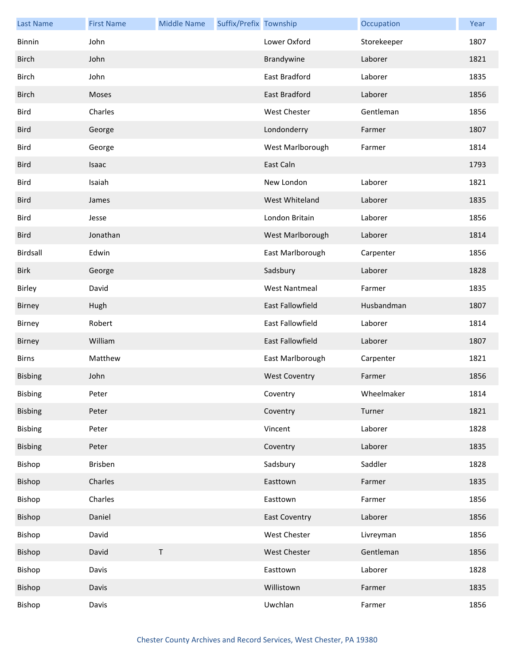| <b>Last Name</b> | <b>First Name</b> | <b>Middle Name</b> | Suffix/Prefix Township |                      | Occupation  | Year |
|------------------|-------------------|--------------------|------------------------|----------------------|-------------|------|
| <b>Binnin</b>    | John              |                    |                        | Lower Oxford         | Storekeeper | 1807 |
| <b>Birch</b>     | John              |                    |                        | Brandywine           | Laborer     | 1821 |
| <b>Birch</b>     | John              |                    |                        | East Bradford        | Laborer     | 1835 |
| <b>Birch</b>     | Moses             |                    |                        | East Bradford        | Laborer     | 1856 |
| Bird             | Charles           |                    |                        | <b>West Chester</b>  | Gentleman   | 1856 |
| <b>Bird</b>      | George            |                    |                        | Londonderry          | Farmer      | 1807 |
| Bird             | George            |                    |                        | West Marlborough     | Farmer      | 1814 |
| <b>Bird</b>      | Isaac             |                    |                        | East Caln            |             | 1793 |
| Bird             | Isaiah            |                    |                        | New London           | Laborer     | 1821 |
| <b>Bird</b>      | James             |                    |                        | West Whiteland       | Laborer     | 1835 |
| Bird             | Jesse             |                    |                        | London Britain       | Laborer     | 1856 |
| <b>Bird</b>      | Jonathan          |                    |                        | West Marlborough     | Laborer     | 1814 |
| Birdsall         | Edwin             |                    |                        | East Marlborough     | Carpenter   | 1856 |
| <b>Birk</b>      | George            |                    |                        | Sadsbury             | Laborer     | 1828 |
| Birley           | David             |                    |                        | <b>West Nantmeal</b> | Farmer      | 1835 |
| Birney           | Hugh              |                    |                        | East Fallowfield     | Husbandman  | 1807 |
| Birney           | Robert            |                    |                        | East Fallowfield     | Laborer     | 1814 |
| Birney           | William           |                    |                        | East Fallowfield     | Laborer     | 1807 |
| <b>Birns</b>     | Matthew           |                    |                        | East Marlborough     | Carpenter   | 1821 |
| Bisbing          | John              |                    |                        | <b>West Coventry</b> | Farmer      | 1856 |
| Bisbing          | Peter             |                    |                        | Coventry             | Wheelmaker  | 1814 |
| <b>Bisbing</b>   | Peter             |                    |                        | Coventry             | Turner      | 1821 |
| Bisbing          | Peter             |                    |                        | Vincent              | Laborer     | 1828 |
| Bisbing          | Peter             |                    |                        | Coventry             | Laborer     | 1835 |
| Bishop           | <b>Brisben</b>    |                    |                        | Sadsbury             | Saddler     | 1828 |
| Bishop           | Charles           |                    |                        | Easttown             | Farmer      | 1835 |
| Bishop           | Charles           |                    |                        | Easttown             | Farmer      | 1856 |
| Bishop           | Daniel            |                    |                        | <b>East Coventry</b> | Laborer     | 1856 |
| Bishop           | David             |                    |                        | West Chester         | Livreyman   | 1856 |
| Bishop           | David             | $\sf T$            |                        | West Chester         | Gentleman   | 1856 |
| Bishop           | Davis             |                    |                        | Easttown             | Laborer     | 1828 |
| Bishop           | Davis             |                    |                        | Willistown           | Farmer      | 1835 |
| Bishop           | Davis             |                    |                        | Uwchlan              | Farmer      | 1856 |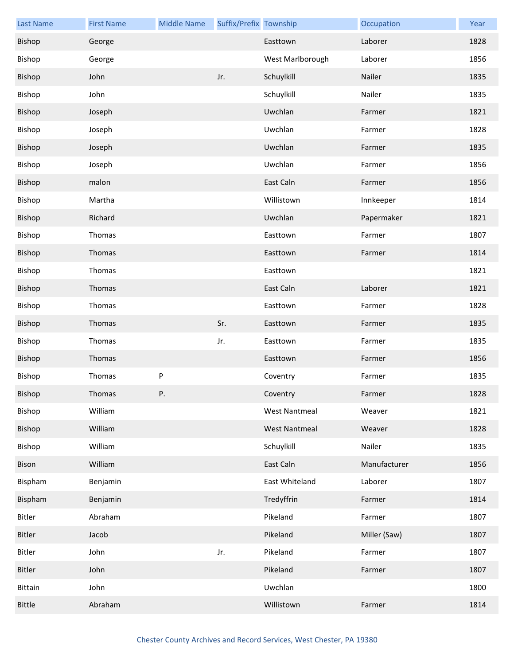| <b>Last Name</b> | <b>First Name</b> | <b>Middle Name</b> | Suffix/Prefix Township |                      | Occupation   | Year |
|------------------|-------------------|--------------------|------------------------|----------------------|--------------|------|
| Bishop           | George            |                    |                        | Easttown             | Laborer      | 1828 |
| Bishop           | George            |                    |                        | West Marlborough     | Laborer      | 1856 |
| Bishop           | John              |                    | Jr.                    | Schuylkill           | Nailer       | 1835 |
| Bishop           | John              |                    |                        | Schuylkill           | Nailer       | 1835 |
| Bishop           | Joseph            |                    |                        | Uwchlan              | Farmer       | 1821 |
| Bishop           | Joseph            |                    |                        | Uwchlan              | Farmer       | 1828 |
| Bishop           | Joseph            |                    |                        | Uwchlan              | Farmer       | 1835 |
| Bishop           | Joseph            |                    |                        | Uwchlan              | Farmer       | 1856 |
| Bishop           | malon             |                    |                        | East Caln            | Farmer       | 1856 |
| Bishop           | Martha            |                    |                        | Willistown           | Innkeeper    | 1814 |
| Bishop           | Richard           |                    |                        | Uwchlan              | Papermaker   | 1821 |
| Bishop           | Thomas            |                    |                        | Easttown             | Farmer       | 1807 |
| Bishop           | Thomas            |                    |                        | Easttown             | Farmer       | 1814 |
| Bishop           | Thomas            |                    |                        | Easttown             |              | 1821 |
| Bishop           | Thomas            |                    |                        | East Caln            | Laborer      | 1821 |
| Bishop           | Thomas            |                    |                        | Easttown             | Farmer       | 1828 |
| Bishop           | Thomas            |                    | Sr.                    | Easttown             | Farmer       | 1835 |
| Bishop           | Thomas            |                    | Jr.                    | Easttown             | Farmer       | 1835 |
| Bishop           | Thomas            |                    |                        | Easttown             | Farmer       | 1856 |
| Bishop           | Thomas            | ${\sf P}$          |                        | Coventry             | Farmer       | 1835 |
| Bishop           | Thomas            | Ρ.                 |                        | Coventry             | Farmer       | 1828 |
| Bishop           | William           |                    |                        | <b>West Nantmeal</b> | Weaver       | 1821 |
| Bishop           | William           |                    |                        | <b>West Nantmeal</b> | Weaver       | 1828 |
| Bishop           | William           |                    |                        | Schuylkill           | Nailer       | 1835 |
| Bison            | William           |                    |                        | East Caln            | Manufacturer | 1856 |
| Bispham          | Benjamin          |                    |                        | East Whiteland       | Laborer      | 1807 |
| Bispham          | Benjamin          |                    |                        | Tredyffrin           | Farmer       | 1814 |
| Bitler           | Abraham           |                    |                        | Pikeland             | Farmer       | 1807 |
| Bitler           | Jacob             |                    |                        | Pikeland             | Miller (Saw) | 1807 |
| Bitler           | John              |                    | Jr.                    | Pikeland             | Farmer       | 1807 |
| Bitler           | John              |                    |                        | Pikeland             | Farmer       | 1807 |
| Bittain          | John              |                    |                        | Uwchlan              |              | 1800 |
| <b>Bittle</b>    | Abraham           |                    |                        | Willistown           | Farmer       | 1814 |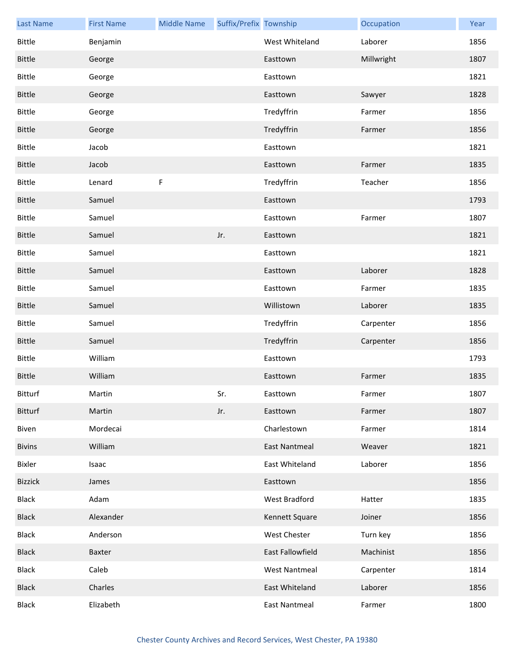| <b>Last Name</b> | <b>First Name</b> | <b>Middle Name</b> | Suffix/Prefix Township |                         | Occupation | Year |
|------------------|-------------------|--------------------|------------------------|-------------------------|------------|------|
| <b>Bittle</b>    | Benjamin          |                    |                        | West Whiteland          | Laborer    | 1856 |
| <b>Bittle</b>    | George            |                    |                        | Easttown                | Millwright | 1807 |
| <b>Bittle</b>    | George            |                    |                        | Easttown                |            | 1821 |
| <b>Bittle</b>    | George            |                    |                        | Easttown                | Sawyer     | 1828 |
| <b>Bittle</b>    | George            |                    |                        | Tredyffrin              | Farmer     | 1856 |
| <b>Bittle</b>    | George            |                    |                        | Tredyffrin              | Farmer     | 1856 |
| <b>Bittle</b>    | Jacob             |                    |                        | Easttown                |            | 1821 |
| <b>Bittle</b>    | Jacob             |                    |                        | Easttown                | Farmer     | 1835 |
| <b>Bittle</b>    | Lenard            | F                  |                        | Tredyffrin              | Teacher    | 1856 |
| <b>Bittle</b>    | Samuel            |                    |                        | Easttown                |            | 1793 |
| <b>Bittle</b>    | Samuel            |                    |                        | Easttown                | Farmer     | 1807 |
| <b>Bittle</b>    | Samuel            |                    | Jr.                    | Easttown                |            | 1821 |
| <b>Bittle</b>    | Samuel            |                    |                        | Easttown                |            | 1821 |
| <b>Bittle</b>    | Samuel            |                    |                        | Easttown                | Laborer    | 1828 |
| <b>Bittle</b>    | Samuel            |                    |                        | Easttown                | Farmer     | 1835 |
| <b>Bittle</b>    | Samuel            |                    |                        | Willistown              | Laborer    | 1835 |
| <b>Bittle</b>    | Samuel            |                    |                        | Tredyffrin              | Carpenter  | 1856 |
| <b>Bittle</b>    | Samuel            |                    |                        | Tredyffrin              | Carpenter  | 1856 |
| <b>Bittle</b>    | William           |                    |                        | Easttown                |            | 1793 |
| <b>Bittle</b>    | William           |                    |                        | Easttown                | Farmer     | 1835 |
| Bitturf          | Martin            |                    | Sr.                    | Easttown                | Farmer     | 1807 |
| Bitturf          | Martin            |                    | Jr.                    | Easttown                | Farmer     | 1807 |
| Biven            | Mordecai          |                    |                        | Charlestown             | Farmer     | 1814 |
| <b>Bivins</b>    | William           |                    |                        | <b>East Nantmeal</b>    | Weaver     | 1821 |
| Bixler           | Isaac             |                    |                        | East Whiteland          | Laborer    | 1856 |
| <b>Bizzick</b>   | James             |                    |                        | Easttown                |            | 1856 |
| <b>Black</b>     | Adam              |                    |                        | West Bradford           | Hatter     | 1835 |
| <b>Black</b>     | Alexander         |                    |                        | Kennett Square          | Joiner     | 1856 |
| Black            | Anderson          |                    |                        | West Chester            | Turn key   | 1856 |
| <b>Black</b>     | Baxter            |                    |                        | <b>East Fallowfield</b> | Machinist  | 1856 |
| <b>Black</b>     | Caleb             |                    |                        | <b>West Nantmeal</b>    | Carpenter  | 1814 |
| <b>Black</b>     | Charles           |                    |                        | East Whiteland          | Laborer    | 1856 |
| <b>Black</b>     | Elizabeth         |                    |                        | <b>East Nantmeal</b>    | Farmer     | 1800 |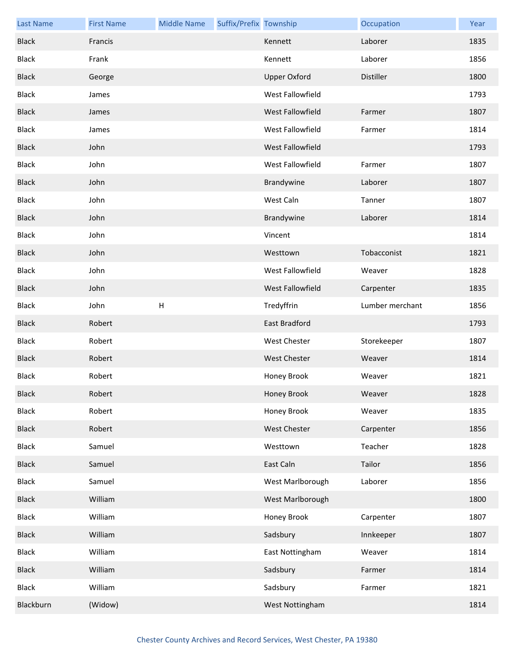| <b>Last Name</b> | <b>First Name</b> | <b>Middle Name</b> | Suffix/Prefix Township |                         | Occupation      | Year |
|------------------|-------------------|--------------------|------------------------|-------------------------|-----------------|------|
| <b>Black</b>     | Francis           |                    |                        | Kennett                 | Laborer         | 1835 |
| <b>Black</b>     | Frank             |                    |                        | Kennett                 | Laborer         | 1856 |
| <b>Black</b>     | George            |                    |                        | <b>Upper Oxford</b>     | Distiller       | 1800 |
| <b>Black</b>     | James             |                    |                        | West Fallowfield        |                 | 1793 |
| <b>Black</b>     | James             |                    |                        | <b>West Fallowfield</b> | Farmer          | 1807 |
| <b>Black</b>     | James             |                    |                        | West Fallowfield        | Farmer          | 1814 |
| <b>Black</b>     | John              |                    |                        | West Fallowfield        |                 | 1793 |
| <b>Black</b>     | John              |                    |                        | West Fallowfield        | Farmer          | 1807 |
| <b>Black</b>     | John              |                    |                        | Brandywine              | Laborer         | 1807 |
| <b>Black</b>     | John              |                    |                        | West Caln               | Tanner          | 1807 |
| <b>Black</b>     | John              |                    |                        | Brandywine              | Laborer         | 1814 |
| <b>Black</b>     | John              |                    |                        | Vincent                 |                 | 1814 |
| <b>Black</b>     | John              |                    |                        | Westtown                | Tobacconist     | 1821 |
| <b>Black</b>     | John              |                    |                        | West Fallowfield        | Weaver          | 1828 |
| <b>Black</b>     | John              |                    |                        | West Fallowfield        | Carpenter       | 1835 |
| Black            | John              | $\sf H$            |                        | Tredyffrin              | Lumber merchant | 1856 |
| <b>Black</b>     | Robert            |                    |                        | East Bradford           |                 | 1793 |
| <b>Black</b>     | Robert            |                    |                        | West Chester            | Storekeeper     | 1807 |
| <b>Black</b>     | Robert            |                    |                        | <b>West Chester</b>     | Weaver          | 1814 |
| <b>Black</b>     | Robert            |                    |                        | Honey Brook             | Weaver          | 1821 |
| <b>Black</b>     | Robert            |                    |                        | Honey Brook             | Weaver          | 1828 |
| <b>Black</b>     | Robert            |                    |                        | Honey Brook             | Weaver          | 1835 |
| <b>Black</b>     | Robert            |                    |                        | West Chester            | Carpenter       | 1856 |
| Black            | Samuel            |                    |                        | Westtown                | Teacher         | 1828 |
| <b>Black</b>     | Samuel            |                    |                        | East Caln               | Tailor          | 1856 |
| <b>Black</b>     | Samuel            |                    |                        | West Marlborough        | Laborer         | 1856 |
| <b>Black</b>     | William           |                    |                        | West Marlborough        |                 | 1800 |
| <b>Black</b>     | William           |                    |                        | Honey Brook             | Carpenter       | 1807 |
| <b>Black</b>     | William           |                    |                        | Sadsbury                | Innkeeper       | 1807 |
| <b>Black</b>     | William           |                    |                        | East Nottingham         | Weaver          | 1814 |
| <b>Black</b>     | William           |                    |                        | Sadsbury                | Farmer          | 1814 |
| Black            | William           |                    |                        | Sadsbury                | Farmer          | 1821 |
| Blackburn        | (Widow)           |                    |                        | West Nottingham         |                 | 1814 |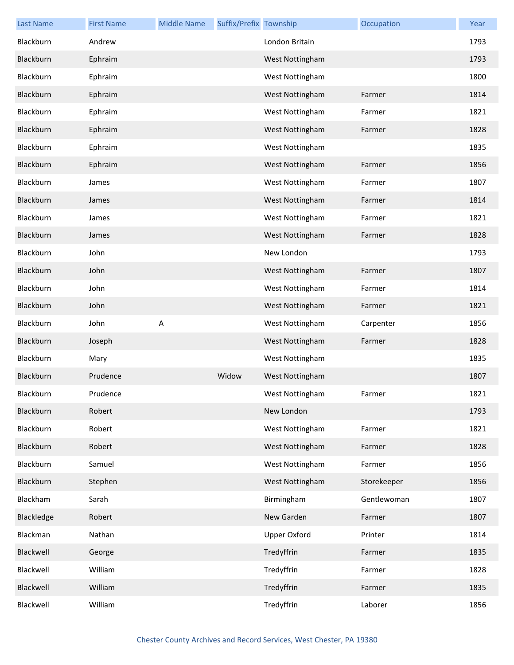| <b>Last Name</b> | <b>First Name</b> | <b>Middle Name</b> | Suffix/Prefix Township |                     | Occupation  | Year |
|------------------|-------------------|--------------------|------------------------|---------------------|-------------|------|
| Blackburn        | Andrew            |                    |                        | London Britain      |             | 1793 |
| Blackburn        | Ephraim           |                    |                        | West Nottingham     |             | 1793 |
| Blackburn        | Ephraim           |                    |                        | West Nottingham     |             | 1800 |
| Blackburn        | Ephraim           |                    |                        | West Nottingham     | Farmer      | 1814 |
| Blackburn        | Ephraim           |                    |                        | West Nottingham     | Farmer      | 1821 |
| Blackburn        | Ephraim           |                    |                        | West Nottingham     | Farmer      | 1828 |
| Blackburn        | Ephraim           |                    |                        | West Nottingham     |             | 1835 |
| Blackburn        | Ephraim           |                    |                        | West Nottingham     | Farmer      | 1856 |
| Blackburn        | James             |                    |                        | West Nottingham     | Farmer      | 1807 |
| Blackburn        | James             |                    |                        | West Nottingham     | Farmer      | 1814 |
| Blackburn        | James             |                    |                        | West Nottingham     | Farmer      | 1821 |
| Blackburn        | James             |                    |                        | West Nottingham     | Farmer      | 1828 |
| Blackburn        | John              |                    |                        | New London          |             | 1793 |
| Blackburn        | John              |                    |                        | West Nottingham     | Farmer      | 1807 |
| Blackburn        | John              |                    |                        | West Nottingham     | Farmer      | 1814 |
| Blackburn        | John              |                    |                        | West Nottingham     | Farmer      | 1821 |
| Blackburn        | John              | А                  |                        | West Nottingham     | Carpenter   | 1856 |
| Blackburn        | Joseph            |                    |                        | West Nottingham     | Farmer      | 1828 |
| Blackburn        | Mary              |                    |                        | West Nottingham     |             | 1835 |
| Blackburn        | Prudence          |                    | Widow                  | West Nottingham     |             | 1807 |
| Blackburn        | Prudence          |                    |                        | West Nottingham     | Farmer      | 1821 |
| Blackburn        | Robert            |                    |                        | New London          |             | 1793 |
| Blackburn        | Robert            |                    |                        | West Nottingham     | Farmer      | 1821 |
| Blackburn        | Robert            |                    |                        | West Nottingham     | Farmer      | 1828 |
| Blackburn        | Samuel            |                    |                        | West Nottingham     | Farmer      | 1856 |
| Blackburn        | Stephen           |                    |                        | West Nottingham     | Storekeeper | 1856 |
| Blackham         | Sarah             |                    |                        | Birmingham          | Gentlewoman | 1807 |
| Blackledge       | Robert            |                    |                        | New Garden          | Farmer      | 1807 |
| Blackman         | Nathan            |                    |                        | <b>Upper Oxford</b> | Printer     | 1814 |
| Blackwell        | George            |                    |                        | Tredyffrin          | Farmer      | 1835 |
| Blackwell        | William           |                    |                        | Tredyffrin          | Farmer      | 1828 |
| Blackwell        | William           |                    |                        | Tredyffrin          | Farmer      | 1835 |
| Blackwell        | William           |                    |                        | Tredyffrin          | Laborer     | 1856 |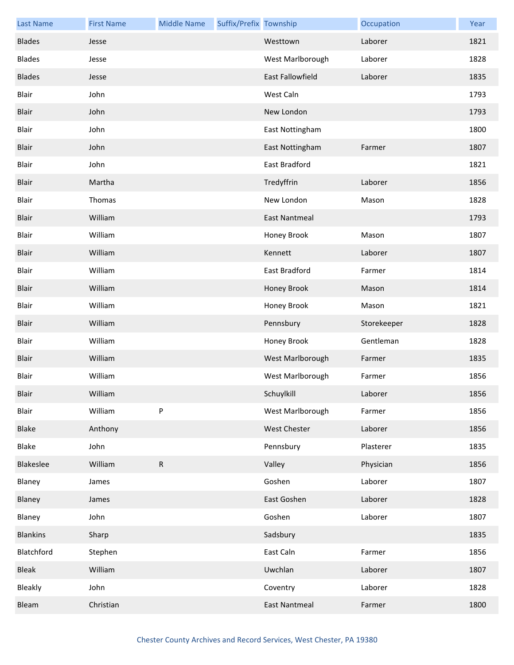| <b>Last Name</b> | <b>First Name</b> | <b>Middle Name</b> | Suffix/Prefix Township |                      | Occupation  | Year |
|------------------|-------------------|--------------------|------------------------|----------------------|-------------|------|
| <b>Blades</b>    | Jesse             |                    |                        | Westtown             | Laborer     | 1821 |
| <b>Blades</b>    | Jesse             |                    |                        | West Marlborough     | Laborer     | 1828 |
| <b>Blades</b>    | Jesse             |                    |                        | East Fallowfield     | Laborer     | 1835 |
| Blair            | John              |                    |                        | West Caln            |             | 1793 |
| Blair            | John              |                    |                        | New London           |             | 1793 |
| Blair            | John              |                    |                        | East Nottingham      |             | 1800 |
| Blair            | John              |                    |                        | East Nottingham      | Farmer      | 1807 |
| Blair            | John              |                    |                        | East Bradford        |             | 1821 |
| Blair            | Martha            |                    |                        | Tredyffrin           | Laborer     | 1856 |
| Blair            | Thomas            |                    |                        | New London           | Mason       | 1828 |
| Blair            | William           |                    |                        | <b>East Nantmeal</b> |             | 1793 |
| Blair            | William           |                    |                        | Honey Brook          | Mason       | 1807 |
| Blair            | William           |                    |                        | Kennett              | Laborer     | 1807 |
| Blair            | William           |                    |                        | East Bradford        | Farmer      | 1814 |
| Blair            | William           |                    |                        | Honey Brook          | Mason       | 1814 |
| Blair            | William           |                    |                        | Honey Brook          | Mason       | 1821 |
| Blair            | William           |                    |                        | Pennsbury            | Storekeeper | 1828 |
| Blair            | William           |                    |                        | Honey Brook          | Gentleman   | 1828 |
| Blair            | William           |                    |                        | West Marlborough     | Farmer      | 1835 |
| Blair            | William           |                    |                        | West Marlborough     | Farmer      | 1856 |
| Blair            | William           |                    |                        | Schuylkill           | Laborer     | 1856 |
| Blair            | William           | P                  |                        | West Marlborough     | Farmer      | 1856 |
| Blake            | Anthony           |                    |                        | <b>West Chester</b>  | Laborer     | 1856 |
| Blake            | John              |                    |                        | Pennsbury            | Plasterer   | 1835 |
| Blakeslee        | William           | ${\sf R}$          |                        | Valley               | Physician   | 1856 |
| Blaney           | James             |                    |                        | Goshen               | Laborer     | 1807 |
| Blaney           | James             |                    |                        | East Goshen          | Laborer     | 1828 |
| Blaney           | John              |                    |                        | Goshen               | Laborer     | 1807 |
| <b>Blankins</b>  | Sharp             |                    |                        | Sadsbury             |             | 1835 |
| Blatchford       | Stephen           |                    |                        | East Caln            | Farmer      | 1856 |
| <b>Bleak</b>     | William           |                    |                        | Uwchlan              | Laborer     | 1807 |
| Bleakly          | John              |                    |                        | Coventry             | Laborer     | 1828 |
| Bleam            | Christian         |                    |                        | <b>East Nantmeal</b> | Farmer      | 1800 |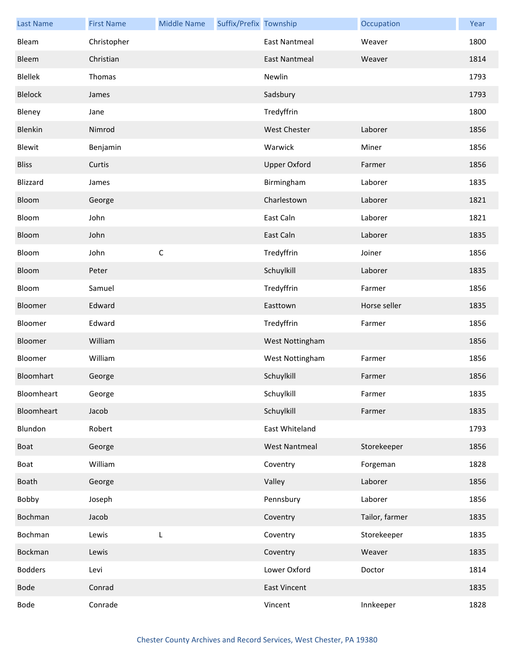| <b>Last Name</b> | <b>First Name</b> | <b>Middle Name</b> | Suffix/Prefix Township |                      | Occupation     | Year |
|------------------|-------------------|--------------------|------------------------|----------------------|----------------|------|
| Bleam            | Christopher       |                    |                        | <b>East Nantmeal</b> | Weaver         | 1800 |
| Bleem            | Christian         |                    |                        | <b>East Nantmeal</b> | Weaver         | 1814 |
| Blellek          | Thomas            |                    |                        | Newlin               |                | 1793 |
| Blelock          | James             |                    |                        | Sadsbury             |                | 1793 |
| Bleney           | Jane              |                    |                        | Tredyffrin           |                | 1800 |
| Blenkin          | Nimrod            |                    |                        | <b>West Chester</b>  | Laborer        | 1856 |
| Blewit           | Benjamin          |                    |                        | Warwick              | Miner          | 1856 |
| <b>Bliss</b>     | Curtis            |                    |                        | <b>Upper Oxford</b>  | Farmer         | 1856 |
| Blizzard         | James             |                    |                        | Birmingham           | Laborer        | 1835 |
| Bloom            | George            |                    |                        | Charlestown          | Laborer        | 1821 |
| Bloom            | John              |                    |                        | East Caln            | Laborer        | 1821 |
| Bloom            | John              |                    |                        | East Caln            | Laborer        | 1835 |
| Bloom            | John              | $\mathsf C$        |                        | Tredyffrin           | Joiner         | 1856 |
| Bloom            | Peter             |                    |                        | Schuylkill           | Laborer        | 1835 |
| Bloom            | Samuel            |                    |                        | Tredyffrin           | Farmer         | 1856 |
| Bloomer          | Edward            |                    |                        | Easttown             | Horse seller   | 1835 |
| Bloomer          | Edward            |                    |                        | Tredyffrin           | Farmer         | 1856 |
| Bloomer          | William           |                    |                        | West Nottingham      |                | 1856 |
| Bloomer          | William           |                    |                        | West Nottingham      | Farmer         | 1856 |
| Bloomhart        | George            |                    |                        | Schuylkill           | Farmer         | 1856 |
| Bloomheart       | George            |                    |                        | Schuylkill           | Farmer         | 1835 |
| Bloomheart       | Jacob             |                    |                        | Schuylkill           | Farmer         | 1835 |
| Blundon          | Robert            |                    |                        | East Whiteland       |                | 1793 |
| Boat             | George            |                    |                        | <b>West Nantmeal</b> | Storekeeper    | 1856 |
| Boat             | William           |                    |                        | Coventry             | Forgeman       | 1828 |
| Boath            | George            |                    |                        | Valley               | Laborer        | 1856 |
| Bobby            | Joseph            |                    |                        | Pennsbury            | Laborer        | 1856 |
| Bochman          | Jacob             |                    |                        | Coventry             | Tailor, farmer | 1835 |
| Bochman          | Lewis             | L                  |                        | Coventry             | Storekeeper    | 1835 |
| Bockman          | Lewis             |                    |                        | Coventry             | Weaver         | 1835 |
| <b>Bodders</b>   | Levi              |                    |                        | Lower Oxford         | Doctor         | 1814 |
| Bode             | Conrad            |                    |                        | <b>East Vincent</b>  |                | 1835 |
| Bode             | Conrade           |                    |                        | Vincent              | Innkeeper      | 1828 |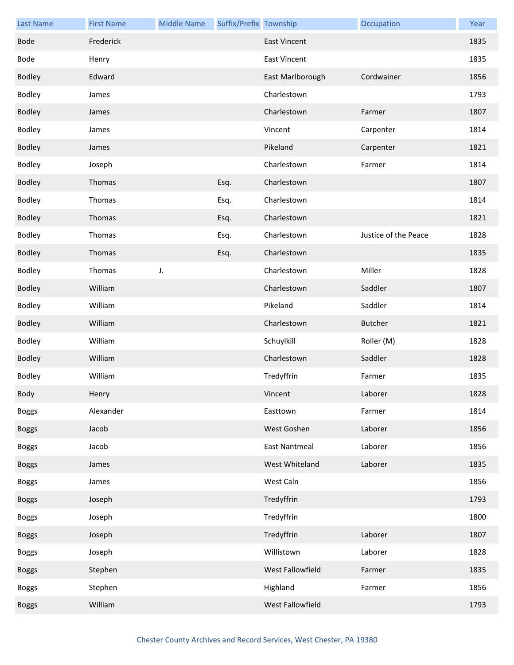| <b>Last Name</b> | <b>First Name</b> | <b>Middle Name</b> | Suffix/Prefix Township |                      | Occupation           | Year |
|------------------|-------------------|--------------------|------------------------|----------------------|----------------------|------|
| <b>Bode</b>      | Frederick         |                    |                        | <b>East Vincent</b>  |                      | 1835 |
| Bode             | Henry             |                    |                        | <b>East Vincent</b>  |                      | 1835 |
| <b>Bodley</b>    | Edward            |                    |                        | East Marlborough     | Cordwainer           | 1856 |
| Bodley           | James             |                    |                        | Charlestown          |                      | 1793 |
| <b>Bodley</b>    | James             |                    |                        | Charlestown          | Farmer               | 1807 |
| Bodley           | James             |                    |                        | Vincent              | Carpenter            | 1814 |
| <b>Bodley</b>    | James             |                    |                        | Pikeland             | Carpenter            | 1821 |
| <b>Bodley</b>    | Joseph            |                    |                        | Charlestown          | Farmer               | 1814 |
| <b>Bodley</b>    | Thomas            |                    | Esq.                   | Charlestown          |                      | 1807 |
| Bodley           | Thomas            |                    | Esq.                   | Charlestown          |                      | 1814 |
| <b>Bodley</b>    | Thomas            |                    | Esq.                   | Charlestown          |                      | 1821 |
| Bodley           | Thomas            |                    | Esq.                   | Charlestown          | Justice of the Peace | 1828 |
| <b>Bodley</b>    | Thomas            |                    | Esq.                   | Charlestown          |                      | 1835 |
| Bodley           | Thomas            | J.                 |                        | Charlestown          | Miller               | 1828 |
| <b>Bodley</b>    | William           |                    |                        | Charlestown          | Saddler              | 1807 |
| Bodley           | William           |                    |                        | Pikeland             | Saddler              | 1814 |
| <b>Bodley</b>    | William           |                    |                        | Charlestown          | <b>Butcher</b>       | 1821 |
| Bodley           | William           |                    |                        | Schuylkill           | Roller (M)           | 1828 |
| <b>Bodley</b>    | William           |                    |                        | Charlestown          | Saddler              | 1828 |
| <b>Bodley</b>    | William           |                    |                        | Tredyffrin           | Farmer               | 1835 |
| Body             | Henry             |                    |                        | Vincent              | Laborer              | 1828 |
| <b>Boggs</b>     | Alexander         |                    |                        | Easttown             | Farmer               | 1814 |
| <b>Boggs</b>     | Jacob             |                    |                        | West Goshen          | Laborer              | 1856 |
| <b>Boggs</b>     | Jacob             |                    |                        | <b>East Nantmeal</b> | Laborer              | 1856 |
| <b>Boggs</b>     | James             |                    |                        | West Whiteland       | Laborer              | 1835 |
| <b>Boggs</b>     | James             |                    |                        | West Caln            |                      | 1856 |
| <b>Boggs</b>     | Joseph            |                    |                        | Tredyffrin           |                      | 1793 |
| <b>Boggs</b>     | Joseph            |                    |                        | Tredyffrin           |                      | 1800 |
| <b>Boggs</b>     | Joseph            |                    |                        | Tredyffrin           | Laborer              | 1807 |
| <b>Boggs</b>     | Joseph            |                    |                        | Willistown           | Laborer              | 1828 |
| <b>Boggs</b>     | Stephen           |                    |                        | West Fallowfield     | Farmer               | 1835 |
| <b>Boggs</b>     | Stephen           |                    |                        | Highland             | Farmer               | 1856 |
| <b>Boggs</b>     | William           |                    |                        | West Fallowfield     |                      | 1793 |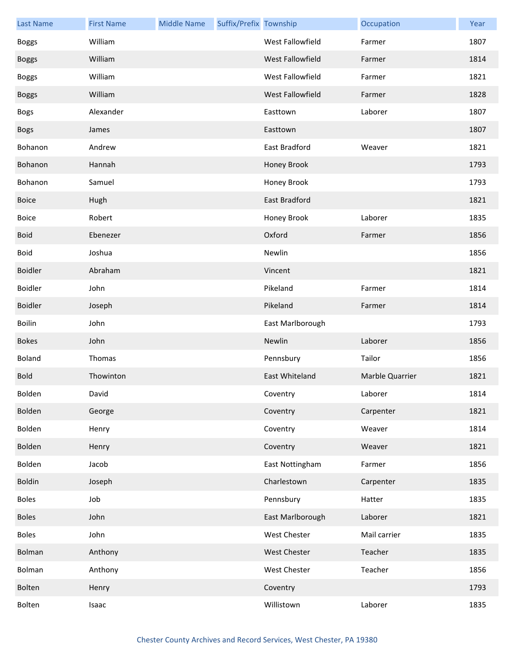| <b>Last Name</b> | <b>First Name</b> | <b>Middle Name</b> | Suffix/Prefix Township |                      | Occupation      | Year |
|------------------|-------------------|--------------------|------------------------|----------------------|-----------------|------|
| <b>Boggs</b>     | William           |                    |                        | West Fallowfield     | Farmer          | 1807 |
| <b>Boggs</b>     | William           |                    |                        | West Fallowfield     | Farmer          | 1814 |
| <b>Boggs</b>     | William           |                    |                        | West Fallowfield     | Farmer          | 1821 |
| <b>Boggs</b>     | William           |                    |                        | West Fallowfield     | Farmer          | 1828 |
| <b>Bogs</b>      | Alexander         |                    |                        | Easttown             | Laborer         | 1807 |
| <b>Bogs</b>      | James             |                    |                        | Easttown             |                 | 1807 |
| Bohanon          | Andrew            |                    |                        | East Bradford        | Weaver          | 1821 |
| Bohanon          | Hannah            |                    |                        | Honey Brook          |                 | 1793 |
| Bohanon          | Samuel            |                    |                        | Honey Brook          |                 | 1793 |
| <b>Boice</b>     | Hugh              |                    |                        | <b>East Bradford</b> |                 | 1821 |
| <b>Boice</b>     | Robert            |                    |                        | Honey Brook          | Laborer         | 1835 |
| <b>Boid</b>      | Ebenezer          |                    |                        | Oxford               | Farmer          | 1856 |
| <b>Boid</b>      | Joshua            |                    |                        | Newlin               |                 | 1856 |
| <b>Boidler</b>   | Abraham           |                    |                        | Vincent              |                 | 1821 |
| Boidler          | John              |                    |                        | Pikeland             | Farmer          | 1814 |
| <b>Boidler</b>   | Joseph            |                    |                        | Pikeland             | Farmer          | 1814 |
| <b>Boilin</b>    | John              |                    |                        | East Marlborough     |                 | 1793 |
| <b>Bokes</b>     | John              |                    |                        | Newlin               | Laborer         | 1856 |
| Boland           | Thomas            |                    |                        | Pennsbury            | Tailor          | 1856 |
| <b>Bold</b>      | Thowinton         |                    |                        | East Whiteland       | Marble Quarrier | 1821 |
| Bolden           | David             |                    |                        | Coventry             | Laborer         | 1814 |
| Bolden           | George            |                    |                        | Coventry             | Carpenter       | 1821 |
| Bolden           | Henry             |                    |                        | Coventry             | Weaver          | 1814 |
| Bolden           | Henry             |                    |                        | Coventry             | Weaver          | 1821 |
| Bolden           | Jacob             |                    |                        | East Nottingham      | Farmer          | 1856 |
| Boldin           | Joseph            |                    |                        | Charlestown          | Carpenter       | 1835 |
| <b>Boles</b>     | Job               |                    |                        | Pennsbury            | Hatter          | 1835 |
| <b>Boles</b>     | John              |                    |                        | East Marlborough     | Laborer         | 1821 |
| <b>Boles</b>     | John              |                    |                        | West Chester         | Mail carrier    | 1835 |
| Bolman           | Anthony           |                    |                        | West Chester         | Teacher         | 1835 |
| Bolman           | Anthony           |                    |                        | West Chester         | Teacher         | 1856 |
| Bolten           | Henry             |                    |                        | Coventry             |                 | 1793 |
| Bolten           | Isaac             |                    |                        | Willistown           | Laborer         | 1835 |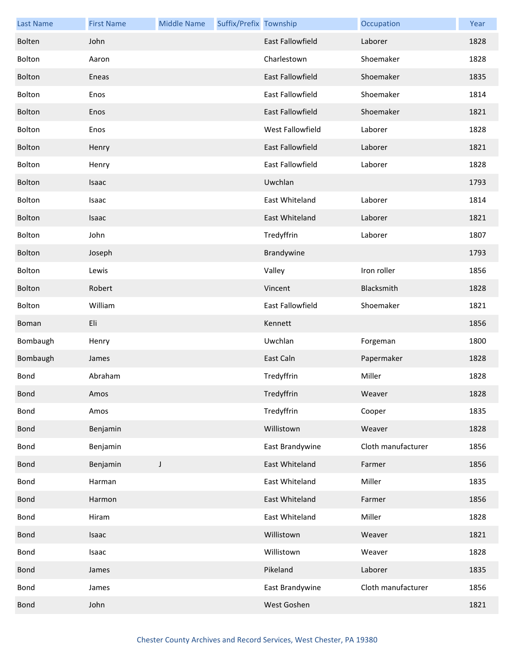| <b>Last Name</b> | <b>First Name</b> | <b>Middle Name</b> | Suffix/Prefix Township |                         | Occupation         | Year |
|------------------|-------------------|--------------------|------------------------|-------------------------|--------------------|------|
| Bolten           | John              |                    |                        | <b>East Fallowfield</b> | Laborer            | 1828 |
| Bolton           | Aaron             |                    |                        | Charlestown             | Shoemaker          | 1828 |
| Bolton           | Eneas             |                    |                        | East Fallowfield        | Shoemaker          | 1835 |
| Bolton           | Enos              |                    |                        | East Fallowfield        | Shoemaker          | 1814 |
| Bolton           | Enos              |                    |                        | East Fallowfield        | Shoemaker          | 1821 |
| Bolton           | Enos              |                    |                        | West Fallowfield        | Laborer            | 1828 |
| Bolton           | Henry             |                    |                        | East Fallowfield        | Laborer            | 1821 |
| Bolton           | Henry             |                    |                        | <b>East Fallowfield</b> | Laborer            | 1828 |
| Bolton           | <b>Isaac</b>      |                    |                        | Uwchlan                 |                    | 1793 |
| Bolton           | Isaac             |                    |                        | East Whiteland          | Laborer            | 1814 |
| Bolton           | Isaac             |                    |                        | East Whiteland          | Laborer            | 1821 |
| Bolton           | John              |                    |                        | Tredyffrin              | Laborer            | 1807 |
| Bolton           | Joseph            |                    |                        | Brandywine              |                    | 1793 |
| Bolton           | Lewis             |                    |                        | Valley                  | Iron roller        | 1856 |
| Bolton           | Robert            |                    |                        | Vincent                 | Blacksmith         | 1828 |
| Bolton           | William           |                    |                        | East Fallowfield        | Shoemaker          | 1821 |
| Boman            | Eli               |                    |                        | Kennett                 |                    | 1856 |
| Bombaugh         | Henry             |                    |                        | Uwchlan                 | Forgeman           | 1800 |
| Bombaugh         | James             |                    |                        | East Caln               | Papermaker         | 1828 |
| Bond             | Abraham           |                    |                        | Tredyffrin              | Miller             | 1828 |
| <b>Bond</b>      | Amos              |                    |                        | Tredyffrin              | Weaver             | 1828 |
| Bond             | Amos              |                    |                        | Tredyffrin              | Cooper             | 1835 |
| <b>Bond</b>      | Benjamin          |                    |                        | Willistown              | Weaver             | 1828 |
| Bond             | Benjamin          |                    |                        | East Brandywine         | Cloth manufacturer | 1856 |
| <b>Bond</b>      | Benjamin          | J                  |                        | East Whiteland          | Farmer             | 1856 |
| <b>Bond</b>      | Harman            |                    |                        | East Whiteland          | Miller             | 1835 |
| <b>Bond</b>      | Harmon            |                    |                        | East Whiteland          | Farmer             | 1856 |
| Bond             | Hiram             |                    |                        | East Whiteland          | Miller             | 1828 |
| <b>Bond</b>      | Isaac             |                    |                        | Willistown              | Weaver             | 1821 |
| Bond             | Isaac             |                    |                        | Willistown              | Weaver             | 1828 |
| <b>Bond</b>      | James             |                    |                        | Pikeland                | Laborer            | 1835 |
| Bond             | James             |                    |                        | East Brandywine         | Cloth manufacturer | 1856 |
| <b>Bond</b>      | John              |                    |                        | West Goshen             |                    | 1821 |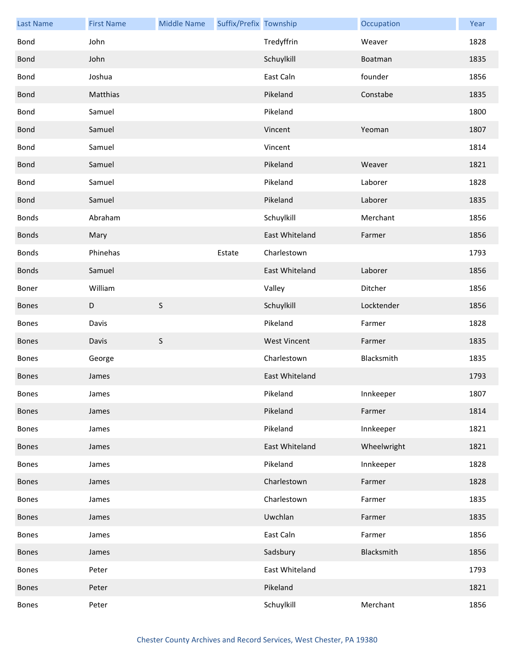| <b>Last Name</b> | <b>First Name</b> | <b>Middle Name</b> | Suffix/Prefix Township |                     | Occupation  | Year |
|------------------|-------------------|--------------------|------------------------|---------------------|-------------|------|
| Bond             | John              |                    |                        | Tredyffrin          | Weaver      | 1828 |
| <b>Bond</b>      | John              |                    |                        | Schuylkill          | Boatman     | 1835 |
| Bond             | Joshua            |                    |                        | East Caln           | founder     | 1856 |
| <b>Bond</b>      | Matthias          |                    |                        | Pikeland            | Constabe    | 1835 |
| Bond             | Samuel            |                    |                        | Pikeland            |             | 1800 |
| <b>Bond</b>      | Samuel            |                    |                        | Vincent             | Yeoman      | 1807 |
| Bond             | Samuel            |                    |                        | Vincent             |             | 1814 |
| <b>Bond</b>      | Samuel            |                    |                        | Pikeland            | Weaver      | 1821 |
| <b>Bond</b>      | Samuel            |                    |                        | Pikeland            | Laborer     | 1828 |
| <b>Bond</b>      | Samuel            |                    |                        | Pikeland            | Laborer     | 1835 |
| Bonds            | Abraham           |                    |                        | Schuylkill          | Merchant    | 1856 |
| <b>Bonds</b>     | Mary              |                    |                        | East Whiteland      | Farmer      | 1856 |
| <b>Bonds</b>     | Phinehas          |                    | Estate                 | Charlestown         |             | 1793 |
| <b>Bonds</b>     | Samuel            |                    |                        | East Whiteland      | Laborer     | 1856 |
| Boner            | William           |                    |                        | Valley              | Ditcher     | 1856 |
| <b>Bones</b>     | D                 | $\sf S$            |                        | Schuylkill          | Locktender  | 1856 |
| Bones            | Davis             |                    |                        | Pikeland            | Farmer      | 1828 |
| <b>Bones</b>     | Davis             | $\sf S$            |                        | <b>West Vincent</b> | Farmer      | 1835 |
| Bones            | George            |                    |                        | Charlestown         | Blacksmith  | 1835 |
| <b>Bones</b>     | James             |                    |                        | East Whiteland      |             | 1793 |
| <b>Bones</b>     | James             |                    |                        | Pikeland            | Innkeeper   | 1807 |
| Bones            | James             |                    |                        | Pikeland            | Farmer      | 1814 |
| Bones            | James             |                    |                        | Pikeland            | Innkeeper   | 1821 |
| Bones            | James             |                    |                        | East Whiteland      | Wheelwright | 1821 |
| Bones            | James             |                    |                        | Pikeland            | Innkeeper   | 1828 |
| Bones            | James             |                    |                        | Charlestown         | Farmer      | 1828 |
| Bones            | James             |                    |                        | Charlestown         | Farmer      | 1835 |
| Bones            | James             |                    |                        | Uwchlan             | Farmer      | 1835 |
| Bones            | James             |                    |                        | East Caln           | Farmer      | 1856 |
| <b>Bones</b>     | James             |                    |                        | Sadsbury            | Blacksmith  | 1856 |
| Bones            | Peter             |                    |                        | East Whiteland      |             | 1793 |
| Bones            | Peter             |                    |                        | Pikeland            |             | 1821 |
| Bones            | Peter             |                    |                        | Schuylkill          | Merchant    | 1856 |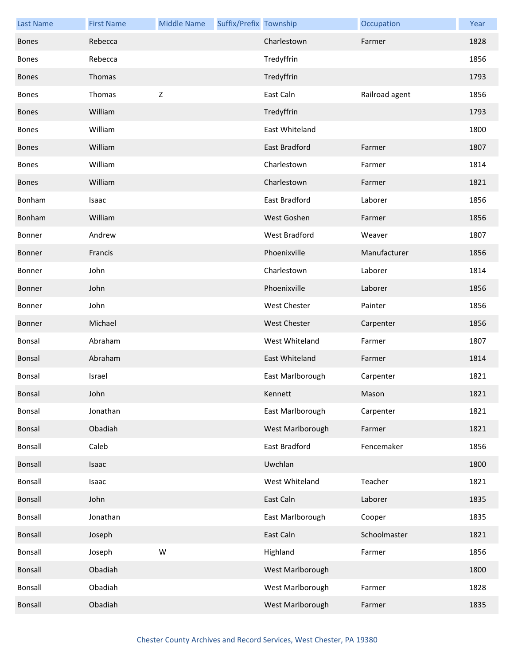| <b>Last Name</b> | <b>First Name</b> | <b>Middle Name</b> | Suffix/Prefix Township |                      | Occupation     | Year |
|------------------|-------------------|--------------------|------------------------|----------------------|----------------|------|
| <b>Bones</b>     | Rebecca           |                    |                        | Charlestown          | Farmer         | 1828 |
| <b>Bones</b>     | Rebecca           |                    |                        | Tredyffrin           |                | 1856 |
| <b>Bones</b>     | Thomas            |                    |                        | Tredyffrin           |                | 1793 |
| <b>Bones</b>     | Thomas            | $\mathsf Z$        |                        | East Caln            | Railroad agent | 1856 |
| <b>Bones</b>     | William           |                    |                        | Tredyffrin           |                | 1793 |
| Bones            | William           |                    |                        | East Whiteland       |                | 1800 |
| <b>Bones</b>     | William           |                    |                        | East Bradford        | Farmer         | 1807 |
| <b>Bones</b>     | William           |                    |                        | Charlestown          | Farmer         | 1814 |
| <b>Bones</b>     | William           |                    |                        | Charlestown          | Farmer         | 1821 |
| Bonham           | Isaac             |                    |                        | East Bradford        | Laborer        | 1856 |
| Bonham           | William           |                    |                        | West Goshen          | Farmer         | 1856 |
| Bonner           | Andrew            |                    |                        | <b>West Bradford</b> | Weaver         | 1807 |
| Bonner           | Francis           |                    |                        | Phoenixville         | Manufacturer   | 1856 |
| Bonner           | John              |                    |                        | Charlestown          | Laborer        | 1814 |
| Bonner           | John              |                    |                        | Phoenixville         | Laborer        | 1856 |
| Bonner           | John              |                    |                        | <b>West Chester</b>  | Painter        | 1856 |
| Bonner           | Michael           |                    |                        | <b>West Chester</b>  | Carpenter      | 1856 |
| Bonsal           | Abraham           |                    |                        | West Whiteland       | Farmer         | 1807 |
| Bonsal           | Abraham           |                    |                        | East Whiteland       | Farmer         | 1814 |
| <b>Bonsal</b>    | Israel            |                    |                        | East Marlborough     | Carpenter      | 1821 |
| <b>Bonsal</b>    | John              |                    |                        | Kennett              | Mason          | 1821 |
| Bonsal           | Jonathan          |                    |                        | East Marlborough     | Carpenter      | 1821 |
| Bonsal           | Obadiah           |                    |                        | West Marlborough     | Farmer         | 1821 |
| <b>Bonsall</b>   | Caleb             |                    |                        | East Bradford        | Fencemaker     | 1856 |
| Bonsall          | Isaac             |                    |                        | Uwchlan              |                | 1800 |
| Bonsall          | Isaac             |                    |                        | West Whiteland       | Teacher        | 1821 |
| Bonsall          | John              |                    |                        | East Caln            | Laborer        | 1835 |
| Bonsall          | Jonathan          |                    |                        | East Marlborough     | Cooper         | 1835 |
| Bonsall          | Joseph            |                    |                        | East Caln            | Schoolmaster   | 1821 |
| Bonsall          | Joseph            | W                  |                        | Highland             | Farmer         | 1856 |
| Bonsall          | Obadiah           |                    |                        | West Marlborough     |                | 1800 |
| Bonsall          | Obadiah           |                    |                        | West Marlborough     | Farmer         | 1828 |
| <b>Bonsall</b>   | Obadiah           |                    |                        | West Marlborough     | Farmer         | 1835 |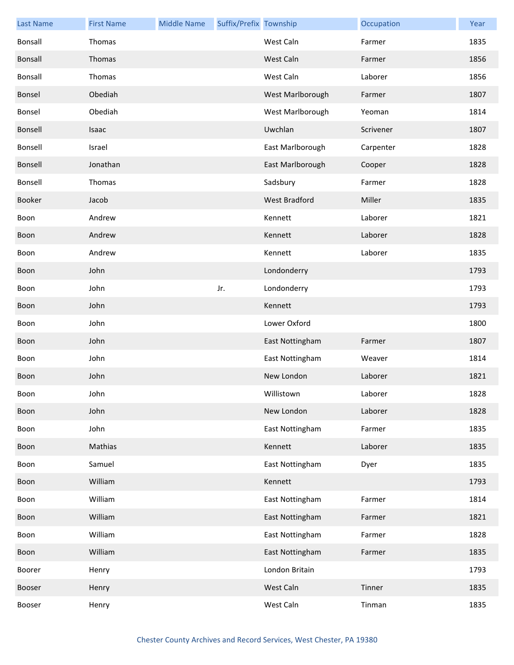| <b>Last Name</b> | <b>First Name</b> | <b>Middle Name</b> | Suffix/Prefix Township |                  | Occupation | Year |
|------------------|-------------------|--------------------|------------------------|------------------|------------|------|
| Bonsall          | Thomas            |                    |                        | West Caln        | Farmer     | 1835 |
| Bonsall          | Thomas            |                    |                        | West Caln        | Farmer     | 1856 |
| Bonsall          | Thomas            |                    |                        | West Caln        | Laborer    | 1856 |
| Bonsel           | Obediah           |                    |                        | West Marlborough | Farmer     | 1807 |
| Bonsel           | Obediah           |                    |                        | West Marlborough | Yeoman     | 1814 |
| Bonsell          | Isaac             |                    |                        | Uwchlan          | Scrivener  | 1807 |
| Bonsell          | Israel            |                    |                        | East Marlborough | Carpenter  | 1828 |
| Bonsell          | Jonathan          |                    |                        | East Marlborough | Cooper     | 1828 |
| Bonsell          | Thomas            |                    |                        | Sadsbury         | Farmer     | 1828 |
| Booker           | Jacob             |                    |                        | West Bradford    | Miller     | 1835 |
| Boon             | Andrew            |                    |                        | Kennett          | Laborer    | 1821 |
| Boon             | Andrew            |                    |                        | Kennett          | Laborer    | 1828 |
| Boon             | Andrew            |                    |                        | Kennett          | Laborer    | 1835 |
| Boon             | John              |                    |                        | Londonderry      |            | 1793 |
| Boon             | John              |                    | Jr.                    | Londonderry      |            | 1793 |
| Boon             | John              |                    |                        | Kennett          |            | 1793 |
| Boon             | John              |                    |                        | Lower Oxford     |            | 1800 |
| Boon             | John              |                    |                        | East Nottingham  | Farmer     | 1807 |
| Boon             | John              |                    |                        | East Nottingham  | Weaver     | 1814 |
| Boon             | John              |                    |                        | New London       | Laborer    | 1821 |
| Boon             | John              |                    |                        | Willistown       | Laborer    | 1828 |
| Boon             | John              |                    |                        | New London       | Laborer    | 1828 |
| Boon             | John              |                    |                        | East Nottingham  | Farmer     | 1835 |
| Boon             | Mathias           |                    |                        | Kennett          | Laborer    | 1835 |
| Boon             | Samuel            |                    |                        | East Nottingham  | Dyer       | 1835 |
| Boon             | William           |                    |                        | Kennett          |            | 1793 |
| Boon             | William           |                    |                        | East Nottingham  | Farmer     | 1814 |
| Boon             | William           |                    |                        | East Nottingham  | Farmer     | 1821 |
| Boon             | William           |                    |                        | East Nottingham  | Farmer     | 1828 |
| Boon             | William           |                    |                        | East Nottingham  | Farmer     | 1835 |
| Boorer           | Henry             |                    |                        | London Britain   |            | 1793 |
| Booser           | Henry             |                    |                        | West Caln        | Tinner     | 1835 |
| Booser           | Henry             |                    |                        | West Caln        | Tinman     | 1835 |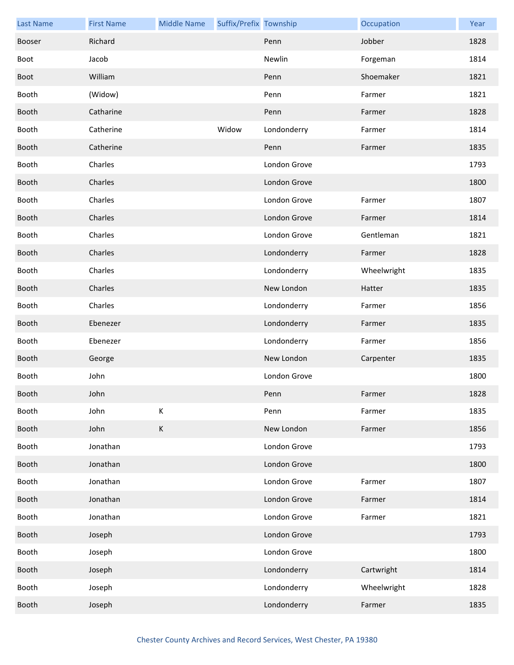| <b>Last Name</b> | <b>First Name</b> | <b>Middle Name</b> | Suffix/Prefix Township |              | Occupation  | Year |
|------------------|-------------------|--------------------|------------------------|--------------|-------------|------|
| Booser           | Richard           |                    |                        | Penn         | Jobber      | 1828 |
| Boot             | Jacob             |                    |                        | Newlin       | Forgeman    | 1814 |
| Boot             | William           |                    |                        | Penn         | Shoemaker   | 1821 |
| Booth            | (Widow)           |                    |                        | Penn         | Farmer      | 1821 |
| Booth            | Catharine         |                    |                        | Penn         | Farmer      | 1828 |
| Booth            | Catherine         |                    | Widow                  | Londonderry  | Farmer      | 1814 |
| Booth            | Catherine         |                    |                        | Penn         | Farmer      | 1835 |
| Booth            | Charles           |                    |                        | London Grove |             | 1793 |
| Booth            | Charles           |                    |                        | London Grove |             | 1800 |
| Booth            | Charles           |                    |                        | London Grove | Farmer      | 1807 |
| Booth            | Charles           |                    |                        | London Grove | Farmer      | 1814 |
| Booth            | Charles           |                    |                        | London Grove | Gentleman   | 1821 |
| Booth            | Charles           |                    |                        | Londonderry  | Farmer      | 1828 |
| Booth            | Charles           |                    |                        | Londonderry  | Wheelwright | 1835 |
| Booth            | Charles           |                    |                        | New London   | Hatter      | 1835 |
| Booth            | Charles           |                    |                        | Londonderry  | Farmer      | 1856 |
| Booth            | Ebenezer          |                    |                        | Londonderry  | Farmer      | 1835 |
| Booth            | Ebenezer          |                    |                        | Londonderry  | Farmer      | 1856 |
| Booth            | George            |                    |                        | New London   | Carpenter   | 1835 |
| Booth            | John              |                    |                        | London Grove |             | 1800 |
| Booth            | John              |                    |                        | Penn         | Farmer      | 1828 |
| Booth            | John              | К                  |                        | Penn         | Farmer      | 1835 |
| Booth            | John              | $\mathsf K$        |                        | New London   | Farmer      | 1856 |
| Booth            | Jonathan          |                    |                        | London Grove |             | 1793 |
| Booth            | Jonathan          |                    |                        | London Grove |             | 1800 |
| Booth            | Jonathan          |                    |                        | London Grove | Farmer      | 1807 |
| Booth            | Jonathan          |                    |                        | London Grove | Farmer      | 1814 |
| Booth            | Jonathan          |                    |                        | London Grove | Farmer      | 1821 |
| Booth            | Joseph            |                    |                        | London Grove |             | 1793 |
| Booth            | Joseph            |                    |                        | London Grove |             | 1800 |
| Booth            | Joseph            |                    |                        | Londonderry  | Cartwright  | 1814 |
| Booth            | Joseph            |                    |                        | Londonderry  | Wheelwright | 1828 |
| Booth            | Joseph            |                    |                        | Londonderry  | Farmer      | 1835 |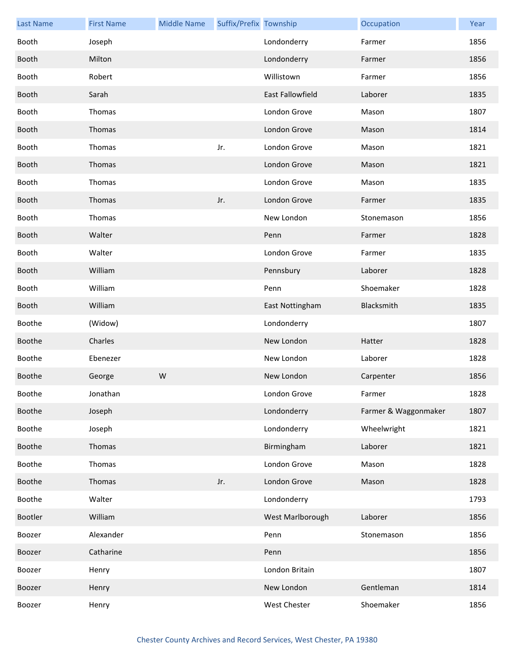| <b>Last Name</b> | <b>First Name</b> | <b>Middle Name</b> | Suffix/Prefix Township |                  | Occupation           | Year |
|------------------|-------------------|--------------------|------------------------|------------------|----------------------|------|
| Booth            | Joseph            |                    |                        | Londonderry      | Farmer               | 1856 |
| Booth            | Milton            |                    |                        | Londonderry      | Farmer               | 1856 |
| Booth            | Robert            |                    |                        | Willistown       | Farmer               | 1856 |
| Booth            | Sarah             |                    |                        | East Fallowfield | Laborer              | 1835 |
| Booth            | Thomas            |                    |                        | London Grove     | Mason                | 1807 |
| Booth            | Thomas            |                    |                        | London Grove     | Mason                | 1814 |
| Booth            | Thomas            |                    | Jr.                    | London Grove     | Mason                | 1821 |
| Booth            | Thomas            |                    |                        | London Grove     | Mason                | 1821 |
| Booth            | Thomas            |                    |                        | London Grove     | Mason                | 1835 |
| Booth            | Thomas            |                    | Jr.                    | London Grove     | Farmer               | 1835 |
| Booth            | Thomas            |                    |                        | New London       | Stonemason           | 1856 |
| Booth            | Walter            |                    |                        | Penn             | Farmer               | 1828 |
| Booth            | Walter            |                    |                        | London Grove     | Farmer               | 1835 |
| Booth            | William           |                    |                        | Pennsbury        | Laborer              | 1828 |
| Booth            | William           |                    |                        | Penn             | Shoemaker            | 1828 |
| Booth            | William           |                    |                        | East Nottingham  | Blacksmith           | 1835 |
| Boothe           | (Widow)           |                    |                        | Londonderry      |                      | 1807 |
| Boothe           | Charles           |                    |                        | New London       | Hatter               | 1828 |
| Boothe           | Ebenezer          |                    |                        | New London       | Laborer              | 1828 |
| Boothe           | George            | W                  |                        | New London       | Carpenter            | 1856 |
| Boothe           | Jonathan          |                    |                        | London Grove     | Farmer               | 1828 |
| Boothe           | Joseph            |                    |                        | Londonderry      | Farmer & Waggonmaker | 1807 |
| Boothe           | Joseph            |                    |                        | Londonderry      | Wheelwright          | 1821 |
| Boothe           | Thomas            |                    |                        | Birmingham       | Laborer              | 1821 |
| Boothe           | Thomas            |                    |                        | London Grove     | Mason                | 1828 |
| Boothe           | Thomas            |                    | Jr.                    | London Grove     | Mason                | 1828 |
| Boothe           | Walter            |                    |                        | Londonderry      |                      | 1793 |
| Bootler          | William           |                    |                        | West Marlborough | Laborer              | 1856 |
| Boozer           | Alexander         |                    |                        | Penn             | Stonemason           | 1856 |
| Boozer           | Catharine         |                    |                        | Penn             |                      | 1856 |
| Boozer           | Henry             |                    |                        | London Britain   |                      | 1807 |
| Boozer           | Henry             |                    |                        | New London       | Gentleman            | 1814 |
| Boozer           | Henry             |                    |                        | West Chester     | Shoemaker            | 1856 |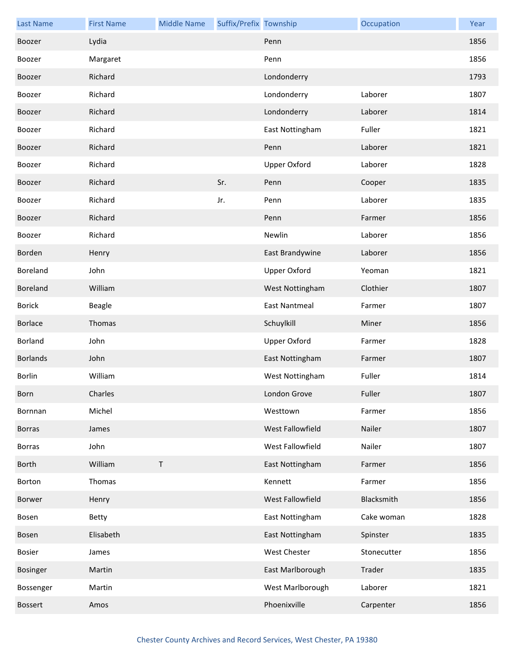| <b>Last Name</b> | <b>First Name</b> | <b>Middle Name</b> | Suffix/Prefix Township |                      | Occupation  | Year |
|------------------|-------------------|--------------------|------------------------|----------------------|-------------|------|
| Boozer           | Lydia             |                    |                        | Penn                 |             | 1856 |
| Boozer           | Margaret          |                    |                        | Penn                 |             | 1856 |
| Boozer           | Richard           |                    |                        | Londonderry          |             | 1793 |
| Boozer           | Richard           |                    |                        | Londonderry          | Laborer     | 1807 |
| Boozer           | Richard           |                    |                        | Londonderry          | Laborer     | 1814 |
| Boozer           | Richard           |                    |                        | East Nottingham      | Fuller      | 1821 |
| Boozer           | Richard           |                    |                        | Penn                 | Laborer     | 1821 |
| Boozer           | Richard           |                    |                        | Upper Oxford         | Laborer     | 1828 |
| Boozer           | Richard           |                    | Sr.                    | Penn                 | Cooper      | 1835 |
| Boozer           | Richard           |                    | Jr.                    | Penn                 | Laborer     | 1835 |
| Boozer           | Richard           |                    |                        | Penn                 | Farmer      | 1856 |
| Boozer           | Richard           |                    |                        | Newlin               | Laborer     | 1856 |
| Borden           | Henry             |                    |                        | East Brandywine      | Laborer     | 1856 |
| Boreland         | John              |                    |                        | <b>Upper Oxford</b>  | Yeoman      | 1821 |
| Boreland         | William           |                    |                        | West Nottingham      | Clothier    | 1807 |
| <b>Borick</b>    | Beagle            |                    |                        | <b>East Nantmeal</b> | Farmer      | 1807 |
| Borlace          | Thomas            |                    |                        | Schuylkill           | Miner       | 1856 |
| Borland          | John              |                    |                        | <b>Upper Oxford</b>  | Farmer      | 1828 |
| <b>Borlands</b>  | John              |                    |                        | East Nottingham      | Farmer      | 1807 |
| Borlin           | William           |                    |                        | West Nottingham      | Fuller      | 1814 |
| Born             | Charles           |                    |                        | London Grove         | Fuller      | 1807 |
| Bornnan          | Michel            |                    |                        | Westtown             | Farmer      | 1856 |
| <b>Borras</b>    | James             |                    |                        | West Fallowfield     | Nailer      | 1807 |
| <b>Borras</b>    | John              |                    |                        | West Fallowfield     | Nailer      | 1807 |
| <b>Borth</b>     | William           | T                  |                        | East Nottingham      | Farmer      | 1856 |
| Borton           | Thomas            |                    |                        | Kennett              | Farmer      | 1856 |
| Borwer           | Henry             |                    |                        | West Fallowfield     | Blacksmith  | 1856 |
| Bosen            | Betty             |                    |                        | East Nottingham      | Cake woman  | 1828 |
| Bosen            | Elisabeth         |                    |                        | East Nottingham      | Spinster    | 1835 |
| Bosier           | James             |                    |                        | West Chester         | Stonecutter | 1856 |
| Bosinger         | Martin            |                    |                        | East Marlborough     | Trader      | 1835 |
| Bossenger        | Martin            |                    |                        | West Marlborough     | Laborer     | 1821 |
| <b>Bossert</b>   | Amos              |                    |                        | Phoenixville         | Carpenter   | 1856 |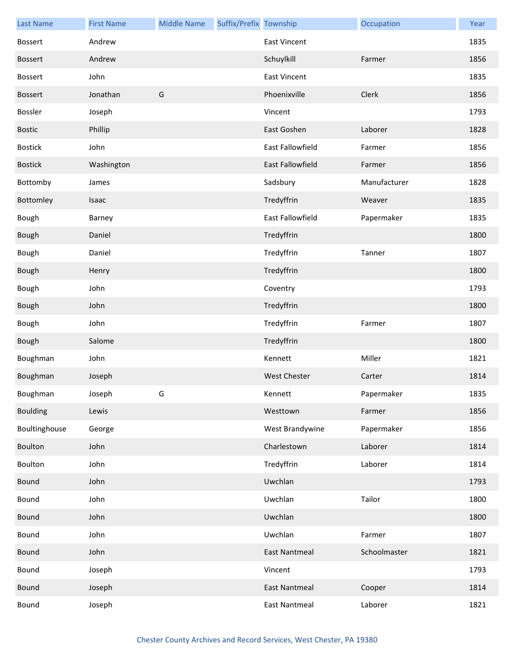| <b>Last Name</b> | <b>First Name</b> | <b>Middle Name</b> | Suffix/Prefix Township |                      | Occupation   | Year |
|------------------|-------------------|--------------------|------------------------|----------------------|--------------|------|
| <b>Bossert</b>   | Andrew            |                    |                        | <b>East Vincent</b>  |              | 1835 |
| <b>Bossert</b>   | Andrew            |                    |                        | Schuylkill           | Farmer       | 1856 |
| Bossert          | John              |                    |                        | <b>East Vincent</b>  |              | 1835 |
| <b>Bossert</b>   | Jonathan          | G                  |                        | Phoenixville         | Clerk        | 1856 |
| Bossler          | Joseph            |                    |                        | Vincent              |              | 1793 |
| <b>Bostic</b>    | Phillip           |                    |                        | East Goshen          | Laborer      | 1828 |
| <b>Bostick</b>   | John              |                    |                        | East Fallowfield     | Farmer       | 1856 |
| <b>Bostick</b>   | Washington        |                    |                        | East Fallowfield     | Farmer       | 1856 |
| Bottomby         | James             |                    |                        | Sadsbury             | Manufacturer | 1828 |
| Bottomley        | Isaac             |                    |                        | Tredyffrin           | Weaver       | 1835 |
| Bough            | Barney            |                    |                        | East Fallowfield     | Papermaker   | 1835 |
| Bough            | Daniel            |                    |                        | Tredyffrin           |              | 1800 |
| Bough            | Daniel            |                    |                        | Tredyffrin           | Tanner       | 1807 |
| Bough            | Henry             |                    |                        | Tredyffrin           |              | 1800 |
| Bough            | John              |                    |                        | Coventry             |              | 1793 |
| Bough            | John              |                    |                        | Tredyffrin           |              | 1800 |
| Bough            | John              |                    |                        | Tredyffrin           | Farmer       | 1807 |
| Bough            | Salome            |                    |                        | Tredyffrin           |              | 1800 |
| Boughman         | John              |                    |                        | Kennett              | Miller       | 1821 |
| Boughman         | Joseph            |                    |                        | <b>West Chester</b>  | Carter       | 1814 |
| Boughman         | Joseph            | G                  |                        | Kennett              | Papermaker   | 1835 |
| <b>Boulding</b>  | Lewis             |                    |                        | Westtown             | Farmer       | 1856 |
| Boultinghouse    | George            |                    |                        | West Brandywine      | Papermaker   | 1856 |
| Boulton          | John              |                    |                        | Charlestown          | Laborer      | 1814 |
| Boulton          | John              |                    |                        | Tredyffrin           | Laborer      | 1814 |
| Bound            | John              |                    |                        | Uwchlan              |              | 1793 |
| Bound            | John              |                    |                        | Uwchlan              | Tailor       | 1800 |
| Bound            | John              |                    |                        | Uwchlan              |              | 1800 |
| Bound            | John              |                    |                        | Uwchlan              | Farmer       | 1807 |
| Bound            | John              |                    |                        | <b>East Nantmeal</b> | Schoolmaster | 1821 |
| Bound            | Joseph            |                    |                        | Vincent              |              | 1793 |
| Bound            | Joseph            |                    |                        | <b>East Nantmeal</b> | Cooper       | 1814 |
| Bound            | Joseph            |                    |                        | <b>East Nantmeal</b> | Laborer      | 1821 |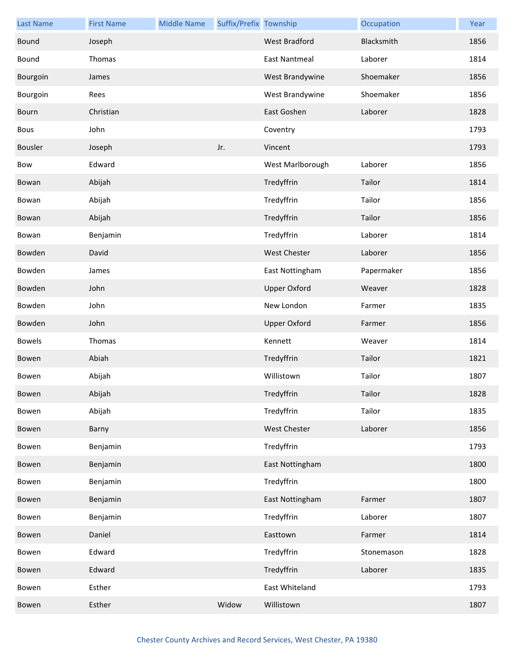| <b>Last Name</b> | <b>First Name</b> | <b>Middle Name</b> | Suffix/Prefix Township |                      | Occupation | Year |
|------------------|-------------------|--------------------|------------------------|----------------------|------------|------|
| Bound            | Joseph            |                    |                        | West Bradford        | Blacksmith | 1856 |
| Bound            | Thomas            |                    |                        | <b>East Nantmeal</b> | Laborer    | 1814 |
| Bourgoin         | James             |                    |                        | West Brandywine      | Shoemaker  | 1856 |
| Bourgoin         | Rees              |                    |                        | West Brandywine      | Shoemaker  | 1856 |
| Bourn            | Christian         |                    |                        | East Goshen          | Laborer    | 1828 |
| Bous             | John              |                    |                        | Coventry             |            | 1793 |
| Bousler          | Joseph            |                    | Jr.                    | Vincent              |            | 1793 |
| Bow              | Edward            |                    |                        | West Marlborough     | Laborer    | 1856 |
| Bowan            | Abijah            |                    |                        | Tredyffrin           | Tailor     | 1814 |
| Bowan            | Abijah            |                    |                        | Tredyffrin           | Tailor     | 1856 |
| Bowan            | Abijah            |                    |                        | Tredyffrin           | Tailor     | 1856 |
| Bowan            | Benjamin          |                    |                        | Tredyffrin           | Laborer    | 1814 |
| Bowden           | David             |                    |                        | <b>West Chester</b>  | Laborer    | 1856 |
| Bowden           | James             |                    |                        | East Nottingham      | Papermaker | 1856 |
| Bowden           | John              |                    |                        | <b>Upper Oxford</b>  | Weaver     | 1828 |
| Bowden           | John              |                    |                        | New London           | Farmer     | 1835 |
| Bowden           | John              |                    |                        | <b>Upper Oxford</b>  | Farmer     | 1856 |
| <b>Bowels</b>    | Thomas            |                    |                        | Kennett              | Weaver     | 1814 |
| Bowen            | Abiah             |                    |                        | Tredyffrin           | Tailor     | 1821 |
| Bowen            | Abijah            |                    |                        | Willistown           | Tailor     | 1807 |
| Bowen            | Abijah            |                    |                        | Tredyffrin           | Tailor     | 1828 |
| Bowen            | Abijah            |                    |                        | Tredyffrin           | Tailor     | 1835 |
| Bowen            | Barny             |                    |                        | West Chester         | Laborer    | 1856 |
| Bowen            | Benjamin          |                    |                        | Tredyffrin           |            | 1793 |
| Bowen            | Benjamin          |                    |                        | East Nottingham      |            | 1800 |
| Bowen            | Benjamin          |                    |                        | Tredyffrin           |            | 1800 |
| Bowen            | Benjamin          |                    |                        | East Nottingham      | Farmer     | 1807 |
| Bowen            | Benjamin          |                    |                        | Tredyffrin           | Laborer    | 1807 |
| Bowen            | Daniel            |                    |                        | Easttown             | Farmer     | 1814 |
| Bowen            | Edward            |                    |                        | Tredyffrin           | Stonemason | 1828 |
| Bowen            | Edward            |                    |                        | Tredyffrin           | Laborer    | 1835 |
| Bowen            | Esther            |                    |                        | East Whiteland       |            | 1793 |
| Bowen            | Esther            |                    | Widow                  | Willistown           |            | 1807 |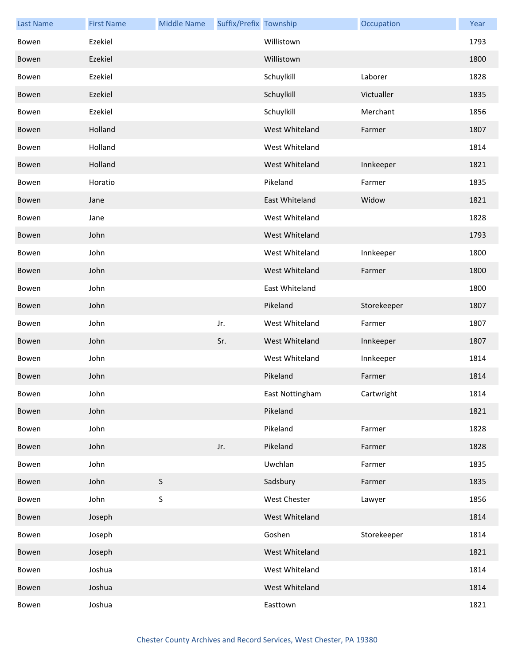| <b>Last Name</b> | <b>First Name</b> | <b>Middle Name</b> | Suffix/Prefix Township |                     | Occupation  | Year |
|------------------|-------------------|--------------------|------------------------|---------------------|-------------|------|
| Bowen            | Ezekiel           |                    |                        | Willistown          |             | 1793 |
| Bowen            | Ezekiel           |                    |                        | Willistown          |             | 1800 |
| Bowen            | Ezekiel           |                    |                        | Schuylkill          | Laborer     | 1828 |
| Bowen            | Ezekiel           |                    |                        | Schuylkill          | Victualler  | 1835 |
| Bowen            | Ezekiel           |                    |                        | Schuylkill          | Merchant    | 1856 |
| Bowen            | Holland           |                    |                        | West Whiteland      | Farmer      | 1807 |
| Bowen            | Holland           |                    |                        | West Whiteland      |             | 1814 |
| Bowen            | Holland           |                    |                        | West Whiteland      | Innkeeper   | 1821 |
| Bowen            | Horatio           |                    |                        | Pikeland            | Farmer      | 1835 |
| Bowen            | Jane              |                    |                        | East Whiteland      | Widow       | 1821 |
| Bowen            | Jane              |                    |                        | West Whiteland      |             | 1828 |
| Bowen            | John              |                    |                        | West Whiteland      |             | 1793 |
| Bowen            | John              |                    |                        | West Whiteland      | Innkeeper   | 1800 |
| Bowen            | John              |                    |                        | West Whiteland      | Farmer      | 1800 |
| Bowen            | John              |                    |                        | East Whiteland      |             | 1800 |
| Bowen            | John              |                    |                        | Pikeland            | Storekeeper | 1807 |
| Bowen            | John              |                    | Jr.                    | West Whiteland      | Farmer      | 1807 |
| Bowen            | John              |                    | Sr.                    | West Whiteland      | Innkeeper   | 1807 |
| Bowen            | John              |                    |                        | West Whiteland      | Innkeeper   | 1814 |
| Bowen            | John              |                    |                        | Pikeland            | Farmer      | 1814 |
| Bowen            | John              |                    |                        | East Nottingham     | Cartwright  | 1814 |
| Bowen            | John              |                    |                        | Pikeland            |             | 1821 |
| Bowen            | John              |                    |                        | Pikeland            | Farmer      | 1828 |
| Bowen            | John              |                    | Jr.                    | Pikeland            | Farmer      | 1828 |
| Bowen            | John              |                    |                        | Uwchlan             | Farmer      | 1835 |
| Bowen            | John              | $\mathsf S$        |                        | Sadsbury            | Farmer      | 1835 |
| Bowen            | John              | $\sf S$            |                        | <b>West Chester</b> | Lawyer      | 1856 |
| Bowen            | Joseph            |                    |                        | West Whiteland      |             | 1814 |
| Bowen            | Joseph            |                    |                        | Goshen              | Storekeeper | 1814 |
| Bowen            | Joseph            |                    |                        | West Whiteland      |             | 1821 |
| Bowen            | Joshua            |                    |                        | West Whiteland      |             | 1814 |
| Bowen            | Joshua            |                    |                        | West Whiteland      |             | 1814 |
| Bowen            | Joshua            |                    |                        | Easttown            |             | 1821 |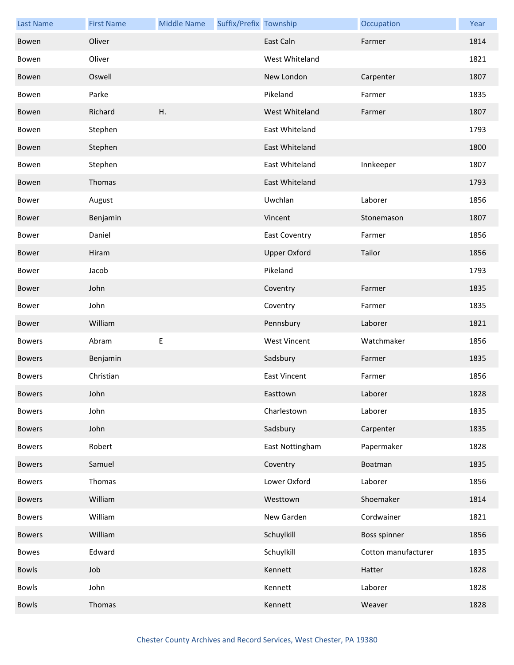| <b>Last Name</b> | <b>First Name</b> | <b>Middle Name</b> | Suffix/Prefix Township |                      | Occupation          | Year |
|------------------|-------------------|--------------------|------------------------|----------------------|---------------------|------|
| Bowen            | Oliver            |                    |                        | East Caln            | Farmer              | 1814 |
| Bowen            | Oliver            |                    |                        | West Whiteland       |                     | 1821 |
| Bowen            | Oswell            |                    |                        | New London           | Carpenter           | 1807 |
| Bowen            | Parke             |                    |                        | Pikeland             | Farmer              | 1835 |
| Bowen            | Richard           | Η.                 |                        | West Whiteland       | Farmer              | 1807 |
| Bowen            | Stephen           |                    |                        | East Whiteland       |                     | 1793 |
| Bowen            | Stephen           |                    |                        | East Whiteland       |                     | 1800 |
| Bowen            | Stephen           |                    |                        | East Whiteland       | Innkeeper           | 1807 |
| Bowen            | Thomas            |                    |                        | East Whiteland       |                     | 1793 |
| Bower            | August            |                    |                        | Uwchlan              | Laborer             | 1856 |
| Bower            | Benjamin          |                    |                        | Vincent              | Stonemason          | 1807 |
| Bower            | Daniel            |                    |                        | <b>East Coventry</b> | Farmer              | 1856 |
| Bower            | Hiram             |                    |                        | <b>Upper Oxford</b>  | Tailor              | 1856 |
| Bower            | Jacob             |                    |                        | Pikeland             |                     | 1793 |
| Bower            | John              |                    |                        | Coventry             | Farmer              | 1835 |
| Bower            | John              |                    |                        | Coventry             | Farmer              | 1835 |
| Bower            | William           |                    |                        | Pennsbury            | Laborer             | 1821 |
| <b>Bowers</b>    | Abram             | $\mathsf E$        |                        | <b>West Vincent</b>  | Watchmaker          | 1856 |
| <b>Bowers</b>    | Benjamin          |                    |                        | Sadsbury             | Farmer              | 1835 |
| <b>Bowers</b>    | Christian         |                    |                        | <b>East Vincent</b>  | Farmer              | 1856 |
| <b>Bowers</b>    | John              |                    |                        | Easttown             | Laborer             | 1828 |
| <b>Bowers</b>    | John              |                    |                        | Charlestown          | Laborer             | 1835 |
| <b>Bowers</b>    | John              |                    |                        | Sadsbury             | Carpenter           | 1835 |
| <b>Bowers</b>    | Robert            |                    |                        | East Nottingham      | Papermaker          | 1828 |
| <b>Bowers</b>    | Samuel            |                    |                        | Coventry             | Boatman             | 1835 |
| <b>Bowers</b>    | Thomas            |                    |                        | Lower Oxford         | Laborer             | 1856 |
| <b>Bowers</b>    | William           |                    |                        | Westtown             | Shoemaker           | 1814 |
| <b>Bowers</b>    | William           |                    |                        | New Garden           | Cordwainer          | 1821 |
| <b>Bowers</b>    | William           |                    |                        | Schuylkill           | Boss spinner        | 1856 |
| <b>Bowes</b>     | Edward            |                    |                        | Schuylkill           | Cotton manufacturer | 1835 |
| Bowls            | Job               |                    |                        | Kennett              | Hatter              | 1828 |
| Bowls            | John              |                    |                        | Kennett              | Laborer             | 1828 |
| <b>Bowls</b>     | Thomas            |                    |                        | Kennett              | Weaver              | 1828 |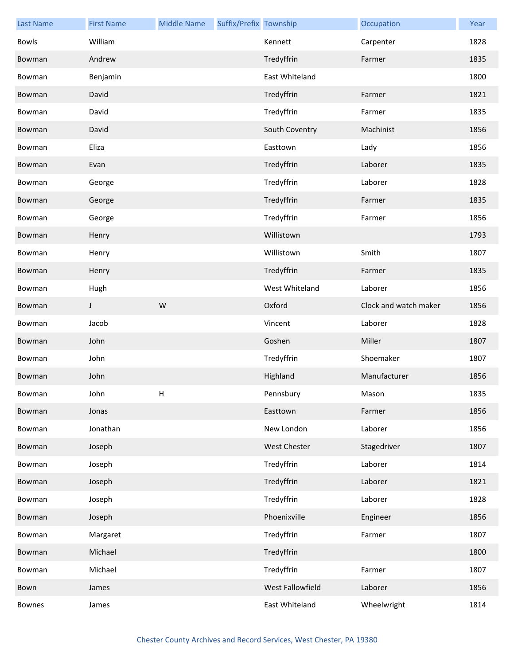| <b>Last Name</b> | <b>First Name</b> | <b>Middle Name</b> | Suffix/Prefix Township |                  | Occupation            | Year |
|------------------|-------------------|--------------------|------------------------|------------------|-----------------------|------|
| <b>Bowls</b>     | William           |                    |                        | Kennett          | Carpenter             | 1828 |
| Bowman           | Andrew            |                    |                        | Tredyffrin       | Farmer                | 1835 |
| Bowman           | Benjamin          |                    |                        | East Whiteland   |                       | 1800 |
| Bowman           | David             |                    |                        | Tredyffrin       | Farmer                | 1821 |
| Bowman           | David             |                    |                        | Tredyffrin       | Farmer                | 1835 |
| Bowman           | David             |                    |                        | South Coventry   | Machinist             | 1856 |
| Bowman           | Eliza             |                    |                        | Easttown         | Lady                  | 1856 |
| Bowman           | Evan              |                    |                        | Tredyffrin       | Laborer               | 1835 |
| Bowman           | George            |                    |                        | Tredyffrin       | Laborer               | 1828 |
| Bowman           | George            |                    |                        | Tredyffrin       | Farmer                | 1835 |
| Bowman           | George            |                    |                        | Tredyffrin       | Farmer                | 1856 |
| Bowman           | Henry             |                    |                        | Willistown       |                       | 1793 |
| Bowman           | Henry             |                    |                        | Willistown       | Smith                 | 1807 |
| Bowman           | Henry             |                    |                        | Tredyffrin       | Farmer                | 1835 |
| Bowman           | Hugh              |                    |                        | West Whiteland   | Laborer               | 1856 |
| Bowman           | J                 | W                  |                        | Oxford           | Clock and watch maker | 1856 |
| Bowman           | Jacob             |                    |                        | Vincent          | Laborer               | 1828 |
| Bowman           | John              |                    |                        | Goshen           | Miller                | 1807 |
| Bowman           | John              |                    |                        | Tredyffrin       | Shoemaker             | 1807 |
| Bowman           | John              |                    |                        | Highland         | Manufacturer          | 1856 |
| Bowman           | John              | H                  |                        | Pennsbury        | Mason                 | 1835 |
| Bowman           | Jonas             |                    |                        | Easttown         | Farmer                | 1856 |
| Bowman           | Jonathan          |                    |                        | New London       | Laborer               | 1856 |
| Bowman           | Joseph            |                    |                        | West Chester     | Stagedriver           | 1807 |
| Bowman           | Joseph            |                    |                        | Tredyffrin       | Laborer               | 1814 |
| Bowman           | Joseph            |                    |                        | Tredyffrin       | Laborer               | 1821 |
| Bowman           | Joseph            |                    |                        | Tredyffrin       | Laborer               | 1828 |
| Bowman           | Joseph            |                    |                        | Phoenixville     | Engineer              | 1856 |
| Bowman           | Margaret          |                    |                        | Tredyffrin       | Farmer                | 1807 |
| Bowman           | Michael           |                    |                        | Tredyffrin       |                       | 1800 |
| Bowman           | Michael           |                    |                        | Tredyffrin       | Farmer                | 1807 |
| Bown             | James             |                    |                        | West Fallowfield | Laborer               | 1856 |
| Bownes           | James             |                    |                        | East Whiteland   | Wheelwright           | 1814 |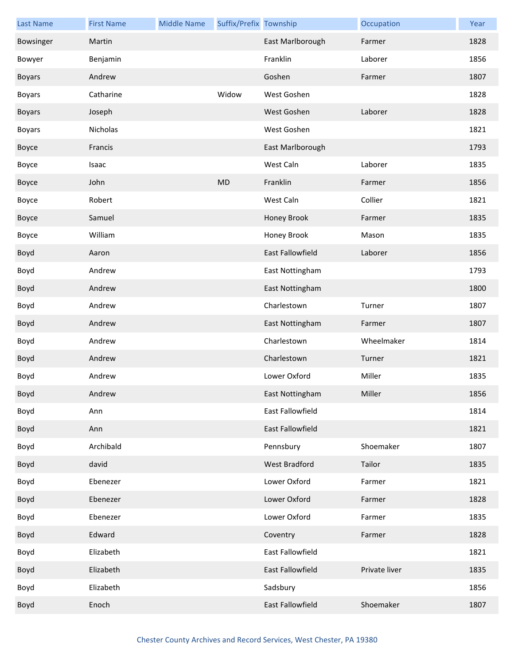| <b>Last Name</b> | <b>First Name</b> | <b>Middle Name</b> | Suffix/Prefix Township |                  | Occupation    | Year |
|------------------|-------------------|--------------------|------------------------|------------------|---------------|------|
| Bowsinger        | Martin            |                    |                        | East Marlborough | Farmer        | 1828 |
| Bowyer           | Benjamin          |                    |                        | Franklin         | Laborer       | 1856 |
| <b>Boyars</b>    | Andrew            |                    |                        | Goshen           | Farmer        | 1807 |
| <b>Boyars</b>    | Catharine         |                    | Widow                  | West Goshen      |               | 1828 |
| <b>Boyars</b>    | Joseph            |                    |                        | West Goshen      | Laborer       | 1828 |
| <b>Boyars</b>    | Nicholas          |                    |                        | West Goshen      |               | 1821 |
| Boyce            | Francis           |                    |                        | East Marlborough |               | 1793 |
| Boyce            | Isaac             |                    |                        | West Caln        | Laborer       | 1835 |
| Boyce            | John              |                    | <b>MD</b>              | Franklin         | Farmer        | 1856 |
| Boyce            | Robert            |                    |                        | West Caln        | Collier       | 1821 |
| Boyce            | Samuel            |                    |                        | Honey Brook      | Farmer        | 1835 |
| Boyce            | William           |                    |                        | Honey Brook      | Mason         | 1835 |
| Boyd             | Aaron             |                    |                        | East Fallowfield | Laborer       | 1856 |
| Boyd             | Andrew            |                    |                        | East Nottingham  |               | 1793 |
| Boyd             | Andrew            |                    |                        | East Nottingham  |               | 1800 |
| Boyd             | Andrew            |                    |                        | Charlestown      | Turner        | 1807 |
| Boyd             | Andrew            |                    |                        | East Nottingham  | Farmer        | 1807 |
| Boyd             | Andrew            |                    |                        | Charlestown      | Wheelmaker    | 1814 |
| Boyd             | Andrew            |                    |                        | Charlestown      | Turner        | 1821 |
| Boyd             | Andrew            |                    |                        | Lower Oxford     | Miller        | 1835 |
| Boyd             | Andrew            |                    |                        | East Nottingham  | Miller        | 1856 |
| Boyd             | Ann               |                    |                        | East Fallowfield |               | 1814 |
| Boyd             | Ann               |                    |                        | East Fallowfield |               | 1821 |
| Boyd             | Archibald         |                    |                        | Pennsbury        | Shoemaker     | 1807 |
| Boyd             | david             |                    |                        | West Bradford    | Tailor        | 1835 |
| Boyd             | Ebenezer          |                    |                        | Lower Oxford     | Farmer        | 1821 |
| Boyd             | Ebenezer          |                    |                        | Lower Oxford     | Farmer        | 1828 |
| Boyd             | Ebenezer          |                    |                        | Lower Oxford     | Farmer        | 1835 |
| Boyd             | Edward            |                    |                        | Coventry         | Farmer        | 1828 |
| Boyd             | Elizabeth         |                    |                        | East Fallowfield |               | 1821 |
| Boyd             | Elizabeth         |                    |                        | East Fallowfield | Private liver | 1835 |
| Boyd             | Elizabeth         |                    |                        | Sadsbury         |               | 1856 |
| Boyd             | Enoch             |                    |                        | East Fallowfield | Shoemaker     | 1807 |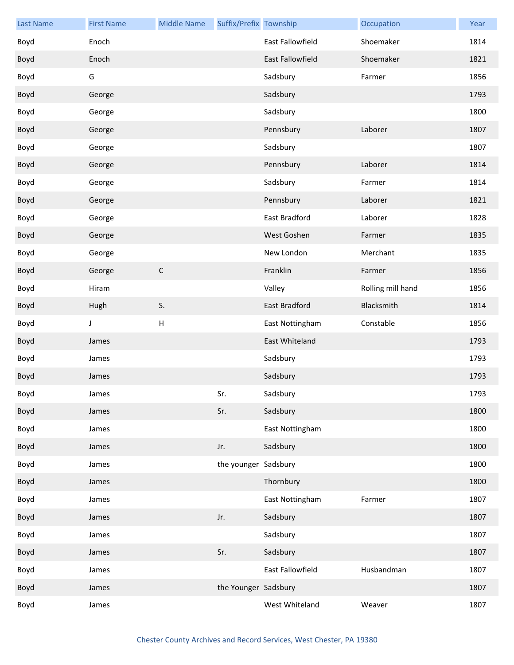| <b>Last Name</b> | <b>First Name</b> | <b>Middle Name</b> | Suffix/Prefix Township |                         | Occupation        | Year |
|------------------|-------------------|--------------------|------------------------|-------------------------|-------------------|------|
| Boyd             | Enoch             |                    |                        | East Fallowfield        | Shoemaker         | 1814 |
| Boyd             | Enoch             |                    |                        | <b>East Fallowfield</b> | Shoemaker         | 1821 |
| Boyd             | G                 |                    |                        | Sadsbury                | Farmer            | 1856 |
| Boyd             | George            |                    |                        | Sadsbury                |                   | 1793 |
| Boyd             | George            |                    |                        | Sadsbury                |                   | 1800 |
| Boyd             | George            |                    |                        | Pennsbury               | Laborer           | 1807 |
| Boyd             | George            |                    |                        | Sadsbury                |                   | 1807 |
| Boyd             | George            |                    |                        | Pennsbury               | Laborer           | 1814 |
| Boyd             | George            |                    |                        | Sadsbury                | Farmer            | 1814 |
| Boyd             | George            |                    |                        | Pennsbury               | Laborer           | 1821 |
| Boyd             | George            |                    |                        | East Bradford           | Laborer           | 1828 |
| Boyd             | George            |                    |                        | West Goshen             | Farmer            | 1835 |
| Boyd             | George            |                    |                        | New London              | Merchant          | 1835 |
| Boyd             | George            | $\mathsf C$        |                        | Franklin                | Farmer            | 1856 |
| Boyd             | Hiram             |                    |                        | Valley                  | Rolling mill hand | 1856 |
| Boyd             | Hugh              | S.                 |                        | East Bradford           | Blacksmith        | 1814 |
| Boyd             | J                 | H                  |                        | East Nottingham         | Constable         | 1856 |
| Boyd             | James             |                    |                        | East Whiteland          |                   | 1793 |
| Boyd             | James             |                    |                        | Sadsbury                |                   | 1793 |
| Boyd             | James             |                    |                        | Sadsbury                |                   | 1793 |
| Boyd             | James             |                    | Sr.                    | Sadsbury                |                   | 1793 |
| Boyd             | James             |                    | Sr.                    | Sadsbury                |                   | 1800 |
| Boyd             | James             |                    |                        | East Nottingham         |                   | 1800 |
| Boyd             | James             |                    | Jr.                    | Sadsbury                |                   | 1800 |
| Boyd             | James             |                    | the younger Sadsbury   |                         |                   | 1800 |
| Boyd             | James             |                    |                        | Thornbury               |                   | 1800 |
| Boyd             | James             |                    |                        | East Nottingham         | Farmer            | 1807 |
| Boyd             | James             |                    | Jr.                    | Sadsbury                |                   | 1807 |
| Boyd             | James             |                    |                        | Sadsbury                |                   | 1807 |
| Boyd             | James             |                    | Sr.                    | Sadsbury                |                   | 1807 |
| Boyd             | James             |                    |                        | East Fallowfield        | Husbandman        | 1807 |
| Boyd             | James             |                    | the Younger Sadsbury   |                         |                   | 1807 |
| Boyd             | James             |                    |                        | West Whiteland          | Weaver            | 1807 |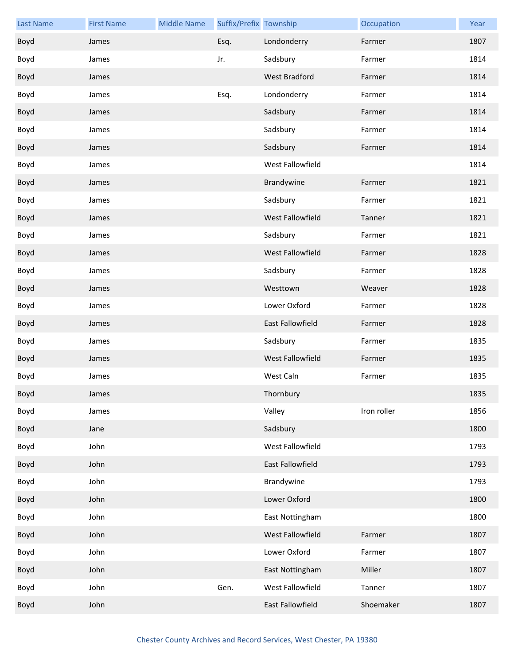| <b>Last Name</b> | <b>First Name</b> | <b>Middle Name</b> | Suffix/Prefix Township |                  | Occupation  | Year |
|------------------|-------------------|--------------------|------------------------|------------------|-------------|------|
| Boyd             | James             |                    | Esq.                   | Londonderry      | Farmer      | 1807 |
| Boyd             | James             |                    | Jr.                    | Sadsbury         | Farmer      | 1814 |
| Boyd             | James             |                    |                        | West Bradford    | Farmer      | 1814 |
| Boyd             | James             |                    | Esq.                   | Londonderry      | Farmer      | 1814 |
| Boyd             | James             |                    |                        | Sadsbury         | Farmer      | 1814 |
| Boyd             | James             |                    |                        | Sadsbury         | Farmer      | 1814 |
| Boyd             | James             |                    |                        | Sadsbury         | Farmer      | 1814 |
| Boyd             | James             |                    |                        | West Fallowfield |             | 1814 |
| Boyd             | James             |                    |                        | Brandywine       | Farmer      | 1821 |
| Boyd             | James             |                    |                        | Sadsbury         | Farmer      | 1821 |
| Boyd             | James             |                    |                        | West Fallowfield | Tanner      | 1821 |
| Boyd             | James             |                    |                        | Sadsbury         | Farmer      | 1821 |
| Boyd             | James             |                    |                        | West Fallowfield | Farmer      | 1828 |
| Boyd             | James             |                    |                        | Sadsbury         | Farmer      | 1828 |
| Boyd             | James             |                    |                        | Westtown         | Weaver      | 1828 |
| Boyd             | James             |                    |                        | Lower Oxford     | Farmer      | 1828 |
| Boyd             | James             |                    |                        | East Fallowfield | Farmer      | 1828 |
| Boyd             | James             |                    |                        | Sadsbury         | Farmer      | 1835 |
| Boyd             | James             |                    |                        | West Fallowfield | Farmer      | 1835 |
| Boyd             | James             |                    |                        | West Caln        | Farmer      | 1835 |
| Boyd             | James             |                    |                        | Thornbury        |             | 1835 |
| Boyd             | James             |                    |                        | Valley           | Iron roller | 1856 |
| Boyd             | Jane              |                    |                        | Sadsbury         |             | 1800 |
| Boyd             | John              |                    |                        | West Fallowfield |             | 1793 |
| Boyd             | John              |                    |                        | East Fallowfield |             | 1793 |
| Boyd             | John              |                    |                        | Brandywine       |             | 1793 |
| Boyd             | John              |                    |                        | Lower Oxford     |             | 1800 |
| Boyd             | John              |                    |                        | East Nottingham  |             | 1800 |
| Boyd             | John              |                    |                        | West Fallowfield | Farmer      | 1807 |
| Boyd             | John              |                    |                        | Lower Oxford     | Farmer      | 1807 |
| Boyd             | John              |                    |                        | East Nottingham  | Miller      | 1807 |
| Boyd             | John              |                    | Gen.                   | West Fallowfield | Tanner      | 1807 |
| Boyd             | John              |                    |                        | East Fallowfield | Shoemaker   | 1807 |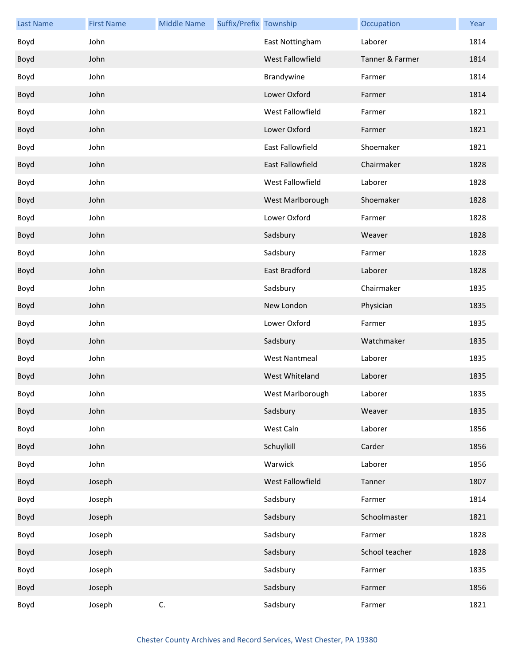| <b>Last Name</b> | <b>First Name</b> | <b>Middle Name</b> | Suffix/Prefix Township |                      | Occupation      | Year |
|------------------|-------------------|--------------------|------------------------|----------------------|-----------------|------|
| Boyd             | John              |                    |                        | East Nottingham      | Laborer         | 1814 |
| Boyd             | John              |                    |                        | West Fallowfield     | Tanner & Farmer | 1814 |
| Boyd             | John              |                    |                        | Brandywine           | Farmer          | 1814 |
| Boyd             | John              |                    |                        | Lower Oxford         | Farmer          | 1814 |
| Boyd             | John              |                    |                        | West Fallowfield     | Farmer          | 1821 |
| Boyd             | John              |                    |                        | Lower Oxford         | Farmer          | 1821 |
| Boyd             | John              |                    |                        | East Fallowfield     | Shoemaker       | 1821 |
| Boyd             | John              |                    |                        | East Fallowfield     | Chairmaker      | 1828 |
| Boyd             | John              |                    |                        | West Fallowfield     | Laborer         | 1828 |
| Boyd             | John              |                    |                        | West Marlborough     | Shoemaker       | 1828 |
| Boyd             | John              |                    |                        | Lower Oxford         | Farmer          | 1828 |
| Boyd             | John              |                    |                        | Sadsbury             | Weaver          | 1828 |
| Boyd             | John              |                    |                        | Sadsbury             | Farmer          | 1828 |
| Boyd             | John              |                    |                        | East Bradford        | Laborer         | 1828 |
| Boyd             | John              |                    |                        | Sadsbury             | Chairmaker      | 1835 |
| Boyd             | John              |                    |                        | New London           | Physician       | 1835 |
| Boyd             | John              |                    |                        | Lower Oxford         | Farmer          | 1835 |
| Boyd             | John              |                    |                        | Sadsbury             | Watchmaker      | 1835 |
| Boyd             | John              |                    |                        | <b>West Nantmeal</b> | Laborer         | 1835 |
| Boyd             | John              |                    |                        | West Whiteland       | Laborer         | 1835 |
| Boyd             | John              |                    |                        | West Marlborough     | Laborer         | 1835 |
| Boyd             | John              |                    |                        | Sadsbury             | Weaver          | 1835 |
| Boyd             | John              |                    |                        | West Caln            | Laborer         | 1856 |
| Boyd             | John              |                    |                        | Schuylkill           | Carder          | 1856 |
| Boyd             | John              |                    |                        | Warwick              | Laborer         | 1856 |
| Boyd             | Joseph            |                    |                        | West Fallowfield     | Tanner          | 1807 |
| Boyd             | Joseph            |                    |                        | Sadsbury             | Farmer          | 1814 |
| Boyd             | Joseph            |                    |                        | Sadsbury             | Schoolmaster    | 1821 |
| Boyd             | Joseph            |                    |                        | Sadsbury             | Farmer          | 1828 |
| Boyd             | Joseph            |                    |                        | Sadsbury             | School teacher  | 1828 |
| Boyd             | Joseph            |                    |                        | Sadsbury             | Farmer          | 1835 |
| Boyd             | Joseph            |                    |                        | Sadsbury             | Farmer          | 1856 |
| Boyd             | Joseph            | C.                 |                        | Sadsbury             | Farmer          | 1821 |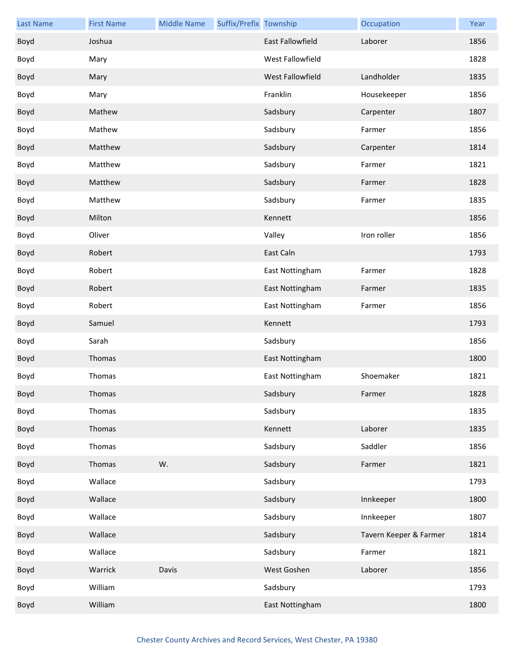| <b>Last Name</b> | <b>First Name</b> | <b>Middle Name</b> | Suffix/Prefix Township |                  | Occupation             | Year |
|------------------|-------------------|--------------------|------------------------|------------------|------------------------|------|
| Boyd             | Joshua            |                    |                        | East Fallowfield | Laborer                | 1856 |
| Boyd             | Mary              |                    |                        | West Fallowfield |                        | 1828 |
| Boyd             | Mary              |                    |                        | West Fallowfield | Landholder             | 1835 |
| Boyd             | Mary              |                    |                        | Franklin         | Housekeeper            | 1856 |
| Boyd             | Mathew            |                    |                        | Sadsbury         | Carpenter              | 1807 |
| Boyd             | Mathew            |                    |                        | Sadsbury         | Farmer                 | 1856 |
| Boyd             | Matthew           |                    |                        | Sadsbury         | Carpenter              | 1814 |
| Boyd             | Matthew           |                    |                        | Sadsbury         | Farmer                 | 1821 |
| Boyd             | Matthew           |                    |                        | Sadsbury         | Farmer                 | 1828 |
| Boyd             | Matthew           |                    |                        | Sadsbury         | Farmer                 | 1835 |
| Boyd             | Milton            |                    |                        | Kennett          |                        | 1856 |
| Boyd             | Oliver            |                    |                        | Valley           | Iron roller            | 1856 |
| Boyd             | Robert            |                    |                        | East Caln        |                        | 1793 |
| Boyd             | Robert            |                    |                        | East Nottingham  | Farmer                 | 1828 |
| Boyd             | Robert            |                    |                        | East Nottingham  | Farmer                 | 1835 |
| Boyd             | Robert            |                    |                        | East Nottingham  | Farmer                 | 1856 |
| Boyd             | Samuel            |                    |                        | Kennett          |                        | 1793 |
| Boyd             | Sarah             |                    |                        | Sadsbury         |                        | 1856 |
| Boyd             | Thomas            |                    |                        | East Nottingham  |                        | 1800 |
| Boyd             | Thomas            |                    |                        | East Nottingham  | Shoemaker              | 1821 |
| Boyd             | Thomas            |                    |                        | Sadsbury         | Farmer                 | 1828 |
| Boyd             | Thomas            |                    |                        | Sadsbury         |                        | 1835 |
| Boyd             | Thomas            |                    |                        | Kennett          | Laborer                | 1835 |
| Boyd             | Thomas            |                    |                        | Sadsbury         | Saddler                | 1856 |
| Boyd             | Thomas            | W.                 |                        | Sadsbury         | Farmer                 | 1821 |
| Boyd             | Wallace           |                    |                        | Sadsbury         |                        | 1793 |
| Boyd             | Wallace           |                    |                        | Sadsbury         | Innkeeper              | 1800 |
| Boyd             | Wallace           |                    |                        | Sadsbury         | Innkeeper              | 1807 |
| Boyd             | Wallace           |                    |                        | Sadsbury         | Tavern Keeper & Farmer | 1814 |
| Boyd             | Wallace           |                    |                        | Sadsbury         | Farmer                 | 1821 |
| Boyd             | Warrick           | Davis              |                        | West Goshen      | Laborer                | 1856 |
| Boyd             | William           |                    |                        | Sadsbury         |                        | 1793 |
| Boyd             | William           |                    |                        | East Nottingham  |                        | 1800 |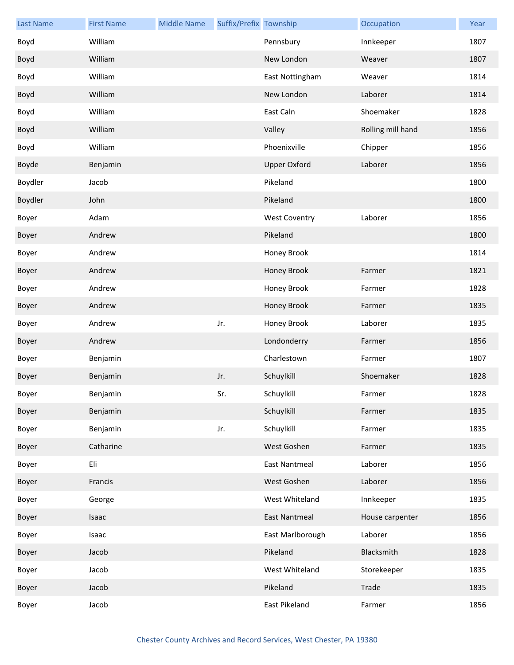| <b>Last Name</b> | <b>First Name</b> | <b>Middle Name</b> | Suffix/Prefix Township |                      | Occupation        | Year |
|------------------|-------------------|--------------------|------------------------|----------------------|-------------------|------|
| Boyd             | William           |                    |                        | Pennsbury            | Innkeeper         | 1807 |
| Boyd             | William           |                    |                        | New London           | Weaver            | 1807 |
| Boyd             | William           |                    |                        | East Nottingham      | Weaver            | 1814 |
| Boyd             | William           |                    |                        | New London           | Laborer           | 1814 |
| Boyd             | William           |                    |                        | East Caln            | Shoemaker         | 1828 |
| Boyd             | William           |                    |                        | Valley               | Rolling mill hand | 1856 |
| Boyd             | William           |                    |                        | Phoenixville         | Chipper           | 1856 |
| Boyde            | Benjamin          |                    |                        | <b>Upper Oxford</b>  | Laborer           | 1856 |
| Boydler          | Jacob             |                    |                        | Pikeland             |                   | 1800 |
| Boydler          | John              |                    |                        | Pikeland             |                   | 1800 |
| Boyer            | Adam              |                    |                        | <b>West Coventry</b> | Laborer           | 1856 |
| Boyer            | Andrew            |                    |                        | Pikeland             |                   | 1800 |
| Boyer            | Andrew            |                    |                        | Honey Brook          |                   | 1814 |
| Boyer            | Andrew            |                    |                        | Honey Brook          | Farmer            | 1821 |
| Boyer            | Andrew            |                    |                        | Honey Brook          | Farmer            | 1828 |
| Boyer            | Andrew            |                    |                        | Honey Brook          | Farmer            | 1835 |
| Boyer            | Andrew            |                    | Jr.                    | Honey Brook          | Laborer           | 1835 |
| Boyer            | Andrew            |                    |                        | Londonderry          | Farmer            | 1856 |
| Boyer            | Benjamin          |                    |                        | Charlestown          | Farmer            | 1807 |
| Boyer            | Benjamin          |                    | Jr.                    | Schuylkill           | Shoemaker         | 1828 |
| Boyer            | Benjamin          |                    | Sr.                    | Schuylkill           | Farmer            | 1828 |
| Boyer            | Benjamin          |                    |                        | Schuylkill           | Farmer            | 1835 |
| Boyer            | Benjamin          |                    | Jr.                    | Schuylkill           | Farmer            | 1835 |
| Boyer            | Catharine         |                    |                        | West Goshen          | Farmer            | 1835 |
| Boyer            | Eli               |                    |                        | <b>East Nantmeal</b> | Laborer           | 1856 |
| Boyer            | Francis           |                    |                        | West Goshen          | Laborer           | 1856 |
| Boyer            | George            |                    |                        | West Whiteland       | Innkeeper         | 1835 |
| Boyer            | Isaac             |                    |                        | <b>East Nantmeal</b> | House carpenter   | 1856 |
| Boyer            | Isaac             |                    |                        | East Marlborough     | Laborer           | 1856 |
| Boyer            | Jacob             |                    |                        | Pikeland             | Blacksmith        | 1828 |
| Boyer            | Jacob             |                    |                        | West Whiteland       | Storekeeper       | 1835 |
| Boyer            | Jacob             |                    |                        | Pikeland             | Trade             | 1835 |
| Boyer            | Jacob             |                    |                        | East Pikeland        | Farmer            | 1856 |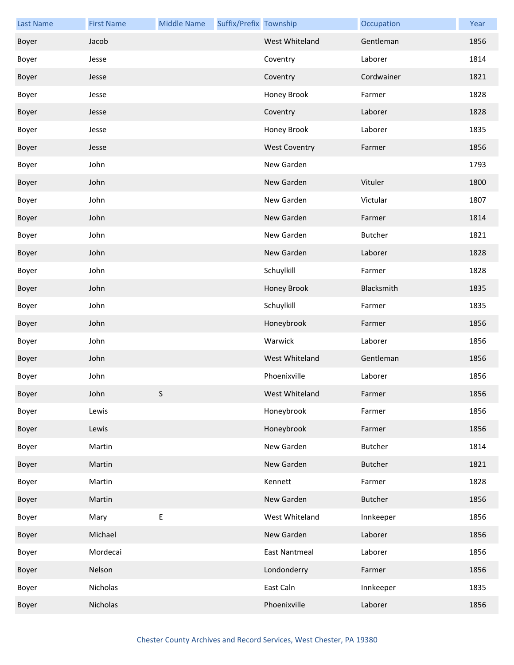| <b>Last Name</b> | <b>First Name</b> | <b>Middle Name</b> | Suffix/Prefix Township |                      | Occupation     | Year |
|------------------|-------------------|--------------------|------------------------|----------------------|----------------|------|
| Boyer            | Jacob             |                    |                        | West Whiteland       | Gentleman      | 1856 |
| Boyer            | Jesse             |                    |                        | Coventry             | Laborer        | 1814 |
| Boyer            | Jesse             |                    |                        | Coventry             | Cordwainer     | 1821 |
| Boyer            | Jesse             |                    |                        | Honey Brook          | Farmer         | 1828 |
| Boyer            | Jesse             |                    |                        | Coventry             | Laborer        | 1828 |
| Boyer            | Jesse             |                    |                        | Honey Brook          | Laborer        | 1835 |
| Boyer            | Jesse             |                    |                        | <b>West Coventry</b> | Farmer         | 1856 |
| Boyer            | John              |                    |                        | New Garden           |                | 1793 |
| Boyer            | John              |                    |                        | New Garden           | Vituler        | 1800 |
| Boyer            | John              |                    |                        | New Garden           | Victular       | 1807 |
| Boyer            | John              |                    |                        | New Garden           | Farmer         | 1814 |
| Boyer            | John              |                    |                        | New Garden           | Butcher        | 1821 |
| Boyer            | John              |                    |                        | New Garden           | Laborer        | 1828 |
| Boyer            | John              |                    |                        | Schuylkill           | Farmer         | 1828 |
| Boyer            | John              |                    |                        | Honey Brook          | Blacksmith     | 1835 |
| Boyer            | John              |                    |                        | Schuylkill           | Farmer         | 1835 |
| Boyer            | John              |                    |                        | Honeybrook           | Farmer         | 1856 |
| Boyer            | John              |                    |                        | Warwick              | Laborer        | 1856 |
| Boyer            | John              |                    |                        | West Whiteland       | Gentleman      | 1856 |
| Boyer            | John              |                    |                        | Phoenixville         | Laborer        | 1856 |
| Boyer            | John              | S                  |                        | West Whiteland       | Farmer         | 1856 |
| Boyer            | Lewis             |                    |                        | Honeybrook           | Farmer         | 1856 |
| Boyer            | Lewis             |                    |                        | Honeybrook           | Farmer         | 1856 |
| Boyer            | Martin            |                    |                        | New Garden           | Butcher        | 1814 |
| Boyer            | Martin            |                    |                        | New Garden           | <b>Butcher</b> | 1821 |
| Boyer            | Martin            |                    |                        | Kennett              | Farmer         | 1828 |
| Boyer            | Martin            |                    |                        | New Garden           | Butcher        | 1856 |
| Boyer            | Mary              | $\sf E$            |                        | West Whiteland       | Innkeeper      | 1856 |
| Boyer            | Michael           |                    |                        | New Garden           | Laborer        | 1856 |
| Boyer            | Mordecai          |                    |                        | <b>East Nantmeal</b> | Laborer        | 1856 |
| Boyer            | Nelson            |                    |                        | Londonderry          | Farmer         | 1856 |
| Boyer            | Nicholas          |                    |                        | East Caln            | Innkeeper      | 1835 |
| Boyer            | Nicholas          |                    |                        | Phoenixville         | Laborer        | 1856 |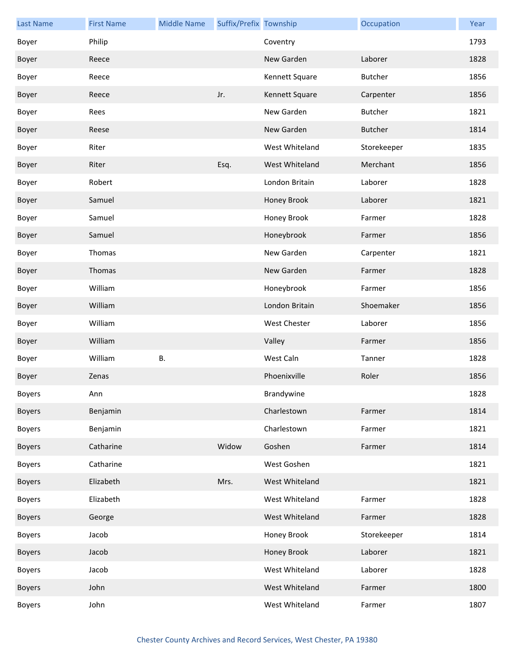| <b>Last Name</b> | <b>First Name</b> | <b>Middle Name</b> | Suffix/Prefix Township |                     | Occupation     | Year |
|------------------|-------------------|--------------------|------------------------|---------------------|----------------|------|
| Boyer            | Philip            |                    |                        | Coventry            |                | 1793 |
| Boyer            | Reece             |                    |                        | New Garden          | Laborer        | 1828 |
| Boyer            | Reece             |                    |                        | Kennett Square      | Butcher        | 1856 |
| Boyer            | Reece             |                    | Jr.                    | Kennett Square      | Carpenter      | 1856 |
| Boyer            | Rees              |                    |                        | New Garden          | Butcher        | 1821 |
| Boyer            | Reese             |                    |                        | New Garden          | <b>Butcher</b> | 1814 |
| Boyer            | Riter             |                    |                        | West Whiteland      | Storekeeper    | 1835 |
| Boyer            | Riter             |                    | Esq.                   | West Whiteland      | Merchant       | 1856 |
| Boyer            | Robert            |                    |                        | London Britain      | Laborer        | 1828 |
| Boyer            | Samuel            |                    |                        | Honey Brook         | Laborer        | 1821 |
| Boyer            | Samuel            |                    |                        | Honey Brook         | Farmer         | 1828 |
| Boyer            | Samuel            |                    |                        | Honeybrook          | Farmer         | 1856 |
| Boyer            | Thomas            |                    |                        | New Garden          | Carpenter      | 1821 |
| Boyer            | Thomas            |                    |                        | New Garden          | Farmer         | 1828 |
| Boyer            | William           |                    |                        | Honeybrook          | Farmer         | 1856 |
| Boyer            | William           |                    |                        | London Britain      | Shoemaker      | 1856 |
| Boyer            | William           |                    |                        | <b>West Chester</b> | Laborer        | 1856 |
| Boyer            | William           |                    |                        | Valley              | Farmer         | 1856 |
| Boyer            | William           | В.                 |                        | West Caln           | Tanner         | 1828 |
| Boyer            | Zenas             |                    |                        | Phoenixville        | Roler          | 1856 |
| <b>Boyers</b>    | Ann               |                    |                        | Brandywine          |                | 1828 |
| <b>Boyers</b>    | Benjamin          |                    |                        | Charlestown         | Farmer         | 1814 |
| <b>Boyers</b>    | Benjamin          |                    |                        | Charlestown         | Farmer         | 1821 |
| <b>Boyers</b>    | Catharine         |                    | Widow                  | Goshen              | Farmer         | 1814 |
| <b>Boyers</b>    | Catharine         |                    |                        | West Goshen         |                | 1821 |
| <b>Boyers</b>    | Elizabeth         |                    | Mrs.                   | West Whiteland      |                | 1821 |
| <b>Boyers</b>    | Elizabeth         |                    |                        | West Whiteland      | Farmer         | 1828 |
| <b>Boyers</b>    | George            |                    |                        | West Whiteland      | Farmer         | 1828 |
| <b>Boyers</b>    | Jacob             |                    |                        | Honey Brook         | Storekeeper    | 1814 |
| <b>Boyers</b>    | Jacob             |                    |                        | Honey Brook         | Laborer        | 1821 |
| <b>Boyers</b>    | Jacob             |                    |                        | West Whiteland      | Laborer        | 1828 |
| <b>Boyers</b>    | John              |                    |                        | West Whiteland      | Farmer         | 1800 |
| <b>Boyers</b>    | John              |                    |                        | West Whiteland      | Farmer         | 1807 |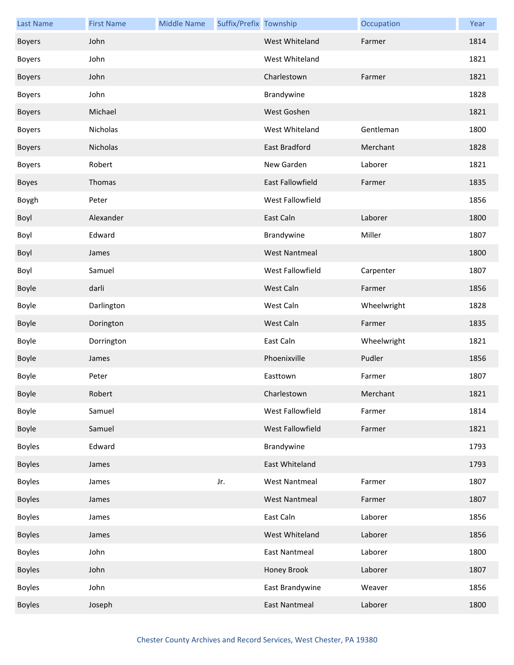| <b>Last Name</b> | <b>First Name</b> | <b>Middle Name</b> | Suffix/Prefix Township |                       | Occupation  | Year |
|------------------|-------------------|--------------------|------------------------|-----------------------|-------------|------|
| <b>Boyers</b>    | John              |                    |                        | <b>West Whiteland</b> | Farmer      | 1814 |
| <b>Boyers</b>    | John              |                    |                        | West Whiteland        |             | 1821 |
| <b>Boyers</b>    | John              |                    |                        | Charlestown           | Farmer      | 1821 |
| <b>Boyers</b>    | John              |                    |                        | Brandywine            |             | 1828 |
| <b>Boyers</b>    | Michael           |                    |                        | West Goshen           |             | 1821 |
| <b>Boyers</b>    | Nicholas          |                    |                        | West Whiteland        | Gentleman   | 1800 |
| <b>Boyers</b>    | Nicholas          |                    |                        | East Bradford         | Merchant    | 1828 |
| <b>Boyers</b>    | Robert            |                    |                        | New Garden            | Laborer     | 1821 |
| Boyes            | Thomas            |                    |                        | East Fallowfield      | Farmer      | 1835 |
| Boygh            | Peter             |                    |                        | West Fallowfield      |             | 1856 |
| Boyl             | Alexander         |                    |                        | East Caln             | Laborer     | 1800 |
| Boyl             | Edward            |                    |                        | Brandywine            | Miller      | 1807 |
| Boyl             | James             |                    |                        | <b>West Nantmeal</b>  |             | 1800 |
| Boyl             | Samuel            |                    |                        | West Fallowfield      | Carpenter   | 1807 |
| Boyle            | darli             |                    |                        | West Caln             | Farmer      | 1856 |
| Boyle            | Darlington        |                    |                        | West Caln             | Wheelwright | 1828 |
| <b>Boyle</b>     | Dorington         |                    |                        | West Caln             | Farmer      | 1835 |
| Boyle            | Dorrington        |                    |                        | East Caln             | Wheelwright | 1821 |
| Boyle            | James             |                    |                        | Phoenixville          | Pudler      | 1856 |
| Boyle            | Peter             |                    |                        | Easttown              | Farmer      | 1807 |
| Boyle            | Robert            |                    |                        | Charlestown           | Merchant    | 1821 |
| Boyle            | Samuel            |                    |                        | West Fallowfield      | Farmer      | 1814 |
| Boyle            | Samuel            |                    |                        | West Fallowfield      | Farmer      | 1821 |
| <b>Boyles</b>    | Edward            |                    |                        | Brandywine            |             | 1793 |
| <b>Boyles</b>    | James             |                    |                        | East Whiteland        |             | 1793 |
| <b>Boyles</b>    | James             |                    | Jr.                    | <b>West Nantmeal</b>  | Farmer      | 1807 |
| <b>Boyles</b>    | James             |                    |                        | <b>West Nantmeal</b>  | Farmer      | 1807 |
| <b>Boyles</b>    | James             |                    |                        | East Caln             | Laborer     | 1856 |
| <b>Boyles</b>    | James             |                    |                        | West Whiteland        | Laborer     | 1856 |
| <b>Boyles</b>    | John              |                    |                        | <b>East Nantmeal</b>  | Laborer     | 1800 |
| <b>Boyles</b>    | John              |                    |                        | Honey Brook           | Laborer     | 1807 |
| <b>Boyles</b>    | John              |                    |                        | East Brandywine       | Weaver      | 1856 |
| <b>Boyles</b>    | Joseph            |                    |                        | <b>East Nantmeal</b>  | Laborer     | 1800 |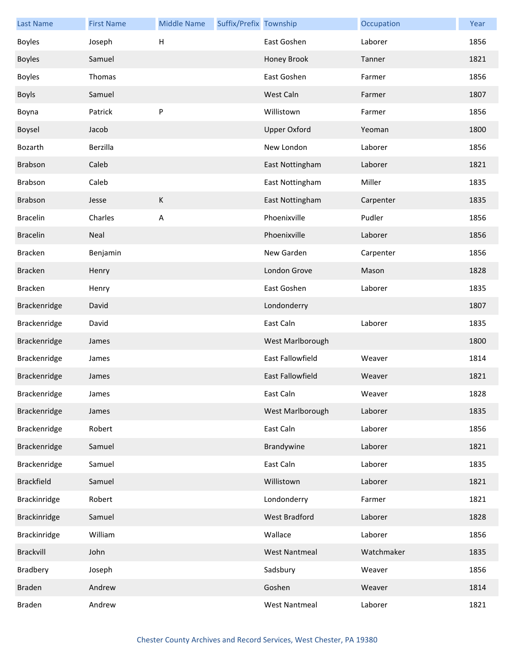| <b>Last Name</b>  | <b>First Name</b> | <b>Middle Name</b>        | Suffix/Prefix Township |                         | Occupation | Year |
|-------------------|-------------------|---------------------------|------------------------|-------------------------|------------|------|
| <b>Boyles</b>     | Joseph            | $\boldsymbol{\mathsf{H}}$ |                        | East Goshen             | Laborer    | 1856 |
| <b>Boyles</b>     | Samuel            |                           |                        | Honey Brook             | Tanner     | 1821 |
| <b>Boyles</b>     | Thomas            |                           |                        | East Goshen             | Farmer     | 1856 |
| <b>Boyls</b>      | Samuel            |                           |                        | West Caln               | Farmer     | 1807 |
| Boyna             | Patrick           | P                         |                        | Willistown              | Farmer     | 1856 |
| Boysel            | Jacob             |                           |                        | <b>Upper Oxford</b>     | Yeoman     | 1800 |
| Bozarth           | Berzilla          |                           |                        | New London              | Laborer    | 1856 |
| Brabson           | Caleb             |                           |                        | East Nottingham         | Laborer    | 1821 |
| Brabson           | Caleb             |                           |                        | East Nottingham         | Miller     | 1835 |
| <b>Brabson</b>    | Jesse             | К                         |                        | East Nottingham         | Carpenter  | 1835 |
| <b>Bracelin</b>   | Charles           | A                         |                        | Phoenixville            | Pudler     | 1856 |
| <b>Bracelin</b>   | Neal              |                           |                        | Phoenixville            | Laborer    | 1856 |
| <b>Bracken</b>    | Benjamin          |                           |                        | New Garden              | Carpenter  | 1856 |
| <b>Bracken</b>    | Henry             |                           |                        | London Grove            | Mason      | 1828 |
| <b>Bracken</b>    | Henry             |                           |                        | East Goshen             | Laborer    | 1835 |
| Brackenridge      | David             |                           |                        | Londonderry             |            | 1807 |
| Brackenridge      | David             |                           |                        | East Caln               | Laborer    | 1835 |
| Brackenridge      | James             |                           |                        | West Marlborough        |            | 1800 |
| Brackenridge      | James             |                           |                        | <b>East Fallowfield</b> | Weaver     | 1814 |
| Brackenridge      | James             |                           |                        | <b>East Fallowfield</b> | Weaver     | 1821 |
| Brackenridge      | James             |                           |                        | East Caln               | Weaver     | 1828 |
| Brackenridge      | James             |                           |                        | West Marlborough        | Laborer    | 1835 |
| Brackenridge      | Robert            |                           |                        | East Caln               | Laborer    | 1856 |
| Brackenridge      | Samuel            |                           |                        | Brandywine              | Laborer    | 1821 |
| Brackenridge      | Samuel            |                           |                        | East Caln               | Laborer    | 1835 |
| <b>Brackfield</b> | Samuel            |                           |                        | Willistown              | Laborer    | 1821 |
| Brackinridge      | Robert            |                           |                        | Londonderry             | Farmer     | 1821 |
| Brackinridge      | Samuel            |                           |                        | West Bradford           | Laborer    | 1828 |
| Brackinridge      | William           |                           |                        | Wallace                 | Laborer    | 1856 |
| Brackvill         | John              |                           |                        | <b>West Nantmeal</b>    | Watchmaker | 1835 |
| Bradbery          | Joseph            |                           |                        | Sadsbury                | Weaver     | 1856 |
| <b>Braden</b>     | Andrew            |                           |                        | Goshen                  | Weaver     | 1814 |
| Braden            | Andrew            |                           |                        | <b>West Nantmeal</b>    | Laborer    | 1821 |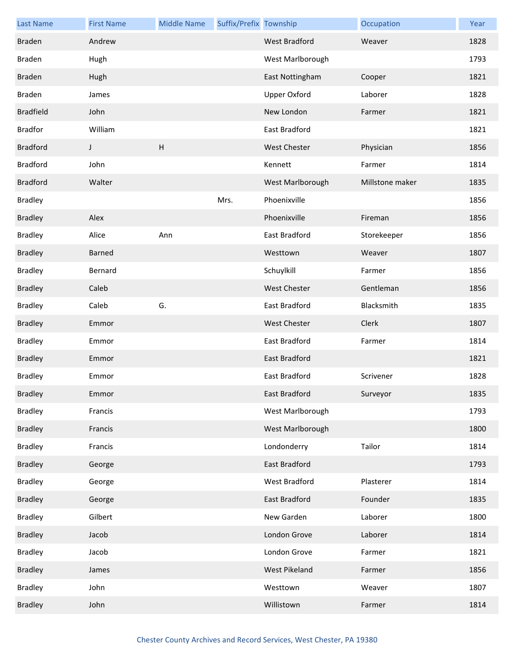| <b>Last Name</b> | <b>First Name</b> | <b>Middle Name</b>        | Suffix/Prefix Township |                      | Occupation      | Year |
|------------------|-------------------|---------------------------|------------------------|----------------------|-----------------|------|
| <b>Braden</b>    | Andrew            |                           |                        | <b>West Bradford</b> | Weaver          | 1828 |
| <b>Braden</b>    | Hugh              |                           |                        | West Marlborough     |                 | 1793 |
| <b>Braden</b>    | Hugh              |                           |                        | East Nottingham      | Cooper          | 1821 |
| <b>Braden</b>    | James             |                           |                        | <b>Upper Oxford</b>  | Laborer         | 1828 |
| <b>Bradfield</b> | John              |                           |                        | New London           | Farmer          | 1821 |
| <b>Bradfor</b>   | William           |                           |                        | <b>East Bradford</b> |                 | 1821 |
| <b>Bradford</b>  | J                 | $\boldsymbol{\mathsf{H}}$ |                        | <b>West Chester</b>  | Physician       | 1856 |
| <b>Bradford</b>  | John              |                           |                        | Kennett              | Farmer          | 1814 |
| <b>Bradford</b>  | Walter            |                           |                        | West Marlborough     | Millstone maker | 1835 |
| <b>Bradley</b>   |                   |                           | Mrs.                   | Phoenixville         |                 | 1856 |
| <b>Bradley</b>   | Alex              |                           |                        | Phoenixville         | Fireman         | 1856 |
| <b>Bradley</b>   | Alice             | Ann                       |                        | East Bradford        | Storekeeper     | 1856 |
| <b>Bradley</b>   | <b>Barned</b>     |                           |                        | Westtown             | Weaver          | 1807 |
| <b>Bradley</b>   | Bernard           |                           |                        | Schuylkill           | Farmer          | 1856 |
| <b>Bradley</b>   | Caleb             |                           |                        | <b>West Chester</b>  | Gentleman       | 1856 |
| <b>Bradley</b>   | Caleb             | G.                        |                        | East Bradford        | Blacksmith      | 1835 |
| <b>Bradley</b>   | Emmor             |                           |                        | <b>West Chester</b>  | Clerk           | 1807 |
| <b>Bradley</b>   | Emmor             |                           |                        | East Bradford        | Farmer          | 1814 |
| <b>Bradley</b>   | Emmor             |                           |                        | East Bradford        |                 | 1821 |
| <b>Bradley</b>   | Emmor             |                           |                        | <b>East Bradford</b> | Scrivener       | 1828 |
| <b>Bradley</b>   | Emmor             |                           |                        | East Bradford        | Surveyor        | 1835 |
| <b>Bradley</b>   | Francis           |                           |                        | West Marlborough     |                 | 1793 |
| <b>Bradley</b>   | Francis           |                           |                        | West Marlborough     |                 | 1800 |
| <b>Bradley</b>   | Francis           |                           |                        | Londonderry          | Tailor          | 1814 |
| <b>Bradley</b>   | George            |                           |                        | <b>East Bradford</b> |                 | 1793 |
| <b>Bradley</b>   | George            |                           |                        | West Bradford        | Plasterer       | 1814 |
| <b>Bradley</b>   | George            |                           |                        | East Bradford        | Founder         | 1835 |
| <b>Bradley</b>   | Gilbert           |                           |                        | New Garden           | Laborer         | 1800 |
| <b>Bradley</b>   | Jacob             |                           |                        | London Grove         | Laborer         | 1814 |
| <b>Bradley</b>   | Jacob             |                           |                        | London Grove         | Farmer          | 1821 |
| <b>Bradley</b>   | James             |                           |                        | West Pikeland        | Farmer          | 1856 |
| <b>Bradley</b>   | John              |                           |                        | Westtown             | Weaver          | 1807 |
| <b>Bradley</b>   | John              |                           |                        | Willistown           | Farmer          | 1814 |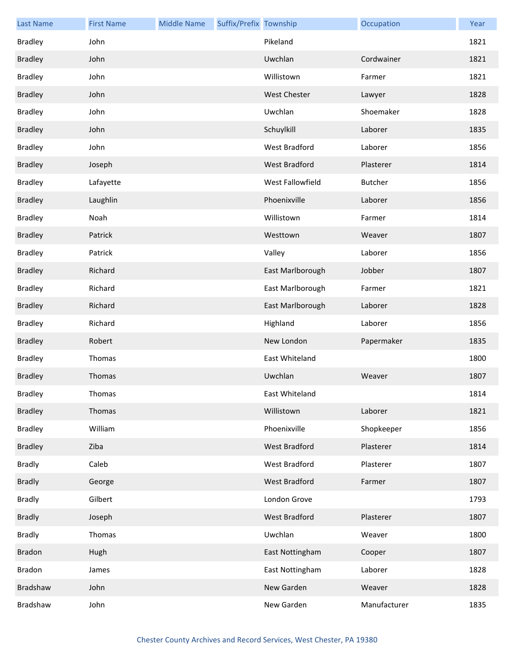| <b>Last Name</b> | <b>First Name</b> | <b>Middle Name</b> | Suffix/Prefix Township |                     | Occupation     | Year |
|------------------|-------------------|--------------------|------------------------|---------------------|----------------|------|
| <b>Bradley</b>   | John              |                    |                        | Pikeland            |                | 1821 |
| <b>Bradley</b>   | John              |                    |                        | Uwchlan             | Cordwainer     | 1821 |
| <b>Bradley</b>   | John              |                    |                        | Willistown          | Farmer         | 1821 |
| <b>Bradley</b>   | John              |                    |                        | <b>West Chester</b> | Lawyer         | 1828 |
| <b>Bradley</b>   | John              |                    |                        | Uwchlan             | Shoemaker      | 1828 |
| <b>Bradley</b>   | John              |                    |                        | Schuylkill          | Laborer        | 1835 |
| <b>Bradley</b>   | John              |                    |                        | West Bradford       | Laborer        | 1856 |
| <b>Bradley</b>   | Joseph            |                    |                        | West Bradford       | Plasterer      | 1814 |
| <b>Bradley</b>   | Lafayette         |                    |                        | West Fallowfield    | <b>Butcher</b> | 1856 |
| <b>Bradley</b>   | Laughlin          |                    |                        | Phoenixville        | Laborer        | 1856 |
| <b>Bradley</b>   | Noah              |                    |                        | Willistown          | Farmer         | 1814 |
| <b>Bradley</b>   | Patrick           |                    |                        | Westtown            | Weaver         | 1807 |
| <b>Bradley</b>   | Patrick           |                    |                        | Valley              | Laborer        | 1856 |
| <b>Bradley</b>   | Richard           |                    |                        | East Marlborough    | Jobber         | 1807 |
| <b>Bradley</b>   | Richard           |                    |                        | East Marlborough    | Farmer         | 1821 |
| <b>Bradley</b>   | Richard           |                    |                        | East Marlborough    | Laborer        | 1828 |
| <b>Bradley</b>   | Richard           |                    |                        | Highland            | Laborer        | 1856 |
| <b>Bradley</b>   | Robert            |                    |                        | New London          | Papermaker     | 1835 |
| <b>Bradley</b>   | Thomas            |                    |                        | East Whiteland      |                | 1800 |
| <b>Bradley</b>   | Thomas            |                    |                        | Uwchlan             | Weaver         | 1807 |
| <b>Bradley</b>   | Thomas            |                    |                        | East Whiteland      |                | 1814 |
| <b>Bradley</b>   | Thomas            |                    |                        | Willistown          | Laborer        | 1821 |
| <b>Bradley</b>   | William           |                    |                        | Phoenixville        | Shopkeeper     | 1856 |
| <b>Bradley</b>   | Ziba              |                    |                        | West Bradford       | Plasterer      | 1814 |
| <b>Bradly</b>    | Caleb             |                    |                        | West Bradford       | Plasterer      | 1807 |
| <b>Bradly</b>    | George            |                    |                        | West Bradford       | Farmer         | 1807 |
| <b>Bradly</b>    | Gilbert           |                    |                        | London Grove        |                | 1793 |
| <b>Bradly</b>    | Joseph            |                    |                        | West Bradford       | Plasterer      | 1807 |
| <b>Bradly</b>    | Thomas            |                    |                        | Uwchlan             | Weaver         | 1800 |
| <b>Bradon</b>    | Hugh              |                    |                        | East Nottingham     | Cooper         | 1807 |
| Bradon           | James             |                    |                        | East Nottingham     | Laborer        | 1828 |
| Bradshaw         | John              |                    |                        | New Garden          | Weaver         | 1828 |
| Bradshaw         | John              |                    |                        | New Garden          | Manufacturer   | 1835 |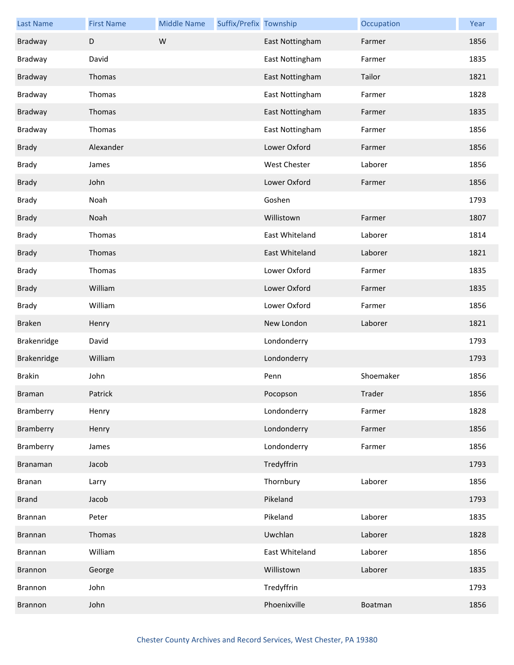| <b>Last Name</b> | <b>First Name</b> | <b>Middle Name</b> | Suffix/Prefix Township |                     | Occupation | Year |
|------------------|-------------------|--------------------|------------------------|---------------------|------------|------|
| <b>Bradway</b>   | D                 | W                  |                        | East Nottingham     | Farmer     | 1856 |
| Bradway          | David             |                    |                        | East Nottingham     | Farmer     | 1835 |
| <b>Bradway</b>   | Thomas            |                    |                        | East Nottingham     | Tailor     | 1821 |
| Bradway          | Thomas            |                    |                        | East Nottingham     | Farmer     | 1828 |
| <b>Bradway</b>   | Thomas            |                    |                        | East Nottingham     | Farmer     | 1835 |
| Bradway          | Thomas            |                    |                        | East Nottingham     | Farmer     | 1856 |
| <b>Brady</b>     | Alexander         |                    |                        | Lower Oxford        | Farmer     | 1856 |
| <b>Brady</b>     | James             |                    |                        | <b>West Chester</b> | Laborer    | 1856 |
| <b>Brady</b>     | John              |                    |                        | Lower Oxford        | Farmer     | 1856 |
| <b>Brady</b>     | Noah              |                    |                        | Goshen              |            | 1793 |
| <b>Brady</b>     | Noah              |                    |                        | Willistown          | Farmer     | 1807 |
| <b>Brady</b>     | Thomas            |                    |                        | East Whiteland      | Laborer    | 1814 |
| <b>Brady</b>     | Thomas            |                    |                        | East Whiteland      | Laborer    | 1821 |
| <b>Brady</b>     | Thomas            |                    |                        | Lower Oxford        | Farmer     | 1835 |
| <b>Brady</b>     | William           |                    |                        | Lower Oxford        | Farmer     | 1835 |
| <b>Brady</b>     | William           |                    |                        | Lower Oxford        | Farmer     | 1856 |
| <b>Braken</b>    | Henry             |                    |                        | New London          | Laborer    | 1821 |
| Brakenridge      | David             |                    |                        | Londonderry         |            | 1793 |
| Brakenridge      | William           |                    |                        | Londonderry         |            | 1793 |
| <b>Brakin</b>    | John              |                    |                        | Penn                | Shoemaker  | 1856 |
| Braman           | Patrick           |                    |                        | Pocopson            | Trader     | 1856 |
| Bramberry        | Henry             |                    |                        | Londonderry         | Farmer     | 1828 |
| Bramberry        | Henry             |                    |                        | Londonderry         | Farmer     | 1856 |
| Bramberry        | James             |                    |                        | Londonderry         | Farmer     | 1856 |
| Branaman         | Jacob             |                    |                        | Tredyffrin          |            | 1793 |
| <b>Branan</b>    | Larry             |                    |                        | Thornbury           | Laborer    | 1856 |
| <b>Brand</b>     | Jacob             |                    |                        | Pikeland            |            | 1793 |
| Brannan          | Peter             |                    |                        | Pikeland            | Laborer    | 1835 |
| <b>Brannan</b>   | Thomas            |                    |                        | Uwchlan             | Laborer    | 1828 |
| Brannan          | William           |                    |                        | East Whiteland      | Laborer    | 1856 |
| Brannon          | George            |                    |                        | Willistown          | Laborer    | 1835 |
| Brannon          | John              |                    |                        | Tredyffrin          |            | 1793 |
| <b>Brannon</b>   | John              |                    |                        | Phoenixville        | Boatman    | 1856 |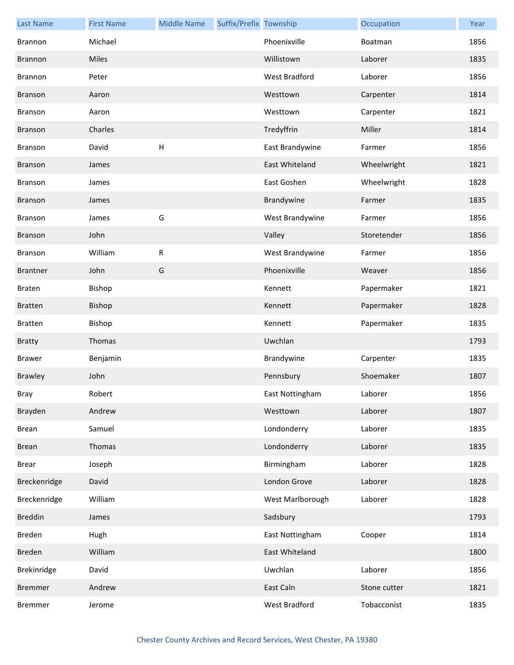| <b>Last Name</b> | <b>First Name</b> | <b>Middle Name</b>        | Suffix/Prefix Township |                      | Occupation   | Year |
|------------------|-------------------|---------------------------|------------------------|----------------------|--------------|------|
| Brannon          | Michael           |                           |                        | Phoenixville         | Boatman      | 1856 |
| Brannon          | <b>Miles</b>      |                           |                        | Willistown           | Laborer      | 1835 |
| Brannon          | Peter             |                           |                        | <b>West Bradford</b> | Laborer      | 1856 |
| Branson          | Aaron             |                           |                        | Westtown             | Carpenter    | 1814 |
| Branson          | Aaron             |                           |                        | Westtown             | Carpenter    | 1821 |
| <b>Branson</b>   | Charles           |                           |                        | Tredyffrin           | Miller       | 1814 |
| Branson          | David             | $\boldsymbol{\mathsf{H}}$ |                        | East Brandywine      | Farmer       | 1856 |
| Branson          | James             |                           |                        | East Whiteland       | Wheelwright  | 1821 |
| Branson          | James             |                           |                        | East Goshen          | Wheelwright  | 1828 |
| Branson          | James             |                           |                        | Brandywine           | Farmer       | 1835 |
| Branson          | James             | G                         |                        | West Brandywine      | Farmer       | 1856 |
| Branson          | John              |                           |                        | Valley               | Storetender  | 1856 |
| <b>Branson</b>   | William           | ${\sf R}$                 |                        | West Brandywine      | Farmer       | 1856 |
| <b>Brantner</b>  | John              | G                         |                        | Phoenixville         | Weaver       | 1856 |
| <b>Braten</b>    | Bishop            |                           |                        | Kennett              | Papermaker   | 1821 |
| <b>Bratten</b>   | Bishop            |                           |                        | Kennett              | Papermaker   | 1828 |
| <b>Bratten</b>   | Bishop            |                           |                        | Kennett              | Papermaker   | 1835 |
| <b>Bratty</b>    | Thomas            |                           |                        | Uwchlan              |              | 1793 |
| <b>Brawer</b>    | Benjamin          |                           |                        | Brandywine           | Carpenter    | 1835 |
| <b>Brawley</b>   | John              |                           |                        | Pennsbury            | Shoemaker    | 1807 |
| Bray             | Robert            |                           |                        | East Nottingham      | Laborer      | 1856 |
| Brayden          | Andrew            |                           |                        | Westtown             | Laborer      | 1807 |
| <b>Brean</b>     | Samuel            |                           |                        | Londonderry          | Laborer      | 1835 |
| <b>Brean</b>     | Thomas            |                           |                        | Londonderry          | Laborer      | 1835 |
| <b>Brear</b>     | Joseph            |                           |                        | Birmingham           | Laborer      | 1828 |
| Breckenridge     | David             |                           |                        | London Grove         | Laborer      | 1828 |
| Breckenridge     | William           |                           |                        | West Marlborough     | Laborer      | 1828 |
| <b>Breddin</b>   | James             |                           |                        | Sadsbury             |              | 1793 |
| Breden           | Hugh              |                           |                        | East Nottingham      | Cooper       | 1814 |
| Breden           | William           |                           |                        | East Whiteland       |              | 1800 |
| Brekinridge      | David             |                           |                        | Uwchlan              | Laborer      | 1856 |
| <b>Bremmer</b>   | Andrew            |                           |                        | East Caln            | Stone cutter | 1821 |
| <b>Bremmer</b>   | Jerome            |                           |                        | West Bradford        | Tobacconist  | 1835 |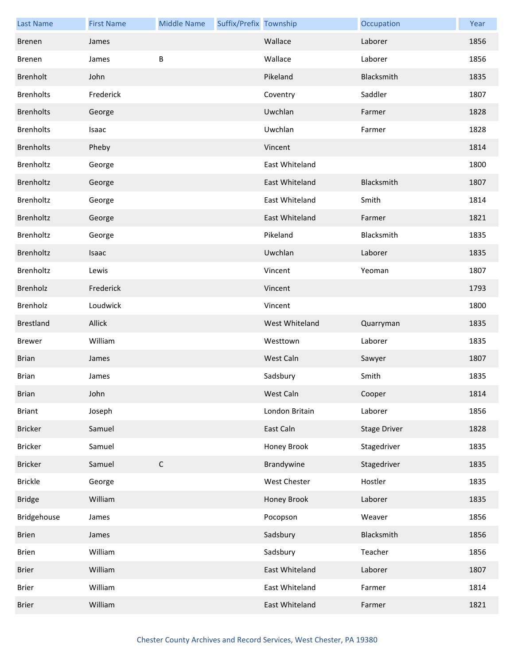| <b>Last Name</b> | <b>First Name</b> | <b>Middle Name</b> | Suffix/Prefix Township |                | Occupation          | Year |
|------------------|-------------------|--------------------|------------------------|----------------|---------------------|------|
| <b>Brenen</b>    | James             |                    |                        | Wallace        | Laborer             | 1856 |
| Brenen           | James             | B                  |                        | Wallace        | Laborer             | 1856 |
| Brenholt         | John              |                    |                        | Pikeland       | Blacksmith          | 1835 |
| <b>Brenholts</b> | Frederick         |                    |                        | Coventry       | Saddler             | 1807 |
| <b>Brenholts</b> | George            |                    |                        | Uwchlan        | Farmer              | 1828 |
| <b>Brenholts</b> | Isaac             |                    |                        | Uwchlan        | Farmer              | 1828 |
| <b>Brenholts</b> | Pheby             |                    |                        | Vincent        |                     | 1814 |
| Brenholtz        | George            |                    |                        | East Whiteland |                     | 1800 |
| Brenholtz        | George            |                    |                        | East Whiteland | Blacksmith          | 1807 |
| Brenholtz        | George            |                    |                        | East Whiteland | Smith               | 1814 |
| Brenholtz        | George            |                    |                        | East Whiteland | Farmer              | 1821 |
| Brenholtz        | George            |                    |                        | Pikeland       | Blacksmith          | 1835 |
| Brenholtz        | Isaac             |                    |                        | Uwchlan        | Laborer             | 1835 |
| Brenholtz        | Lewis             |                    |                        | Vincent        | Yeoman              | 1807 |
| Brenholz         | Frederick         |                    |                        | Vincent        |                     | 1793 |
| Brenholz         | Loudwick          |                    |                        | Vincent        |                     | 1800 |
| <b>Brestland</b> | Allick            |                    |                        | West Whiteland | Quarryman           | 1835 |
| <b>Brewer</b>    | William           |                    |                        | Westtown       | Laborer             | 1835 |
| <b>Brian</b>     | James             |                    |                        | West Caln      | Sawyer              | 1807 |
| <b>Brian</b>     | James             |                    |                        | Sadsbury       | Smith               | 1835 |
| <b>Brian</b>     | John              |                    |                        | West Caln      | Cooper              | 1814 |
| <b>Briant</b>    | Joseph            |                    |                        | London Britain | Laborer             | 1856 |
| <b>Bricker</b>   | Samuel            |                    |                        | East Caln      | <b>Stage Driver</b> | 1828 |
| Bricker          | Samuel            |                    |                        | Honey Brook    | Stagedriver         | 1835 |
| <b>Bricker</b>   | Samuel            | $\mathsf C$        |                        | Brandywine     | Stagedriver         | 1835 |
| <b>Brickle</b>   | George            |                    |                        | West Chester   | Hostler             | 1835 |
| <b>Bridge</b>    | William           |                    |                        | Honey Brook    | Laborer             | 1835 |
| Bridgehouse      | James             |                    |                        | Pocopson       | Weaver              | 1856 |
| <b>Brien</b>     | James             |                    |                        | Sadsbury       | Blacksmith          | 1856 |
| <b>Brien</b>     | William           |                    |                        | Sadsbury       | Teacher             | 1856 |
| <b>Brier</b>     | William           |                    |                        | East Whiteland | Laborer             | 1807 |
| <b>Brier</b>     | William           |                    |                        | East Whiteland | Farmer              | 1814 |
| <b>Brier</b>     | William           |                    |                        | East Whiteland | Farmer              | 1821 |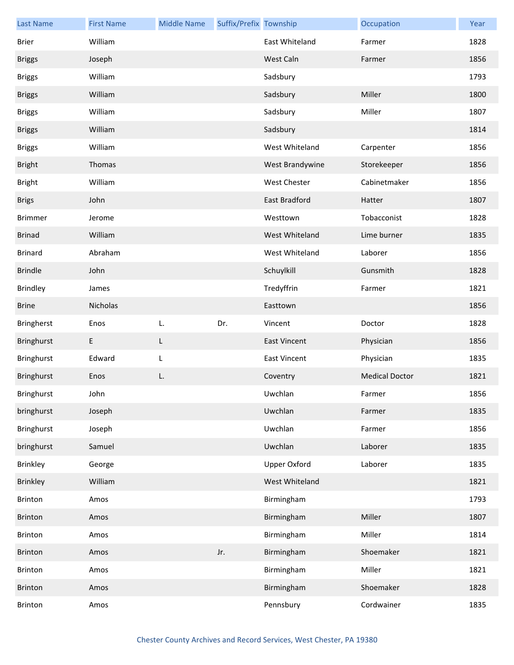| <b>Last Name</b> | <b>First Name</b> | <b>Middle Name</b> | Suffix/Prefix Township |                     | Occupation            | Year |
|------------------|-------------------|--------------------|------------------------|---------------------|-----------------------|------|
| Brier            | William           |                    |                        | East Whiteland      | Farmer                | 1828 |
| <b>Briggs</b>    | Joseph            |                    |                        | West Caln           | Farmer                | 1856 |
| <b>Briggs</b>    | William           |                    |                        | Sadsbury            |                       | 1793 |
| <b>Briggs</b>    | William           |                    |                        | Sadsbury            | Miller                | 1800 |
| <b>Briggs</b>    | William           |                    |                        | Sadsbury            | Miller                | 1807 |
| <b>Briggs</b>    | William           |                    |                        | Sadsbury            |                       | 1814 |
| <b>Briggs</b>    | William           |                    |                        | West Whiteland      | Carpenter             | 1856 |
| <b>Bright</b>    | Thomas            |                    |                        | West Brandywine     | Storekeeper           | 1856 |
| <b>Bright</b>    | William           |                    |                        | West Chester        | Cabinetmaker          | 1856 |
| <b>Brigs</b>     | John              |                    |                        | East Bradford       | Hatter                | 1807 |
| <b>Brimmer</b>   | Jerome            |                    |                        | Westtown            | Tobacconist           | 1828 |
| <b>Brinad</b>    | William           |                    |                        | West Whiteland      | Lime burner           | 1835 |
| <b>Brinard</b>   | Abraham           |                    |                        | West Whiteland      | Laborer               | 1856 |
| <b>Brindle</b>   | John              |                    |                        | Schuylkill          | Gunsmith              | 1828 |
| <b>Brindley</b>  | James             |                    |                        | Tredyffrin          | Farmer                | 1821 |
| <b>Brine</b>     | Nicholas          |                    |                        | Easttown            |                       | 1856 |
| Bringherst       | Enos              | L.                 | Dr.                    | Vincent             | Doctor                | 1828 |
| Bringhurst       | E                 | L                  |                        | <b>East Vincent</b> | Physician             | 1856 |
| Bringhurst       | Edward            | L                  |                        | <b>East Vincent</b> | Physician             | 1835 |
| Bringhurst       | Enos              | L.                 |                        | Coventry            | <b>Medical Doctor</b> | 1821 |
| Bringhurst       | John              |                    |                        | Uwchlan             | Farmer                | 1856 |
| bringhurst       | Joseph            |                    |                        | Uwchlan             | Farmer                | 1835 |
| Bringhurst       | Joseph            |                    |                        | Uwchlan             | Farmer                | 1856 |
| bringhurst       | Samuel            |                    |                        | Uwchlan             | Laborer               | 1835 |
| Brinkley         | George            |                    |                        | <b>Upper Oxford</b> | Laborer               | 1835 |
| <b>Brinkley</b>  | William           |                    |                        | West Whiteland      |                       | 1821 |
| <b>Brinton</b>   | Amos              |                    |                        | Birmingham          |                       | 1793 |
| Brinton          | Amos              |                    |                        | Birmingham          | Miller                | 1807 |
| Brinton          | Amos              |                    |                        | Birmingham          | Miller                | 1814 |
| Brinton          | Amos              |                    | Jr.                    | Birmingham          | Shoemaker             | 1821 |
| Brinton          | Amos              |                    |                        | Birmingham          | Miller                | 1821 |
| Brinton          | Amos              |                    |                        | Birmingham          | Shoemaker             | 1828 |
| <b>Brinton</b>   | Amos              |                    |                        | Pennsbury           | Cordwainer            | 1835 |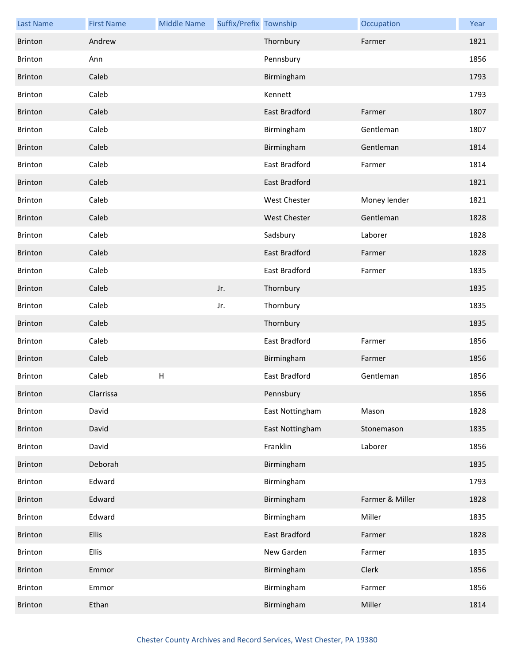| <b>Last Name</b> | <b>First Name</b> | <b>Middle Name</b>        | Suffix/Prefix Township |                      | Occupation      | Year |
|------------------|-------------------|---------------------------|------------------------|----------------------|-----------------|------|
| Brinton          | Andrew            |                           |                        | Thornbury            | Farmer          | 1821 |
| <b>Brinton</b>   | Ann               |                           |                        | Pennsbury            |                 | 1856 |
| Brinton          | Caleb             |                           |                        | Birmingham           |                 | 1793 |
| <b>Brinton</b>   | Caleb             |                           |                        | Kennett              |                 | 1793 |
| <b>Brinton</b>   | Caleb             |                           |                        | East Bradford        | Farmer          | 1807 |
| <b>Brinton</b>   | Caleb             |                           |                        | Birmingham           | Gentleman       | 1807 |
| <b>Brinton</b>   | Caleb             |                           |                        | Birmingham           | Gentleman       | 1814 |
| <b>Brinton</b>   | Caleb             |                           |                        | East Bradford        | Farmer          | 1814 |
| <b>Brinton</b>   | Caleb             |                           |                        | East Bradford        |                 | 1821 |
| <b>Brinton</b>   | Caleb             |                           |                        | West Chester         | Money lender    | 1821 |
| <b>Brinton</b>   | Caleb             |                           |                        | <b>West Chester</b>  | Gentleman       | 1828 |
| Brinton          | Caleb             |                           |                        | Sadsbury             | Laborer         | 1828 |
| <b>Brinton</b>   | Caleb             |                           |                        | <b>East Bradford</b> | Farmer          | 1828 |
| <b>Brinton</b>   | Caleb             |                           |                        | East Bradford        | Farmer          | 1835 |
| Brinton          | Caleb             |                           | Jr.                    | Thornbury            |                 | 1835 |
| <b>Brinton</b>   | Caleb             |                           | Jr.                    | Thornbury            |                 | 1835 |
| <b>Brinton</b>   | Caleb             |                           |                        | Thornbury            |                 | 1835 |
| <b>Brinton</b>   | Caleb             |                           |                        | East Bradford        | Farmer          | 1856 |
| Brinton          | Caleb             |                           |                        | Birmingham           | Farmer          | 1856 |
| <b>Brinton</b>   | Caleb             | $\boldsymbol{\mathsf{H}}$ |                        | <b>East Bradford</b> | Gentleman       | 1856 |
| <b>Brinton</b>   | Clarrissa         |                           |                        | Pennsbury            |                 | 1856 |
| Brinton          | David             |                           |                        | East Nottingham      | Mason           | 1828 |
| Brinton          | David             |                           |                        | East Nottingham      | Stonemason      | 1835 |
| Brinton          | David             |                           |                        | Franklin             | Laborer         | 1856 |
| Brinton          | Deborah           |                           |                        | Birmingham           |                 | 1835 |
| Brinton          | Edward            |                           |                        | Birmingham           |                 | 1793 |
| Brinton          | Edward            |                           |                        | Birmingham           | Farmer & Miller | 1828 |
| Brinton          | Edward            |                           |                        | Birmingham           | Miller          | 1835 |
| Brinton          | Ellis             |                           |                        | East Bradford        | Farmer          | 1828 |
| Brinton          | <b>Ellis</b>      |                           |                        | New Garden           | Farmer          | 1835 |
| Brinton          | Emmor             |                           |                        | Birmingham           | Clerk           | 1856 |
| Brinton          | Emmor             |                           |                        | Birmingham           | Farmer          | 1856 |
| <b>Brinton</b>   | Ethan             |                           |                        | Birmingham           | Miller          | 1814 |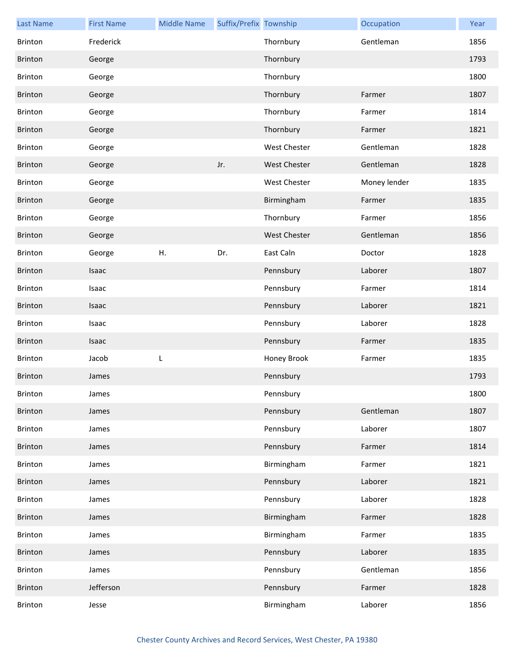| <b>Last Name</b> | <b>First Name</b> | <b>Middle Name</b> | Suffix/Prefix Township |                     | Occupation   | Year |
|------------------|-------------------|--------------------|------------------------|---------------------|--------------|------|
| <b>Brinton</b>   | Frederick         |                    |                        | Thornbury           | Gentleman    | 1856 |
| Brinton          | George            |                    |                        | Thornbury           |              | 1793 |
| Brinton          | George            |                    |                        | Thornbury           |              | 1800 |
| <b>Brinton</b>   | George            |                    |                        | Thornbury           | Farmer       | 1807 |
| <b>Brinton</b>   | George            |                    |                        | Thornbury           | Farmer       | 1814 |
| Brinton          | George            |                    |                        | Thornbury           | Farmer       | 1821 |
| <b>Brinton</b>   | George            |                    |                        | West Chester        | Gentleman    | 1828 |
| Brinton          | George            |                    | Jr.                    | West Chester        | Gentleman    | 1828 |
| <b>Brinton</b>   | George            |                    |                        | West Chester        | Money lender | 1835 |
| Brinton          | George            |                    |                        | Birmingham          | Farmer       | 1835 |
| <b>Brinton</b>   | George            |                    |                        | Thornbury           | Farmer       | 1856 |
| Brinton          | George            |                    |                        | <b>West Chester</b> | Gentleman    | 1856 |
| <b>Brinton</b>   | George            | Η.                 | Dr.                    | East Caln           | Doctor       | 1828 |
| Brinton          | Isaac             |                    |                        | Pennsbury           | Laborer      | 1807 |
| <b>Brinton</b>   | Isaac             |                    |                        | Pennsbury           | Farmer       | 1814 |
| Brinton          | Isaac             |                    |                        | Pennsbury           | Laborer      | 1821 |
| <b>Brinton</b>   | Isaac             |                    |                        | Pennsbury           | Laborer      | 1828 |
| Brinton          | Isaac             |                    |                        | Pennsbury           | Farmer       | 1835 |
| Brinton          | Jacob             | L                  |                        | Honey Brook         | Farmer       | 1835 |
| <b>Brinton</b>   | James             |                    |                        | Pennsbury           |              | 1793 |
| Brinton          | James             |                    |                        | Pennsbury           |              | 1800 |
| Brinton          | James             |                    |                        | Pennsbury           | Gentleman    | 1807 |
| Brinton          | James             |                    |                        | Pennsbury           | Laborer      | 1807 |
| Brinton          | James             |                    |                        | Pennsbury           | Farmer       | 1814 |
| Brinton          | James             |                    |                        | Birmingham          | Farmer       | 1821 |
| Brinton          | James             |                    |                        | Pennsbury           | Laborer      | 1821 |
| <b>Brinton</b>   | James             |                    |                        | Pennsbury           | Laborer      | 1828 |
| Brinton          | James             |                    |                        | Birmingham          | Farmer       | 1828 |
| Brinton          | James             |                    |                        | Birmingham          | Farmer       | 1835 |
| Brinton          | James             |                    |                        | Pennsbury           | Laborer      | 1835 |
| <b>Brinton</b>   | James             |                    |                        | Pennsbury           | Gentleman    | 1856 |
| Brinton          | Jefferson         |                    |                        | Pennsbury           | Farmer       | 1828 |
| Brinton          | Jesse             |                    |                        | Birmingham          | Laborer      | 1856 |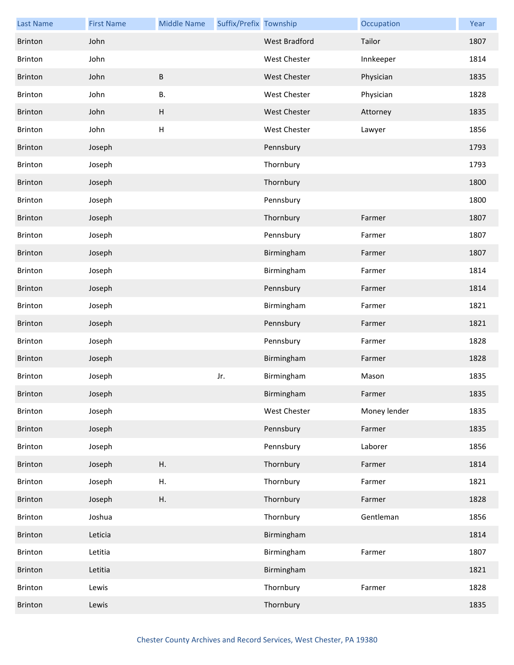| <b>Last Name</b> | <b>First Name</b> | <b>Middle Name</b>        | Suffix/Prefix Township |                      | Occupation   | Year |
|------------------|-------------------|---------------------------|------------------------|----------------------|--------------|------|
| <b>Brinton</b>   | John              |                           |                        | <b>West Bradford</b> | Tailor       | 1807 |
| Brinton          | John              |                           |                        | West Chester         | Innkeeper    | 1814 |
| Brinton          | John              | B                         |                        | West Chester         | Physician    | 1835 |
| Brinton          | John              | <b>B.</b>                 |                        | West Chester         | Physician    | 1828 |
| Brinton          | John              | $\boldsymbol{\mathsf{H}}$ |                        | <b>West Chester</b>  | Attorney     | 1835 |
| Brinton          | John              | H                         |                        | West Chester         | Lawyer       | 1856 |
| Brinton          | Joseph            |                           |                        | Pennsbury            |              | 1793 |
| Brinton          | Joseph            |                           |                        | Thornbury            |              | 1793 |
| Brinton          | Joseph            |                           |                        | Thornbury            |              | 1800 |
| Brinton          | Joseph            |                           |                        | Pennsbury            |              | 1800 |
| Brinton          | Joseph            |                           |                        | Thornbury            | Farmer       | 1807 |
| Brinton          | Joseph            |                           |                        | Pennsbury            | Farmer       | 1807 |
| <b>Brinton</b>   | Joseph            |                           |                        | Birmingham           | Farmer       | 1807 |
| <b>Brinton</b>   | Joseph            |                           |                        | Birmingham           | Farmer       | 1814 |
| Brinton          | Joseph            |                           |                        | Pennsbury            | Farmer       | 1814 |
| Brinton          | Joseph            |                           |                        | Birmingham           | Farmer       | 1821 |
| Brinton          | Joseph            |                           |                        | Pennsbury            | Farmer       | 1821 |
| Brinton          | Joseph            |                           |                        | Pennsbury            | Farmer       | 1828 |
| Brinton          | Joseph            |                           |                        | Birmingham           | Farmer       | 1828 |
| <b>Brinton</b>   | Joseph            |                           | Jr.                    | Birmingham           | Mason        | 1835 |
| <b>Brinton</b>   | Joseph            |                           |                        | Birmingham           | Farmer       | 1835 |
| Brinton          | Joseph            |                           |                        | West Chester         | Money lender | 1835 |
| Brinton          | Joseph            |                           |                        | Pennsbury            | Farmer       | 1835 |
| Brinton          | Joseph            |                           |                        | Pennsbury            | Laborer      | 1856 |
| Brinton          | Joseph            | Η.                        |                        | Thornbury            | Farmer       | 1814 |
| Brinton          | Joseph            | Η.                        |                        | Thornbury            | Farmer       | 1821 |
| <b>Brinton</b>   | Joseph            | Η.                        |                        | Thornbury            | Farmer       | 1828 |
| Brinton          | Joshua            |                           |                        | Thornbury            | Gentleman    | 1856 |
| Brinton          | Leticia           |                           |                        | Birmingham           |              | 1814 |
| Brinton          | Letitia           |                           |                        | Birmingham           | Farmer       | 1807 |
| Brinton          | Letitia           |                           |                        | Birmingham           |              | 1821 |
| Brinton          | Lewis             |                           |                        | Thornbury            | Farmer       | 1828 |
| <b>Brinton</b>   | Lewis             |                           |                        | Thornbury            |              | 1835 |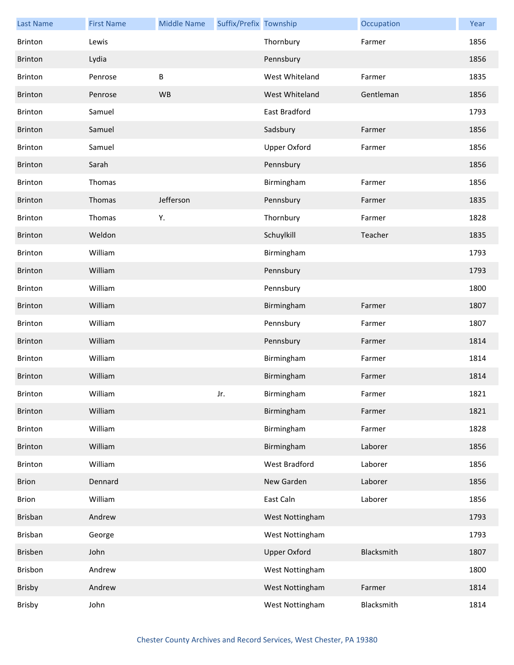| <b>Last Name</b> | <b>First Name</b> | <b>Middle Name</b> | Suffix/Prefix Township |                     | Occupation | Year |
|------------------|-------------------|--------------------|------------------------|---------------------|------------|------|
| <b>Brinton</b>   | Lewis             |                    |                        | Thornbury           | Farmer     | 1856 |
| Brinton          | Lydia             |                    |                        | Pennsbury           |            | 1856 |
| Brinton          | Penrose           | B                  |                        | West Whiteland      | Farmer     | 1835 |
| Brinton          | Penrose           | WB                 |                        | West Whiteland      | Gentleman  | 1856 |
| Brinton          | Samuel            |                    |                        | East Bradford       |            | 1793 |
| Brinton          | Samuel            |                    |                        | Sadsbury            | Farmer     | 1856 |
| Brinton          | Samuel            |                    |                        | Upper Oxford        | Farmer     | 1856 |
| <b>Brinton</b>   | Sarah             |                    |                        | Pennsbury           |            | 1856 |
| <b>Brinton</b>   | Thomas            |                    |                        | Birmingham          | Farmer     | 1856 |
| Brinton          | Thomas            | Jefferson          |                        | Pennsbury           | Farmer     | 1835 |
| Brinton          | Thomas            | Υ.                 |                        | Thornbury           | Farmer     | 1828 |
| Brinton          | Weldon            |                    |                        | Schuylkill          | Teacher    | 1835 |
| <b>Brinton</b>   | William           |                    |                        | Birmingham          |            | 1793 |
| Brinton          | William           |                    |                        | Pennsbury           |            | 1793 |
| Brinton          | William           |                    |                        | Pennsbury           |            | 1800 |
| Brinton          | William           |                    |                        | Birmingham          | Farmer     | 1807 |
| <b>Brinton</b>   | William           |                    |                        | Pennsbury           | Farmer     | 1807 |
| Brinton          | William           |                    |                        | Pennsbury           | Farmer     | 1814 |
| Brinton          | William           |                    |                        | Birmingham          | Farmer     | 1814 |
| <b>Brinton</b>   | William           |                    |                        | Birmingham          | Farmer     | 1814 |
| Brinton          | William           |                    | Jr.                    | Birmingham          | Farmer     | 1821 |
| Brinton          | William           |                    |                        | Birmingham          | Farmer     | 1821 |
| Brinton          | William           |                    |                        | Birmingham          | Farmer     | 1828 |
| Brinton          | William           |                    |                        | Birmingham          | Laborer    | 1856 |
| Brinton          | William           |                    |                        | West Bradford       | Laborer    | 1856 |
| <b>Brion</b>     | Dennard           |                    |                        | New Garden          | Laborer    | 1856 |
| <b>Brion</b>     | William           |                    |                        | East Caln           | Laborer    | 1856 |
| Brisban          | Andrew            |                    |                        | West Nottingham     |            | 1793 |
| Brisban          | George            |                    |                        | West Nottingham     |            | 1793 |
| Brisben          | John              |                    |                        | <b>Upper Oxford</b> | Blacksmith | 1807 |
| Brisbon          | Andrew            |                    |                        | West Nottingham     |            | 1800 |
| Brisby           | Andrew            |                    |                        | West Nottingham     | Farmer     | 1814 |
| Brisby           | John              |                    |                        | West Nottingham     | Blacksmith | 1814 |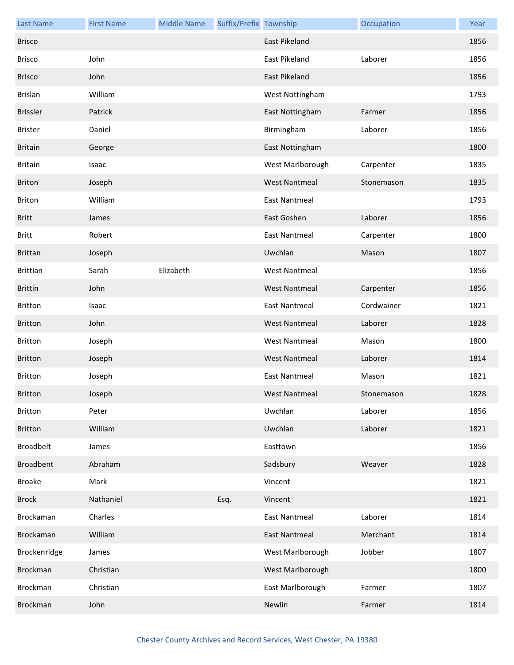| <b>Last Name</b> | <b>First Name</b> | <b>Middle Name</b> | Suffix/Prefix Township |                      | Occupation | Year |
|------------------|-------------------|--------------------|------------------------|----------------------|------------|------|
| <b>Brisco</b>    |                   |                    |                        | <b>East Pikeland</b> |            | 1856 |
| <b>Brisco</b>    | John              |                    |                        | East Pikeland        | Laborer    | 1856 |
| <b>Brisco</b>    | John              |                    |                        | East Pikeland        |            | 1856 |
| <b>Brislan</b>   | William           |                    |                        | West Nottingham      |            | 1793 |
| <b>Brissler</b>  | Patrick           |                    |                        | East Nottingham      | Farmer     | 1856 |
| <b>Brister</b>   | Daniel            |                    |                        | Birmingham           | Laborer    | 1856 |
| <b>Britain</b>   | George            |                    |                        | East Nottingham      |            | 1800 |
| <b>Britain</b>   | Isaac             |                    |                        | West Marlborough     | Carpenter  | 1835 |
| <b>Briton</b>    | Joseph            |                    |                        | <b>West Nantmeal</b> | Stonemason | 1835 |
| Briton           | William           |                    |                        | East Nantmeal        |            | 1793 |
| <b>Britt</b>     | James             |                    |                        | East Goshen          | Laborer    | 1856 |
| <b>Britt</b>     | Robert            |                    |                        | <b>East Nantmeal</b> | Carpenter  | 1800 |
| <b>Brittan</b>   | Joseph            |                    |                        | Uwchlan              | Mason      | 1807 |
| <b>Brittian</b>  | Sarah             | Elizabeth          |                        | <b>West Nantmeal</b> |            | 1856 |
| <b>Brittin</b>   | John              |                    |                        | <b>West Nantmeal</b> | Carpenter  | 1856 |
| <b>Britton</b>   | Isaac             |                    |                        | East Nantmeal        | Cordwainer | 1821 |
| <b>Britton</b>   | John              |                    |                        | <b>West Nantmeal</b> | Laborer    | 1828 |
| <b>Britton</b>   | Joseph            |                    |                        | <b>West Nantmeal</b> | Mason      | 1800 |
| <b>Britton</b>   | Joseph            |                    |                        | <b>West Nantmeal</b> | Laborer    | 1814 |
| <b>Britton</b>   | Joseph            |                    |                        | <b>East Nantmeal</b> | Mason      | 1821 |
| <b>Britton</b>   | Joseph            |                    |                        | West Nantmeal        | Stonemason | 1828 |
| Britton          | Peter             |                    |                        | Uwchlan              | Laborer    | 1856 |
| <b>Britton</b>   | William           |                    |                        | Uwchlan              | Laborer    | 1821 |
| <b>Broadbelt</b> | James             |                    |                        | Easttown             |            | 1856 |
| <b>Broadbent</b> | Abraham           |                    |                        | Sadsbury             | Weaver     | 1828 |
| <b>Broake</b>    | Mark              |                    |                        | Vincent              |            | 1821 |
| <b>Brock</b>     | Nathaniel         |                    | Esq.                   | Vincent              |            | 1821 |
| Brockaman        | Charles           |                    |                        | <b>East Nantmeal</b> | Laborer    | 1814 |
| Brockaman        | William           |                    |                        | East Nantmeal        | Merchant   | 1814 |
| Brockenridge     | James             |                    |                        | West Marlborough     | Jobber     | 1807 |
| <b>Brockman</b>  | Christian         |                    |                        | West Marlborough     |            | 1800 |
| Brockman         | Christian         |                    |                        | East Marlborough     | Farmer     | 1807 |
| <b>Brockman</b>  | John              |                    |                        | Newlin               | Farmer     | 1814 |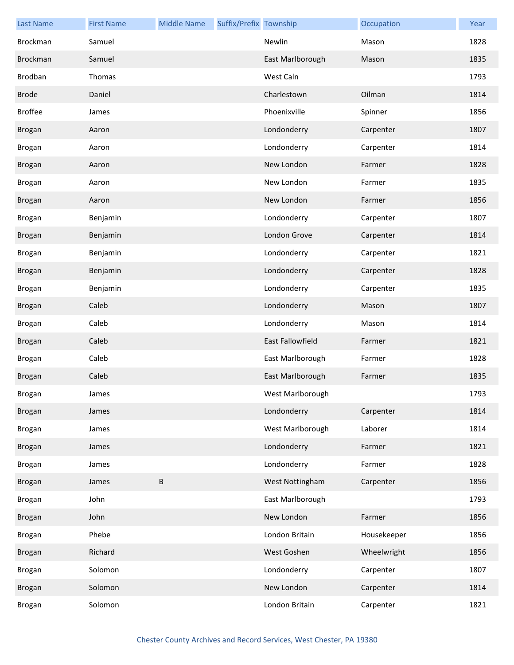| <b>Last Name</b> | <b>First Name</b> | <b>Middle Name</b> | Suffix/Prefix Township |                         | Occupation  | Year |
|------------------|-------------------|--------------------|------------------------|-------------------------|-------------|------|
| Brockman         | Samuel            |                    |                        | Newlin                  | Mason       | 1828 |
| Brockman         | Samuel            |                    |                        | East Marlborough        | Mason       | 1835 |
| Brodban          | Thomas            |                    |                        | West Caln               |             | 1793 |
| <b>Brode</b>     | Daniel            |                    |                        | Charlestown             | Oilman      | 1814 |
| <b>Broffee</b>   | James             |                    |                        | Phoenixville            | Spinner     | 1856 |
| <b>Brogan</b>    | Aaron             |                    |                        | Londonderry             | Carpenter   | 1807 |
| <b>Brogan</b>    | Aaron             |                    |                        | Londonderry             | Carpenter   | 1814 |
| <b>Brogan</b>    | Aaron             |                    |                        | New London              | Farmer      | 1828 |
| <b>Brogan</b>    | Aaron             |                    |                        | New London              | Farmer      | 1835 |
| <b>Brogan</b>    | Aaron             |                    |                        | New London              | Farmer      | 1856 |
| Brogan           | Benjamin          |                    |                        | Londonderry             | Carpenter   | 1807 |
| Brogan           | Benjamin          |                    |                        | London Grove            | Carpenter   | 1814 |
| <b>Brogan</b>    | Benjamin          |                    |                        | Londonderry             | Carpenter   | 1821 |
| Brogan           | Benjamin          |                    |                        | Londonderry             | Carpenter   | 1828 |
| Brogan           | Benjamin          |                    |                        | Londonderry             | Carpenter   | 1835 |
| Brogan           | Caleb             |                    |                        | Londonderry             | Mason       | 1807 |
| <b>Brogan</b>    | Caleb             |                    |                        | Londonderry             | Mason       | 1814 |
| <b>Brogan</b>    | Caleb             |                    |                        | <b>East Fallowfield</b> | Farmer      | 1821 |
| <b>Brogan</b>    | Caleb             |                    |                        | East Marlborough        | Farmer      | 1828 |
| <b>Brogan</b>    | Caleb             |                    |                        | East Marlborough        | Farmer      | 1835 |
| <b>Brogan</b>    | James             |                    |                        | West Marlborough        |             | 1793 |
| Brogan           | James             |                    |                        | Londonderry             | Carpenter   | 1814 |
| <b>Brogan</b>    | James             |                    |                        | West Marlborough        | Laborer     | 1814 |
| <b>Brogan</b>    | James             |                    |                        | Londonderry             | Farmer      | 1821 |
| Brogan           | James             |                    |                        | Londonderry             | Farmer      | 1828 |
| <b>Brogan</b>    | James             | $\sf B$            |                        | West Nottingham         | Carpenter   | 1856 |
| <b>Brogan</b>    | John              |                    |                        | East Marlborough        |             | 1793 |
| <b>Brogan</b>    | John              |                    |                        | New London              | Farmer      | 1856 |
| Brogan           | Phebe             |                    |                        | London Britain          | Housekeeper | 1856 |
| <b>Brogan</b>    | Richard           |                    |                        | West Goshen             | Wheelwright | 1856 |
| Brogan           | Solomon           |                    |                        | Londonderry             | Carpenter   | 1807 |
| Brogan           | Solomon           |                    |                        | New London              | Carpenter   | 1814 |
| Brogan           | Solomon           |                    |                        | London Britain          | Carpenter   | 1821 |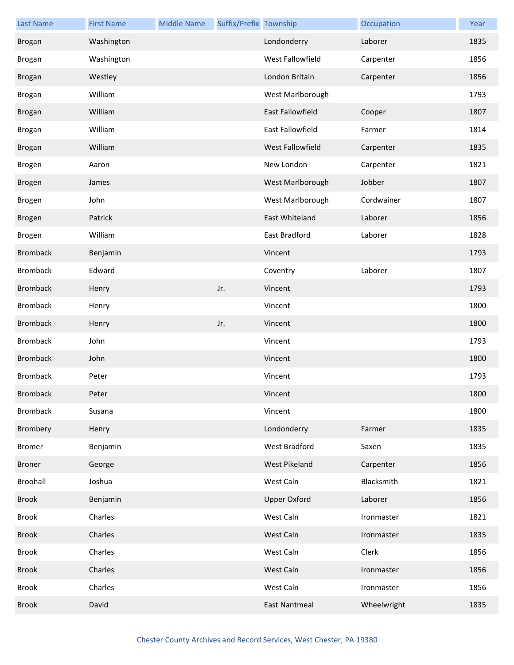| <b>Last Name</b> | <b>First Name</b> | <b>Middle Name</b> | Suffix/Prefix Township |                         | Occupation  | Year |
|------------------|-------------------|--------------------|------------------------|-------------------------|-------------|------|
| Brogan           | Washington        |                    |                        | Londonderry             | Laborer     | 1835 |
| <b>Brogan</b>    | Washington        |                    |                        | West Fallowfield        | Carpenter   | 1856 |
| <b>Brogan</b>    | Westley           |                    |                        | London Britain          | Carpenter   | 1856 |
| <b>Brogan</b>    | William           |                    |                        | West Marlborough        |             | 1793 |
| <b>Brogan</b>    | William           |                    |                        | <b>East Fallowfield</b> | Cooper      | 1807 |
| <b>Brogan</b>    | William           |                    |                        | East Fallowfield        | Farmer      | 1814 |
| <b>Brogan</b>    | William           |                    |                        | West Fallowfield        | Carpenter   | 1835 |
| Brogen           | Aaron             |                    |                        | New London              | Carpenter   | 1821 |
| <b>Brogen</b>    | James             |                    |                        | West Marlborough        | Jobber      | 1807 |
| Brogen           | John              |                    |                        | West Marlborough        | Cordwainer  | 1807 |
| <b>Brogen</b>    | Patrick           |                    |                        | East Whiteland          | Laborer     | 1856 |
| Brogen           | William           |                    |                        | East Bradford           | Laborer     | 1828 |
| <b>Bromback</b>  | Benjamin          |                    |                        | Vincent                 |             | 1793 |
| <b>Bromback</b>  | Edward            |                    |                        | Coventry                | Laborer     | 1807 |
| <b>Bromback</b>  | Henry             |                    | Jr.                    | Vincent                 |             | 1793 |
| <b>Bromback</b>  | Henry             |                    |                        | Vincent                 |             | 1800 |
| <b>Bromback</b>  | Henry             |                    | Jr.                    | Vincent                 |             | 1800 |
| <b>Bromback</b>  | John              |                    |                        | Vincent                 |             | 1793 |
| <b>Bromback</b>  | John              |                    |                        | Vincent                 |             | 1800 |
| <b>Bromback</b>  | Peter             |                    |                        | Vincent                 |             | 1793 |
| <b>Bromback</b>  | Peter             |                    |                        | Vincent                 |             | 1800 |
| <b>Bromback</b>  | Susana            |                    |                        | Vincent                 |             | 1800 |
| Brombery         | Henry             |                    |                        | Londonderry             | Farmer      | 1835 |
| <b>Bromer</b>    | Benjamin          |                    |                        | <b>West Bradford</b>    | Saxen       | 1835 |
| Broner           | George            |                    |                        | <b>West Pikeland</b>    | Carpenter   | 1856 |
| Broohall         | Joshua            |                    |                        | West Caln               | Blacksmith  | 1821 |
| <b>Brook</b>     | Benjamin          |                    |                        | <b>Upper Oxford</b>     | Laborer     | 1856 |
| Brook            | Charles           |                    |                        | West Caln               | Ironmaster  | 1821 |
| <b>Brook</b>     | Charles           |                    |                        | West Caln               | Ironmaster  | 1835 |
| Brook            | Charles           |                    |                        | West Caln               | Clerk       | 1856 |
| <b>Brook</b>     | Charles           |                    |                        | West Caln               | Ironmaster  | 1856 |
| <b>Brook</b>     | Charles           |                    |                        | West Caln               | Ironmaster  | 1856 |
| <b>Brook</b>     | David             |                    |                        | <b>East Nantmeal</b>    | Wheelwright | 1835 |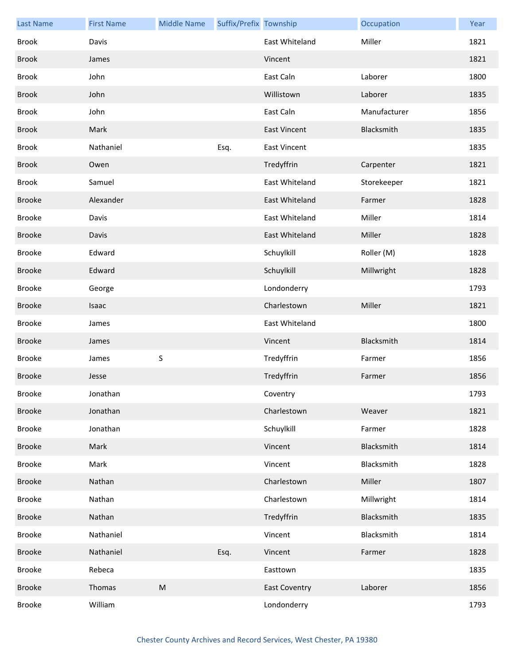| <b>Last Name</b> | <b>First Name</b> | <b>Middle Name</b> | Suffix/Prefix Township |                      | Occupation   | Year |
|------------------|-------------------|--------------------|------------------------|----------------------|--------------|------|
| Brook            | Davis             |                    |                        | East Whiteland       | Miller       | 1821 |
| <b>Brook</b>     | James             |                    |                        | Vincent              |              | 1821 |
| <b>Brook</b>     | John              |                    |                        | East Caln            | Laborer      | 1800 |
| <b>Brook</b>     | John              |                    |                        | Willistown           | Laborer      | 1835 |
| <b>Brook</b>     | John              |                    |                        | East Caln            | Manufacturer | 1856 |
| <b>Brook</b>     | Mark              |                    |                        | <b>East Vincent</b>  | Blacksmith   | 1835 |
| <b>Brook</b>     | Nathaniel         |                    | Esq.                   | <b>East Vincent</b>  |              | 1835 |
| <b>Brook</b>     | Owen              |                    |                        | Tredyffrin           | Carpenter    | 1821 |
| <b>Brook</b>     | Samuel            |                    |                        | East Whiteland       | Storekeeper  | 1821 |
| <b>Brooke</b>    | Alexander         |                    |                        | East Whiteland       | Farmer       | 1828 |
| <b>Brooke</b>    | Davis             |                    |                        | East Whiteland       | Miller       | 1814 |
| <b>Brooke</b>    | Davis             |                    |                        | East Whiteland       | Miller       | 1828 |
| Brooke           | Edward            |                    |                        | Schuylkill           | Roller (M)   | 1828 |
| <b>Brooke</b>    | Edward            |                    |                        | Schuylkill           | Millwright   | 1828 |
| Brooke           | George            |                    |                        | Londonderry          |              | 1793 |
| <b>Brooke</b>    | Isaac             |                    |                        | Charlestown          | Miller       | 1821 |
| <b>Brooke</b>    | James             |                    |                        | East Whiteland       |              | 1800 |
| <b>Brooke</b>    | James             |                    |                        | Vincent              | Blacksmith   | 1814 |
| Brooke           | James             | S                  |                        | Tredyffrin           | Farmer       | 1856 |
| <b>Brooke</b>    | Jesse             |                    |                        | Tredyffrin           | Farmer       | 1856 |
| <b>Brooke</b>    | Jonathan          |                    |                        | Coventry             |              | 1793 |
| <b>Brooke</b>    | Jonathan          |                    |                        | Charlestown          | Weaver       | 1821 |
| Brooke           | Jonathan          |                    |                        | Schuylkill           | Farmer       | 1828 |
| <b>Brooke</b>    | Mark              |                    |                        | Vincent              | Blacksmith   | 1814 |
| Brooke           | Mark              |                    |                        | Vincent              | Blacksmith   | 1828 |
| <b>Brooke</b>    | Nathan            |                    |                        | Charlestown          | Miller       | 1807 |
| Brooke           | Nathan            |                    |                        | Charlestown          | Millwright   | 1814 |
| <b>Brooke</b>    | Nathan            |                    |                        | Tredyffrin           | Blacksmith   | 1835 |
| Brooke           | Nathaniel         |                    |                        | Vincent              | Blacksmith   | 1814 |
| <b>Brooke</b>    | Nathaniel         |                    | Esq.                   | Vincent              | Farmer       | 1828 |
| Brooke           | Rebeca            |                    |                        | Easttown             |              | 1835 |
| <b>Brooke</b>    | Thomas            | ${\sf M}$          |                        | <b>East Coventry</b> | Laborer      | 1856 |
| <b>Brooke</b>    | William           |                    |                        | Londonderry          |              | 1793 |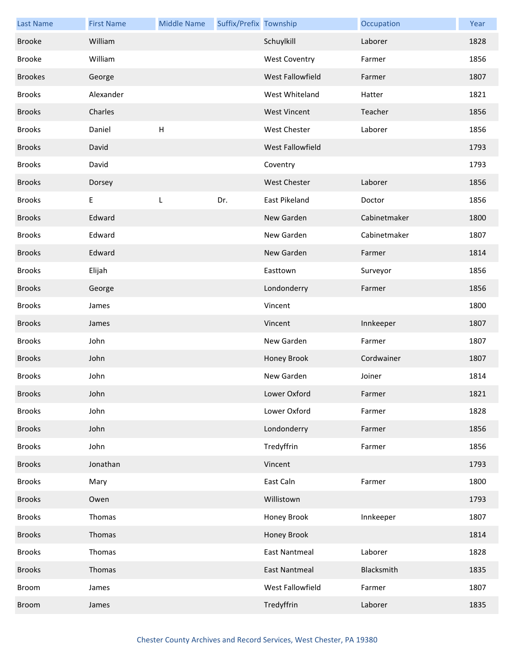| <b>Last Name</b> | <b>First Name</b> | <b>Middle Name</b>        | Suffix/Prefix Township |                      | Occupation   | Year |
|------------------|-------------------|---------------------------|------------------------|----------------------|--------------|------|
| <b>Brooke</b>    | William           |                           |                        | Schuylkill           | Laborer      | 1828 |
| <b>Brooke</b>    | William           |                           |                        | <b>West Coventry</b> | Farmer       | 1856 |
| <b>Brookes</b>   | George            |                           |                        | West Fallowfield     | Farmer       | 1807 |
| <b>Brooks</b>    | Alexander         |                           |                        | West Whiteland       | Hatter       | 1821 |
| <b>Brooks</b>    | Charles           |                           |                        | <b>West Vincent</b>  | Teacher      | 1856 |
| <b>Brooks</b>    | Daniel            | $\boldsymbol{\mathsf{H}}$ |                        | West Chester         | Laborer      | 1856 |
| <b>Brooks</b>    | David             |                           |                        | West Fallowfield     |              | 1793 |
| <b>Brooks</b>    | David             |                           |                        | Coventry             |              | 1793 |
| <b>Brooks</b>    | Dorsey            |                           |                        | <b>West Chester</b>  | Laborer      | 1856 |
| <b>Brooks</b>    | E                 | L                         | Dr.                    | East Pikeland        | Doctor       | 1856 |
| <b>Brooks</b>    | Edward            |                           |                        | New Garden           | Cabinetmaker | 1800 |
| <b>Brooks</b>    | Edward            |                           |                        | New Garden           | Cabinetmaker | 1807 |
| <b>Brooks</b>    | Edward            |                           |                        | New Garden           | Farmer       | 1814 |
| <b>Brooks</b>    | Elijah            |                           |                        | Easttown             | Surveyor     | 1856 |
| <b>Brooks</b>    | George            |                           |                        | Londonderry          | Farmer       | 1856 |
| <b>Brooks</b>    | James             |                           |                        | Vincent              |              | 1800 |
| <b>Brooks</b>    | James             |                           |                        | Vincent              | Innkeeper    | 1807 |
| <b>Brooks</b>    | John              |                           |                        | New Garden           | Farmer       | 1807 |
| <b>Brooks</b>    | John              |                           |                        | Honey Brook          | Cordwainer   | 1807 |
| <b>Brooks</b>    | John              |                           |                        | New Garden           | Joiner       | 1814 |
| <b>Brooks</b>    | John              |                           |                        | Lower Oxford         | Farmer       | 1821 |
| <b>Brooks</b>    | John              |                           |                        | Lower Oxford         | Farmer       | 1828 |
| <b>Brooks</b>    | John              |                           |                        | Londonderry          | Farmer       | 1856 |
| <b>Brooks</b>    | John              |                           |                        | Tredyffrin           | Farmer       | 1856 |
| <b>Brooks</b>    | Jonathan          |                           |                        | Vincent              |              | 1793 |
| <b>Brooks</b>    | Mary              |                           |                        | East Caln            | Farmer       | 1800 |
| <b>Brooks</b>    | Owen              |                           |                        | Willistown           |              | 1793 |
| <b>Brooks</b>    | Thomas            |                           |                        | Honey Brook          | Innkeeper    | 1807 |
| <b>Brooks</b>    | Thomas            |                           |                        | Honey Brook          |              | 1814 |
| <b>Brooks</b>    | Thomas            |                           |                        | East Nantmeal        | Laborer      | 1828 |
| <b>Brooks</b>    | Thomas            |                           |                        | East Nantmeal        | Blacksmith   | 1835 |
| Broom            | James             |                           |                        | West Fallowfield     | Farmer       | 1807 |
| Broom            | James             |                           |                        | Tredyffrin           | Laborer      | 1835 |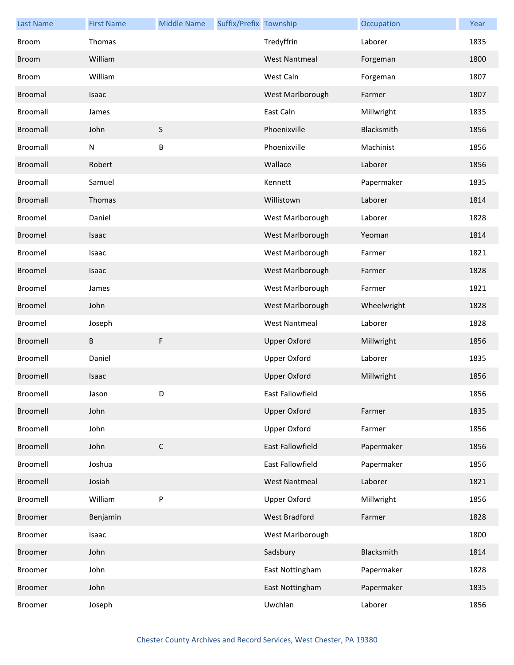| <b>Last Name</b> | <b>First Name</b> | <b>Middle Name</b> | Suffix/Prefix Township |                      | Occupation  | Year |
|------------------|-------------------|--------------------|------------------------|----------------------|-------------|------|
| <b>Broom</b>     | Thomas            |                    |                        | Tredyffrin           | Laborer     | 1835 |
| <b>Broom</b>     | William           |                    |                        | <b>West Nantmeal</b> | Forgeman    | 1800 |
| Broom            | William           |                    |                        | West Caln            | Forgeman    | 1807 |
| Broomal          | Isaac             |                    |                        | West Marlborough     | Farmer      | 1807 |
| Broomall         | James             |                    |                        | East Caln            | Millwright  | 1835 |
| Broomall         | John              | S                  |                        | Phoenixville         | Blacksmith  | 1856 |
| Broomall         | N                 | B                  |                        | Phoenixville         | Machinist   | 1856 |
| Broomall         | Robert            |                    |                        | Wallace              | Laborer     | 1856 |
| Broomall         | Samuel            |                    |                        | Kennett              | Papermaker  | 1835 |
| <b>Broomall</b>  | Thomas            |                    |                        | Willistown           | Laborer     | 1814 |
| Broomel          | Daniel            |                    |                        | West Marlborough     | Laborer     | 1828 |
| Broomel          | Isaac             |                    |                        | West Marlborough     | Yeoman      | 1814 |
| <b>Broomel</b>   | Isaac             |                    |                        | West Marlborough     | Farmer      | 1821 |
| Broomel          | Isaac             |                    |                        | West Marlborough     | Farmer      | 1828 |
| Broomel          | James             |                    |                        | West Marlborough     | Farmer      | 1821 |
| Broomel          | John              |                    |                        | West Marlborough     | Wheelwright | 1828 |
| Broomel          | Joseph            |                    |                        | <b>West Nantmeal</b> | Laborer     | 1828 |
| Broomell         | В                 | F                  |                        | <b>Upper Oxford</b>  | Millwright  | 1856 |
| Broomell         | Daniel            |                    |                        | <b>Upper Oxford</b>  | Laborer     | 1835 |
| Broomell         | Isaac             |                    |                        | <b>Upper Oxford</b>  | Millwright  | 1856 |
| Broomell         | Jason             | D.                 |                        | East Fallowfield     |             | 1856 |
| Broomell         | John              |                    |                        | <b>Upper Oxford</b>  | Farmer      | 1835 |
| Broomell         | John              |                    |                        | Upper Oxford         | Farmer      | 1856 |
| Broomell         | John              | $\mathsf C$        |                        | East Fallowfield     | Papermaker  | 1856 |
| Broomell         | Joshua            |                    |                        | East Fallowfield     | Papermaker  | 1856 |
| Broomell         | Josiah            |                    |                        | <b>West Nantmeal</b> | Laborer     | 1821 |
| Broomell         | William           | ${\sf P}$          |                        | <b>Upper Oxford</b>  | Millwright  | 1856 |
| <b>Broomer</b>   | Benjamin          |                    |                        | West Bradford        | Farmer      | 1828 |
| Broomer          | Isaac             |                    |                        | West Marlborough     |             | 1800 |
| <b>Broomer</b>   | John              |                    |                        | Sadsbury             | Blacksmith  | 1814 |
| <b>Broomer</b>   | John              |                    |                        | East Nottingham      | Papermaker  | 1828 |
| <b>Broomer</b>   | John              |                    |                        | East Nottingham      | Papermaker  | 1835 |
| Broomer          | Joseph            |                    |                        | Uwchlan              | Laborer     | 1856 |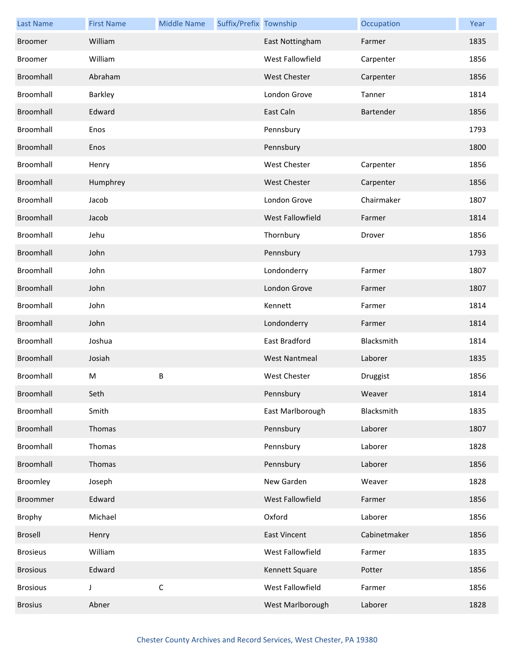| <b>Last Name</b> | <b>First Name</b> | <b>Middle Name</b> | Suffix/Prefix Township |                      | Occupation   | Year |
|------------------|-------------------|--------------------|------------------------|----------------------|--------------|------|
| Broomer          | William           |                    |                        | East Nottingham      | Farmer       | 1835 |
| Broomer          | William           |                    |                        | West Fallowfield     | Carpenter    | 1856 |
| Broomhall        | Abraham           |                    |                        | <b>West Chester</b>  | Carpenter    | 1856 |
| Broomhall        | Barkley           |                    |                        | London Grove         | Tanner       | 1814 |
| Broomhall        | Edward            |                    |                        | East Caln            | Bartender    | 1856 |
| Broomhall        | Enos              |                    |                        | Pennsbury            |              | 1793 |
| Broomhall        | Enos              |                    |                        | Pennsbury            |              | 1800 |
| Broomhall        | Henry             |                    |                        | <b>West Chester</b>  | Carpenter    | 1856 |
| Broomhall        | Humphrey          |                    |                        | <b>West Chester</b>  | Carpenter    | 1856 |
| Broomhall        | Jacob             |                    |                        | London Grove         | Chairmaker   | 1807 |
| Broomhall        | Jacob             |                    |                        | West Fallowfield     | Farmer       | 1814 |
| Broomhall        | Jehu              |                    |                        | Thornbury            | Drover       | 1856 |
| Broomhall        | John              |                    |                        | Pennsbury            |              | 1793 |
| Broomhall        | John              |                    |                        | Londonderry          | Farmer       | 1807 |
| Broomhall        | John              |                    |                        | London Grove         | Farmer       | 1807 |
| Broomhall        | John              |                    |                        | Kennett              | Farmer       | 1814 |
| Broomhall        | John              |                    |                        | Londonderry          | Farmer       | 1814 |
| Broomhall        | Joshua            |                    |                        | East Bradford        | Blacksmith   | 1814 |
| Broomhall        | Josiah            |                    |                        | <b>West Nantmeal</b> | Laborer      | 1835 |
| Broomhall        | M                 | $\sf B$            |                        | <b>West Chester</b>  | Druggist     | 1856 |
| Broomhall        | Seth              |                    |                        | Pennsbury            | Weaver       | 1814 |
| Broomhall        | Smith             |                    |                        | East Marlborough     | Blacksmith   | 1835 |
| Broomhall        | Thomas            |                    |                        | Pennsbury            | Laborer      | 1807 |
| Broomhall        | Thomas            |                    |                        | Pennsbury            | Laborer      | 1828 |
| Broomhall        | Thomas            |                    |                        | Pennsbury            | Laborer      | 1856 |
| Broomley         | Joseph            |                    |                        | New Garden           | Weaver       | 1828 |
| <b>Broommer</b>  | Edward            |                    |                        | West Fallowfield     | Farmer       | 1856 |
| Brophy           | Michael           |                    |                        | Oxford               | Laborer      | 1856 |
| Brosell          | Henry             |                    |                        | <b>East Vincent</b>  | Cabinetmaker | 1856 |
| <b>Brosieus</b>  | William           |                    |                        | West Fallowfield     | Farmer       | 1835 |
| <b>Brosious</b>  | Edward            |                    |                        | Kennett Square       | Potter       | 1856 |
| <b>Brosious</b>  | J                 | $\mathsf C$        |                        | West Fallowfield     | Farmer       | 1856 |
| <b>Brosius</b>   | Abner             |                    |                        | West Marlborough     | Laborer      | 1828 |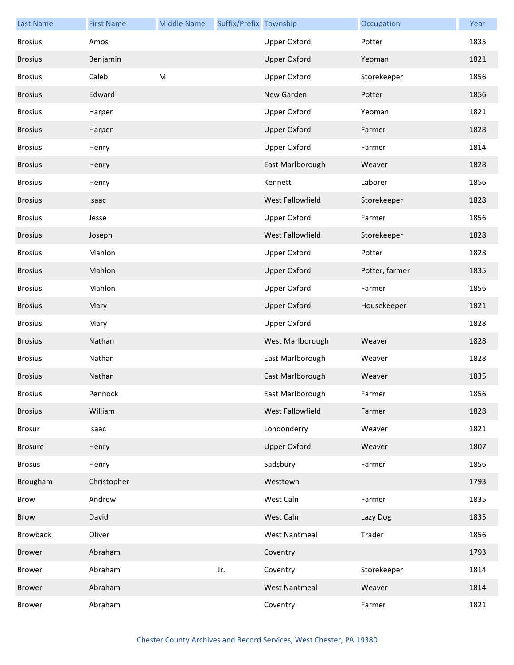| <b>Last Name</b> | <b>First Name</b> | <b>Middle Name</b> | Suffix/Prefix Township |                         | Occupation     | Year |
|------------------|-------------------|--------------------|------------------------|-------------------------|----------------|------|
| <b>Brosius</b>   | Amos              |                    |                        | <b>Upper Oxford</b>     | Potter         | 1835 |
| <b>Brosius</b>   | Benjamin          |                    |                        | <b>Upper Oxford</b>     | Yeoman         | 1821 |
| <b>Brosius</b>   | Caleb             | ${\sf M}$          |                        | <b>Upper Oxford</b>     | Storekeeper    | 1856 |
| <b>Brosius</b>   | Edward            |                    |                        | New Garden              | Potter         | 1856 |
| <b>Brosius</b>   | Harper            |                    |                        | <b>Upper Oxford</b>     | Yeoman         | 1821 |
| <b>Brosius</b>   | Harper            |                    |                        | <b>Upper Oxford</b>     | Farmer         | 1828 |
| <b>Brosius</b>   | Henry             |                    |                        | <b>Upper Oxford</b>     | Farmer         | 1814 |
| <b>Brosius</b>   | Henry             |                    |                        | East Marlborough        | Weaver         | 1828 |
| <b>Brosius</b>   | Henry             |                    |                        | Kennett                 | Laborer        | 1856 |
| <b>Brosius</b>   | Isaac             |                    |                        | West Fallowfield        | Storekeeper    | 1828 |
| <b>Brosius</b>   | Jesse             |                    |                        | <b>Upper Oxford</b>     | Farmer         | 1856 |
| <b>Brosius</b>   | Joseph            |                    |                        | <b>West Fallowfield</b> | Storekeeper    | 1828 |
| <b>Brosius</b>   | Mahlon            |                    |                        | <b>Upper Oxford</b>     | Potter         | 1828 |
| <b>Brosius</b>   | Mahlon            |                    |                        | <b>Upper Oxford</b>     | Potter, farmer | 1835 |
| <b>Brosius</b>   | Mahlon            |                    |                        | <b>Upper Oxford</b>     | Farmer         | 1856 |
| <b>Brosius</b>   | Mary              |                    |                        | <b>Upper Oxford</b>     | Housekeeper    | 1821 |
| <b>Brosius</b>   | Mary              |                    |                        | <b>Upper Oxford</b>     |                | 1828 |
| <b>Brosius</b>   | Nathan            |                    |                        | West Marlborough        | Weaver         | 1828 |
| <b>Brosius</b>   | Nathan            |                    |                        | East Marlborough        | Weaver         | 1828 |
| <b>Brosius</b>   | Nathan            |                    |                        | East Marlborough        | Weaver         | 1835 |
| <b>Brosius</b>   | Pennock           |                    |                        | East Marlborough        | Farmer         | 1856 |
| <b>Brosius</b>   | William           |                    |                        | West Fallowfield        | Farmer         | 1828 |
| Brosur           | Isaac             |                    |                        | Londonderry             | Weaver         | 1821 |
| <b>Brosure</b>   | Henry             |                    |                        | <b>Upper Oxford</b>     | Weaver         | 1807 |
| <b>Brosus</b>    | Henry             |                    |                        | Sadsbury                | Farmer         | 1856 |
| Brougham         | Christopher       |                    |                        | Westtown                |                | 1793 |
| Brow             | Andrew            |                    |                        | West Caln               | Farmer         | 1835 |
| <b>Brow</b>      | David             |                    |                        | West Caln               | Lazy Dog       | 1835 |
| Browback         | Oliver            |                    |                        | <b>West Nantmeal</b>    | Trader         | 1856 |
| Brower           | Abraham           |                    |                        | Coventry                |                | 1793 |
| Brower           | Abraham           |                    | Jr.                    | Coventry                | Storekeeper    | 1814 |
| Brower           | Abraham           |                    |                        | <b>West Nantmeal</b>    | Weaver         | 1814 |
| <b>Brower</b>    | Abraham           |                    |                        | Coventry                | Farmer         | 1821 |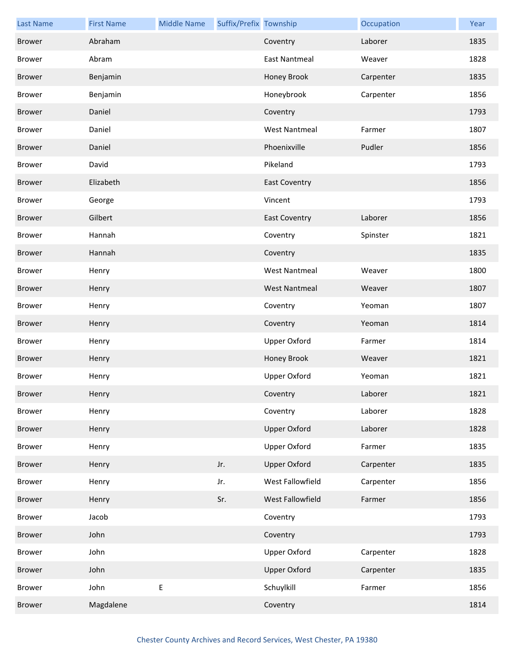| <b>Last Name</b> | <b>First Name</b> | <b>Middle Name</b> | Suffix/Prefix Township |                      | Occupation | Year |
|------------------|-------------------|--------------------|------------------------|----------------------|------------|------|
| <b>Brower</b>    | Abraham           |                    |                        | Coventry             | Laborer    | 1835 |
| <b>Brower</b>    | Abram             |                    |                        | East Nantmeal        | Weaver     | 1828 |
| Brower           | Benjamin          |                    |                        | Honey Brook          | Carpenter  | 1835 |
| <b>Brower</b>    | Benjamin          |                    |                        | Honeybrook           | Carpenter  | 1856 |
| Brower           | Daniel            |                    |                        | Coventry             |            | 1793 |
| <b>Brower</b>    | Daniel            |                    |                        | <b>West Nantmeal</b> | Farmer     | 1807 |
| <b>Brower</b>    | Daniel            |                    |                        | Phoenixville         | Pudler     | 1856 |
| <b>Brower</b>    | David             |                    |                        | Pikeland             |            | 1793 |
| Brower           | Elizabeth         |                    |                        | <b>East Coventry</b> |            | 1856 |
| <b>Brower</b>    | George            |                    |                        | Vincent              |            | 1793 |
| <b>Brower</b>    | Gilbert           |                    |                        | <b>East Coventry</b> | Laborer    | 1856 |
| <b>Brower</b>    | Hannah            |                    |                        | Coventry             | Spinster   | 1821 |
| Brower           | Hannah            |                    |                        | Coventry             |            | 1835 |
| <b>Brower</b>    | Henry             |                    |                        | <b>West Nantmeal</b> | Weaver     | 1800 |
| <b>Brower</b>    | Henry             |                    |                        | <b>West Nantmeal</b> | Weaver     | 1807 |
| <b>Brower</b>    | Henry             |                    |                        | Coventry             | Yeoman     | 1807 |
| Brower           | Henry             |                    |                        | Coventry             | Yeoman     | 1814 |
| <b>Brower</b>    | Henry             |                    |                        | <b>Upper Oxford</b>  | Farmer     | 1814 |
| <b>Brower</b>    | Henry             |                    |                        | Honey Brook          | Weaver     | 1821 |
| <b>Brower</b>    | Henry             |                    |                        | <b>Upper Oxford</b>  | Yeoman     | 1821 |
| <b>Brower</b>    | Henry             |                    |                        | Coventry             | Laborer    | 1821 |
| <b>Brower</b>    | Henry             |                    |                        | Coventry             | Laborer    | 1828 |
| <b>Brower</b>    | Henry             |                    |                        | <b>Upper Oxford</b>  | Laborer    | 1828 |
| <b>Brower</b>    | Henry             |                    |                        | <b>Upper Oxford</b>  | Farmer     | 1835 |
| <b>Brower</b>    | Henry             |                    | Jr.                    | <b>Upper Oxford</b>  | Carpenter  | 1835 |
| <b>Brower</b>    | Henry             |                    | Jr.                    | West Fallowfield     | Carpenter  | 1856 |
| <b>Brower</b>    | Henry             |                    | Sr.                    | West Fallowfield     | Farmer     | 1856 |
| <b>Brower</b>    | Jacob             |                    |                        | Coventry             |            | 1793 |
| <b>Brower</b>    | John              |                    |                        | Coventry             |            | 1793 |
| <b>Brower</b>    | John              |                    |                        | <b>Upper Oxford</b>  | Carpenter  | 1828 |
| <b>Brower</b>    | John              |                    |                        | <b>Upper Oxford</b>  | Carpenter  | 1835 |
| <b>Brower</b>    | John              | $\sf E$            |                        | Schuylkill           | Farmer     | 1856 |
| <b>Brower</b>    | Magdalene         |                    |                        | Coventry             |            | 1814 |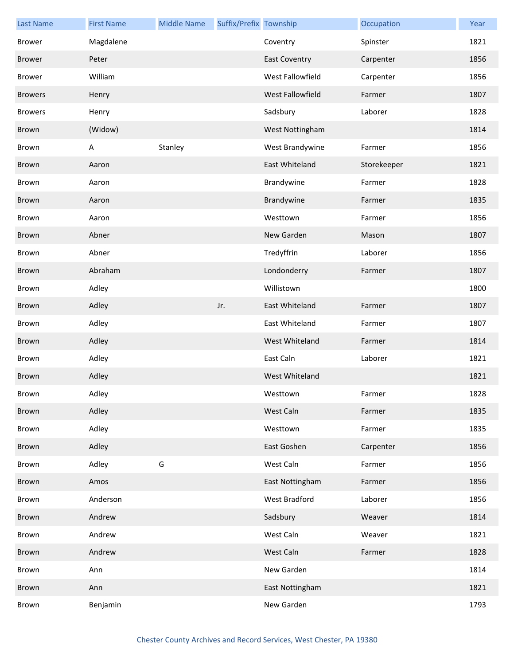| <b>Last Name</b> | <b>First Name</b> | <b>Middle Name</b> | Suffix/Prefix Township |                      | Occupation  | Year |
|------------------|-------------------|--------------------|------------------------|----------------------|-------------|------|
| <b>Brower</b>    | Magdalene         |                    |                        | Coventry             | Spinster    | 1821 |
| <b>Brower</b>    | Peter             |                    |                        | <b>East Coventry</b> | Carpenter   | 1856 |
| Brower           | William           |                    |                        | West Fallowfield     | Carpenter   | 1856 |
| <b>Browers</b>   | Henry             |                    |                        | West Fallowfield     | Farmer      | 1807 |
| <b>Browers</b>   | Henry             |                    |                        | Sadsbury             | Laborer     | 1828 |
| Brown            | (Widow)           |                    |                        | West Nottingham      |             | 1814 |
| Brown            | A                 | Stanley            |                        | West Brandywine      | Farmer      | 1856 |
| Brown            | Aaron             |                    |                        | East Whiteland       | Storekeeper | 1821 |
| Brown            | Aaron             |                    |                        | Brandywine           | Farmer      | 1828 |
| Brown            | Aaron             |                    |                        | Brandywine           | Farmer      | 1835 |
| Brown            | Aaron             |                    |                        | Westtown             | Farmer      | 1856 |
| Brown            | Abner             |                    |                        | New Garden           | Mason       | 1807 |
| Brown            | Abner             |                    |                        | Tredyffrin           | Laborer     | 1856 |
| Brown            | Abraham           |                    |                        | Londonderry          | Farmer      | 1807 |
| Brown            | Adley             |                    |                        | Willistown           |             | 1800 |
| Brown            | Adley             |                    | Jr.                    | East Whiteland       | Farmer      | 1807 |
| Brown            | Adley             |                    |                        | East Whiteland       | Farmer      | 1807 |
| Brown            | Adley             |                    |                        | West Whiteland       | Farmer      | 1814 |
| Brown            | Adley             |                    |                        | East Caln            | Laborer     | 1821 |
| Brown            | Adley             |                    |                        | West Whiteland       |             | 1821 |
| Brown            | Adley             |                    |                        | Westtown             | Farmer      | 1828 |
| Brown            | Adley             |                    |                        | West Caln            | Farmer      | 1835 |
| Brown            | Adley             |                    |                        | Westtown             | Farmer      | 1835 |
| Brown            | Adley             |                    |                        | East Goshen          | Carpenter   | 1856 |
| Brown            | Adley             | G                  |                        | West Caln            | Farmer      | 1856 |
| Brown            | Amos              |                    |                        | East Nottingham      | Farmer      | 1856 |
| Brown            | Anderson          |                    |                        | West Bradford        | Laborer     | 1856 |
| Brown            | Andrew            |                    |                        | Sadsbury             | Weaver      | 1814 |
| Brown            | Andrew            |                    |                        | West Caln            | Weaver      | 1821 |
| Brown            | Andrew            |                    |                        | West Caln            | Farmer      | 1828 |
| Brown            | Ann               |                    |                        | New Garden           |             | 1814 |
| Brown            | Ann               |                    |                        | East Nottingham      |             | 1821 |
| Brown            | Benjamin          |                    |                        | New Garden           |             | 1793 |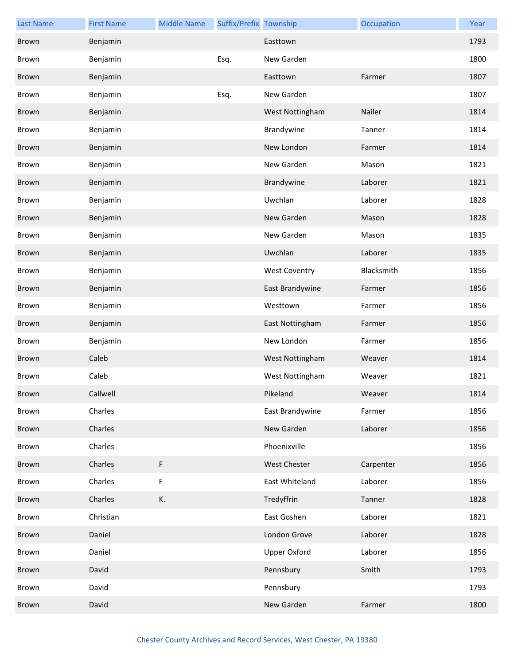| <b>Last Name</b> | <b>First Name</b> | <b>Middle Name</b> | Suffix/Prefix Township |                      | Occupation | Year |
|------------------|-------------------|--------------------|------------------------|----------------------|------------|------|
| Brown            | Benjamin          |                    |                        | Easttown             |            | 1793 |
| Brown            | Benjamin          |                    | Esq.                   | New Garden           |            | 1800 |
| <b>Brown</b>     | Benjamin          |                    |                        | Easttown             | Farmer     | 1807 |
| Brown            | Benjamin          |                    | Esq.                   | New Garden           |            | 1807 |
| Brown            | Benjamin          |                    |                        | West Nottingham      | Nailer     | 1814 |
| Brown            | Benjamin          |                    |                        | Brandywine           | Tanner     | 1814 |
| <b>Brown</b>     | Benjamin          |                    |                        | New London           | Farmer     | 1814 |
| Brown            | Benjamin          |                    |                        | New Garden           | Mason      | 1821 |
| Brown            | Benjamin          |                    |                        | Brandywine           | Laborer    | 1821 |
| Brown            | Benjamin          |                    |                        | Uwchlan              | Laborer    | 1828 |
| Brown            | Benjamin          |                    |                        | New Garden           | Mason      | 1828 |
| Brown            | Benjamin          |                    |                        | New Garden           | Mason      | 1835 |
| Brown            | Benjamin          |                    |                        | Uwchlan              | Laborer    | 1835 |
| Brown            | Benjamin          |                    |                        | <b>West Coventry</b> | Blacksmith | 1856 |
| Brown            | Benjamin          |                    |                        | East Brandywine      | Farmer     | 1856 |
| Brown            | Benjamin          |                    |                        | Westtown             | Farmer     | 1856 |
| Brown            | Benjamin          |                    |                        | East Nottingham      | Farmer     | 1856 |
| Brown            | Benjamin          |                    |                        | New London           | Farmer     | 1856 |
| Brown            | Caleb             |                    |                        | West Nottingham      | Weaver     | 1814 |
| Brown            | Caleb             |                    |                        | West Nottingham      | Weaver     | 1821 |
| Brown            | Callwell          |                    |                        | Pikeland             | Weaver     | 1814 |
| Brown            | Charles           |                    |                        | East Brandywine      | Farmer     | 1856 |
| Brown            | Charles           |                    |                        | New Garden           | Laborer    | 1856 |
| Brown            | Charles           |                    |                        | Phoenixville         |            | 1856 |
| Brown            | Charles           | F                  |                        | West Chester         | Carpenter  | 1856 |
| Brown            | Charles           | F                  |                        | East Whiteland       | Laborer    | 1856 |
| Brown            | Charles           | К.                 |                        | Tredyffrin           | Tanner     | 1828 |
| Brown            | Christian         |                    |                        | East Goshen          | Laborer    | 1821 |
| Brown            | Daniel            |                    |                        | London Grove         | Laborer    | 1828 |
| Brown            | Daniel            |                    |                        | <b>Upper Oxford</b>  | Laborer    | 1856 |
| Brown            | David             |                    |                        | Pennsbury            | Smith      | 1793 |
| Brown            | David             |                    |                        | Pennsbury            |            | 1793 |
| Brown            | David             |                    |                        | New Garden           | Farmer     | 1800 |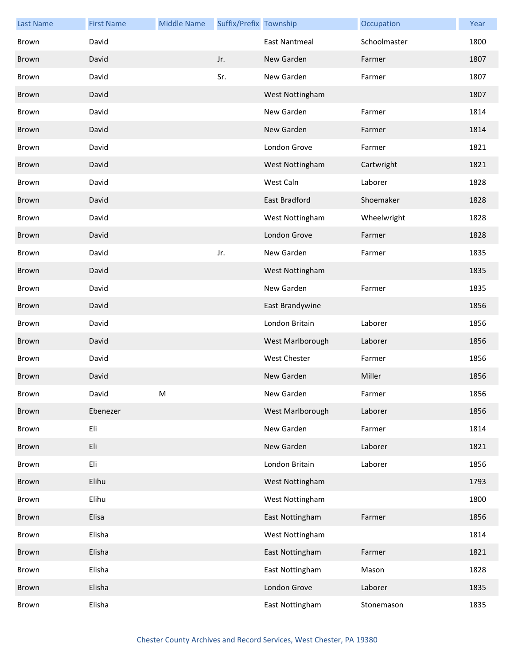| <b>Last Name</b> | <b>First Name</b> | <b>Middle Name</b> | Suffix/Prefix Township |                      | Occupation   | Year |
|------------------|-------------------|--------------------|------------------------|----------------------|--------------|------|
| Brown            | David             |                    |                        | <b>East Nantmeal</b> | Schoolmaster | 1800 |
| Brown            | David             |                    | Jr.                    | New Garden           | Farmer       | 1807 |
| Brown            | David             |                    | Sr.                    | New Garden           | Farmer       | 1807 |
| Brown            | David             |                    |                        | West Nottingham      |              | 1807 |
| Brown            | David             |                    |                        | New Garden           | Farmer       | 1814 |
| Brown            | David             |                    |                        | New Garden           | Farmer       | 1814 |
| Brown            | David             |                    |                        | London Grove         | Farmer       | 1821 |
| Brown            | David             |                    |                        | West Nottingham      | Cartwright   | 1821 |
| Brown            | David             |                    |                        | West Caln            | Laborer      | 1828 |
| Brown            | David             |                    |                        | East Bradford        | Shoemaker    | 1828 |
| Brown            | David             |                    |                        | West Nottingham      | Wheelwright  | 1828 |
| Brown            | David             |                    |                        | London Grove         | Farmer       | 1828 |
| Brown            | David             |                    | Jr.                    | New Garden           | Farmer       | 1835 |
| Brown            | David             |                    |                        | West Nottingham      |              | 1835 |
| Brown            | David             |                    |                        | New Garden           | Farmer       | 1835 |
| Brown            | David             |                    |                        | East Brandywine      |              | 1856 |
| Brown            | David             |                    |                        | London Britain       | Laborer      | 1856 |
| Brown            | David             |                    |                        | West Marlborough     | Laborer      | 1856 |
| Brown            | David             |                    |                        | <b>West Chester</b>  | Farmer       | 1856 |
| <b>Brown</b>     | David             |                    |                        | New Garden           | Miller       | 1856 |
| Brown            | David             | M                  |                        | New Garden           | Farmer       | 1856 |
| Brown            | Ebenezer          |                    |                        | West Marlborough     | Laborer      | 1856 |
| Brown            | Eli               |                    |                        | New Garden           | Farmer       | 1814 |
| Brown            | Eli               |                    |                        | New Garden           | Laborer      | 1821 |
| Brown            | Eli               |                    |                        | London Britain       | Laborer      | 1856 |
| Brown            | Elihu             |                    |                        | West Nottingham      |              | 1793 |
| Brown            | Elihu             |                    |                        | West Nottingham      |              | 1800 |
| Brown            | Elisa             |                    |                        | East Nottingham      | Farmer       | 1856 |
| Brown            | Elisha            |                    |                        | West Nottingham      |              | 1814 |
| Brown            | Elisha            |                    |                        | East Nottingham      | Farmer       | 1821 |
| Brown            | Elisha            |                    |                        | East Nottingham      | Mason        | 1828 |
| Brown            | Elisha            |                    |                        | London Grove         | Laborer      | 1835 |
| Brown            | Elisha            |                    |                        | East Nottingham      | Stonemason   | 1835 |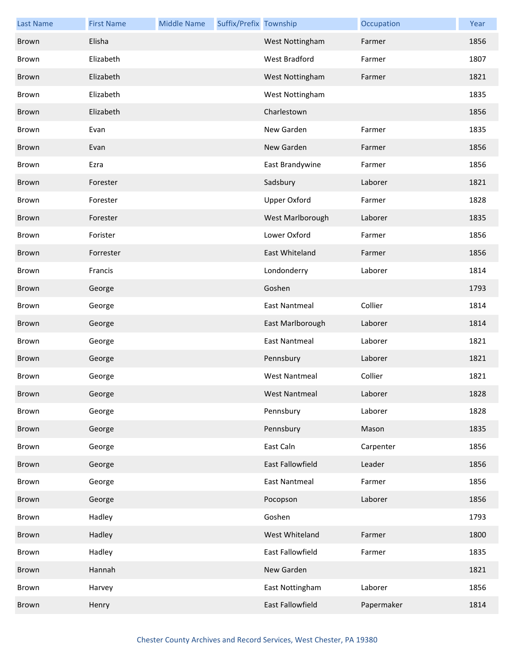| <b>Last Name</b> | <b>First Name</b> | <b>Middle Name</b> | Suffix/Prefix Township |                      | Occupation | Year |
|------------------|-------------------|--------------------|------------------------|----------------------|------------|------|
| Brown            | Elisha            |                    |                        | West Nottingham      | Farmer     | 1856 |
| Brown            | Elizabeth         |                    |                        | West Bradford        | Farmer     | 1807 |
| Brown            | Elizabeth         |                    |                        | West Nottingham      | Farmer     | 1821 |
| Brown            | Elizabeth         |                    |                        | West Nottingham      |            | 1835 |
| Brown            | Elizabeth         |                    |                        | Charlestown          |            | 1856 |
| Brown            | Evan              |                    |                        | New Garden           | Farmer     | 1835 |
| Brown            | Evan              |                    |                        | New Garden           | Farmer     | 1856 |
| Brown            | Ezra              |                    |                        | East Brandywine      | Farmer     | 1856 |
| Brown            | Forester          |                    |                        | Sadsbury             | Laborer    | 1821 |
| Brown            | Forester          |                    |                        | <b>Upper Oxford</b>  | Farmer     | 1828 |
| Brown            | Forester          |                    |                        | West Marlborough     | Laborer    | 1835 |
| Brown            | Forister          |                    |                        | Lower Oxford         | Farmer     | 1856 |
| Brown            | Forrester         |                    |                        | East Whiteland       | Farmer     | 1856 |
| Brown            | Francis           |                    |                        | Londonderry          | Laborer    | 1814 |
| Brown            | George            |                    |                        | Goshen               |            | 1793 |
| Brown            | George            |                    |                        | <b>East Nantmeal</b> | Collier    | 1814 |
| Brown            | George            |                    |                        | East Marlborough     | Laborer    | 1814 |
| Brown            | George            |                    |                        | <b>East Nantmeal</b> | Laborer    | 1821 |
| Brown            | George            |                    |                        | Pennsbury            | Laborer    | 1821 |
| Brown            | George            |                    |                        | <b>West Nantmeal</b> | Collier    | 1821 |
| Brown            | George            |                    |                        | West Nantmeal        | Laborer    | 1828 |
| Brown            | George            |                    |                        | Pennsbury            | Laborer    | 1828 |
| Brown            | George            |                    |                        | Pennsbury            | Mason      | 1835 |
| Brown            | George            |                    |                        | East Caln            | Carpenter  | 1856 |
| Brown            | George            |                    |                        | East Fallowfield     | Leader     | 1856 |
| Brown            | George            |                    |                        | <b>East Nantmeal</b> | Farmer     | 1856 |
| Brown            | George            |                    |                        | Pocopson             | Laborer    | 1856 |
| Brown            | Hadley            |                    |                        | Goshen               |            | 1793 |
| Brown            | Hadley            |                    |                        | West Whiteland       | Farmer     | 1800 |
| Brown            | Hadley            |                    |                        | East Fallowfield     | Farmer     | 1835 |
| Brown            | Hannah            |                    |                        | New Garden           |            | 1821 |
| Brown            | Harvey            |                    |                        | East Nottingham      | Laborer    | 1856 |
| Brown            | Henry             |                    |                        | East Fallowfield     | Papermaker | 1814 |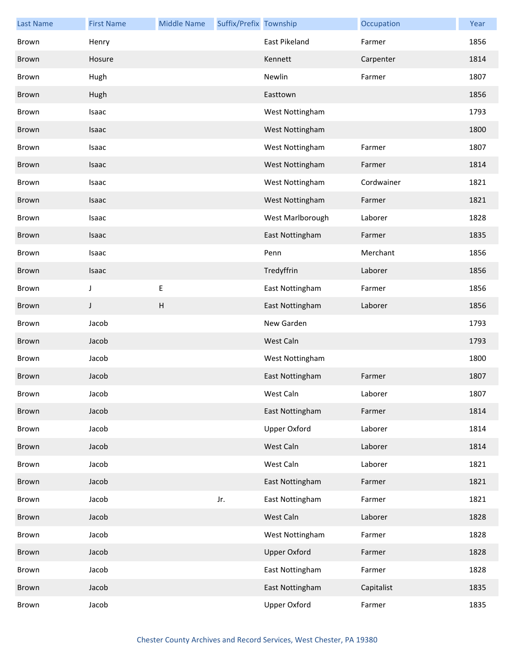| <b>Last Name</b> | <b>First Name</b> | <b>Middle Name</b>        | Suffix/Prefix Township |                      | Occupation | Year |
|------------------|-------------------|---------------------------|------------------------|----------------------|------------|------|
| Brown            | Henry             |                           |                        | <b>East Pikeland</b> | Farmer     | 1856 |
| Brown            | Hosure            |                           |                        | Kennett              | Carpenter  | 1814 |
| Brown            | Hugh              |                           |                        | Newlin               | Farmer     | 1807 |
| Brown            | Hugh              |                           |                        | Easttown             |            | 1856 |
| Brown            | Isaac             |                           |                        | West Nottingham      |            | 1793 |
| Brown            | Isaac             |                           |                        | West Nottingham      |            | 1800 |
| Brown            | Isaac             |                           |                        | West Nottingham      | Farmer     | 1807 |
| Brown            | Isaac             |                           |                        | West Nottingham      | Farmer     | 1814 |
| Brown            | Isaac             |                           |                        | West Nottingham      | Cordwainer | 1821 |
| Brown            | Isaac             |                           |                        | West Nottingham      | Farmer     | 1821 |
| Brown            | Isaac             |                           |                        | West Marlborough     | Laborer    | 1828 |
| Brown            | Isaac             |                           |                        | East Nottingham      | Farmer     | 1835 |
| Brown            | Isaac             |                           |                        | Penn                 | Merchant   | 1856 |
| Brown            | Isaac             |                           |                        | Tredyffrin           | Laborer    | 1856 |
| Brown            | J                 | E                         |                        | East Nottingham      | Farmer     | 1856 |
| Brown            | J                 | $\boldsymbol{\mathsf{H}}$ |                        | East Nottingham      | Laborer    | 1856 |
| Brown            | Jacob             |                           |                        | New Garden           |            | 1793 |
| Brown            | Jacob             |                           |                        | West Caln            |            | 1793 |
| Brown            | Jacob             |                           |                        | West Nottingham      |            | 1800 |
| Brown            | Jacob             |                           |                        | East Nottingham      | Farmer     | 1807 |
| Brown            | Jacob             |                           |                        | West Caln            | Laborer    | 1807 |
| Brown            | Jacob             |                           |                        | East Nottingham      | Farmer     | 1814 |
| Brown            | Jacob             |                           |                        | Upper Oxford         | Laborer    | 1814 |
| Brown            | Jacob             |                           |                        | West Caln            | Laborer    | 1814 |
| Brown            | Jacob             |                           |                        | West Caln            | Laborer    | 1821 |
| Brown            | Jacob             |                           |                        | East Nottingham      | Farmer     | 1821 |
| Brown            | Jacob             |                           | Jr.                    | East Nottingham      | Farmer     | 1821 |
| Brown            | Jacob             |                           |                        | West Caln            | Laborer    | 1828 |
| Brown            | Jacob             |                           |                        | West Nottingham      | Farmer     | 1828 |
| Brown            | Jacob             |                           |                        | <b>Upper Oxford</b>  | Farmer     | 1828 |
| Brown            | Jacob             |                           |                        | East Nottingham      | Farmer     | 1828 |
| Brown            | Jacob             |                           |                        | East Nottingham      | Capitalist | 1835 |
| Brown            | Jacob             |                           |                        | Upper Oxford         | Farmer     | 1835 |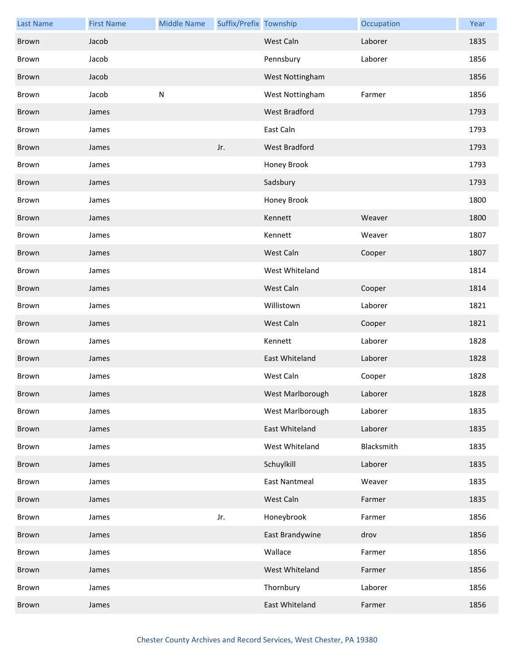| <b>Last Name</b> | <b>First Name</b> | <b>Middle Name</b> | Suffix/Prefix Township |                      | Occupation | Year |
|------------------|-------------------|--------------------|------------------------|----------------------|------------|------|
| Brown            | Jacob             |                    |                        | West Caln            | Laborer    | 1835 |
| Brown            | Jacob             |                    |                        | Pennsbury            | Laborer    | 1856 |
| Brown            | Jacob             |                    |                        | West Nottingham      |            | 1856 |
| Brown            | Jacob             | ${\sf N}$          |                        | West Nottingham      | Farmer     | 1856 |
| Brown            | James             |                    |                        | West Bradford        |            | 1793 |
| Brown            | James             |                    |                        | East Caln            |            | 1793 |
| Brown            | James             |                    | Jr.                    | <b>West Bradford</b> |            | 1793 |
| Brown            | James             |                    |                        | Honey Brook          |            | 1793 |
| Brown            | James             |                    |                        | Sadsbury             |            | 1793 |
| Brown            | James             |                    |                        | Honey Brook          |            | 1800 |
| Brown            | James             |                    |                        | Kennett              | Weaver     | 1800 |
| Brown            | James             |                    |                        | Kennett              | Weaver     | 1807 |
| Brown            | James             |                    |                        | West Caln            | Cooper     | 1807 |
| Brown            | James             |                    |                        | West Whiteland       |            | 1814 |
| Brown            | James             |                    |                        | West Caln            | Cooper     | 1814 |
| Brown            | James             |                    |                        | Willistown           | Laborer    | 1821 |
| Brown            | James             |                    |                        | West Caln            | Cooper     | 1821 |
| Brown            | James             |                    |                        | Kennett              | Laborer    | 1828 |
| Brown            | James             |                    |                        | East Whiteland       | Laborer    | 1828 |
| Brown            | James             |                    |                        | West Caln            | Cooper     | 1828 |
| Brown            | James             |                    |                        | West Marlborough     | Laborer    | 1828 |
| Brown            | James             |                    |                        | West Marlborough     | Laborer    | 1835 |
| Brown            | James             |                    |                        | East Whiteland       | Laborer    | 1835 |
| Brown            | James             |                    |                        | West Whiteland       | Blacksmith | 1835 |
| Brown            | James             |                    |                        | Schuylkill           | Laborer    | 1835 |
| Brown            | James             |                    |                        | <b>East Nantmeal</b> | Weaver     | 1835 |
| Brown            | James             |                    |                        | West Caln            | Farmer     | 1835 |
| Brown            | James             |                    | Jr.                    | Honeybrook           | Farmer     | 1856 |
| Brown            | James             |                    |                        | East Brandywine      | drov       | 1856 |
| Brown            | James             |                    |                        | Wallace              | Farmer     | 1856 |
| Brown            | James             |                    |                        | West Whiteland       | Farmer     | 1856 |
| Brown            | James             |                    |                        | Thornbury            | Laborer    | 1856 |
| Brown            | James             |                    |                        | East Whiteland       | Farmer     | 1856 |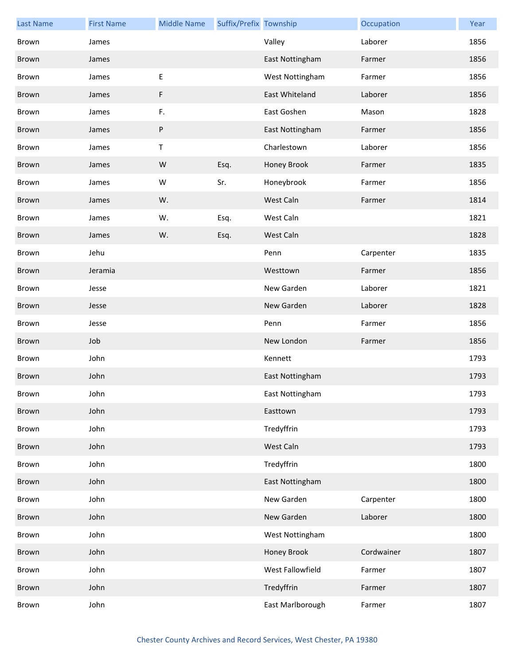| <b>Last Name</b> | <b>First Name</b> | <b>Middle Name</b> | Suffix/Prefix Township |                  | Occupation | Year |
|------------------|-------------------|--------------------|------------------------|------------------|------------|------|
| Brown            | James             |                    |                        | Valley           | Laborer    | 1856 |
| Brown            | James             |                    |                        | East Nottingham  | Farmer     | 1856 |
| Brown            | James             | $\sf E$            |                        | West Nottingham  | Farmer     | 1856 |
| Brown            | James             | F                  |                        | East Whiteland   | Laborer    | 1856 |
| Brown            | James             | F.                 |                        | East Goshen      | Mason      | 1828 |
| Brown            | James             | $\sf P$            |                        | East Nottingham  | Farmer     | 1856 |
| Brown            | James             | $\sf T$            |                        | Charlestown      | Laborer    | 1856 |
| Brown            | James             | W                  | Esq.                   | Honey Brook      | Farmer     | 1835 |
| Brown            | James             | W                  | Sr.                    | Honeybrook       | Farmer     | 1856 |
| Brown            | James             | W.                 |                        | West Caln        | Farmer     | 1814 |
| Brown            | James             | W.                 | Esq.                   | West Caln        |            | 1821 |
| Brown            | James             | W.                 | Esq.                   | West Caln        |            | 1828 |
| Brown            | Jehu              |                    |                        | Penn             | Carpenter  | 1835 |
| Brown            | Jeramia           |                    |                        | Westtown         | Farmer     | 1856 |
| Brown            | Jesse             |                    |                        | New Garden       | Laborer    | 1821 |
| Brown            | Jesse             |                    |                        | New Garden       | Laborer    | 1828 |
| Brown            | Jesse             |                    |                        | Penn             | Farmer     | 1856 |
| Brown            | Job               |                    |                        | New London       | Farmer     | 1856 |
| Brown            | John              |                    |                        | Kennett          |            | 1793 |
| Brown            | John              |                    |                        | East Nottingham  |            | 1793 |
| Brown            | John              |                    |                        | East Nottingham  |            | 1793 |
| Brown            | John              |                    |                        | Easttown         |            | 1793 |
| Brown            | John              |                    |                        | Tredyffrin       |            | 1793 |
| Brown            | John              |                    |                        | West Caln        |            | 1793 |
| Brown            | John              |                    |                        | Tredyffrin       |            | 1800 |
| Brown            | John              |                    |                        | East Nottingham  |            | 1800 |
| Brown            | John              |                    |                        | New Garden       | Carpenter  | 1800 |
| Brown            | John              |                    |                        | New Garden       | Laborer    | 1800 |
| Brown            | John              |                    |                        | West Nottingham  |            | 1800 |
| Brown            | John              |                    |                        | Honey Brook      | Cordwainer | 1807 |
| Brown            | John              |                    |                        | West Fallowfield | Farmer     | 1807 |
| Brown            | John              |                    |                        | Tredyffrin       | Farmer     | 1807 |
| Brown            | John              |                    |                        | East Marlborough | Farmer     | 1807 |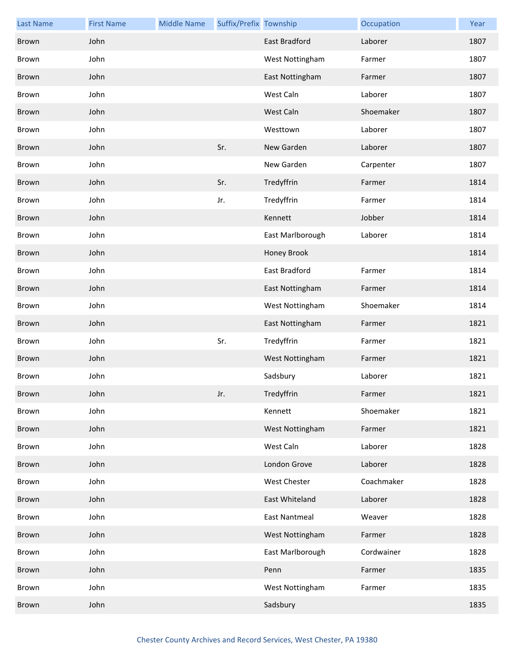| <b>Last Name</b> | <b>First Name</b> | <b>Middle Name</b> | Suffix/Prefix Township |                      | Occupation | Year |
|------------------|-------------------|--------------------|------------------------|----------------------|------------|------|
| Brown            | John              |                    |                        | East Bradford        | Laborer    | 1807 |
| Brown            | John              |                    |                        | West Nottingham      | Farmer     | 1807 |
| Brown            | John              |                    |                        | East Nottingham      | Farmer     | 1807 |
| Brown            | John              |                    |                        | West Caln            | Laborer    | 1807 |
| Brown            | John              |                    |                        | West Caln            | Shoemaker  | 1807 |
| Brown            | John              |                    |                        | Westtown             | Laborer    | 1807 |
| Brown            | John              |                    | Sr.                    | New Garden           | Laborer    | 1807 |
| Brown            | John              |                    |                        | New Garden           | Carpenter  | 1807 |
| Brown            | John              |                    | Sr.                    | Tredyffrin           | Farmer     | 1814 |
| Brown            | John              |                    | Jr.                    | Tredyffrin           | Farmer     | 1814 |
| Brown            | John              |                    |                        | Kennett              | Jobber     | 1814 |
| Brown            | John              |                    |                        | East Marlborough     | Laborer    | 1814 |
| Brown            | John              |                    |                        | Honey Brook          |            | 1814 |
| Brown            | John              |                    |                        | East Bradford        | Farmer     | 1814 |
| Brown            | John              |                    |                        | East Nottingham      | Farmer     | 1814 |
| Brown            | John              |                    |                        | West Nottingham      | Shoemaker  | 1814 |
| Brown            | John              |                    |                        | East Nottingham      | Farmer     | 1821 |
| Brown            | John              |                    | Sr.                    | Tredyffrin           | Farmer     | 1821 |
| Brown            | John              |                    |                        | West Nottingham      | Farmer     | 1821 |
| Brown            | John              |                    |                        | Sadsbury             | Laborer    | 1821 |
| Brown            | John              |                    | Jr.                    | Tredyffrin           | Farmer     | 1821 |
| Brown            | John              |                    |                        | Kennett              | Shoemaker  | 1821 |
| Brown            | John              |                    |                        | West Nottingham      | Farmer     | 1821 |
| Brown            | John              |                    |                        | West Caln            | Laborer    | 1828 |
| Brown            | John              |                    |                        | London Grove         | Laborer    | 1828 |
| Brown            | John              |                    |                        | West Chester         | Coachmaker | 1828 |
| Brown            | John              |                    |                        | East Whiteland       | Laborer    | 1828 |
| Brown            | John              |                    |                        | <b>East Nantmeal</b> | Weaver     | 1828 |
| Brown            | John              |                    |                        | West Nottingham      | Farmer     | 1828 |
| Brown            | John              |                    |                        | East Marlborough     | Cordwainer | 1828 |
| Brown            | John              |                    |                        | Penn                 | Farmer     | 1835 |
| Brown            | John              |                    |                        | West Nottingham      | Farmer     | 1835 |
| Brown            | John              |                    |                        | Sadsbury             |            | 1835 |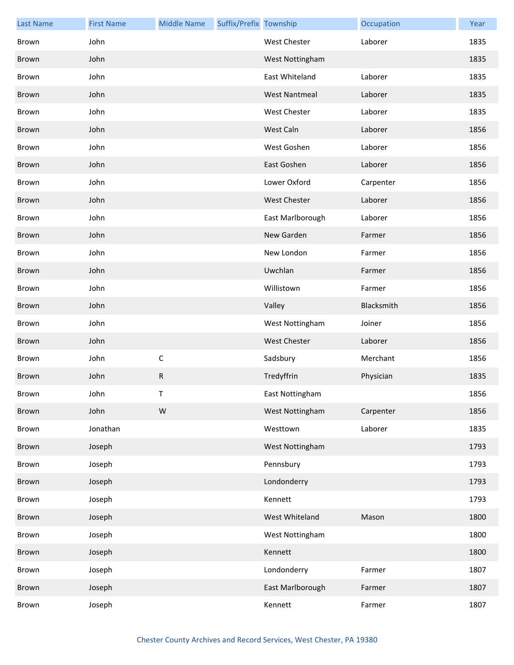| <b>Last Name</b> | <b>First Name</b> | <b>Middle Name</b> | Suffix/Prefix Township |                      | Occupation | Year |
|------------------|-------------------|--------------------|------------------------|----------------------|------------|------|
| Brown            | John              |                    |                        | West Chester         | Laborer    | 1835 |
| Brown            | John              |                    |                        | West Nottingham      |            | 1835 |
| Brown            | John              |                    |                        | East Whiteland       | Laborer    | 1835 |
| Brown            | John              |                    |                        | <b>West Nantmeal</b> | Laborer    | 1835 |
| Brown            | John              |                    |                        | West Chester         | Laborer    | 1835 |
| Brown            | John              |                    |                        | West Caln            | Laborer    | 1856 |
| Brown            | John              |                    |                        | West Goshen          | Laborer    | 1856 |
| <b>Brown</b>     | John              |                    |                        | East Goshen          | Laborer    | 1856 |
| Brown            | John              |                    |                        | Lower Oxford         | Carpenter  | 1856 |
| Brown            | John              |                    |                        | <b>West Chester</b>  | Laborer    | 1856 |
| Brown            | John              |                    |                        | East Marlborough     | Laborer    | 1856 |
| Brown            | John              |                    |                        | New Garden           | Farmer     | 1856 |
| Brown            | John              |                    |                        | New London           | Farmer     | 1856 |
| Brown            | John              |                    |                        | Uwchlan              | Farmer     | 1856 |
| Brown            | John              |                    |                        | Willistown           | Farmer     | 1856 |
| Brown            | John              |                    |                        | Valley               | Blacksmith | 1856 |
| Brown            | John              |                    |                        | West Nottingham      | Joiner     | 1856 |
| Brown            | John              |                    |                        | <b>West Chester</b>  | Laborer    | 1856 |
| Brown            | John              | $\mathsf C$        |                        | Sadsbury             | Merchant   | 1856 |
| <b>Brown</b>     | John              | ${\sf R}$          |                        | Tredyffrin           | Physician  | 1835 |
| Brown            | John              | T.                 |                        | East Nottingham      |            | 1856 |
| Brown            | John              | W                  |                        | West Nottingham      | Carpenter  | 1856 |
| Brown            | Jonathan          |                    |                        | Westtown             | Laborer    | 1835 |
| Brown            | Joseph            |                    |                        | West Nottingham      |            | 1793 |
| Brown            | Joseph            |                    |                        | Pennsbury            |            | 1793 |
| Brown            | Joseph            |                    |                        | Londonderry          |            | 1793 |
| Brown            | Joseph            |                    |                        | Kennett              |            | 1793 |
| Brown            | Joseph            |                    |                        | West Whiteland       | Mason      | 1800 |
| Brown            | Joseph            |                    |                        | West Nottingham      |            | 1800 |
| Brown            | Joseph            |                    |                        | Kennett              |            | 1800 |
| Brown            | Joseph            |                    |                        | Londonderry          | Farmer     | 1807 |
| Brown            | Joseph            |                    |                        | East Marlborough     | Farmer     | 1807 |
| Brown            | Joseph            |                    |                        | Kennett              | Farmer     | 1807 |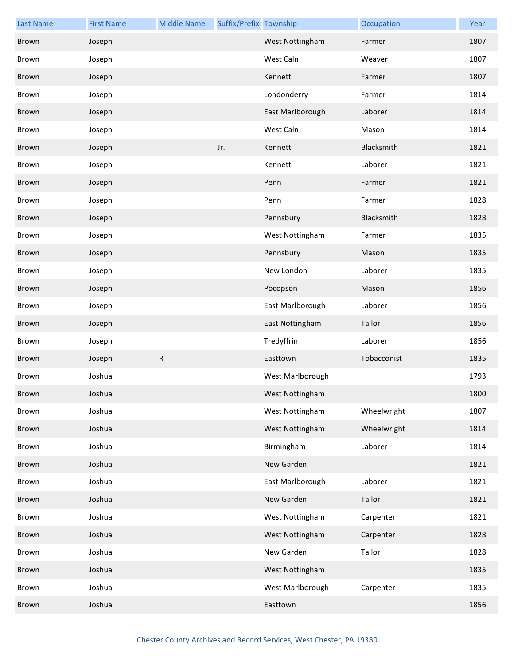| <b>Last Name</b> | <b>First Name</b> | <b>Middle Name</b> | Suffix/Prefix Township |                  | Occupation  | Year |
|------------------|-------------------|--------------------|------------------------|------------------|-------------|------|
| <b>Brown</b>     | Joseph            |                    |                        | West Nottingham  | Farmer      | 1807 |
| Brown            | Joseph            |                    |                        | West Caln        | Weaver      | 1807 |
| <b>Brown</b>     | Joseph            |                    |                        | Kennett          | Farmer      | 1807 |
| Brown            | Joseph            |                    |                        | Londonderry      | Farmer      | 1814 |
| Brown            | Joseph            |                    |                        | East Marlborough | Laborer     | 1814 |
| Brown            | Joseph            |                    |                        | West Caln        | Mason       | 1814 |
| <b>Brown</b>     | Joseph            |                    | Jr.                    | Kennett          | Blacksmith  | 1821 |
| Brown            | Joseph            |                    |                        | Kennett          | Laborer     | 1821 |
| Brown            | Joseph            |                    |                        | Penn             | Farmer      | 1821 |
| Brown            | Joseph            |                    |                        | Penn             | Farmer      | 1828 |
| <b>Brown</b>     | Joseph            |                    |                        | Pennsbury        | Blacksmith  | 1828 |
| Brown            | Joseph            |                    |                        | West Nottingham  | Farmer      | 1835 |
| Brown            | Joseph            |                    |                        | Pennsbury        | Mason       | 1835 |
| Brown            | Joseph            |                    |                        | New London       | Laborer     | 1835 |
| <b>Brown</b>     | Joseph            |                    |                        | Pocopson         | Mason       | 1856 |
| Brown            | Joseph            |                    |                        | East Marlborough | Laborer     | 1856 |
| Brown            | Joseph            |                    |                        | East Nottingham  | Tailor      | 1856 |
| Brown            | Joseph            |                    |                        | Tredyffrin       | Laborer     | 1856 |
| Brown            | Joseph            | ${\sf R}$          |                        | Easttown         | Tobacconist | 1835 |
| Brown            | Joshua            |                    |                        | West Marlborough |             | 1793 |
| Brown            | Joshua            |                    |                        | West Nottingham  |             | 1800 |
| Brown            | Joshua            |                    |                        | West Nottingham  | Wheelwright | 1807 |
| Brown            | Joshua            |                    |                        | West Nottingham  | Wheelwright | 1814 |
| Brown            | Joshua            |                    |                        | Birmingham       | Laborer     | 1814 |
| Brown            | Joshua            |                    |                        | New Garden       |             | 1821 |
| Brown            | Joshua            |                    |                        | East Marlborough | Laborer     | 1821 |
| Brown            | Joshua            |                    |                        | New Garden       | Tailor      | 1821 |
| Brown            | Joshua            |                    |                        | West Nottingham  | Carpenter   | 1821 |
| Brown            | Joshua            |                    |                        | West Nottingham  | Carpenter   | 1828 |
| Brown            | Joshua            |                    |                        | New Garden       | Tailor      | 1828 |
| Brown            | Joshua            |                    |                        | West Nottingham  |             | 1835 |
| Brown            | Joshua            |                    |                        | West Marlborough | Carpenter   | 1835 |
| Brown            | Joshua            |                    |                        | Easttown         |             | 1856 |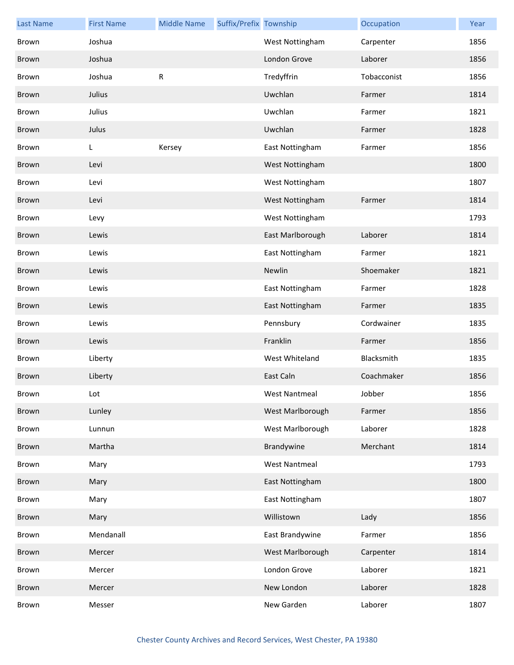| <b>Last Name</b> | <b>First Name</b> | <b>Middle Name</b> | Suffix/Prefix Township |                      | Occupation  | Year |
|------------------|-------------------|--------------------|------------------------|----------------------|-------------|------|
| Brown            | Joshua            |                    |                        | West Nottingham      | Carpenter   | 1856 |
| Brown            | Joshua            |                    |                        | London Grove         | Laborer     | 1856 |
| Brown            | Joshua            | ${\sf R}$          |                        | Tredyffrin           | Tobacconist | 1856 |
| Brown            | Julius            |                    |                        | Uwchlan              | Farmer      | 1814 |
| Brown            | Julius            |                    |                        | Uwchlan              | Farmer      | 1821 |
| Brown            | Julus             |                    |                        | Uwchlan              | Farmer      | 1828 |
| Brown            | L                 | Kersey             |                        | East Nottingham      | Farmer      | 1856 |
| Brown            | Levi              |                    |                        | West Nottingham      |             | 1800 |
| Brown            | Levi              |                    |                        | West Nottingham      |             | 1807 |
| Brown            | Levi              |                    |                        | West Nottingham      | Farmer      | 1814 |
| Brown            | Levy              |                    |                        | West Nottingham      |             | 1793 |
| Brown            | Lewis             |                    |                        | East Marlborough     | Laborer     | 1814 |
| Brown            | Lewis             |                    |                        | East Nottingham      | Farmer      | 1821 |
| Brown            | Lewis             |                    |                        | Newlin               | Shoemaker   | 1821 |
| Brown            | Lewis             |                    |                        | East Nottingham      | Farmer      | 1828 |
| Brown            | Lewis             |                    |                        | East Nottingham      | Farmer      | 1835 |
| Brown            | Lewis             |                    |                        | Pennsbury            | Cordwainer  | 1835 |
| Brown            | Lewis             |                    |                        | Franklin             | Farmer      | 1856 |
| Brown            | Liberty           |                    |                        | West Whiteland       | Blacksmith  | 1835 |
| Brown            | Liberty           |                    |                        | East Caln            | Coachmaker  | 1856 |
| Brown            | Lot               |                    |                        | West Nantmeal        | Jobber      | 1856 |
| Brown            | Lunley            |                    |                        | West Marlborough     | Farmer      | 1856 |
| Brown            | Lunnun            |                    |                        | West Marlborough     | Laborer     | 1828 |
| Brown            | Martha            |                    |                        | Brandywine           | Merchant    | 1814 |
| Brown            | Mary              |                    |                        | <b>West Nantmeal</b> |             | 1793 |
| Brown            | Mary              |                    |                        | East Nottingham      |             | 1800 |
| Brown            | Mary              |                    |                        | East Nottingham      |             | 1807 |
| Brown            | Mary              |                    |                        | Willistown           | Lady        | 1856 |
| Brown            | Mendanall         |                    |                        | East Brandywine      | Farmer      | 1856 |
| Brown            | Mercer            |                    |                        | West Marlborough     | Carpenter   | 1814 |
| Brown            | Mercer            |                    |                        | London Grove         | Laborer     | 1821 |
| Brown            | Mercer            |                    |                        | New London           | Laborer     | 1828 |
| Brown            | Messer            |                    |                        | New Garden           | Laborer     | 1807 |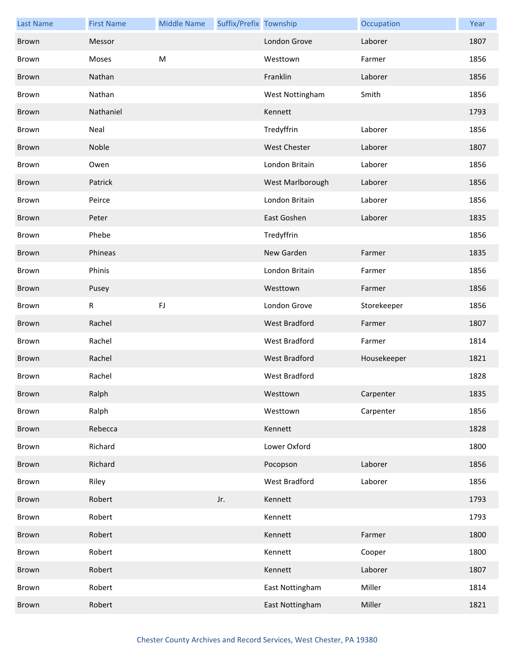| <b>Last Name</b> | <b>First Name</b> | <b>Middle Name</b> | Suffix/Prefix Township |                     | Occupation  | Year |
|------------------|-------------------|--------------------|------------------------|---------------------|-------------|------|
| Brown            | Messor            |                    |                        | London Grove        | Laborer     | 1807 |
| Brown            | Moses             | ${\sf M}$          |                        | Westtown            | Farmer      | 1856 |
| Brown            | Nathan            |                    |                        | Franklin            | Laborer     | 1856 |
| Brown            | Nathan            |                    |                        | West Nottingham     | Smith       | 1856 |
| Brown            | Nathaniel         |                    |                        | Kennett             |             | 1793 |
| Brown            | Neal              |                    |                        | Tredyffrin          | Laborer     | 1856 |
| Brown            | Noble             |                    |                        | <b>West Chester</b> | Laborer     | 1807 |
| Brown            | Owen              |                    |                        | London Britain      | Laborer     | 1856 |
| Brown            | Patrick           |                    |                        | West Marlborough    | Laborer     | 1856 |
| Brown            | Peirce            |                    |                        | London Britain      | Laborer     | 1856 |
| Brown            | Peter             |                    |                        | East Goshen         | Laborer     | 1835 |
| Brown            | Phebe             |                    |                        | Tredyffrin          |             | 1856 |
| Brown            | Phineas           |                    |                        | New Garden          | Farmer      | 1835 |
| Brown            | Phinis            |                    |                        | London Britain      | Farmer      | 1856 |
| Brown            | Pusey             |                    |                        | Westtown            | Farmer      | 1856 |
| Brown            | $\mathsf R$       | ${\sf FJ}$         |                        | London Grove        | Storekeeper | 1856 |
| Brown            | Rachel            |                    |                        | West Bradford       | Farmer      | 1807 |
| Brown            | Rachel            |                    |                        | West Bradford       | Farmer      | 1814 |
| Brown            | Rachel            |                    |                        | West Bradford       | Housekeeper | 1821 |
| Brown            | Rachel            |                    |                        | West Bradford       |             | 1828 |
| Brown            | Ralph             |                    |                        | Westtown            | Carpenter   | 1835 |
| Brown            | Ralph             |                    |                        | Westtown            | Carpenter   | 1856 |
| Brown            | Rebecca           |                    |                        | Kennett             |             | 1828 |
| Brown            | Richard           |                    |                        | Lower Oxford        |             | 1800 |
| Brown            | Richard           |                    |                        | Pocopson            | Laborer     | 1856 |
| Brown            | Riley             |                    |                        | West Bradford       | Laborer     | 1856 |
| Brown            | Robert            |                    | Jr.                    | Kennett             |             | 1793 |
| Brown            | Robert            |                    |                        | Kennett             |             | 1793 |
| Brown            | Robert            |                    |                        | Kennett             | Farmer      | 1800 |
| Brown            | Robert            |                    |                        | Kennett             | Cooper      | 1800 |
| Brown            | Robert            |                    |                        | Kennett             | Laborer     | 1807 |
| Brown            | Robert            |                    |                        | East Nottingham     | Miller      | 1814 |
| Brown            | Robert            |                    |                        | East Nottingham     | Miller      | 1821 |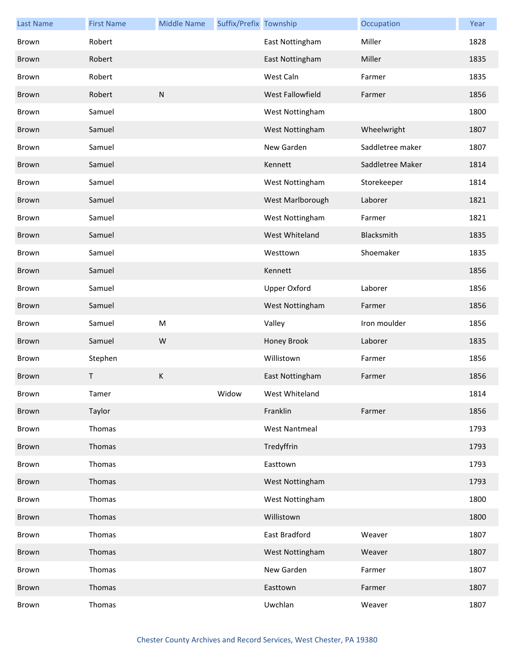| <b>Last Name</b> | <b>First Name</b> | <b>Middle Name</b> | Suffix/Prefix Township |                      | Occupation       | Year |
|------------------|-------------------|--------------------|------------------------|----------------------|------------------|------|
| Brown            | Robert            |                    |                        | East Nottingham      | Miller           | 1828 |
| Brown            | Robert            |                    |                        | East Nottingham      | Miller           | 1835 |
| Brown            | Robert            |                    |                        | West Caln            | Farmer           | 1835 |
| Brown            | Robert            | ${\sf N}$          |                        | West Fallowfield     | Farmer           | 1856 |
| Brown            | Samuel            |                    |                        | West Nottingham      |                  | 1800 |
| Brown            | Samuel            |                    |                        | West Nottingham      | Wheelwright      | 1807 |
| Brown            | Samuel            |                    |                        | New Garden           | Saddletree maker | 1807 |
| Brown            | Samuel            |                    |                        | Kennett              | Saddletree Maker | 1814 |
| Brown            | Samuel            |                    |                        | West Nottingham      | Storekeeper      | 1814 |
| Brown            | Samuel            |                    |                        | West Marlborough     | Laborer          | 1821 |
| Brown            | Samuel            |                    |                        | West Nottingham      | Farmer           | 1821 |
| Brown            | Samuel            |                    |                        | West Whiteland       | Blacksmith       | 1835 |
| Brown            | Samuel            |                    |                        | Westtown             | Shoemaker        | 1835 |
| Brown            | Samuel            |                    |                        | Kennett              |                  | 1856 |
| Brown            | Samuel            |                    |                        | Upper Oxford         | Laborer          | 1856 |
| Brown            | Samuel            |                    |                        | West Nottingham      | Farmer           | 1856 |
| Brown            | Samuel            | M                  |                        | Valley               | Iron moulder     | 1856 |
| Brown            | Samuel            | W                  |                        | Honey Brook          | Laborer          | 1835 |
| Brown            | Stephen           |                    |                        | Willistown           | Farmer           | 1856 |
| Brown            | Τ                 | $\sf K$            |                        | East Nottingham      | Farmer           | 1856 |
| Brown            | Tamer             |                    | Widow                  | West Whiteland       |                  | 1814 |
| Brown            | Taylor            |                    |                        | Franklin             | Farmer           | 1856 |
| Brown            | Thomas            |                    |                        | <b>West Nantmeal</b> |                  | 1793 |
| Brown            | Thomas            |                    |                        | Tredyffrin           |                  | 1793 |
| Brown            | Thomas            |                    |                        | Easttown             |                  | 1793 |
| Brown            | Thomas            |                    |                        | West Nottingham      |                  | 1793 |
| Brown            | Thomas            |                    |                        | West Nottingham      |                  | 1800 |
| Brown            | Thomas            |                    |                        | Willistown           |                  | 1800 |
| Brown            | Thomas            |                    |                        | East Bradford        | Weaver           | 1807 |
| Brown            | Thomas            |                    |                        | West Nottingham      | Weaver           | 1807 |
| Brown            | Thomas            |                    |                        | New Garden           | Farmer           | 1807 |
| Brown            | Thomas            |                    |                        | Easttown             | Farmer           | 1807 |
| Brown            | Thomas            |                    |                        | Uwchlan              | Weaver           | 1807 |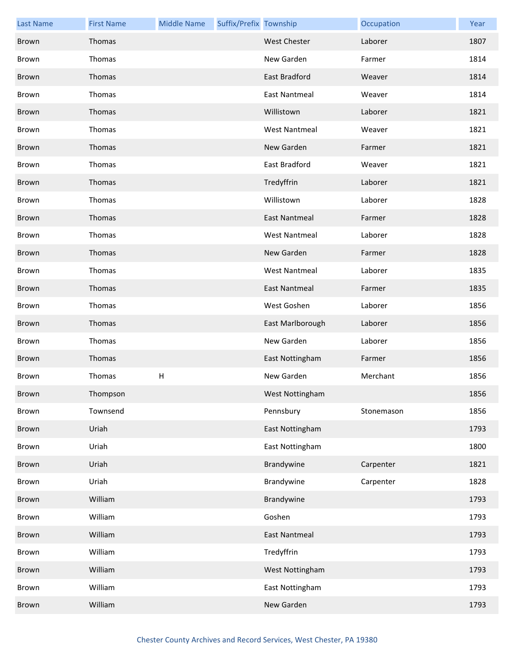| <b>Last Name</b> | <b>First Name</b> | <b>Middle Name</b> | Suffix/Prefix Township |                      | Occupation | Year |
|------------------|-------------------|--------------------|------------------------|----------------------|------------|------|
| Brown            | Thomas            |                    |                        | <b>West Chester</b>  | Laborer    | 1807 |
| Brown            | Thomas            |                    |                        | New Garden           | Farmer     | 1814 |
| Brown            | Thomas            |                    |                        | East Bradford        | Weaver     | 1814 |
| Brown            | Thomas            |                    |                        | <b>East Nantmeal</b> | Weaver     | 1814 |
| Brown            | Thomas            |                    |                        | Willistown           | Laborer    | 1821 |
| Brown            | Thomas            |                    |                        | <b>West Nantmeal</b> | Weaver     | 1821 |
| Brown            | Thomas            |                    |                        | New Garden           | Farmer     | 1821 |
| Brown            | Thomas            |                    |                        | East Bradford        | Weaver     | 1821 |
| Brown            | Thomas            |                    |                        | Tredyffrin           | Laborer    | 1821 |
| Brown            | Thomas            |                    |                        | Willistown           | Laborer    | 1828 |
| Brown            | Thomas            |                    |                        | <b>East Nantmeal</b> | Farmer     | 1828 |
| Brown            | Thomas            |                    |                        | <b>West Nantmeal</b> | Laborer    | 1828 |
| Brown            | Thomas            |                    |                        | New Garden           | Farmer     | 1828 |
| Brown            | Thomas            |                    |                        | <b>West Nantmeal</b> | Laborer    | 1835 |
| Brown            | Thomas            |                    |                        | <b>East Nantmeal</b> | Farmer     | 1835 |
| Brown            | Thomas            |                    |                        | West Goshen          | Laborer    | 1856 |
| Brown            | Thomas            |                    |                        | East Marlborough     | Laborer    | 1856 |
| Brown            | Thomas            |                    |                        | New Garden           | Laborer    | 1856 |
| Brown            | Thomas            |                    |                        | East Nottingham      | Farmer     | 1856 |
| Brown            | Thomas            | H                  |                        | New Garden           | Merchant   | 1856 |
| Brown            | Thompson          |                    |                        | West Nottingham      |            | 1856 |
| Brown            | Townsend          |                    |                        | Pennsbury            | Stonemason | 1856 |
| Brown            | Uriah             |                    |                        | East Nottingham      |            | 1793 |
| Brown            | Uriah             |                    |                        | East Nottingham      |            | 1800 |
| Brown            | Uriah             |                    |                        | Brandywine           | Carpenter  | 1821 |
| Brown            | Uriah             |                    |                        | Brandywine           | Carpenter  | 1828 |
| Brown            | William           |                    |                        | Brandywine           |            | 1793 |
| Brown            | William           |                    |                        | Goshen               |            | 1793 |
| Brown            | William           |                    |                        | <b>East Nantmeal</b> |            | 1793 |
| Brown            | William           |                    |                        | Tredyffrin           |            | 1793 |
| Brown            | William           |                    |                        | West Nottingham      |            | 1793 |
| Brown            | William           |                    |                        | East Nottingham      |            | 1793 |
| Brown            | William           |                    |                        | New Garden           |            | 1793 |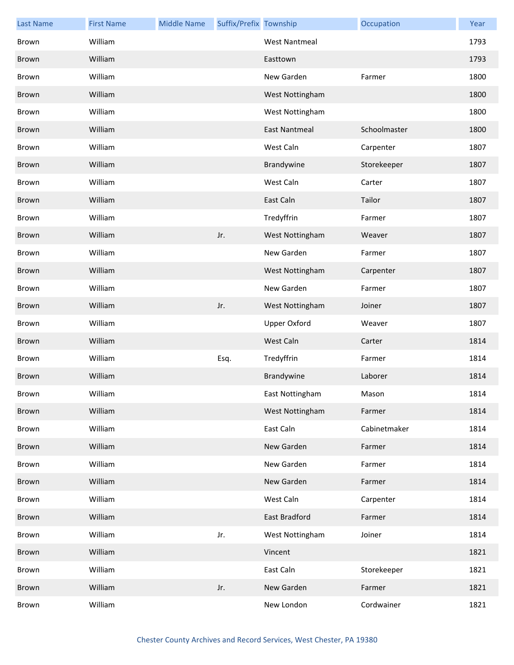| <b>Last Name</b> | <b>First Name</b> | <b>Middle Name</b> | Suffix/Prefix Township |                      | Occupation   | Year |
|------------------|-------------------|--------------------|------------------------|----------------------|--------------|------|
| Brown            | William           |                    |                        | <b>West Nantmeal</b> |              | 1793 |
| Brown            | William           |                    |                        | Easttown             |              | 1793 |
| Brown            | William           |                    |                        | New Garden           | Farmer       | 1800 |
| Brown            | William           |                    |                        | West Nottingham      |              | 1800 |
| Brown            | William           |                    |                        | West Nottingham      |              | 1800 |
| Brown            | William           |                    |                        | <b>East Nantmeal</b> | Schoolmaster | 1800 |
| Brown            | William           |                    |                        | West Caln            | Carpenter    | 1807 |
| <b>Brown</b>     | William           |                    |                        | Brandywine           | Storekeeper  | 1807 |
| Brown            | William           |                    |                        | West Caln            | Carter       | 1807 |
| Brown            | William           |                    |                        | East Caln            | Tailor       | 1807 |
| Brown            | William           |                    |                        | Tredyffrin           | Farmer       | 1807 |
| Brown            | William           |                    | Jr.                    | West Nottingham      | Weaver       | 1807 |
| Brown            | William           |                    |                        | New Garden           | Farmer       | 1807 |
| Brown            | William           |                    |                        | West Nottingham      | Carpenter    | 1807 |
| Brown            | William           |                    |                        | New Garden           | Farmer       | 1807 |
| Brown            | William           |                    | Jr.                    | West Nottingham      | Joiner       | 1807 |
| Brown            | William           |                    |                        | <b>Upper Oxford</b>  | Weaver       | 1807 |
| Brown            | William           |                    |                        | West Caln            | Carter       | 1814 |
| Brown            | William           |                    | Esq.                   | Tredyffrin           | Farmer       | 1814 |
| Brown            | William           |                    |                        | Brandywine           | Laborer      | 1814 |
| Brown            | William           |                    |                        | East Nottingham      | Mason        | 1814 |
| Brown            | William           |                    |                        | West Nottingham      | Farmer       | 1814 |
| Brown            | William           |                    |                        | East Caln            | Cabinetmaker | 1814 |
| Brown            | William           |                    |                        | New Garden           | Farmer       | 1814 |
| Brown            | William           |                    |                        | New Garden           | Farmer       | 1814 |
| Brown            | William           |                    |                        | New Garden           | Farmer       | 1814 |
| Brown            | William           |                    |                        | West Caln            | Carpenter    | 1814 |
| Brown            | William           |                    |                        | East Bradford        | Farmer       | 1814 |
| Brown            | William           |                    | Jr.                    | West Nottingham      | Joiner       | 1814 |
| Brown            | William           |                    |                        | Vincent              |              | 1821 |
| Brown            | William           |                    |                        | East Caln            | Storekeeper  | 1821 |
| Brown            | William           |                    | Jr.                    | New Garden           | Farmer       | 1821 |
| Brown            | William           |                    |                        | New London           | Cordwainer   | 1821 |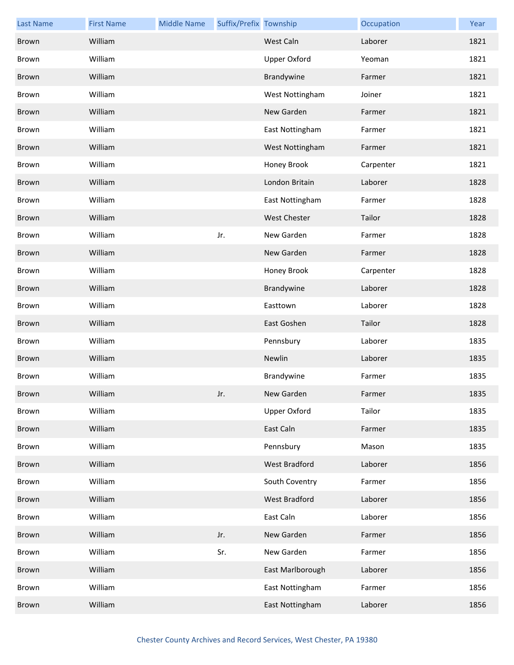| <b>Last Name</b> | <b>First Name</b> | <b>Middle Name</b> | Suffix/Prefix Township |                     | Occupation | Year |
|------------------|-------------------|--------------------|------------------------|---------------------|------------|------|
| Brown            | William           |                    |                        | West Caln           | Laborer    | 1821 |
| Brown            | William           |                    |                        | <b>Upper Oxford</b> | Yeoman     | 1821 |
| Brown            | William           |                    |                        | Brandywine          | Farmer     | 1821 |
| Brown            | William           |                    |                        | West Nottingham     | Joiner     | 1821 |
| Brown            | William           |                    |                        | New Garden          | Farmer     | 1821 |
| Brown            | William           |                    |                        | East Nottingham     | Farmer     | 1821 |
| Brown            | William           |                    |                        | West Nottingham     | Farmer     | 1821 |
| Brown            | William           |                    |                        | Honey Brook         | Carpenter  | 1821 |
| Brown            | William           |                    |                        | London Britain      | Laborer    | 1828 |
| Brown            | William           |                    |                        | East Nottingham     | Farmer     | 1828 |
| Brown            | William           |                    |                        | West Chester        | Tailor     | 1828 |
| Brown            | William           |                    | Jr.                    | New Garden          | Farmer     | 1828 |
| Brown            | William           |                    |                        | New Garden          | Farmer     | 1828 |
| Brown            | William           |                    |                        | Honey Brook         | Carpenter  | 1828 |
| <b>Brown</b>     | William           |                    |                        | Brandywine          | Laborer    | 1828 |
| Brown            | William           |                    |                        | Easttown            | Laborer    | 1828 |
| Brown            | William           |                    |                        | East Goshen         | Tailor     | 1828 |
| Brown            | William           |                    |                        | Pennsbury           | Laborer    | 1835 |
| Brown            | William           |                    |                        | Newlin              | Laborer    | 1835 |
| Brown            | William           |                    |                        | Brandywine          | Farmer     | 1835 |
| Brown            | William           |                    | Jr.                    | New Garden          | Farmer     | 1835 |
| Brown            | William           |                    |                        | <b>Upper Oxford</b> | Tailor     | 1835 |
| Brown            | William           |                    |                        | East Caln           | Farmer     | 1835 |
| Brown            | William           |                    |                        | Pennsbury           | Mason      | 1835 |
| Brown            | William           |                    |                        | West Bradford       | Laborer    | 1856 |
| Brown            | William           |                    |                        | South Coventry      | Farmer     | 1856 |
| Brown            | William           |                    |                        | West Bradford       | Laborer    | 1856 |
| Brown            | William           |                    |                        | East Caln           | Laborer    | 1856 |
| Brown            | William           |                    | Jr.                    | New Garden          | Farmer     | 1856 |
| Brown            | William           |                    | Sr.                    | New Garden          | Farmer     | 1856 |
| Brown            | William           |                    |                        | East Marlborough    | Laborer    | 1856 |
| Brown            | William           |                    |                        | East Nottingham     | Farmer     | 1856 |
| Brown            | William           |                    |                        | East Nottingham     | Laborer    | 1856 |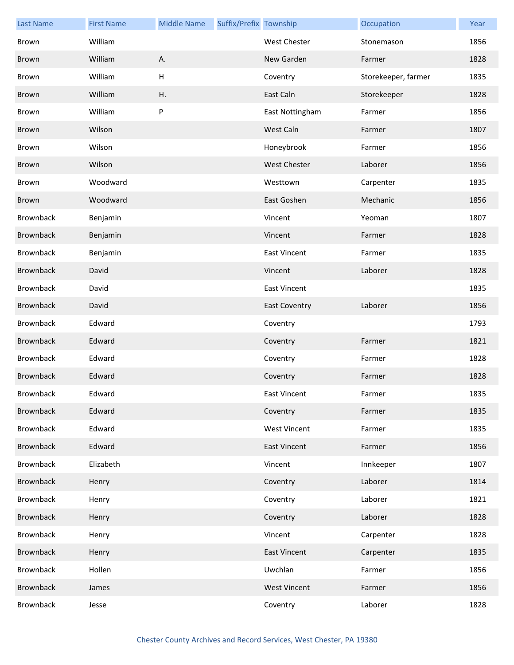| <b>Last Name</b> | <b>First Name</b> | <b>Middle Name</b> | Suffix/Prefix Township |                      | Occupation          | Year |
|------------------|-------------------|--------------------|------------------------|----------------------|---------------------|------|
| Brown            | William           |                    |                        | <b>West Chester</b>  | Stonemason          | 1856 |
| Brown            | William           | Α.                 |                        | New Garden           | Farmer              | 1828 |
| Brown            | William           | $\mathsf H$        |                        | Coventry             | Storekeeper, farmer | 1835 |
| Brown            | William           | Η.                 |                        | East Caln            | Storekeeper         | 1828 |
| Brown            | William           | P                  |                        | East Nottingham      | Farmer              | 1856 |
| Brown            | Wilson            |                    |                        | West Caln            | Farmer              | 1807 |
| Brown            | Wilson            |                    |                        | Honeybrook           | Farmer              | 1856 |
| Brown            | Wilson            |                    |                        | <b>West Chester</b>  | Laborer             | 1856 |
| Brown            | Woodward          |                    |                        | Westtown             | Carpenter           | 1835 |
| Brown            | Woodward          |                    |                        | East Goshen          | Mechanic            | 1856 |
| Brownback        | Benjamin          |                    |                        | Vincent              | Yeoman              | 1807 |
| Brownback        | Benjamin          |                    |                        | Vincent              | Farmer              | 1828 |
| <b>Brownback</b> | Benjamin          |                    |                        | <b>East Vincent</b>  | Farmer              | 1835 |
| <b>Brownback</b> | David             |                    |                        | Vincent              | Laborer             | 1828 |
| Brownback        | David             |                    |                        | <b>East Vincent</b>  |                     | 1835 |
| <b>Brownback</b> | David             |                    |                        | <b>East Coventry</b> | Laborer             | 1856 |
| Brownback        | Edward            |                    |                        | Coventry             |                     | 1793 |
| Brownback        | Edward            |                    |                        | Coventry             | Farmer              | 1821 |
| Brownback        | Edward            |                    |                        | Coventry             | Farmer              | 1828 |
| <b>Brownback</b> | Edward            |                    |                        | Coventry             | Farmer              | 1828 |
| <b>Brownback</b> | Edward            |                    |                        | East Vincent         | Farmer              | 1835 |
| Brownback        | Edward            |                    |                        | Coventry             | Farmer              | 1835 |
| Brownback        | Edward            |                    |                        | <b>West Vincent</b>  | Farmer              | 1835 |
| Brownback        | Edward            |                    |                        | <b>East Vincent</b>  | Farmer              | 1856 |
| Brownback        | Elizabeth         |                    |                        | Vincent              | Innkeeper           | 1807 |
| <b>Brownback</b> | Henry             |                    |                        | Coventry             | Laborer             | 1814 |
| Brownback        | Henry             |                    |                        | Coventry             | Laborer             | 1821 |
| Brownback        | Henry             |                    |                        | Coventry             | Laborer             | 1828 |
| Brownback        | Henry             |                    |                        | Vincent              | Carpenter           | 1828 |
| <b>Brownback</b> | Henry             |                    |                        | <b>East Vincent</b>  | Carpenter           | 1835 |
| Brownback        | Hollen            |                    |                        | Uwchlan              | Farmer              | 1856 |
| <b>Brownback</b> | James             |                    |                        | <b>West Vincent</b>  | Farmer              | 1856 |
| Brownback        | Jesse             |                    |                        | Coventry             | Laborer             | 1828 |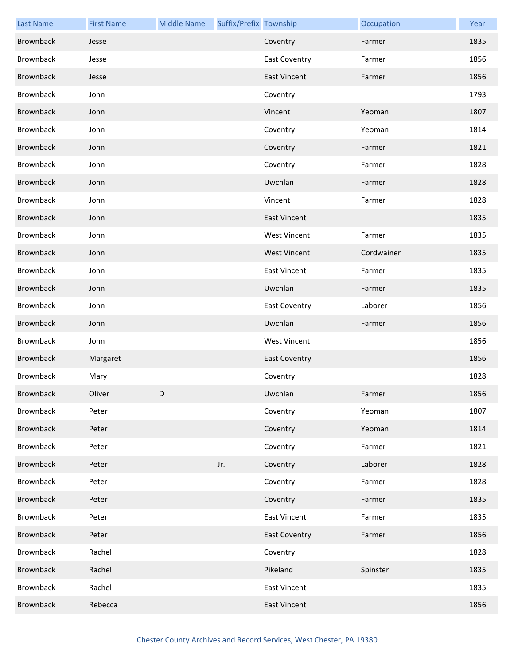| <b>Last Name</b> | <b>First Name</b> | <b>Middle Name</b> | Suffix/Prefix Township |                      | Occupation | Year |
|------------------|-------------------|--------------------|------------------------|----------------------|------------|------|
| Brownback        | Jesse             |                    |                        | Coventry             | Farmer     | 1835 |
| Brownback        | Jesse             |                    |                        | <b>East Coventry</b> | Farmer     | 1856 |
| Brownback        | Jesse             |                    |                        | <b>East Vincent</b>  | Farmer     | 1856 |
| Brownback        | John              |                    |                        | Coventry             |            | 1793 |
| <b>Brownback</b> | John              |                    |                        | Vincent              | Yeoman     | 1807 |
| Brownback        | John              |                    |                        | Coventry             | Yeoman     | 1814 |
| Brownback        | John              |                    |                        | Coventry             | Farmer     | 1821 |
| Brownback        | John              |                    |                        | Coventry             | Farmer     | 1828 |
| Brownback        | John              |                    |                        | Uwchlan              | Farmer     | 1828 |
| Brownback        | John              |                    |                        | Vincent              | Farmer     | 1828 |
| Brownback        | John              |                    |                        | <b>East Vincent</b>  |            | 1835 |
| Brownback        | John              |                    |                        | <b>West Vincent</b>  | Farmer     | 1835 |
| Brownback        | John              |                    |                        | <b>West Vincent</b>  | Cordwainer | 1835 |
| Brownback        | John              |                    |                        | <b>East Vincent</b>  | Farmer     | 1835 |
| Brownback        | John              |                    |                        | Uwchlan              | Farmer     | 1835 |
| Brownback        | John              |                    |                        | <b>East Coventry</b> | Laborer    | 1856 |
| Brownback        | John              |                    |                        | Uwchlan              | Farmer     | 1856 |
| Brownback        | John              |                    |                        | <b>West Vincent</b>  |            | 1856 |
| Brownback        | Margaret          |                    |                        | <b>East Coventry</b> |            | 1856 |
| <b>Brownback</b> | Mary              |                    |                        | Coventry             |            | 1828 |
| <b>Brownback</b> | Oliver            | D.                 |                        | Uwchlan              | Farmer     | 1856 |
| <b>Brownback</b> | Peter             |                    |                        | Coventry             | Yeoman     | 1807 |
| <b>Brownback</b> | Peter             |                    |                        | Coventry             | Yeoman     | 1814 |
| <b>Brownback</b> | Peter             |                    |                        | Coventry             | Farmer     | 1821 |
| Brownback        | Peter             |                    | Jr.                    | Coventry             | Laborer    | 1828 |
| Brownback        | Peter             |                    |                        | Coventry             | Farmer     | 1828 |
| <b>Brownback</b> | Peter             |                    |                        | Coventry             | Farmer     | 1835 |
| Brownback        | Peter             |                    |                        | <b>East Vincent</b>  | Farmer     | 1835 |
| <b>Brownback</b> | Peter             |                    |                        | <b>East Coventry</b> | Farmer     | 1856 |
| Brownback        | Rachel            |                    |                        | Coventry             |            | 1828 |
| Brownback        | Rachel            |                    |                        | Pikeland             | Spinster   | 1835 |
| Brownback        | Rachel            |                    |                        | <b>East Vincent</b>  |            | 1835 |
| <b>Brownback</b> | Rebecca           |                    |                        | <b>East Vincent</b>  |            | 1856 |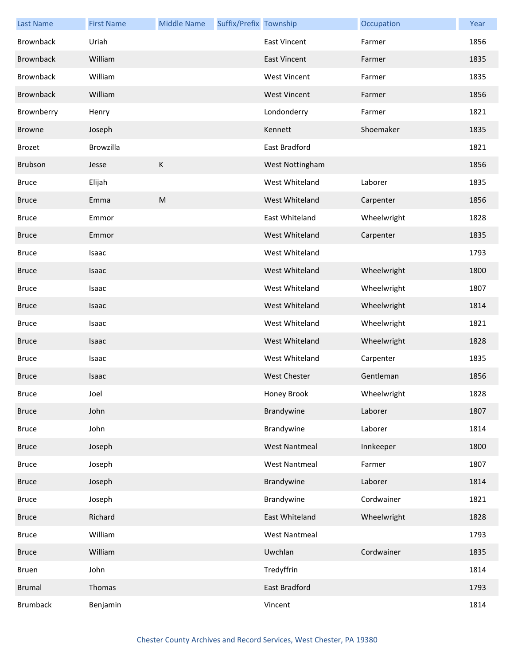| <b>Last Name</b> | <b>First Name</b> | <b>Middle Name</b> | Suffix/Prefix Township |                      | Occupation  | Year |
|------------------|-------------------|--------------------|------------------------|----------------------|-------------|------|
| <b>Brownback</b> | Uriah             |                    |                        | <b>East Vincent</b>  | Farmer      | 1856 |
| <b>Brownback</b> | William           |                    |                        | <b>East Vincent</b>  | Farmer      | 1835 |
| <b>Brownback</b> | William           |                    |                        | <b>West Vincent</b>  | Farmer      | 1835 |
| <b>Brownback</b> | William           |                    |                        | <b>West Vincent</b>  | Farmer      | 1856 |
| Brownberry       | Henry             |                    |                        | Londonderry          | Farmer      | 1821 |
| <b>Browne</b>    | Joseph            |                    |                        | Kennett              | Shoemaker   | 1835 |
| <b>Brozet</b>    | Browzilla         |                    |                        | East Bradford        |             | 1821 |
| Brubson          | Jesse             | К                  |                        | West Nottingham      |             | 1856 |
| <b>Bruce</b>     | Elijah            |                    |                        | West Whiteland       | Laborer     | 1835 |
| <b>Bruce</b>     | Emma              | ${\sf M}$          |                        | West Whiteland       | Carpenter   | 1856 |
| <b>Bruce</b>     | Emmor             |                    |                        | East Whiteland       | Wheelwright | 1828 |
| <b>Bruce</b>     | Emmor             |                    |                        | West Whiteland       | Carpenter   | 1835 |
| <b>Bruce</b>     | Isaac             |                    |                        | West Whiteland       |             | 1793 |
| <b>Bruce</b>     | Isaac             |                    |                        | West Whiteland       | Wheelwright | 1800 |
| <b>Bruce</b>     | Isaac             |                    |                        | West Whiteland       | Wheelwright | 1807 |
| <b>Bruce</b>     | Isaac             |                    |                        | West Whiteland       | Wheelwright | 1814 |
| <b>Bruce</b>     | Isaac             |                    |                        | West Whiteland       | Wheelwright | 1821 |
| <b>Bruce</b>     | Isaac             |                    |                        | West Whiteland       | Wheelwright | 1828 |
| <b>Bruce</b>     | Isaac             |                    |                        | West Whiteland       | Carpenter   | 1835 |
| <b>Bruce</b>     | Isaac             |                    |                        | <b>West Chester</b>  | Gentleman   | 1856 |
| <b>Bruce</b>     | Joel              |                    |                        | Honey Brook          | Wheelwright | 1828 |
| <b>Bruce</b>     | John              |                    |                        | Brandywine           | Laborer     | 1807 |
| <b>Bruce</b>     | John              |                    |                        | Brandywine           | Laborer     | 1814 |
| <b>Bruce</b>     | Joseph            |                    |                        | <b>West Nantmeal</b> | Innkeeper   | 1800 |
| <b>Bruce</b>     | Joseph            |                    |                        | <b>West Nantmeal</b> | Farmer      | 1807 |
| <b>Bruce</b>     | Joseph            |                    |                        | Brandywine           | Laborer     | 1814 |
| <b>Bruce</b>     | Joseph            |                    |                        | Brandywine           | Cordwainer  | 1821 |
| <b>Bruce</b>     | Richard           |                    |                        | East Whiteland       | Wheelwright | 1828 |
| <b>Bruce</b>     | William           |                    |                        | <b>West Nantmeal</b> |             | 1793 |
| <b>Bruce</b>     | William           |                    |                        | Uwchlan              | Cordwainer  | 1835 |
| Bruen            | John              |                    |                        | Tredyffrin           |             | 1814 |
| <b>Brumal</b>    | Thomas            |                    |                        | East Bradford        |             | 1793 |
| <b>Brumback</b>  | Benjamin          |                    |                        | Vincent              |             | 1814 |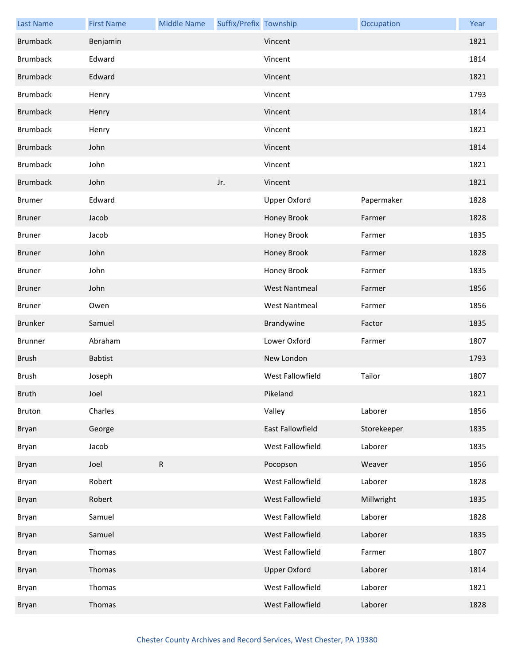| <b>Last Name</b> | <b>First Name</b> | <b>Middle Name</b> | Suffix/Prefix Township |                         | Occupation  | Year |
|------------------|-------------------|--------------------|------------------------|-------------------------|-------------|------|
| <b>Brumback</b>  | Benjamin          |                    |                        | Vincent                 |             | 1821 |
| <b>Brumback</b>  | Edward            |                    |                        | Vincent                 |             | 1814 |
| <b>Brumback</b>  | Edward            |                    |                        | Vincent                 |             | 1821 |
| <b>Brumback</b>  | Henry             |                    |                        | Vincent                 |             | 1793 |
| <b>Brumback</b>  | Henry             |                    |                        | Vincent                 |             | 1814 |
| <b>Brumback</b>  | Henry             |                    |                        | Vincent                 |             | 1821 |
| <b>Brumback</b>  | John              |                    |                        | Vincent                 |             | 1814 |
| <b>Brumback</b>  | John              |                    |                        | Vincent                 |             | 1821 |
| <b>Brumback</b>  | John              |                    | Jr.                    | Vincent                 |             | 1821 |
| <b>Brumer</b>    | Edward            |                    |                        | Upper Oxford            | Papermaker  | 1828 |
| <b>Bruner</b>    | Jacob             |                    |                        | Honey Brook             | Farmer      | 1828 |
| <b>Bruner</b>    | Jacob             |                    |                        | Honey Brook             | Farmer      | 1835 |
| <b>Bruner</b>    | John              |                    |                        | Honey Brook             | Farmer      | 1828 |
| <b>Bruner</b>    | John              |                    |                        | Honey Brook             | Farmer      | 1835 |
| <b>Bruner</b>    | John              |                    |                        | <b>West Nantmeal</b>    | Farmer      | 1856 |
| Bruner           | Owen              |                    |                        | <b>West Nantmeal</b>    | Farmer      | 1856 |
| Brunker          | Samuel            |                    |                        | Brandywine              | Factor      | 1835 |
|                  |                   |                    |                        |                         |             |      |
| Brunner          | Abraham           |                    |                        | Lower Oxford            | Farmer      | 1807 |
| <b>Brush</b>     | <b>Babtist</b>    |                    |                        | New London              |             | 1793 |
| Brush            | Joseph            |                    |                        | West Fallowfield        | Tailor      | 1807 |
| <b>Bruth</b>     | Joel              |                    |                        | Pikeland                |             | 1821 |
| Bruton           | Charles           |                    |                        | Valley                  | Laborer     | 1856 |
| Bryan            | George            |                    |                        | <b>East Fallowfield</b> | Storekeeper | 1835 |
| Bryan            | Jacob             |                    |                        | West Fallowfield        | Laborer     | 1835 |
| Bryan            | Joel              | R                  |                        | Pocopson                | Weaver      | 1856 |
| Bryan            | Robert            |                    |                        | West Fallowfield        | Laborer     | 1828 |
| Bryan            | Robert            |                    |                        | West Fallowfield        | Millwright  | 1835 |
| Bryan            | Samuel            |                    |                        | West Fallowfield        | Laborer     | 1828 |
| Bryan            | Samuel            |                    |                        | West Fallowfield        | Laborer     | 1835 |
| Bryan            | Thomas            |                    |                        | West Fallowfield        | Farmer      | 1807 |
| Bryan            | Thomas            |                    |                        | <b>Upper Oxford</b>     | Laborer     | 1814 |
| Bryan            | Thomas            |                    |                        | West Fallowfield        | Laborer     | 1821 |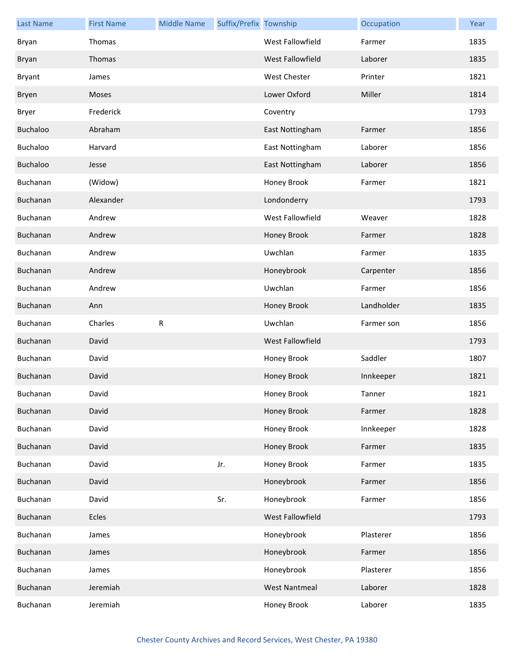| <b>Last Name</b> | <b>First Name</b> | <b>Middle Name</b> | Suffix/Prefix Township |                      | Occupation | Year |
|------------------|-------------------|--------------------|------------------------|----------------------|------------|------|
| Bryan            | Thomas            |                    |                        | West Fallowfield     | Farmer     | 1835 |
| Bryan            | Thomas            |                    |                        | West Fallowfield     | Laborer    | 1835 |
| <b>Bryant</b>    | James             |                    |                        | West Chester         | Printer    | 1821 |
| Bryen            | Moses             |                    |                        | Lower Oxford         | Miller     | 1814 |
| <b>Bryer</b>     | Frederick         |                    |                        | Coventry             |            | 1793 |
| <b>Buchaloo</b>  | Abraham           |                    |                        | East Nottingham      | Farmer     | 1856 |
| <b>Buchaloo</b>  | Harvard           |                    |                        | East Nottingham      | Laborer    | 1856 |
| Buchaloo         | Jesse             |                    |                        | East Nottingham      | Laborer    | 1856 |
| Buchanan         | (Widow)           |                    |                        | Honey Brook          | Farmer     | 1821 |
| Buchanan         | Alexander         |                    |                        | Londonderry          |            | 1793 |
| Buchanan         | Andrew            |                    |                        | West Fallowfield     | Weaver     | 1828 |
| Buchanan         | Andrew            |                    |                        | Honey Brook          | Farmer     | 1828 |
| Buchanan         | Andrew            |                    |                        | Uwchlan              | Farmer     | 1835 |
| Buchanan         | Andrew            |                    |                        | Honeybrook           | Carpenter  | 1856 |
| Buchanan         | Andrew            |                    |                        | Uwchlan              | Farmer     | 1856 |
| Buchanan         | Ann               |                    |                        | Honey Brook          | Landholder | 1835 |
|                  |                   |                    |                        |                      |            |      |
| Buchanan         | Charles           | R                  |                        | Uwchlan              | Farmer son | 1856 |
| Buchanan         | David             |                    |                        | West Fallowfield     |            | 1793 |
| Buchanan         | David             |                    |                        | Honey Brook          | Saddler    | 1807 |
| Buchanan         | David             |                    |                        | Honey Brook          | Innkeeper  | 1821 |
| Buchanan         | David             |                    |                        | Honey Brook          | Tanner     | 1821 |
| Buchanan         | David             |                    |                        | Honey Brook          | Farmer     | 1828 |
| Buchanan         | David             |                    |                        | Honey Brook          | Innkeeper  | 1828 |
| Buchanan         | David             |                    |                        | Honey Brook          | Farmer     | 1835 |
| Buchanan         | David             |                    | Jr.                    | Honey Brook          | Farmer     | 1835 |
| Buchanan         | David             |                    |                        | Honeybrook           | Farmer     | 1856 |
| Buchanan         | David             |                    | Sr.                    | Honeybrook           | Farmer     | 1856 |
| Buchanan         | Ecles             |                    |                        | West Fallowfield     |            | 1793 |
| Buchanan         | James             |                    |                        | Honeybrook           | Plasterer  | 1856 |
| Buchanan         | James             |                    |                        | Honeybrook           | Farmer     | 1856 |
| Buchanan         | James             |                    |                        | Honeybrook           | Plasterer  | 1856 |
| Buchanan         | Jeremiah          |                    |                        | <b>West Nantmeal</b> | Laborer    | 1828 |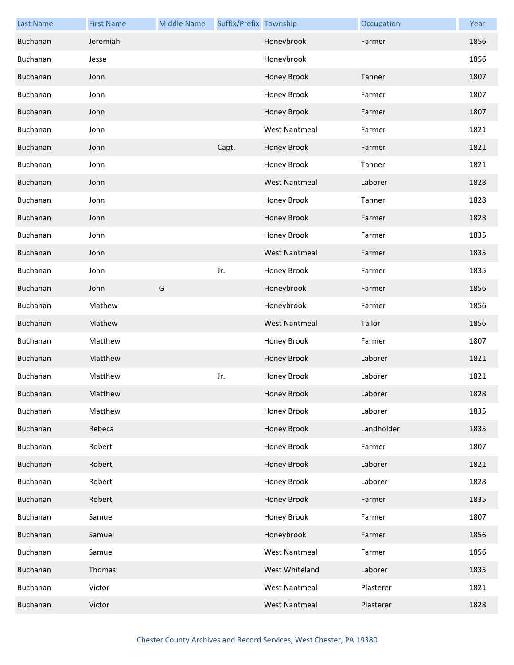| <b>Last Name</b> | <b>First Name</b> | <b>Middle Name</b> | Suffix/Prefix Township |                      | Occupation | Year |
|------------------|-------------------|--------------------|------------------------|----------------------|------------|------|
| Buchanan         | Jeremiah          |                    |                        | Honeybrook           | Farmer     | 1856 |
| Buchanan         | Jesse             |                    |                        | Honeybrook           |            | 1856 |
| Buchanan         | John              |                    |                        | Honey Brook          | Tanner     | 1807 |
| Buchanan         | John              |                    |                        | Honey Brook          | Farmer     | 1807 |
| Buchanan         | John              |                    |                        | Honey Brook          | Farmer     | 1807 |
| Buchanan         | John              |                    |                        | <b>West Nantmeal</b> | Farmer     | 1821 |
| Buchanan         | John              |                    | Capt.                  | Honey Brook          | Farmer     | 1821 |
| Buchanan         | John              |                    |                        | Honey Brook          | Tanner     | 1821 |
| Buchanan         | John              |                    |                        | <b>West Nantmeal</b> | Laborer    | 1828 |
| Buchanan         | John              |                    |                        | Honey Brook          | Tanner     | 1828 |
| Buchanan         | John              |                    |                        | Honey Brook          | Farmer     | 1828 |
| Buchanan         | John              |                    |                        | Honey Brook          | Farmer     | 1835 |
| Buchanan         | John              |                    |                        | <b>West Nantmeal</b> | Farmer     | 1835 |
| Buchanan         | John              |                    | Jr.                    | Honey Brook          | Farmer     | 1835 |
| Buchanan         | John              | G                  |                        | Honeybrook           | Farmer     | 1856 |
| Buchanan         | Mathew            |                    |                        | Honeybrook           | Farmer     | 1856 |
| Buchanan         | Mathew            |                    |                        | <b>West Nantmeal</b> | Tailor     | 1856 |
| Buchanan         | Matthew           |                    |                        | Honey Brook          | Farmer     | 1807 |
| Buchanan         | Matthew           |                    |                        | Honey Brook          | Laborer    | 1821 |
| Buchanan         | Matthew           |                    | Jr.                    | Honey Brook          | Laborer    | 1821 |
| Buchanan         | Matthew           |                    |                        | Honey Brook          | Laborer    | 1828 |
| Buchanan         | Matthew           |                    |                        | Honey Brook          | Laborer    | 1835 |
| Buchanan         | Rebeca            |                    |                        | Honey Brook          | Landholder | 1835 |
| Buchanan         | Robert            |                    |                        | Honey Brook          | Farmer     | 1807 |
| Buchanan         | Robert            |                    |                        | Honey Brook          | Laborer    | 1821 |
| Buchanan         | Robert            |                    |                        | Honey Brook          | Laborer    | 1828 |
| Buchanan         | Robert            |                    |                        | Honey Brook          | Farmer     | 1835 |
| Buchanan         | Samuel            |                    |                        | Honey Brook          | Farmer     | 1807 |
| Buchanan         | Samuel            |                    |                        | Honeybrook           | Farmer     | 1856 |
| Buchanan         | Samuel            |                    |                        | <b>West Nantmeal</b> | Farmer     | 1856 |
| Buchanan         | Thomas            |                    |                        | West Whiteland       | Laborer    | 1835 |
| Buchanan         | Victor            |                    |                        | <b>West Nantmeal</b> | Plasterer  | 1821 |
| Buchanan         | Victor            |                    |                        | <b>West Nantmeal</b> | Plasterer  | 1828 |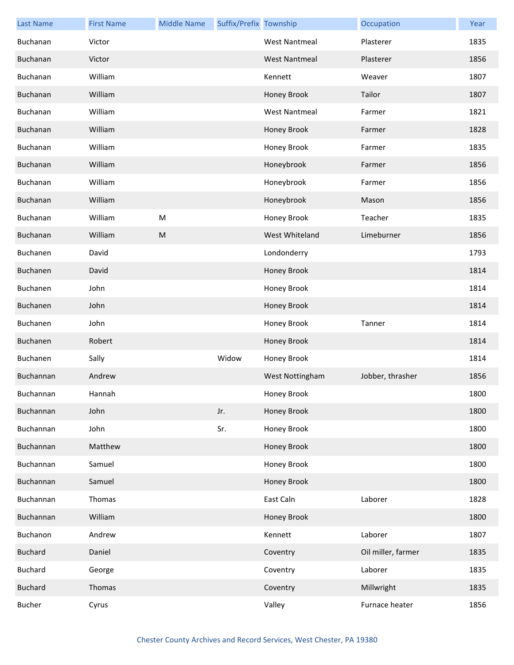| <b>Last Name</b> | <b>First Name</b> | <b>Middle Name</b> | Suffix/Prefix Township |                      | Occupation         | Year |
|------------------|-------------------|--------------------|------------------------|----------------------|--------------------|------|
| Buchanan         | Victor            |                    |                        | <b>West Nantmeal</b> | Plasterer          | 1835 |
| Buchanan         | Victor            |                    |                        | <b>West Nantmeal</b> | Plasterer          | 1856 |
| Buchanan         | William           |                    |                        | Kennett              | Weaver             | 1807 |
| Buchanan         | William           |                    |                        | Honey Brook          | Tailor             | 1807 |
| Buchanan         | William           |                    |                        | <b>West Nantmeal</b> | Farmer             | 1821 |
| Buchanan         | William           |                    |                        | Honey Brook          | Farmer             | 1828 |
| Buchanan         | William           |                    |                        | Honey Brook          | Farmer             | 1835 |
| Buchanan         | William           |                    |                        | Honeybrook           | Farmer             | 1856 |
| Buchanan         | William           |                    |                        | Honeybrook           | Farmer             | 1856 |
| Buchanan         | William           |                    |                        | Honeybrook           | Mason              | 1856 |
| Buchanan         | William           | M                  |                        | Honey Brook          | Teacher            | 1835 |
| Buchanan         | William           | M                  |                        | West Whiteland       | Limeburner         | 1856 |
| Buchanen         | David             |                    |                        | Londonderry          |                    | 1793 |
| Buchanen         | David             |                    |                        | Honey Brook          |                    | 1814 |
| Buchanen         | John              |                    |                        | Honey Brook          |                    | 1814 |
| Buchanen         | John              |                    |                        | Honey Brook          |                    | 1814 |
| Buchanen         | John              |                    |                        | Honey Brook          | Tanner             | 1814 |
| Buchanen         | Robert            |                    |                        | Honey Brook          |                    | 1814 |
| Buchanen         | Sally             |                    | Widow                  | Honey Brook          |                    | 1814 |
| Buchannan        | Andrew            |                    |                        | West Nottingham      | Jobber, thrasher   | 1856 |
| Buchannan        | Hannah            |                    |                        | Honey Brook          |                    | 1800 |
| Buchannan        | John              |                    | Jr.                    | Honey Brook          |                    | 1800 |
| Buchannan        | John              |                    | Sr.                    | Honey Brook          |                    | 1800 |
| Buchannan        | Matthew           |                    |                        | Honey Brook          |                    | 1800 |
| Buchannan        | Samuel            |                    |                        | Honey Brook          |                    | 1800 |
| Buchannan        | Samuel            |                    |                        | Honey Brook          |                    | 1800 |
| Buchannan        | Thomas            |                    |                        | East Caln            | Laborer            | 1828 |
| Buchannan        | William           |                    |                        | Honey Brook          |                    | 1800 |
| Buchanon         | Andrew            |                    |                        | Kennett              | Laborer            | 1807 |
| <b>Buchard</b>   | Daniel            |                    |                        | Coventry             | Oil miller, farmer | 1835 |
| <b>Buchard</b>   | George            |                    |                        | Coventry             | Laborer            | 1835 |
| <b>Buchard</b>   | Thomas            |                    |                        | Coventry             | Millwright         | 1835 |
| <b>Bucher</b>    | Cyrus             |                    |                        | Valley               | Furnace heater     | 1856 |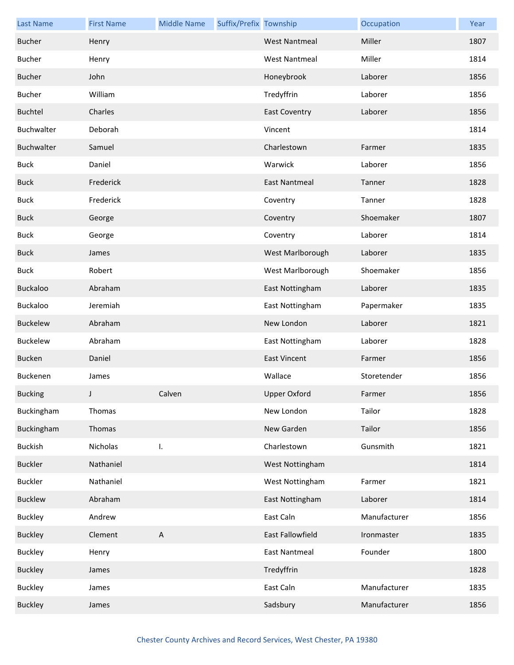| <b>Last Name</b> | <b>First Name</b> | <b>Middle Name</b>        | Suffix/Prefix Township |                      | Occupation   | Year |
|------------------|-------------------|---------------------------|------------------------|----------------------|--------------|------|
| <b>Bucher</b>    | Henry             |                           |                        | <b>West Nantmeal</b> | Miller       | 1807 |
| <b>Bucher</b>    | Henry             |                           |                        | <b>West Nantmeal</b> | Miller       | 1814 |
| <b>Bucher</b>    | John              |                           |                        | Honeybrook           | Laborer      | 1856 |
| <b>Bucher</b>    | William           |                           |                        | Tredyffrin           | Laborer      | 1856 |
| <b>Buchtel</b>   | Charles           |                           |                        | <b>East Coventry</b> | Laborer      | 1856 |
| Buchwalter       | Deborah           |                           |                        | Vincent              |              | 1814 |
| Buchwalter       | Samuel            |                           |                        | Charlestown          | Farmer       | 1835 |
| <b>Buck</b>      | Daniel            |                           |                        | Warwick              | Laborer      | 1856 |
| <b>Buck</b>      | Frederick         |                           |                        | East Nantmeal        | Tanner       | 1828 |
| <b>Buck</b>      | Frederick         |                           |                        | Coventry             | Tanner       | 1828 |
| <b>Buck</b>      | George            |                           |                        | Coventry             | Shoemaker    | 1807 |
| <b>Buck</b>      | George            |                           |                        | Coventry             | Laborer      | 1814 |
| <b>Buck</b>      | James             |                           |                        | West Marlborough     | Laborer      | 1835 |
| <b>Buck</b>      | Robert            |                           |                        | West Marlborough     | Shoemaker    | 1856 |
| Buckaloo         | Abraham           |                           |                        | East Nottingham      | Laborer      | 1835 |
| Buckaloo         | Jeremiah          |                           |                        | East Nottingham      | Papermaker   | 1835 |
| <b>Buckelew</b>  | Abraham           |                           |                        | New London           | Laborer      | 1821 |
| Buckelew         | Abraham           |                           |                        | East Nottingham      | Laborer      | 1828 |
| <b>Bucken</b>    | Daniel            |                           |                        | <b>East Vincent</b>  | Farmer       | 1856 |
| Buckenen         | James             |                           |                        | Wallace              | Storetender  | 1856 |
| <b>Bucking</b>   |                   | Calven                    |                        | <b>Upper Oxford</b>  | Farmer       | 1856 |
| Buckingham       | Thomas            |                           |                        | New London           | Tailor       | 1828 |
| Buckingham       | Thomas            |                           |                        | New Garden           | Tailor       | 1856 |
| <b>Buckish</b>   | Nicholas          | I.                        |                        | Charlestown          | Gunsmith     | 1821 |
| <b>Buckler</b>   | Nathaniel         |                           |                        | West Nottingham      |              | 1814 |
| <b>Buckler</b>   | Nathaniel         |                           |                        | West Nottingham      | Farmer       | 1821 |
| <b>Bucklew</b>   | Abraham           |                           |                        | East Nottingham      | Laborer      | 1814 |
| <b>Buckley</b>   | Andrew            |                           |                        | East Caln            | Manufacturer | 1856 |
| <b>Buckley</b>   | Clement           | $\boldsymbol{\mathsf{A}}$ |                        | East Fallowfield     | Ironmaster   | 1835 |
| <b>Buckley</b>   | Henry             |                           |                        | <b>East Nantmeal</b> | Founder      | 1800 |
| <b>Buckley</b>   | James             |                           |                        | Tredyffrin           |              | 1828 |
| <b>Buckley</b>   | James             |                           |                        | East Caln            | Manufacturer | 1835 |
| <b>Buckley</b>   | James             |                           |                        | Sadsbury             | Manufacturer | 1856 |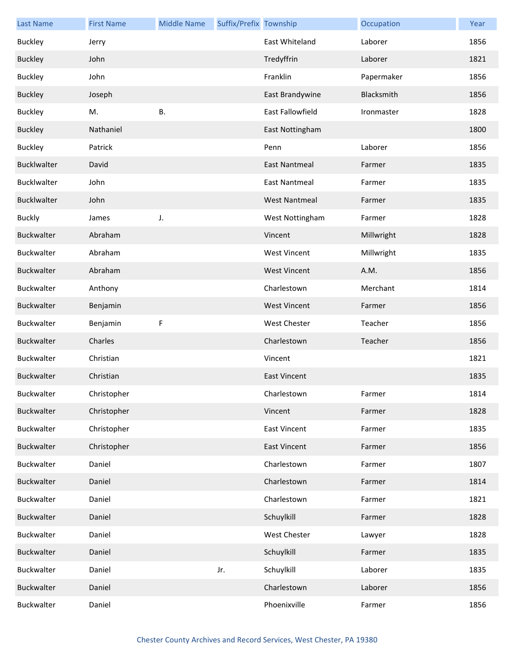| <b>Last Name</b>   | <b>First Name</b> | <b>Middle Name</b> | Suffix/Prefix Township |                         | Occupation | Year |
|--------------------|-------------------|--------------------|------------------------|-------------------------|------------|------|
| <b>Buckley</b>     | Jerry             |                    |                        | East Whiteland          | Laborer    | 1856 |
| <b>Buckley</b>     | John              |                    |                        | Tredyffrin              | Laborer    | 1821 |
| <b>Buckley</b>     | John              |                    |                        | Franklin                | Papermaker | 1856 |
| <b>Buckley</b>     | Joseph            |                    |                        | East Brandywine         | Blacksmith | 1856 |
| <b>Buckley</b>     | M.                | В.                 |                        | <b>East Fallowfield</b> | Ironmaster | 1828 |
| <b>Buckley</b>     | Nathaniel         |                    |                        | East Nottingham         |            | 1800 |
| <b>Buckley</b>     | Patrick           |                    |                        | Penn                    | Laborer    | 1856 |
| Bucklwalter        | David             |                    |                        | <b>East Nantmeal</b>    | Farmer     | 1835 |
| Bucklwalter        | John              |                    |                        | <b>East Nantmeal</b>    | Farmer     | 1835 |
| <b>Bucklwalter</b> | John              |                    |                        | <b>West Nantmeal</b>    | Farmer     | 1835 |
| <b>Buckly</b>      | James             | J.                 |                        | West Nottingham         | Farmer     | 1828 |
| Buckwalter         | Abraham           |                    |                        | Vincent                 | Millwright | 1828 |
| Buckwalter         | Abraham           |                    |                        | <b>West Vincent</b>     | Millwright | 1835 |
| Buckwalter         | Abraham           |                    |                        | <b>West Vincent</b>     | A.M.       | 1856 |
| Buckwalter         | Anthony           |                    |                        | Charlestown             | Merchant   | 1814 |
| Buckwalter         | Benjamin          |                    |                        | <b>West Vincent</b>     | Farmer     | 1856 |
| Buckwalter         | Benjamin          | F                  |                        | West Chester            | Teacher    | 1856 |
| Buckwalter         | Charles           |                    |                        | Charlestown             | Teacher    | 1856 |
| Buckwalter         | Christian         |                    |                        | Vincent                 |            | 1821 |
| Buckwalter         | Christian         |                    |                        | <b>East Vincent</b>     |            | 1835 |
| Buckwalter         | Christopher       |                    |                        | Charlestown             | Farmer     | 1814 |
| Buckwalter         | Christopher       |                    |                        | Vincent                 | Farmer     | 1828 |
| Buckwalter         | Christopher       |                    |                        | <b>East Vincent</b>     | Farmer     | 1835 |
| Buckwalter         | Christopher       |                    |                        | <b>East Vincent</b>     | Farmer     | 1856 |
| Buckwalter         | Daniel            |                    |                        | Charlestown             | Farmer     | 1807 |
| Buckwalter         | Daniel            |                    |                        | Charlestown             | Farmer     | 1814 |
| Buckwalter         | Daniel            |                    |                        | Charlestown             | Farmer     | 1821 |
| Buckwalter         | Daniel            |                    |                        | Schuylkill              | Farmer     | 1828 |
| Buckwalter         | Daniel            |                    |                        | West Chester            | Lawyer     | 1828 |
| Buckwalter         | Daniel            |                    |                        | Schuylkill              | Farmer     | 1835 |
| Buckwalter         | Daniel            |                    | Jr.                    | Schuylkill              | Laborer    | 1835 |
| Buckwalter         | Daniel            |                    |                        | Charlestown             | Laborer    | 1856 |
| Buckwalter         | Daniel            |                    |                        | Phoenixville            | Farmer     | 1856 |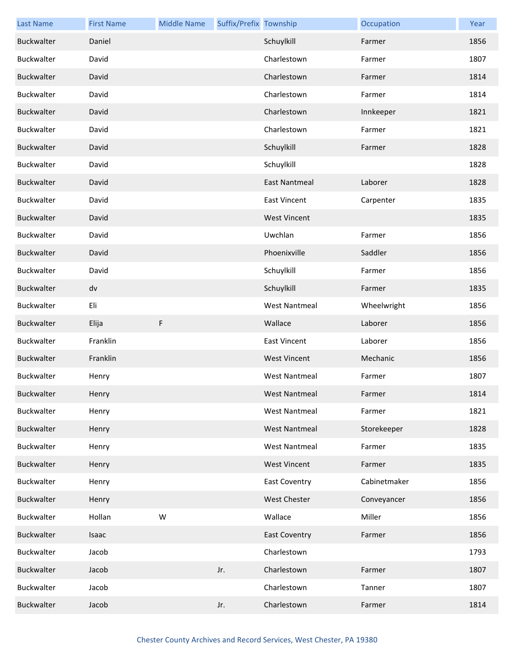| <b>Last Name</b>  | <b>First Name</b> | <b>Middle Name</b> | Suffix/Prefix Township |                      | Occupation   | Year |
|-------------------|-------------------|--------------------|------------------------|----------------------|--------------|------|
| Buckwalter        | Daniel            |                    |                        | Schuylkill           | Farmer       | 1856 |
| Buckwalter        | David             |                    |                        | Charlestown          | Farmer       | 1807 |
| Buckwalter        | David             |                    |                        | Charlestown          | Farmer       | 1814 |
| Buckwalter        | David             |                    |                        | Charlestown          | Farmer       | 1814 |
| Buckwalter        | David             |                    |                        | Charlestown          | Innkeeper    | 1821 |
| Buckwalter        | David             |                    |                        | Charlestown          | Farmer       | 1821 |
| Buckwalter        | David             |                    |                        | Schuylkill           | Farmer       | 1828 |
| Buckwalter        | David             |                    |                        | Schuylkill           |              | 1828 |
| Buckwalter        | David             |                    |                        | <b>East Nantmeal</b> | Laborer      | 1828 |
| Buckwalter        | David             |                    |                        | <b>East Vincent</b>  | Carpenter    | 1835 |
| Buckwalter        | David             |                    |                        | <b>West Vincent</b>  |              | 1835 |
| Buckwalter        | David             |                    |                        | Uwchlan              | Farmer       | 1856 |
| Buckwalter        | David             |                    |                        | Phoenixville         | Saddler      | 1856 |
| Buckwalter        | David             |                    |                        | Schuylkill           | Farmer       | 1856 |
| Buckwalter        | dv                |                    |                        | Schuylkill           | Farmer       | 1835 |
| Buckwalter        | Eli               |                    |                        | <b>West Nantmeal</b> | Wheelwright  | 1856 |
| Buckwalter        | Elija             | F                  |                        | Wallace              | Laborer      | 1856 |
| Buckwalter        | Franklin          |                    |                        | <b>East Vincent</b>  | Laborer      | 1856 |
| <b>Buckwalter</b> | Franklin          |                    |                        | <b>West Vincent</b>  | Mechanic     | 1856 |
| Buckwalter        | Henry             |                    |                        | <b>West Nantmeal</b> | Farmer       | 1807 |
| Buckwalter        | Henry             |                    |                        | West Nantmeal        | Farmer       | 1814 |
| Buckwalter        | Henry             |                    |                        | <b>West Nantmeal</b> | Farmer       | 1821 |
| Buckwalter        | Henry             |                    |                        | <b>West Nantmeal</b> | Storekeeper  | 1828 |
| Buckwalter        | Henry             |                    |                        | <b>West Nantmeal</b> | Farmer       | 1835 |
| <b>Buckwalter</b> | Henry             |                    |                        | <b>West Vincent</b>  | Farmer       | 1835 |
| Buckwalter        | Henry             |                    |                        | <b>East Coventry</b> | Cabinetmaker | 1856 |
| Buckwalter        | Henry             |                    |                        | West Chester         | Conveyancer  | 1856 |
| Buckwalter        | Hollan            | W                  |                        | Wallace              | Miller       | 1856 |
| Buckwalter        | Isaac             |                    |                        | <b>East Coventry</b> | Farmer       | 1856 |
| Buckwalter        | Jacob             |                    |                        | Charlestown          |              | 1793 |
| Buckwalter        | Jacob             |                    | Jr.                    | Charlestown          | Farmer       | 1807 |
| Buckwalter        | Jacob             |                    |                        | Charlestown          | Tanner       | 1807 |
| Buckwalter        | Jacob             |                    | Jr.                    | Charlestown          | Farmer       | 1814 |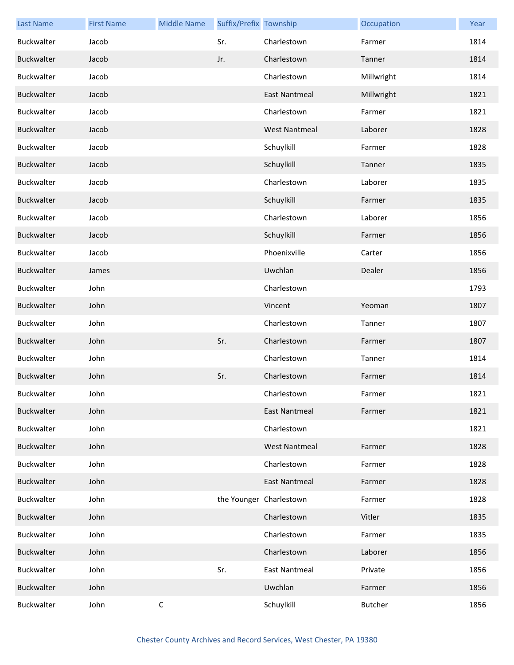| <b>Last Name</b>  | <b>First Name</b> | <b>Middle Name</b> | Suffix/Prefix Township |                         | Occupation     | Year |
|-------------------|-------------------|--------------------|------------------------|-------------------------|----------------|------|
| Buckwalter        | Jacob             |                    | Sr.                    | Charlestown             | Farmer         | 1814 |
| Buckwalter        | Jacob             |                    | Jr.                    | Charlestown             | Tanner         | 1814 |
| Buckwalter        | Jacob             |                    |                        | Charlestown             | Millwright     | 1814 |
| Buckwalter        | Jacob             |                    |                        | <b>East Nantmeal</b>    | Millwright     | 1821 |
| Buckwalter        | Jacob             |                    |                        | Charlestown             | Farmer         | 1821 |
| <b>Buckwalter</b> | Jacob             |                    |                        | <b>West Nantmeal</b>    | Laborer        | 1828 |
| Buckwalter        | Jacob             |                    |                        | Schuylkill              | Farmer         | 1828 |
| Buckwalter        | Jacob             |                    |                        | Schuylkill              | Tanner         | 1835 |
| Buckwalter        | Jacob             |                    |                        | Charlestown             | Laborer        | 1835 |
| Buckwalter        | Jacob             |                    |                        | Schuylkill              | Farmer         | 1835 |
| Buckwalter        | Jacob             |                    |                        | Charlestown             | Laborer        | 1856 |
| Buckwalter        | Jacob             |                    |                        | Schuylkill              | Farmer         | 1856 |
| Buckwalter        | Jacob             |                    |                        | Phoenixville            | Carter         | 1856 |
| Buckwalter        | James             |                    |                        | Uwchlan                 | Dealer         | 1856 |
| Buckwalter        | John              |                    |                        | Charlestown             |                | 1793 |
| Buckwalter        | John              |                    |                        | Vincent                 | Yeoman         | 1807 |
| Buckwalter        | John              |                    |                        | Charlestown             | Tanner         | 1807 |
| Buckwalter        | John              |                    | Sr.                    | Charlestown             | Farmer         | 1807 |
| Buckwalter        | John              |                    |                        | Charlestown             | Tanner         | 1814 |
| Buckwalter        | John              |                    | Sr.                    | Charlestown             | Farmer         | 1814 |
| Buckwalter        | John              |                    |                        | Charlestown             | Farmer         | 1821 |
| <b>Buckwalter</b> | John              |                    |                        | <b>East Nantmeal</b>    | Farmer         | 1821 |
| Buckwalter        | John              |                    |                        | Charlestown             |                | 1821 |
| Buckwalter        | John              |                    |                        | <b>West Nantmeal</b>    | Farmer         | 1828 |
| Buckwalter        | John              |                    |                        | Charlestown             | Farmer         | 1828 |
| <b>Buckwalter</b> | John              |                    |                        | <b>East Nantmeal</b>    | Farmer         | 1828 |
| Buckwalter        | John              |                    |                        | the Younger Charlestown | Farmer         | 1828 |
| Buckwalter        | John              |                    |                        | Charlestown             | Vitler         | 1835 |
| Buckwalter        | John              |                    |                        | Charlestown             | Farmer         | 1835 |
| Buckwalter        | John              |                    |                        | Charlestown             | Laborer        | 1856 |
| Buckwalter        | John              |                    | Sr.                    | <b>East Nantmeal</b>    | Private        | 1856 |
| Buckwalter        | John              |                    |                        | Uwchlan                 | Farmer         | 1856 |
| Buckwalter        | John              | $\mathsf C$        |                        | Schuylkill              | <b>Butcher</b> | 1856 |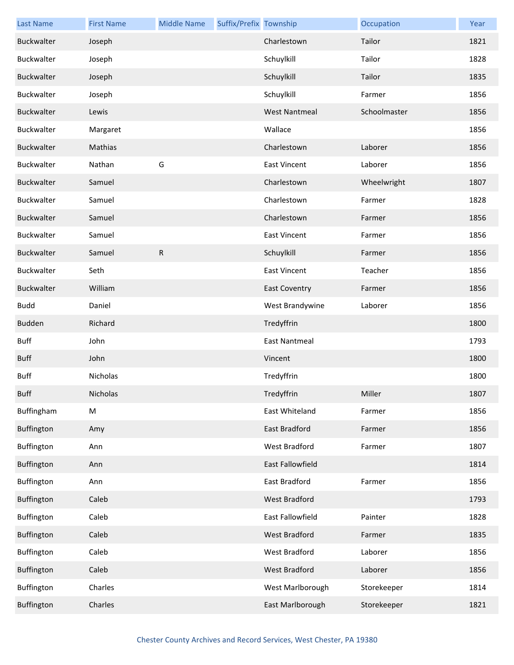| <b>Last Name</b> | <b>First Name</b> | <b>Middle Name</b> | Suffix/Prefix Township |                      | Occupation   | Year |
|------------------|-------------------|--------------------|------------------------|----------------------|--------------|------|
| Buckwalter       | Joseph            |                    |                        | Charlestown          | Tailor       | 1821 |
| Buckwalter       | Joseph            |                    |                        | Schuylkill           | Tailor       | 1828 |
| Buckwalter       | Joseph            |                    |                        | Schuylkill           | Tailor       | 1835 |
| Buckwalter       | Joseph            |                    |                        | Schuylkill           | Farmer       | 1856 |
| Buckwalter       | Lewis             |                    |                        | <b>West Nantmeal</b> | Schoolmaster | 1856 |
| Buckwalter       | Margaret          |                    |                        | Wallace              |              | 1856 |
| Buckwalter       | Mathias           |                    |                        | Charlestown          | Laborer      | 1856 |
| Buckwalter       | Nathan            | G                  |                        | <b>East Vincent</b>  | Laborer      | 1856 |
| Buckwalter       | Samuel            |                    |                        | Charlestown          | Wheelwright  | 1807 |
| Buckwalter       | Samuel            |                    |                        | Charlestown          | Farmer       | 1828 |
| Buckwalter       | Samuel            |                    |                        | Charlestown          | Farmer       | 1856 |
| Buckwalter       | Samuel            |                    |                        | <b>East Vincent</b>  | Farmer       | 1856 |
| Buckwalter       | Samuel            | R                  |                        | Schuylkill           | Farmer       | 1856 |
| Buckwalter       | Seth              |                    |                        | <b>East Vincent</b>  | Teacher      | 1856 |
| Buckwalter       | William           |                    |                        | <b>East Coventry</b> | Farmer       | 1856 |
| <b>Budd</b>      | Daniel            |                    |                        | West Brandywine      | Laborer      | 1856 |
| Budden           | Richard           |                    |                        | Tredyffrin           |              | 1800 |
| <b>Buff</b>      | John              |                    |                        | East Nantmeal        |              | 1793 |
| <b>Buff</b>      | John              |                    |                        | Vincent              |              | 1800 |
| <b>Buff</b>      | Nicholas          |                    |                        | Tredyffrin           |              | 1800 |
| <b>Buff</b>      | Nicholas          |                    |                        | Tredyffrin           | Miller       | 1807 |
| Buffingham       | M                 |                    |                        | East Whiteland       | Farmer       | 1856 |
| Buffington       | Amy               |                    |                        | East Bradford        | Farmer       | 1856 |
| Buffington       | Ann               |                    |                        | West Bradford        | Farmer       | 1807 |
| Buffington       | Ann               |                    |                        | East Fallowfield     |              | 1814 |
| Buffington       | Ann               |                    |                        | East Bradford        | Farmer       | 1856 |
| Buffington       | Caleb             |                    |                        | West Bradford        |              | 1793 |
| Buffington       | Caleb             |                    |                        | East Fallowfield     | Painter      | 1828 |
| Buffington       | Caleb             |                    |                        | West Bradford        | Farmer       | 1835 |
| Buffington       | Caleb             |                    |                        | West Bradford        | Laborer      | 1856 |
| Buffington       | Caleb             |                    |                        | West Bradford        | Laborer      | 1856 |
| Buffington       | Charles           |                    |                        | West Marlborough     | Storekeeper  | 1814 |
| Buffington       | Charles           |                    |                        | East Marlborough     | Storekeeper  | 1821 |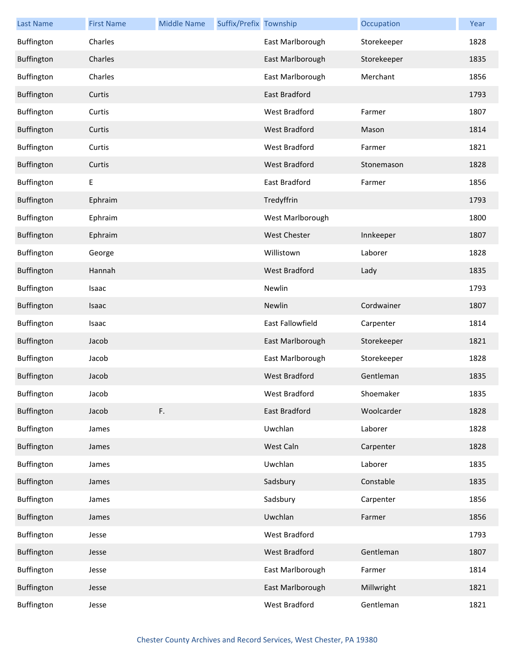| <b>Last Name</b> | <b>First Name</b> | <b>Middle Name</b> | Suffix/Prefix Township |                      | Occupation  | Year |
|------------------|-------------------|--------------------|------------------------|----------------------|-------------|------|
| Buffington       | Charles           |                    |                        | East Marlborough     | Storekeeper | 1828 |
| Buffington       | Charles           |                    |                        | East Marlborough     | Storekeeper | 1835 |
| Buffington       | Charles           |                    |                        | East Marlborough     | Merchant    | 1856 |
| Buffington       | Curtis            |                    |                        | East Bradford        |             | 1793 |
| Buffington       | Curtis            |                    |                        | West Bradford        | Farmer      | 1807 |
| Buffington       | Curtis            |                    |                        | <b>West Bradford</b> | Mason       | 1814 |
| Buffington       | Curtis            |                    |                        | West Bradford        | Farmer      | 1821 |
| Buffington       | Curtis            |                    |                        | West Bradford        | Stonemason  | 1828 |
| Buffington       | Ε                 |                    |                        | East Bradford        | Farmer      | 1856 |
| Buffington       | Ephraim           |                    |                        | Tredyffrin           |             | 1793 |
| Buffington       | Ephraim           |                    |                        | West Marlborough     |             | 1800 |
| Buffington       | Ephraim           |                    |                        | <b>West Chester</b>  | Innkeeper   | 1807 |
| Buffington       | George            |                    |                        | Willistown           | Laborer     | 1828 |
| Buffington       | Hannah            |                    |                        | West Bradford        | Lady        | 1835 |
| Buffington       | Isaac             |                    |                        | Newlin               |             | 1793 |
| Buffington       | Isaac             |                    |                        | Newlin               | Cordwainer  | 1807 |
| Buffington       | Isaac             |                    |                        | East Fallowfield     | Carpenter   | 1814 |
| Buffington       | Jacob             |                    |                        | East Marlborough     | Storekeeper | 1821 |
| Buffington       | Jacob             |                    |                        | East Marlborough     | Storekeeper | 1828 |
| Buffington       | Jacob             |                    |                        | <b>West Bradford</b> | Gentleman   | 1835 |
| Buffington       | Jacob             |                    |                        | West Bradford        | Shoemaker   | 1835 |
| Buffington       | Jacob             | F.                 |                        | East Bradford        | Woolcarder  | 1828 |
| Buffington       | James             |                    |                        | Uwchlan              | Laborer     | 1828 |
| Buffington       | James             |                    |                        | West Caln            | Carpenter   | 1828 |
| Buffington       | James             |                    |                        | Uwchlan              | Laborer     | 1835 |
| Buffington       | James             |                    |                        | Sadsbury             | Constable   | 1835 |
| Buffington       | James             |                    |                        | Sadsbury             | Carpenter   | 1856 |
| Buffington       | James             |                    |                        | Uwchlan              | Farmer      | 1856 |
| Buffington       | Jesse             |                    |                        | West Bradford        |             | 1793 |
| Buffington       | Jesse             |                    |                        | West Bradford        | Gentleman   | 1807 |
| Buffington       | Jesse             |                    |                        | East Marlborough     | Farmer      | 1814 |
| Buffington       | Jesse             |                    |                        | East Marlborough     | Millwright  | 1821 |
| Buffington       | Jesse             |                    |                        | West Bradford        | Gentleman   | 1821 |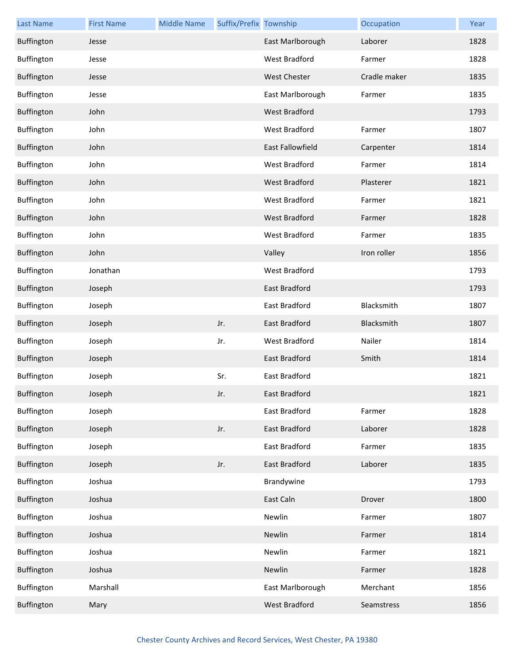| <b>Last Name</b> | <b>First Name</b> | <b>Middle Name</b> | Suffix/Prefix Township |                      | Occupation   | Year |
|------------------|-------------------|--------------------|------------------------|----------------------|--------------|------|
| Buffington       | Jesse             |                    |                        | East Marlborough     | Laborer      | 1828 |
| Buffington       | Jesse             |                    |                        | West Bradford        | Farmer       | 1828 |
| Buffington       | Jesse             |                    |                        | West Chester         | Cradle maker | 1835 |
| Buffington       | Jesse             |                    |                        | East Marlborough     | Farmer       | 1835 |
| Buffington       | John              |                    |                        | West Bradford        |              | 1793 |
| Buffington       | John              |                    |                        | <b>West Bradford</b> | Farmer       | 1807 |
| Buffington       | John              |                    |                        | East Fallowfield     | Carpenter    | 1814 |
| Buffington       | John              |                    |                        | West Bradford        | Farmer       | 1814 |
| Buffington       | John              |                    |                        | <b>West Bradford</b> | Plasterer    | 1821 |
| Buffington       | John              |                    |                        | <b>West Bradford</b> | Farmer       | 1821 |
| Buffington       | John              |                    |                        | <b>West Bradford</b> | Farmer       | 1828 |
| Buffington       | John              |                    |                        | West Bradford        | Farmer       | 1835 |
| Buffington       | John              |                    |                        | Valley               | Iron roller  | 1856 |
| Buffington       | Jonathan          |                    |                        | <b>West Bradford</b> |              | 1793 |
| Buffington       | Joseph            |                    |                        | East Bradford        |              | 1793 |
| Buffington       | Joseph            |                    |                        | East Bradford        | Blacksmith   | 1807 |
| Buffington       | Joseph            |                    | Jr.                    | <b>East Bradford</b> | Blacksmith   | 1807 |
| Buffington       | Joseph            |                    | Jr.                    | West Bradford        | Nailer       | 1814 |
| Buffington       | Joseph            |                    |                        | East Bradford        | Smith        | 1814 |
| Buffington       | Joseph            |                    | Sr.                    | East Bradford        |              | 1821 |
| Buffington       | Joseph            |                    | Jr.                    | East Bradford        |              | 1821 |
| Buffington       | Joseph            |                    |                        | East Bradford        | Farmer       | 1828 |
| Buffington       | Joseph            |                    | Jr.                    | East Bradford        | Laborer      | 1828 |
| Buffington       | Joseph            |                    |                        | East Bradford        | Farmer       | 1835 |
| Buffington       | Joseph            |                    | Jr.                    | East Bradford        | Laborer      | 1835 |
| Buffington       | Joshua            |                    |                        | Brandywine           |              | 1793 |
| Buffington       | Joshua            |                    |                        | East Caln            | Drover       | 1800 |
| Buffington       | Joshua            |                    |                        | Newlin               | Farmer       | 1807 |
| Buffington       | Joshua            |                    |                        | Newlin               | Farmer       | 1814 |
| Buffington       | Joshua            |                    |                        | Newlin               | Farmer       | 1821 |
| Buffington       | Joshua            |                    |                        | Newlin               | Farmer       | 1828 |
| Buffington       | Marshall          |                    |                        | East Marlborough     | Merchant     | 1856 |
| Buffington       | Mary              |                    |                        | West Bradford        | Seamstress   | 1856 |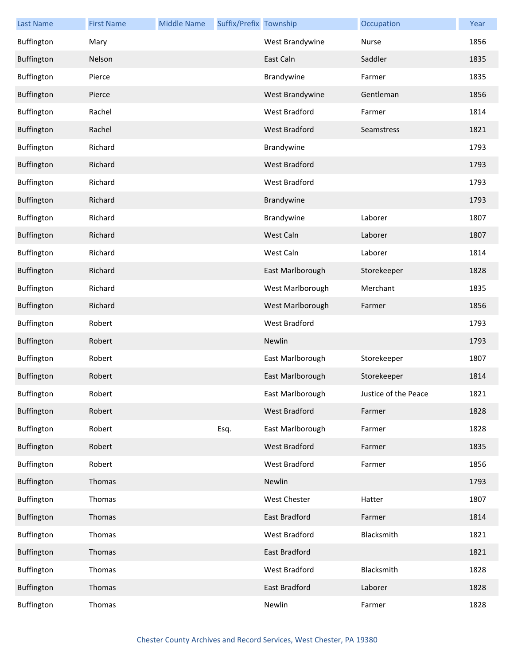| <b>Last Name</b> | <b>First Name</b> | <b>Middle Name</b> | Suffix/Prefix Township |                      | Occupation           | Year |
|------------------|-------------------|--------------------|------------------------|----------------------|----------------------|------|
| Buffington       | Mary              |                    |                        | West Brandywine      | Nurse                | 1856 |
| Buffington       | Nelson            |                    |                        | East Caln            | Saddler              | 1835 |
| Buffington       | Pierce            |                    |                        | Brandywine           | Farmer               | 1835 |
| Buffington       | Pierce            |                    |                        | West Brandywine      | Gentleman            | 1856 |
| Buffington       | Rachel            |                    |                        | West Bradford        | Farmer               | 1814 |
| Buffington       | Rachel            |                    |                        | <b>West Bradford</b> | Seamstress           | 1821 |
| Buffington       | Richard           |                    |                        | Brandywine           |                      | 1793 |
| Buffington       | Richard           |                    |                        | West Bradford        |                      | 1793 |
| Buffington       | Richard           |                    |                        | <b>West Bradford</b> |                      | 1793 |
| Buffington       | Richard           |                    |                        | Brandywine           |                      | 1793 |
| Buffington       | Richard           |                    |                        | Brandywine           | Laborer              | 1807 |
| Buffington       | Richard           |                    |                        | West Caln            | Laborer              | 1807 |
| Buffington       | Richard           |                    |                        | West Caln            | Laborer              | 1814 |
| Buffington       | Richard           |                    |                        | East Marlborough     | Storekeeper          | 1828 |
| Buffington       | Richard           |                    |                        | West Marlborough     | Merchant             | 1835 |
| Buffington       | Richard           |                    |                        | West Marlborough     | Farmer               | 1856 |
| Buffington       | Robert            |                    |                        | West Bradford        |                      | 1793 |
| Buffington       | Robert            |                    |                        | Newlin               |                      | 1793 |
| Buffington       | Robert            |                    |                        | East Marlborough     | Storekeeper          | 1807 |
| Buffington       | Robert            |                    |                        | East Marlborough     | Storekeeper          | 1814 |
| Buffington       | Robert            |                    |                        | East Marlborough     | Justice of the Peace | 1821 |
| Buffington       | Robert            |                    |                        | West Bradford        | Farmer               | 1828 |
| Buffington       | Robert            |                    | Esq.                   | East Marlborough     | Farmer               | 1828 |
| Buffington       | Robert            |                    |                        | West Bradford        | Farmer               | 1835 |
| Buffington       | Robert            |                    |                        | West Bradford        | Farmer               | 1856 |
| Buffington       | Thomas            |                    |                        | Newlin               |                      | 1793 |
| Buffington       | Thomas            |                    |                        | West Chester         | Hatter               | 1807 |
| Buffington       | Thomas            |                    |                        | East Bradford        | Farmer               | 1814 |
| Buffington       | Thomas            |                    |                        | West Bradford        | Blacksmith           | 1821 |
| Buffington       | Thomas            |                    |                        | <b>East Bradford</b> |                      | 1821 |
| Buffington       | Thomas            |                    |                        | West Bradford        | Blacksmith           | 1828 |
| Buffington       | Thomas            |                    |                        | East Bradford        | Laborer              | 1828 |
| Buffington       | Thomas            |                    |                        | Newlin               | Farmer               | 1828 |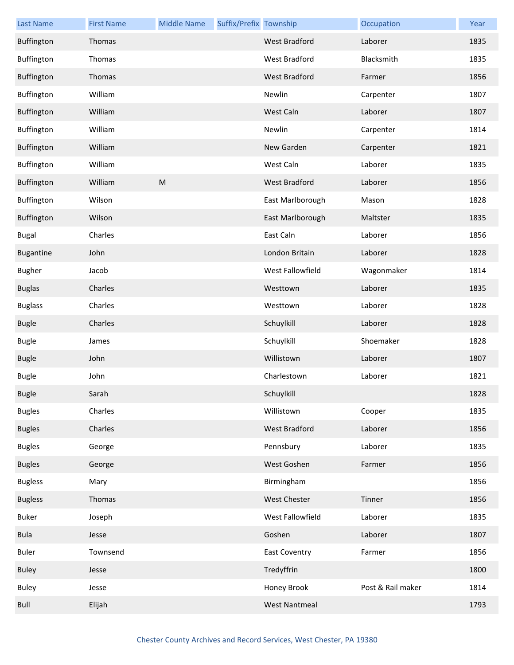| <b>Last Name</b> | <b>First Name</b> | <b>Middle Name</b> | Suffix/Prefix Township |                      | Occupation        | Year |
|------------------|-------------------|--------------------|------------------------|----------------------|-------------------|------|
| Buffington       | Thomas            |                    |                        | West Bradford        | Laborer           | 1835 |
| Buffington       | Thomas            |                    |                        | West Bradford        | Blacksmith        | 1835 |
| Buffington       | Thomas            |                    |                        | West Bradford        | Farmer            | 1856 |
| Buffington       | William           |                    |                        | Newlin               | Carpenter         | 1807 |
| Buffington       | William           |                    |                        | West Caln            | Laborer           | 1807 |
| Buffington       | William           |                    |                        | Newlin               | Carpenter         | 1814 |
| Buffington       | William           |                    |                        | New Garden           | Carpenter         | 1821 |
| Buffington       | William           |                    |                        | West Caln            | Laborer           | 1835 |
| Buffington       | William           | M                  |                        | West Bradford        | Laborer           | 1856 |
| Buffington       | Wilson            |                    |                        | East Marlborough     | Mason             | 1828 |
| Buffington       | Wilson            |                    |                        | East Marlborough     | Maltster          | 1835 |
| <b>Bugal</b>     | Charles           |                    |                        | East Caln            | Laborer           | 1856 |
| <b>Bugantine</b> | John              |                    |                        | London Britain       | Laborer           | 1828 |
| <b>Bugher</b>    | Jacob             |                    |                        | West Fallowfield     | Wagonmaker        | 1814 |
| <b>Buglas</b>    | Charles           |                    |                        | Westtown             | Laborer           | 1835 |
| <b>Buglass</b>   | Charles           |                    |                        | Westtown             | Laborer           | 1828 |
| <b>Bugle</b>     | Charles           |                    |                        | Schuylkill           | Laborer           | 1828 |
| <b>Bugle</b>     | James             |                    |                        | Schuylkill           | Shoemaker         | 1828 |
| <b>Bugle</b>     | John              |                    |                        | Willistown           | Laborer           | 1807 |
| <b>Bugle</b>     | John              |                    |                        | Charlestown          | Laborer           | 1821 |
| <b>Bugle</b>     | Sarah             |                    |                        | Schuylkill           |                   | 1828 |
| <b>Bugles</b>    | Charles           |                    |                        | Willistown           | Cooper            | 1835 |
| <b>Bugles</b>    | Charles           |                    |                        | West Bradford        | Laborer           | 1856 |
| <b>Bugles</b>    | George            |                    |                        | Pennsbury            | Laborer           | 1835 |
| <b>Bugles</b>    | George            |                    |                        | West Goshen          | Farmer            | 1856 |
| <b>Bugless</b>   | Mary              |                    |                        | Birmingham           |                   | 1856 |
| <b>Bugless</b>   | Thomas            |                    |                        | <b>West Chester</b>  | Tinner            | 1856 |
| Buker            | Joseph            |                    |                        | West Fallowfield     | Laborer           | 1835 |
| <b>Bula</b>      | Jesse             |                    |                        | Goshen               | Laborer           | 1807 |
| <b>Buler</b>     | Townsend          |                    |                        | <b>East Coventry</b> | Farmer            | 1856 |
| <b>Buley</b>     | Jesse             |                    |                        | Tredyffrin           |                   | 1800 |
| <b>Buley</b>     | Jesse             |                    |                        | Honey Brook          | Post & Rail maker | 1814 |
| Bull             | Elijah            |                    |                        | <b>West Nantmeal</b> |                   | 1793 |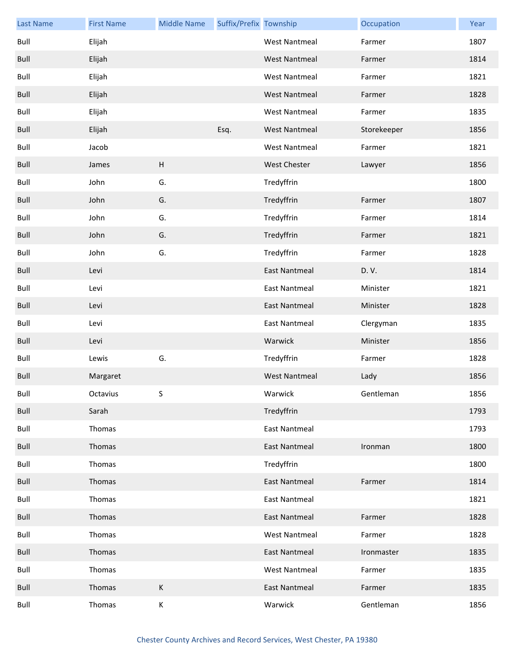| <b>Last Name</b> | <b>First Name</b> | <b>Middle Name</b> | Suffix/Prefix Township |                      | Occupation  | Year |
|------------------|-------------------|--------------------|------------------------|----------------------|-------------|------|
| Bull             | Elijah            |                    |                        | <b>West Nantmeal</b> | Farmer      | 1807 |
| Bull             | Elijah            |                    |                        | <b>West Nantmeal</b> | Farmer      | 1814 |
| Bull             | Elijah            |                    |                        | West Nantmeal        | Farmer      | 1821 |
| <b>Bull</b>      | Elijah            |                    |                        | <b>West Nantmeal</b> | Farmer      | 1828 |
| Bull             | Elijah            |                    |                        | West Nantmeal        | Farmer      | 1835 |
| <b>Bull</b>      | Elijah            |                    | Esq.                   | <b>West Nantmeal</b> | Storekeeper | 1856 |
| Bull             | Jacob             |                    |                        | West Nantmeal        | Farmer      | 1821 |
| Bull             | James             | $\sf H$            |                        | <b>West Chester</b>  | Lawyer      | 1856 |
| Bull             | John              | G.                 |                        | Tredyffrin           |             | 1800 |
| Bull             | John              | G.                 |                        | Tredyffrin           | Farmer      | 1807 |
| Bull             | John              | G.                 |                        | Tredyffrin           | Farmer      | 1814 |
| <b>Bull</b>      | John              | G.                 |                        | Tredyffrin           | Farmer      | 1821 |
| Bull             | John              | G.                 |                        | Tredyffrin           | Farmer      | 1828 |
| Bull             | Levi              |                    |                        | <b>East Nantmeal</b> | D.V.        | 1814 |
| Bull             | Levi              |                    |                        | <b>East Nantmeal</b> | Minister    | 1821 |
| <b>Bull</b>      | Levi              |                    |                        | <b>East Nantmeal</b> | Minister    | 1828 |
| Bull             | Levi              |                    |                        | <b>East Nantmeal</b> | Clergyman   | 1835 |
| Bull             | Levi              |                    |                        | Warwick              | Minister    | 1856 |
| Bull             | Lewis             | G.                 |                        | Tredyffrin           | Farmer      | 1828 |
| <b>Bull</b>      | Margaret          |                    |                        | <b>West Nantmeal</b> | Lady        | 1856 |
| Bull             | Octavius          | S.                 |                        | Warwick              | Gentleman   | 1856 |
| Bull             | Sarah             |                    |                        | Tredyffrin           |             | 1793 |
| Bull             | Thomas            |                    |                        | <b>East Nantmeal</b> |             | 1793 |
| Bull             | Thomas            |                    |                        | <b>East Nantmeal</b> | Ironman     | 1800 |
| Bull             | Thomas            |                    |                        | Tredyffrin           |             | 1800 |
| Bull             | Thomas            |                    |                        | <b>East Nantmeal</b> | Farmer      | 1814 |
| Bull             | Thomas            |                    |                        | <b>East Nantmeal</b> |             | 1821 |
| Bull             | Thomas            |                    |                        | <b>East Nantmeal</b> | Farmer      | 1828 |
| Bull             | Thomas            |                    |                        | <b>West Nantmeal</b> | Farmer      | 1828 |
| Bull             | Thomas            |                    |                        | <b>East Nantmeal</b> | Ironmaster  | 1835 |
| Bull             | Thomas            |                    |                        | <b>West Nantmeal</b> | Farmer      | 1835 |
| Bull             | Thomas            | $\mathsf K$        |                        | East Nantmeal        | Farmer      | 1835 |
| Bull             | Thomas            | $\mathsf K$        |                        | Warwick              | Gentleman   | 1856 |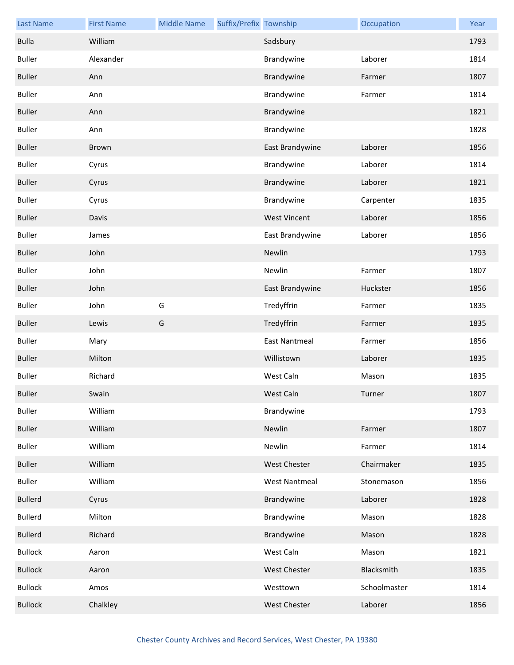| <b>Last Name</b> | <b>First Name</b> | <b>Middle Name</b> | Suffix/Prefix Township |                      | Occupation   | Year |
|------------------|-------------------|--------------------|------------------------|----------------------|--------------|------|
| <b>Bulla</b>     | William           |                    |                        | Sadsbury             |              | 1793 |
| <b>Buller</b>    | Alexander         |                    |                        | Brandywine           | Laborer      | 1814 |
| <b>Buller</b>    | Ann               |                    |                        | Brandywine           | Farmer       | 1807 |
| <b>Buller</b>    | Ann               |                    |                        | Brandywine           | Farmer       | 1814 |
| <b>Buller</b>    | Ann               |                    |                        | Brandywine           |              | 1821 |
| <b>Buller</b>    | Ann               |                    |                        | Brandywine           |              | 1828 |
| <b>Buller</b>    | Brown             |                    |                        | East Brandywine      | Laborer      | 1856 |
| <b>Buller</b>    | Cyrus             |                    |                        | Brandywine           | Laborer      | 1814 |
| <b>Buller</b>    | Cyrus             |                    |                        | Brandywine           | Laborer      | 1821 |
| <b>Buller</b>    | Cyrus             |                    |                        | Brandywine           | Carpenter    | 1835 |
| <b>Buller</b>    | Davis             |                    |                        | <b>West Vincent</b>  | Laborer      | 1856 |
| <b>Buller</b>    | James             |                    |                        | East Brandywine      | Laborer      | 1856 |
| <b>Buller</b>    | John              |                    |                        | Newlin               |              | 1793 |
| <b>Buller</b>    | John              |                    |                        | Newlin               | Farmer       | 1807 |
| <b>Buller</b>    | John              |                    |                        | East Brandywine      | Huckster     | 1856 |
| <b>Buller</b>    | John              | G                  |                        | Tredyffrin           | Farmer       | 1835 |
| <b>Buller</b>    | Lewis             | G                  |                        | Tredyffrin           | Farmer       | 1835 |
| <b>Buller</b>    | Mary              |                    |                        | <b>East Nantmeal</b> | Farmer       | 1856 |
| <b>Buller</b>    | Milton            |                    |                        | Willistown           | Laborer      | 1835 |
| <b>Buller</b>    | Richard           |                    |                        | West Caln            | Mason        | 1835 |
| <b>Buller</b>    | Swain             |                    |                        | West Caln            | Turner       | 1807 |
| <b>Buller</b>    | William           |                    |                        | Brandywine           |              | 1793 |
| <b>Buller</b>    | William           |                    |                        | Newlin               | Farmer       | 1807 |
| <b>Buller</b>    | William           |                    |                        | Newlin               | Farmer       | 1814 |
| <b>Buller</b>    | William           |                    |                        | West Chester         | Chairmaker   | 1835 |
| <b>Buller</b>    | William           |                    |                        | <b>West Nantmeal</b> | Stonemason   | 1856 |
| <b>Bullerd</b>   | Cyrus             |                    |                        | Brandywine           | Laborer      | 1828 |
| <b>Bullerd</b>   | Milton            |                    |                        | Brandywine           | Mason        | 1828 |
| <b>Bullerd</b>   | Richard           |                    |                        | Brandywine           | Mason        | 1828 |
| <b>Bullock</b>   | Aaron             |                    |                        | West Caln            | Mason        | 1821 |
| <b>Bullock</b>   | Aaron             |                    |                        | West Chester         | Blacksmith   | 1835 |
| <b>Bullock</b>   | Amos              |                    |                        | Westtown             | Schoolmaster | 1814 |
| <b>Bullock</b>   | Chalkley          |                    |                        | West Chester         | Laborer      | 1856 |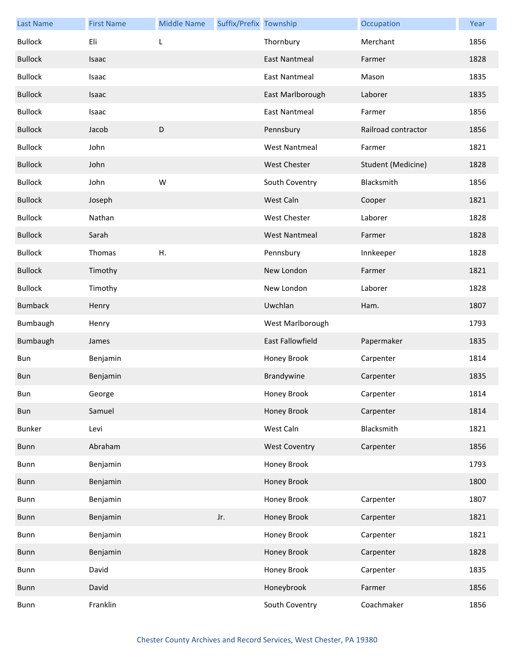| <b>Last Name</b> | <b>First Name</b> | <b>Middle Name</b> | Suffix/Prefix Township |                         | Occupation          | Year |
|------------------|-------------------|--------------------|------------------------|-------------------------|---------------------|------|
| <b>Bullock</b>   | Eli               | L                  |                        | Thornbury               | Merchant            | 1856 |
| <b>Bullock</b>   | Isaac             |                    |                        | East Nantmeal           | Farmer              | 1828 |
| <b>Bullock</b>   | Isaac             |                    |                        | <b>East Nantmeal</b>    | Mason               | 1835 |
| <b>Bullock</b>   | Isaac             |                    |                        | East Marlborough        | Laborer             | 1835 |
| <b>Bullock</b>   | Isaac             |                    |                        | <b>East Nantmeal</b>    | Farmer              | 1856 |
| <b>Bullock</b>   | Jacob             | D                  |                        | Pennsbury               | Railroad contractor | 1856 |
| <b>Bullock</b>   | John              |                    |                        | <b>West Nantmeal</b>    | Farmer              | 1821 |
| <b>Bullock</b>   | John              |                    |                        | <b>West Chester</b>     | Student (Medicine)  | 1828 |
| <b>Bullock</b>   | John              | W                  |                        | South Coventry          | Blacksmith          | 1856 |
| <b>Bullock</b>   | Joseph            |                    |                        | West Caln               | Cooper              | 1821 |
| <b>Bullock</b>   | Nathan            |                    |                        | West Chester            | Laborer             | 1828 |
| <b>Bullock</b>   | Sarah             |                    |                        | <b>West Nantmeal</b>    | Farmer              | 1828 |
| <b>Bullock</b>   | Thomas            | Η.                 |                        | Pennsbury               | Innkeeper           | 1828 |
| <b>Bullock</b>   | Timothy           |                    |                        | New London              | Farmer              | 1821 |
| <b>Bullock</b>   | Timothy           |                    |                        | New London              | Laborer             | 1828 |
| <b>Bumback</b>   | Henry             |                    |                        | Uwchlan                 | Ham.                | 1807 |
| Bumbaugh         | Henry             |                    |                        | West Marlborough        |                     | 1793 |
| Bumbaugh         | James             |                    |                        | <b>East Fallowfield</b> | Papermaker          | 1835 |
| Bun              | Benjamin          |                    |                        | Honey Brook             | Carpenter           | 1814 |
| Bun              | Benjamin          |                    |                        | Brandywine              | Carpenter           | 1835 |
| Bun              | George            |                    |                        | Honey Brook             | Carpenter           | 1814 |
| Bun              | Samuel            |                    |                        | Honey Brook             | Carpenter           | 1814 |
| <b>Bunker</b>    | Levi              |                    |                        | West Caln               | Blacksmith          | 1821 |
| Bunn             | Abraham           |                    |                        | <b>West Coventry</b>    | Carpenter           | 1856 |
| Bunn             | Benjamin          |                    |                        | Honey Brook             |                     | 1793 |
| <b>Bunn</b>      | Benjamin          |                    |                        | Honey Brook             |                     | 1800 |
| Bunn             | Benjamin          |                    |                        | Honey Brook             | Carpenter           | 1807 |
| Bunn             | Benjamin          |                    | Jr.                    | Honey Brook             | Carpenter           | 1821 |
| Bunn             | Benjamin          |                    |                        | Honey Brook             | Carpenter           | 1821 |
| Bunn             | Benjamin          |                    |                        | Honey Brook             | Carpenter           | 1828 |
| Bunn             | David             |                    |                        | Honey Brook             | Carpenter           | 1835 |
| Bunn             | David             |                    |                        | Honeybrook              | Farmer              | 1856 |
| Bunn             | Franklin          |                    |                        | South Coventry          | Coachmaker          | 1856 |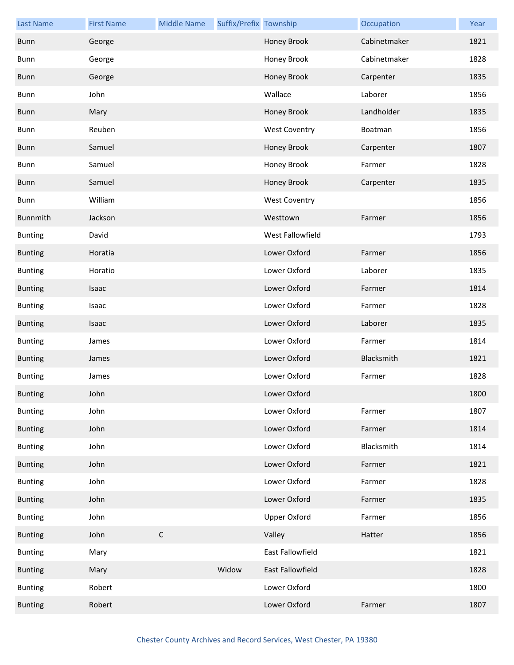| <b>Last Name</b> | <b>First Name</b> | <b>Middle Name</b> | Suffix/Prefix Township |                      | Occupation   | Year |
|------------------|-------------------|--------------------|------------------------|----------------------|--------------|------|
| Bunn             | George            |                    |                        | Honey Brook          | Cabinetmaker | 1821 |
| Bunn             | George            |                    |                        | Honey Brook          | Cabinetmaker | 1828 |
| <b>Bunn</b>      | George            |                    |                        | Honey Brook          | Carpenter    | 1835 |
| Bunn             | John              |                    |                        | Wallace              | Laborer      | 1856 |
| Bunn             | Mary              |                    |                        | Honey Brook          | Landholder   | 1835 |
| Bunn             | Reuben            |                    |                        | <b>West Coventry</b> | Boatman      | 1856 |
| <b>Bunn</b>      | Samuel            |                    |                        | Honey Brook          | Carpenter    | 1807 |
| Bunn             | Samuel            |                    |                        | Honey Brook          | Farmer       | 1828 |
| <b>Bunn</b>      | Samuel            |                    |                        | <b>Honey Brook</b>   | Carpenter    | 1835 |
| Bunn             | William           |                    |                        | <b>West Coventry</b> |              | 1856 |
| Bunnmith         | Jackson           |                    |                        | Westtown             | Farmer       | 1856 |
| <b>Bunting</b>   | David             |                    |                        | West Fallowfield     |              | 1793 |
| <b>Bunting</b>   | Horatia           |                    |                        | Lower Oxford         | Farmer       | 1856 |
| <b>Bunting</b>   | Horatio           |                    |                        | Lower Oxford         | Laborer      | 1835 |
| <b>Bunting</b>   | Isaac             |                    |                        | Lower Oxford         | Farmer       | 1814 |
| <b>Bunting</b>   | Isaac             |                    |                        | Lower Oxford         | Farmer       | 1828 |
| <b>Bunting</b>   | Isaac             |                    |                        | Lower Oxford         | Laborer      | 1835 |
| <b>Bunting</b>   | James             |                    |                        | Lower Oxford         | Farmer       | 1814 |
| <b>Bunting</b>   | James             |                    |                        | Lower Oxford         | Blacksmith   | 1821 |
| <b>Bunting</b>   | James             |                    |                        | Lower Oxford         | Farmer       | 1828 |
| <b>Bunting</b>   | John              |                    |                        | Lower Oxford         |              | 1800 |
| <b>Bunting</b>   | John              |                    |                        | Lower Oxford         | Farmer       | 1807 |
| <b>Bunting</b>   | John              |                    |                        | Lower Oxford         | Farmer       | 1814 |
| <b>Bunting</b>   | John              |                    |                        | Lower Oxford         | Blacksmith   | 1814 |
| <b>Bunting</b>   | John              |                    |                        | Lower Oxford         | Farmer       | 1821 |
| <b>Bunting</b>   | John              |                    |                        | Lower Oxford         | Farmer       | 1828 |
| <b>Bunting</b>   | John              |                    |                        | Lower Oxford         | Farmer       | 1835 |
| <b>Bunting</b>   | John              |                    |                        | <b>Upper Oxford</b>  | Farmer       | 1856 |
| <b>Bunting</b>   | John              | $\mathsf C$        |                        | Valley               | Hatter       | 1856 |
| <b>Bunting</b>   | Mary              |                    |                        | East Fallowfield     |              | 1821 |
| <b>Bunting</b>   | Mary              |                    | Widow                  | East Fallowfield     |              | 1828 |
| <b>Bunting</b>   | Robert            |                    |                        | Lower Oxford         |              | 1800 |
| <b>Bunting</b>   | Robert            |                    |                        | Lower Oxford         | Farmer       | 1807 |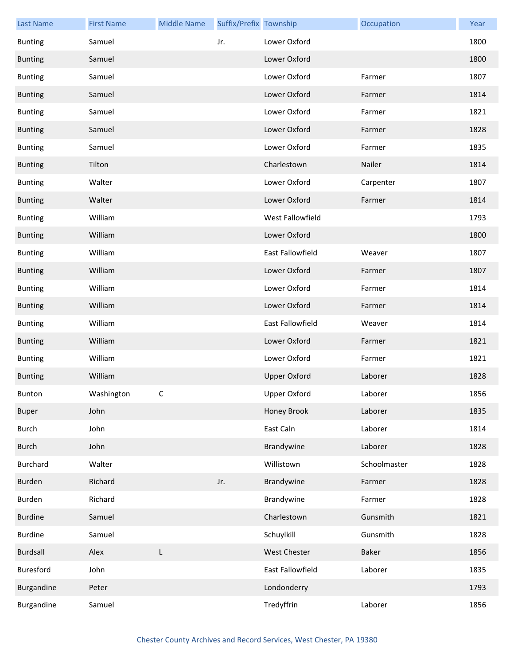| <b>Last Name</b> | <b>First Name</b> | <b>Middle Name</b> | Suffix/Prefix Township |                     | Occupation   | Year |
|------------------|-------------------|--------------------|------------------------|---------------------|--------------|------|
| <b>Bunting</b>   | Samuel            |                    | Jr.                    | Lower Oxford        |              | 1800 |
| <b>Bunting</b>   | Samuel            |                    |                        | Lower Oxford        |              | 1800 |
| <b>Bunting</b>   | Samuel            |                    |                        | Lower Oxford        | Farmer       | 1807 |
| <b>Bunting</b>   | Samuel            |                    |                        | Lower Oxford        | Farmer       | 1814 |
| <b>Bunting</b>   | Samuel            |                    |                        | Lower Oxford        | Farmer       | 1821 |
| <b>Bunting</b>   | Samuel            |                    |                        | Lower Oxford        | Farmer       | 1828 |
| <b>Bunting</b>   | Samuel            |                    |                        | Lower Oxford        | Farmer       | 1835 |
| <b>Bunting</b>   | Tilton            |                    |                        | Charlestown         | Nailer       | 1814 |
| <b>Bunting</b>   | Walter            |                    |                        | Lower Oxford        | Carpenter    | 1807 |
| <b>Bunting</b>   | Walter            |                    |                        | Lower Oxford        | Farmer       | 1814 |
| <b>Bunting</b>   | William           |                    |                        | West Fallowfield    |              | 1793 |
| <b>Bunting</b>   | William           |                    |                        | Lower Oxford        |              | 1800 |
| <b>Bunting</b>   | William           |                    |                        | East Fallowfield    | Weaver       | 1807 |
| <b>Bunting</b>   | William           |                    |                        | Lower Oxford        | Farmer       | 1807 |
| <b>Bunting</b>   | William           |                    |                        | Lower Oxford        | Farmer       | 1814 |
| <b>Bunting</b>   | William           |                    |                        | Lower Oxford        | Farmer       | 1814 |
| <b>Bunting</b>   | William           |                    |                        | East Fallowfield    | Weaver       | 1814 |
| <b>Bunting</b>   | William           |                    |                        | Lower Oxford        | Farmer       | 1821 |
| <b>Bunting</b>   | William           |                    |                        | Lower Oxford        | Farmer       | 1821 |
| <b>Bunting</b>   | William           |                    |                        | <b>Upper Oxford</b> | Laborer      | 1828 |
| Bunton           | Washington        | C                  |                        | Upper Oxford        | Laborer      | 1856 |
| <b>Buper</b>     | John              |                    |                        | Honey Brook         | Laborer      | 1835 |
| <b>Burch</b>     | John              |                    |                        | East Caln           | Laborer      | 1814 |
| <b>Burch</b>     | John              |                    |                        | Brandywine          | Laborer      | 1828 |
| <b>Burchard</b>  | Walter            |                    |                        | Willistown          | Schoolmaster | 1828 |
| Burden           | Richard           |                    | Jr.                    | Brandywine          | Farmer       | 1828 |
| Burden           | Richard           |                    |                        | Brandywine          | Farmer       | 1828 |
| <b>Burdine</b>   | Samuel            |                    |                        | Charlestown         | Gunsmith     | 1821 |
| <b>Burdine</b>   | Samuel            |                    |                        | Schuylkill          | Gunsmith     | 1828 |
| <b>Burdsall</b>  | Alex              | L                  |                        | <b>West Chester</b> | <b>Baker</b> | 1856 |
| Buresford        | John              |                    |                        | East Fallowfield    | Laborer      | 1835 |
| Burgandine       | Peter             |                    |                        | Londonderry         |              | 1793 |
| Burgandine       | Samuel            |                    |                        | Tredyffrin          | Laborer      | 1856 |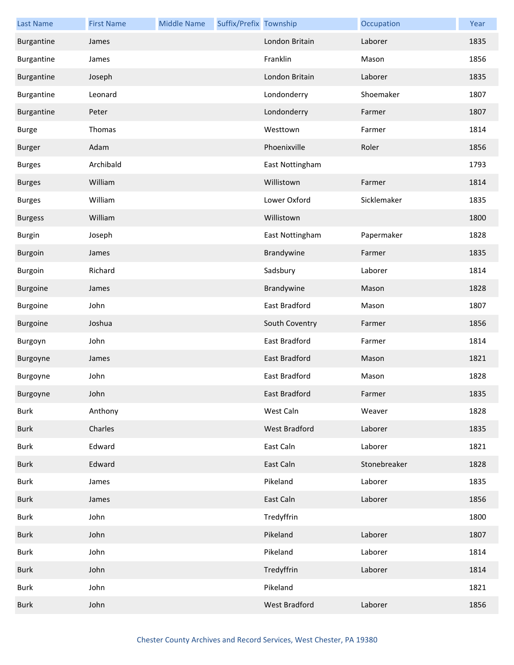| <b>Last Name</b> | <b>First Name</b> | <b>Middle Name</b> | Suffix/Prefix Township |                      | Occupation   | Year |
|------------------|-------------------|--------------------|------------------------|----------------------|--------------|------|
| Burgantine       | James             |                    |                        | London Britain       | Laborer      | 1835 |
| Burgantine       | James             |                    |                        | Franklin             | Mason        | 1856 |
| Burgantine       | Joseph            |                    |                        | London Britain       | Laborer      | 1835 |
| Burgantine       | Leonard           |                    |                        | Londonderry          | Shoemaker    | 1807 |
| Burgantine       | Peter             |                    |                        | Londonderry          | Farmer       | 1807 |
| <b>Burge</b>     | Thomas            |                    |                        | Westtown             | Farmer       | 1814 |
| <b>Burger</b>    | Adam              |                    |                        | Phoenixville         | Roler        | 1856 |
| <b>Burges</b>    | Archibald         |                    |                        | East Nottingham      |              | 1793 |
| <b>Burges</b>    | William           |                    |                        | Willistown           | Farmer       | 1814 |
| <b>Burges</b>    | William           |                    |                        | Lower Oxford         | Sicklemaker  | 1835 |
| <b>Burgess</b>   | William           |                    |                        | Willistown           |              | 1800 |
| <b>Burgin</b>    | Joseph            |                    |                        | East Nottingham      | Papermaker   | 1828 |
| <b>Burgoin</b>   | James             |                    |                        | Brandywine           | Farmer       | 1835 |
| Burgoin          | Richard           |                    |                        | Sadsbury             | Laborer      | 1814 |
| <b>Burgoine</b>  | James             |                    |                        | Brandywine           | Mason        | 1828 |
| Burgoine         | John              |                    |                        | East Bradford        | Mason        | 1807 |
| Burgoine         | Joshua            |                    |                        | South Coventry       | Farmer       | 1856 |
| Burgoyn          | John              |                    |                        | East Bradford        | Farmer       | 1814 |
| Burgoyne         | James             |                    |                        | <b>East Bradford</b> | Mason        | 1821 |
| Burgoyne         | John              |                    |                        | <b>East Bradford</b> | Mason        | 1828 |
| Burgoyne         | John              |                    |                        | East Bradford        | Farmer       | 1835 |
| <b>Burk</b>      | Anthony           |                    |                        | West Caln            | Weaver       | 1828 |
| <b>Burk</b>      | Charles           |                    |                        | West Bradford        | Laborer      | 1835 |
| <b>Burk</b>      | Edward            |                    |                        | East Caln            | Laborer      | 1821 |
| <b>Burk</b>      | Edward            |                    |                        | East Caln            | Stonebreaker | 1828 |
| Burk             | James             |                    |                        | Pikeland             | Laborer      | 1835 |
| <b>Burk</b>      | James             |                    |                        | East Caln            | Laborer      | 1856 |
| <b>Burk</b>      | John              |                    |                        | Tredyffrin           |              | 1800 |
| <b>Burk</b>      | John              |                    |                        | Pikeland             | Laborer      | 1807 |
| <b>Burk</b>      | John              |                    |                        | Pikeland             | Laborer      | 1814 |
| Burk             | John              |                    |                        | Tredyffrin           | Laborer      | 1814 |
| <b>Burk</b>      | John              |                    |                        | Pikeland             |              | 1821 |
| <b>Burk</b>      | John              |                    |                        | West Bradford        | Laborer      | 1856 |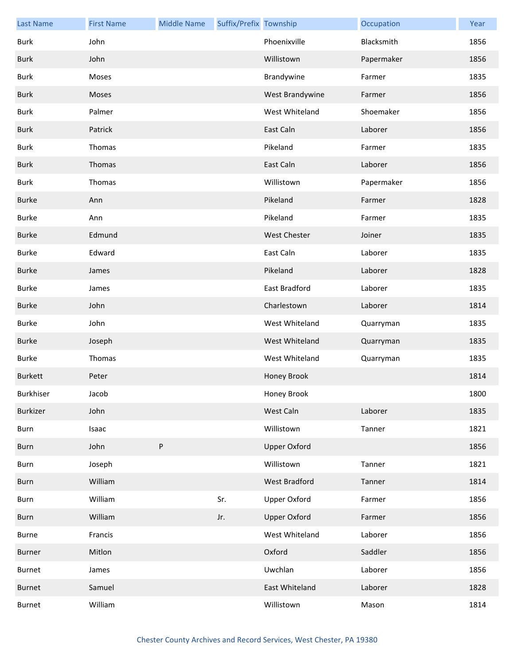| <b>Last Name</b> | <b>First Name</b> | <b>Middle Name</b> | Suffix/Prefix Township |                     | Occupation | Year |
|------------------|-------------------|--------------------|------------------------|---------------------|------------|------|
| Burk             | John              |                    |                        | Phoenixville        | Blacksmith | 1856 |
| <b>Burk</b>      | John              |                    |                        | Willistown          | Papermaker | 1856 |
| <b>Burk</b>      | Moses             |                    |                        | Brandywine          | Farmer     | 1835 |
| <b>Burk</b>      | Moses             |                    |                        | West Brandywine     | Farmer     | 1856 |
| Burk             | Palmer            |                    |                        | West Whiteland      | Shoemaker  | 1856 |
| <b>Burk</b>      | Patrick           |                    |                        | East Caln           | Laborer    | 1856 |
| Burk             | Thomas            |                    |                        | Pikeland            | Farmer     | 1835 |
| <b>Burk</b>      | Thomas            |                    |                        | East Caln           | Laborer    | 1856 |
| Burk             | Thomas            |                    |                        | Willistown          | Papermaker | 1856 |
| <b>Burke</b>     | Ann               |                    |                        | Pikeland            | Farmer     | 1828 |
| <b>Burke</b>     | Ann               |                    |                        | Pikeland            | Farmer     | 1835 |
| <b>Burke</b>     | Edmund            |                    |                        | <b>West Chester</b> | Joiner     | 1835 |
| <b>Burke</b>     | Edward            |                    |                        | East Caln           | Laborer    | 1835 |
| <b>Burke</b>     | James             |                    |                        | Pikeland            | Laborer    | 1828 |
| <b>Burke</b>     | James             |                    |                        | East Bradford       | Laborer    | 1835 |
| <b>Burke</b>     | John              |                    |                        | Charlestown         | Laborer    | 1814 |
| <b>Burke</b>     | John              |                    |                        | West Whiteland      | Quarryman  | 1835 |
| <b>Burke</b>     | Joseph            |                    |                        | West Whiteland      | Quarryman  | 1835 |
| <b>Burke</b>     | Thomas            |                    |                        | West Whiteland      | Quarryman  | 1835 |
| <b>Burkett</b>   | Peter             |                    |                        | Honey Brook         |            | 1814 |
| Burkhiser        | Jacob             |                    |                        | Honey Brook         |            | 1800 |
| Burkizer         | John              |                    |                        | West Caln           | Laborer    | 1835 |
| Burn             | Isaac             |                    |                        | Willistown          | Tanner     | 1821 |
| Burn             | John              | ${\sf P}$          |                        | <b>Upper Oxford</b> |            | 1856 |
| Burn             | Joseph            |                    |                        | Willistown          | Tanner     | 1821 |
| Burn             | William           |                    |                        | West Bradford       | Tanner     | 1814 |
| Burn             | William           |                    | Sr.                    | <b>Upper Oxford</b> | Farmer     | 1856 |
| Burn             | William           |                    | Jr.                    | <b>Upper Oxford</b> | Farmer     | 1856 |
| Burne            | Francis           |                    |                        | West Whiteland      | Laborer    | 1856 |
| Burner           | Mitlon            |                    |                        | Oxford              | Saddler    | 1856 |
| Burnet           | James             |                    |                        | Uwchlan             | Laborer    | 1856 |
| <b>Burnet</b>    | Samuel            |                    |                        | East Whiteland      | Laborer    | 1828 |
| Burnet           | William           |                    |                        | Willistown          | Mason      | 1814 |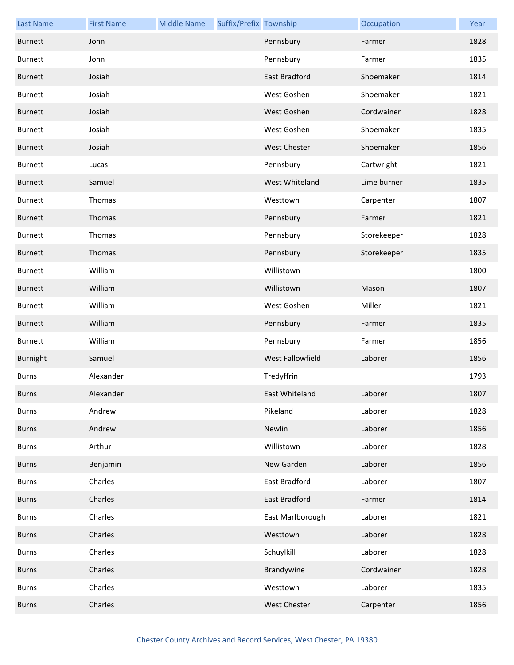| <b>Last Name</b> | <b>First Name</b> | <b>Middle Name</b> | Suffix/Prefix Township |                  | Occupation  | Year |
|------------------|-------------------|--------------------|------------------------|------------------|-------------|------|
| <b>Burnett</b>   | John              |                    |                        | Pennsbury        | Farmer      | 1828 |
| <b>Burnett</b>   | John              |                    |                        | Pennsbury        | Farmer      | 1835 |
| <b>Burnett</b>   | Josiah            |                    |                        | East Bradford    | Shoemaker   | 1814 |
| <b>Burnett</b>   | Josiah            |                    |                        | West Goshen      | Shoemaker   | 1821 |
| <b>Burnett</b>   | Josiah            |                    |                        | West Goshen      | Cordwainer  | 1828 |
| <b>Burnett</b>   | Josiah            |                    |                        | West Goshen      | Shoemaker   | 1835 |
| <b>Burnett</b>   | Josiah            |                    |                        | West Chester     | Shoemaker   | 1856 |
| <b>Burnett</b>   | Lucas             |                    |                        | Pennsbury        | Cartwright  | 1821 |
| <b>Burnett</b>   | Samuel            |                    |                        | West Whiteland   | Lime burner | 1835 |
| <b>Burnett</b>   | Thomas            |                    |                        | Westtown         | Carpenter   | 1807 |
| <b>Burnett</b>   | Thomas            |                    |                        | Pennsbury        | Farmer      | 1821 |
| Burnett          | Thomas            |                    |                        | Pennsbury        | Storekeeper | 1828 |
| <b>Burnett</b>   | Thomas            |                    |                        | Pennsbury        | Storekeeper | 1835 |
| <b>Burnett</b>   | William           |                    |                        | Willistown       |             | 1800 |
| <b>Burnett</b>   | William           |                    |                        | Willistown       | Mason       | 1807 |
| <b>Burnett</b>   | William           |                    |                        | West Goshen      | Miller      | 1821 |
| <b>Burnett</b>   | William           |                    |                        | Pennsbury        | Farmer      | 1835 |
| <b>Burnett</b>   | William           |                    |                        | Pennsbury        | Farmer      | 1856 |
| Burnight         | Samuel            |                    |                        | West Fallowfield | Laborer     | 1856 |
| <b>Burns</b>     | Alexander         |                    |                        | Tredyffrin       |             | 1793 |
| <b>Burns</b>     | Alexander         |                    |                        | East Whiteland   | Laborer     | 1807 |
| <b>Burns</b>     | Andrew            |                    |                        | Pikeland         | Laborer     | 1828 |
| <b>Burns</b>     | Andrew            |                    |                        | Newlin           | Laborer     | 1856 |
| <b>Burns</b>     | Arthur            |                    |                        | Willistown       | Laborer     | 1828 |
| <b>Burns</b>     | Benjamin          |                    |                        | New Garden       | Laborer     | 1856 |
| <b>Burns</b>     | Charles           |                    |                        | East Bradford    | Laborer     | 1807 |
| <b>Burns</b>     | Charles           |                    |                        | East Bradford    | Farmer      | 1814 |
| <b>Burns</b>     | Charles           |                    |                        | East Marlborough | Laborer     | 1821 |
| <b>Burns</b>     | Charles           |                    |                        | Westtown         | Laborer     | 1828 |
| <b>Burns</b>     | Charles           |                    |                        | Schuylkill       | Laborer     | 1828 |
| <b>Burns</b>     | Charles           |                    |                        | Brandywine       | Cordwainer  | 1828 |
| <b>Burns</b>     | Charles           |                    |                        | Westtown         | Laborer     | 1835 |
| <b>Burns</b>     | Charles           |                    |                        | West Chester     | Carpenter   | 1856 |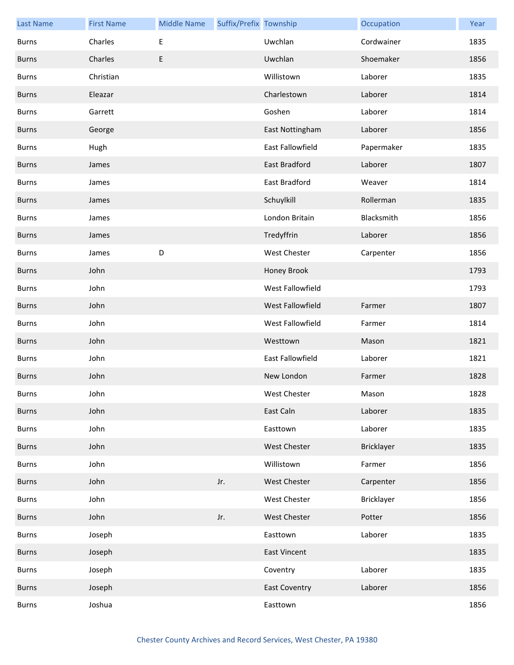| <b>Last Name</b> | <b>First Name</b> | <b>Middle Name</b> | Suffix/Prefix Township |                      | Occupation        | Year |
|------------------|-------------------|--------------------|------------------------|----------------------|-------------------|------|
| <b>Burns</b>     | Charles           | $\sf E$            |                        | Uwchlan              | Cordwainer        | 1835 |
| <b>Burns</b>     | Charles           | E                  |                        | Uwchlan              | Shoemaker         | 1856 |
| <b>Burns</b>     | Christian         |                    |                        | Willistown           | Laborer           | 1835 |
| <b>Burns</b>     | Eleazar           |                    |                        | Charlestown          | Laborer           | 1814 |
| <b>Burns</b>     | Garrett           |                    |                        | Goshen               | Laborer           | 1814 |
| <b>Burns</b>     | George            |                    |                        | East Nottingham      | Laborer           | 1856 |
| <b>Burns</b>     | Hugh              |                    |                        | East Fallowfield     | Papermaker        | 1835 |
| <b>Burns</b>     | James             |                    |                        | East Bradford        | Laborer           | 1807 |
| <b>Burns</b>     | James             |                    |                        | East Bradford        | Weaver            | 1814 |
| <b>Burns</b>     | James             |                    |                        | Schuylkill           | Rollerman         | 1835 |
| <b>Burns</b>     | James             |                    |                        | London Britain       | Blacksmith        | 1856 |
| <b>Burns</b>     | James             |                    |                        | Tredyffrin           | Laborer           | 1856 |
| <b>Burns</b>     | James             | D                  |                        | West Chester         | Carpenter         | 1856 |
| <b>Burns</b>     | John              |                    |                        | Honey Brook          |                   | 1793 |
| <b>Burns</b>     | John              |                    |                        | West Fallowfield     |                   | 1793 |
| <b>Burns</b>     | John              |                    |                        | West Fallowfield     | Farmer            | 1807 |
| <b>Burns</b>     | John              |                    |                        | West Fallowfield     | Farmer            | 1814 |
| <b>Burns</b>     | John              |                    |                        | Westtown             | Mason             | 1821 |
| <b>Burns</b>     | John              |                    |                        | East Fallowfield     | Laborer           | 1821 |
| <b>Burns</b>     | John              |                    |                        | New London           | Farmer            | 1828 |
| Burns            | John              |                    |                        | West Chester         | Mason             | 1828 |
| <b>Burns</b>     | John              |                    |                        | East Caln            | Laborer           | 1835 |
| Burns            | John              |                    |                        | Easttown             | Laborer           | 1835 |
| <b>Burns</b>     | John              |                    |                        | West Chester         | <b>Bricklayer</b> | 1835 |
| <b>Burns</b>     | John              |                    |                        | Willistown           | Farmer            | 1856 |
| <b>Burns</b>     | John              |                    | Jr.                    | West Chester         | Carpenter         | 1856 |
| Burns            | John              |                    |                        | West Chester         | Bricklayer        | 1856 |
| <b>Burns</b>     | John              |                    | Jr.                    | West Chester         | Potter            | 1856 |
| Burns            | Joseph            |                    |                        | Easttown             | Laborer           | 1835 |
| <b>Burns</b>     | Joseph            |                    |                        | <b>East Vincent</b>  |                   | 1835 |
| Burns            | Joseph            |                    |                        | Coventry             | Laborer           | 1835 |
| <b>Burns</b>     | Joseph            |                    |                        | <b>East Coventry</b> | Laborer           | 1856 |
| Burns            | Joshua            |                    |                        | Easttown             |                   | 1856 |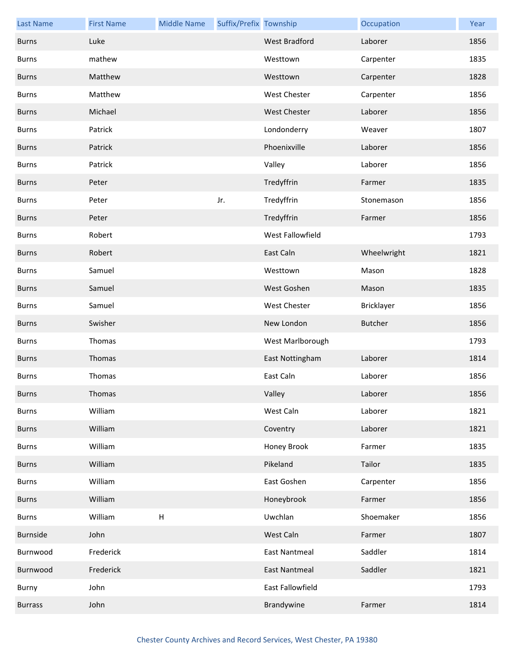| <b>Last Name</b> | <b>First Name</b> | <b>Middle Name</b>        | Suffix/Prefix Township |                      | Occupation     | Year |
|------------------|-------------------|---------------------------|------------------------|----------------------|----------------|------|
| <b>Burns</b>     | Luke              |                           |                        | <b>West Bradford</b> | Laborer        | 1856 |
| <b>Burns</b>     | mathew            |                           |                        | Westtown             | Carpenter      | 1835 |
| <b>Burns</b>     | Matthew           |                           |                        | Westtown             | Carpenter      | 1828 |
| <b>Burns</b>     | Matthew           |                           |                        | <b>West Chester</b>  | Carpenter      | 1856 |
| <b>Burns</b>     | Michael           |                           |                        | <b>West Chester</b>  | Laborer        | 1856 |
| <b>Burns</b>     | Patrick           |                           |                        | Londonderry          | Weaver         | 1807 |
| <b>Burns</b>     | Patrick           |                           |                        | Phoenixville         | Laborer        | 1856 |
| <b>Burns</b>     | Patrick           |                           |                        | Valley               | Laborer        | 1856 |
| <b>Burns</b>     | Peter             |                           |                        | Tredyffrin           | Farmer         | 1835 |
| <b>Burns</b>     | Peter             |                           | Jr.                    | Tredyffrin           | Stonemason     | 1856 |
| <b>Burns</b>     | Peter             |                           |                        | Tredyffrin           | Farmer         | 1856 |
| <b>Burns</b>     | Robert            |                           |                        | West Fallowfield     |                | 1793 |
| <b>Burns</b>     | Robert            |                           |                        | East Caln            | Wheelwright    | 1821 |
| <b>Burns</b>     | Samuel            |                           |                        | Westtown             | Mason          | 1828 |
| <b>Burns</b>     | Samuel            |                           |                        | West Goshen          | Mason          | 1835 |
| <b>Burns</b>     | Samuel            |                           |                        | West Chester         | Bricklayer     | 1856 |
| <b>Burns</b>     | Swisher           |                           |                        | New London           | <b>Butcher</b> | 1856 |
| <b>Burns</b>     | Thomas            |                           |                        | West Marlborough     |                | 1793 |
| <b>Burns</b>     | Thomas            |                           |                        | East Nottingham      | Laborer        | 1814 |
| <b>Burns</b>     | Thomas            |                           |                        | East Caln            | Laborer        | 1856 |
| <b>Burns</b>     | Thomas            |                           |                        | Valley               | Laborer        | 1856 |
| <b>Burns</b>     | William           |                           |                        | West Caln            | Laborer        | 1821 |
| <b>Burns</b>     | William           |                           |                        | Coventry             | Laborer        | 1821 |
| <b>Burns</b>     | William           |                           |                        | Honey Brook          | Farmer         | 1835 |
| <b>Burns</b>     | William           |                           |                        | Pikeland             | Tailor         | 1835 |
| <b>Burns</b>     | William           |                           |                        | East Goshen          | Carpenter      | 1856 |
| <b>Burns</b>     | William           |                           |                        | Honeybrook           | Farmer         | 1856 |
| <b>Burns</b>     | William           | $\boldsymbol{\mathsf{H}}$ |                        | Uwchlan              | Shoemaker      | 1856 |
| Burnside         | John              |                           |                        | West Caln            | Farmer         | 1807 |
| Burnwood         | Frederick         |                           |                        | <b>East Nantmeal</b> | Saddler        | 1814 |
| Burnwood         | Frederick         |                           |                        | <b>East Nantmeal</b> | Saddler        | 1821 |
| Burny            | John              |                           |                        | East Fallowfield     |                | 1793 |
| <b>Burrass</b>   | John              |                           |                        | Brandywine           | Farmer         | 1814 |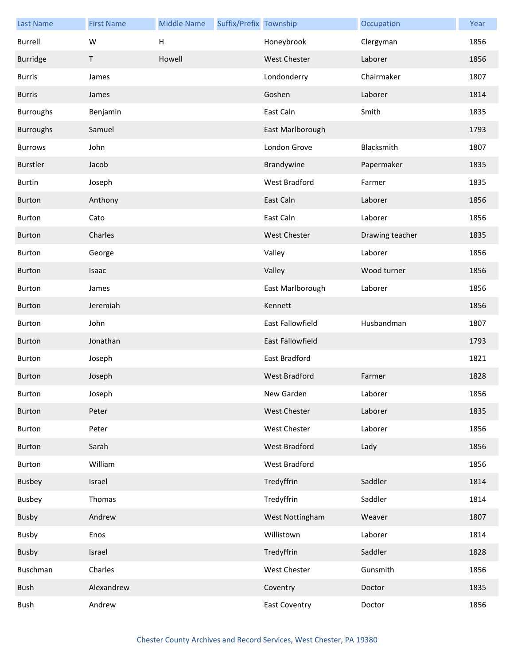| <b>Last Name</b> | <b>First Name</b> | <b>Middle Name</b> | Suffix/Prefix Township |                         | Occupation      | Year |
|------------------|-------------------|--------------------|------------------------|-------------------------|-----------------|------|
| <b>Burrell</b>   | W                 | H                  |                        | Honeybrook              | Clergyman       | 1856 |
| <b>Burridge</b>  | Τ                 | Howell             |                        | <b>West Chester</b>     | Laborer         | 1856 |
| <b>Burris</b>    | James             |                    |                        | Londonderry             | Chairmaker      | 1807 |
| <b>Burris</b>    | James             |                    |                        | Goshen                  | Laborer         | 1814 |
| <b>Burroughs</b> | Benjamin          |                    |                        | East Caln               | Smith           | 1835 |
| <b>Burroughs</b> | Samuel            |                    |                        | East Marlborough        |                 | 1793 |
| <b>Burrows</b>   | John              |                    |                        | London Grove            | Blacksmith      | 1807 |
| Burstler         | Jacob             |                    |                        | Brandywine              | Papermaker      | 1835 |
| <b>Burtin</b>    | Joseph            |                    |                        | West Bradford           | Farmer          | 1835 |
| <b>Burton</b>    | Anthony           |                    |                        | East Caln               | Laborer         | 1856 |
| <b>Burton</b>    | Cato              |                    |                        | East Caln               | Laborer         | 1856 |
| <b>Burton</b>    | Charles           |                    |                        | <b>West Chester</b>     | Drawing teacher | 1835 |
| <b>Burton</b>    | George            |                    |                        | Valley                  | Laborer         | 1856 |
| Burton           | Isaac             |                    |                        | Valley                  | Wood turner     | 1856 |
| Burton           | James             |                    |                        | East Marlborough        | Laborer         | 1856 |
| <b>Burton</b>    | Jeremiah          |                    |                        | Kennett                 |                 | 1856 |
| Burton           | John              |                    |                        | East Fallowfield        | Husbandman      | 1807 |
| <b>Burton</b>    | Jonathan          |                    |                        | <b>East Fallowfield</b> |                 | 1793 |
| <b>Burton</b>    | Joseph            |                    |                        | East Bradford           |                 | 1821 |
| <b>Burton</b>    | Joseph            |                    |                        | <b>West Bradford</b>    | Farmer          | 1828 |
| Burton           | Joseph            |                    |                        | New Garden              | Laborer         | 1856 |
| Burton           | Peter             |                    |                        | <b>West Chester</b>     | Laborer         | 1835 |
| Burton           | Peter             |                    |                        | West Chester            | Laborer         | 1856 |
| Burton           | Sarah             |                    |                        | West Bradford           | Lady            | 1856 |
| Burton           | William           |                    |                        | West Bradford           |                 | 1856 |
| Busbey           | Israel            |                    |                        | Tredyffrin              | Saddler         | 1814 |
| Busbey           | Thomas            |                    |                        | Tredyffrin              | Saddler         | 1814 |
| Busby            | Andrew            |                    |                        | West Nottingham         | Weaver          | 1807 |
| <b>Busby</b>     | Enos              |                    |                        | Willistown              | Laborer         | 1814 |
| Busby            | Israel            |                    |                        | Tredyffrin              | Saddler         | 1828 |
| Buschman         | Charles           |                    |                        | West Chester            | Gunsmith        | 1856 |
| Bush             | Alexandrew        |                    |                        | Coventry                | Doctor          | 1835 |
| Bush             | Andrew            |                    |                        | <b>East Coventry</b>    | Doctor          | 1856 |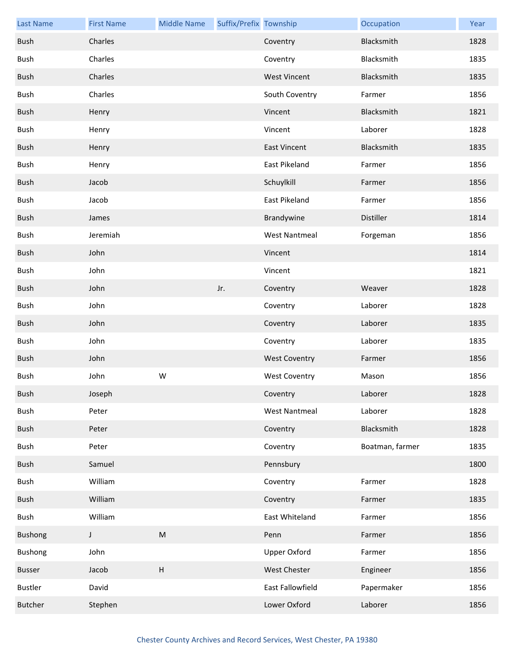| <b>Last Name</b> | <b>First Name</b> | <b>Middle Name</b> | Suffix/Prefix Township |                      | Occupation      | Year |
|------------------|-------------------|--------------------|------------------------|----------------------|-----------------|------|
| Bush             | Charles           |                    |                        | Coventry             | Blacksmith      | 1828 |
| Bush             | Charles           |                    |                        | Coventry             | Blacksmith      | 1835 |
| Bush             | Charles           |                    |                        | <b>West Vincent</b>  | Blacksmith      | 1835 |
| Bush             | Charles           |                    |                        | South Coventry       | Farmer          | 1856 |
| Bush             | Henry             |                    |                        | Vincent              | Blacksmith      | 1821 |
| Bush             | Henry             |                    |                        | Vincent              | Laborer         | 1828 |
| Bush             | Henry             |                    |                        | <b>East Vincent</b>  | Blacksmith      | 1835 |
| Bush             | Henry             |                    |                        | East Pikeland        | Farmer          | 1856 |
| Bush             | Jacob             |                    |                        | Schuylkill           | Farmer          | 1856 |
| Bush             | Jacob             |                    |                        | East Pikeland        | Farmer          | 1856 |
| Bush             | James             |                    |                        | Brandywine           | Distiller       | 1814 |
| Bush             | Jeremiah          |                    |                        | <b>West Nantmeal</b> | Forgeman        | 1856 |
| Bush             | John              |                    |                        | Vincent              |                 | 1814 |
| Bush             | John              |                    |                        | Vincent              |                 | 1821 |
| Bush             | John              |                    | Jr.                    | Coventry             | Weaver          | 1828 |
| Bush             | John              |                    |                        | Coventry             | Laborer         | 1828 |
| Bush             | John              |                    |                        | Coventry             | Laborer         | 1835 |
| Bush             | John              |                    |                        | Coventry             | Laborer         | 1835 |
| Bush             | John              |                    |                        | <b>West Coventry</b> | Farmer          | 1856 |
| Bush             | John              | W                  |                        | <b>West Coventry</b> | Mason           | 1856 |
| Bush             | Joseph            |                    |                        | Coventry             | Laborer         | 1828 |
| <b>Bush</b>      | Peter             |                    |                        | <b>West Nantmeal</b> | Laborer         | 1828 |
| Bush             | Peter             |                    |                        | Coventry             | Blacksmith      | 1828 |
| Bush             | Peter             |                    |                        | Coventry             | Boatman, farmer | 1835 |
| Bush             | Samuel            |                    |                        | Pennsbury            |                 | 1800 |
| Bush             | William           |                    |                        | Coventry             | Farmer          | 1828 |
| Bush             | William           |                    |                        | Coventry             | Farmer          | 1835 |
| Bush             | William           |                    |                        | East Whiteland       | Farmer          | 1856 |
| <b>Bushong</b>   | J                 | ${\sf M}$          |                        | Penn                 | Farmer          | 1856 |
| <b>Bushong</b>   | John              |                    |                        | <b>Upper Oxford</b>  | Farmer          | 1856 |
| Busser           | Jacob             | $\sf H$            |                        | West Chester         | Engineer        | 1856 |
| <b>Bustler</b>   | David             |                    |                        | East Fallowfield     | Papermaker      | 1856 |
| <b>Butcher</b>   | Stephen           |                    |                        | Lower Oxford         | Laborer         | 1856 |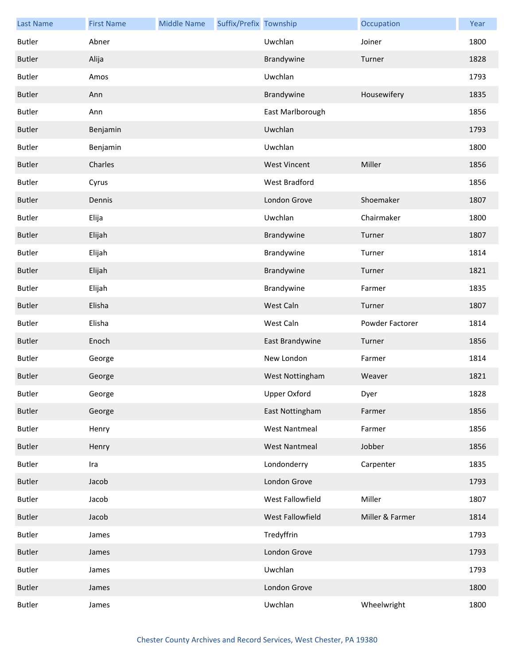| <b>Last Name</b> | <b>First Name</b> | <b>Middle Name</b> | Suffix/Prefix Township |                      | Occupation      | Year |
|------------------|-------------------|--------------------|------------------------|----------------------|-----------------|------|
| <b>Butler</b>    | Abner             |                    |                        | Uwchlan              | Joiner          | 1800 |
| <b>Butler</b>    | Alija             |                    |                        | Brandywine           | Turner          | 1828 |
| <b>Butler</b>    | Amos              |                    |                        | Uwchlan              |                 | 1793 |
| <b>Butler</b>    | Ann               |                    |                        | Brandywine           | Housewifery     | 1835 |
| <b>Butler</b>    | Ann               |                    |                        | East Marlborough     |                 | 1856 |
| <b>Butler</b>    | Benjamin          |                    |                        | Uwchlan              |                 | 1793 |
| Butler           | Benjamin          |                    |                        | Uwchlan              |                 | 1800 |
| <b>Butler</b>    | Charles           |                    |                        | <b>West Vincent</b>  | Miller          | 1856 |
| <b>Butler</b>    | Cyrus             |                    |                        | West Bradford        |                 | 1856 |
| <b>Butler</b>    | Dennis            |                    |                        | London Grove         | Shoemaker       | 1807 |
| Butler           | Elija             |                    |                        | Uwchlan              | Chairmaker      | 1800 |
| <b>Butler</b>    | Elijah            |                    |                        | Brandywine           | Turner          | 1807 |
| Butler           | Elijah            |                    |                        | Brandywine           | Turner          | 1814 |
| <b>Butler</b>    | Elijah            |                    |                        | Brandywine           | Turner          | 1821 |
| Butler           | Elijah            |                    |                        | Brandywine           | Farmer          | 1835 |
| <b>Butler</b>    | Elisha            |                    |                        | West Caln            | Turner          | 1807 |
| <b>Butler</b>    | Elisha            |                    |                        | West Caln            | Powder Factorer | 1814 |
| <b>Butler</b>    | Enoch             |                    |                        | East Brandywine      | Turner          | 1856 |
| Butler           | George            |                    |                        | New London           | Farmer          | 1814 |
| <b>Butler</b>    | George            |                    |                        | West Nottingham      | Weaver          | 1821 |
| Butler           | George            |                    |                        | Upper Oxford         | Dyer            | 1828 |
| <b>Butler</b>    | George            |                    |                        | East Nottingham      | Farmer          | 1856 |
| <b>Butler</b>    | Henry             |                    |                        | <b>West Nantmeal</b> | Farmer          | 1856 |
| <b>Butler</b>    | Henry             |                    |                        | <b>West Nantmeal</b> | Jobber          | 1856 |
| <b>Butler</b>    | Ira               |                    |                        | Londonderry          | Carpenter       | 1835 |
| <b>Butler</b>    | Jacob             |                    |                        | London Grove         |                 | 1793 |
| <b>Butler</b>    | Jacob             |                    |                        | West Fallowfield     | Miller          | 1807 |
| <b>Butler</b>    | Jacob             |                    |                        | West Fallowfield     | Miller & Farmer | 1814 |
| Butler           | James             |                    |                        | Tredyffrin           |                 | 1793 |
| <b>Butler</b>    | James             |                    |                        | London Grove         |                 | 1793 |
| Butler           | James             |                    |                        | Uwchlan              |                 | 1793 |
| <b>Butler</b>    | James             |                    |                        | London Grove         |                 | 1800 |
| Butler           | James             |                    |                        | Uwchlan              | Wheelwright     | 1800 |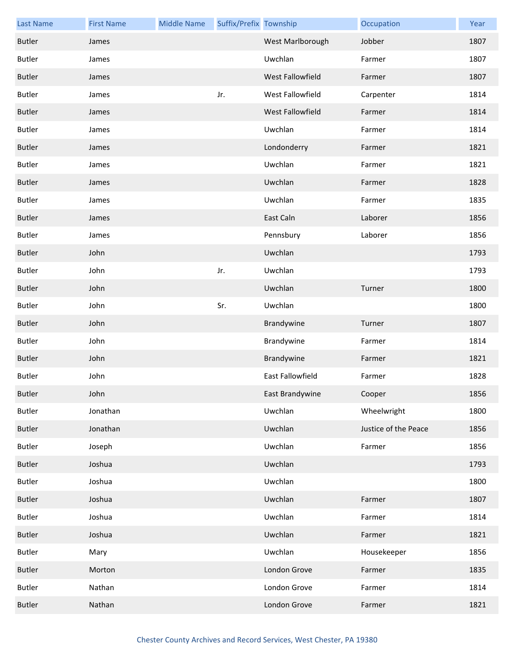| <b>Last Name</b> | <b>First Name</b> | <b>Middle Name</b> | Suffix/Prefix Township |                         | Occupation           | Year |
|------------------|-------------------|--------------------|------------------------|-------------------------|----------------------|------|
| <b>Butler</b>    | James             |                    |                        | West Marlborough        | Jobber               | 1807 |
| <b>Butler</b>    | James             |                    |                        | Uwchlan                 | Farmer               | 1807 |
| <b>Butler</b>    | James             |                    |                        | <b>West Fallowfield</b> | Farmer               | 1807 |
| <b>Butler</b>    | James             |                    | Jr.                    | West Fallowfield        | Carpenter            | 1814 |
| <b>Butler</b>    | James             |                    |                        | West Fallowfield        | Farmer               | 1814 |
| <b>Butler</b>    | James             |                    |                        | Uwchlan                 | Farmer               | 1814 |
| <b>Butler</b>    | James             |                    |                        | Londonderry             | Farmer               | 1821 |
| Butler           | James             |                    |                        | Uwchlan                 | Farmer               | 1821 |
| <b>Butler</b>    | James             |                    |                        | Uwchlan                 | Farmer               | 1828 |
| Butler           | James             |                    |                        | Uwchlan                 | Farmer               | 1835 |
| <b>Butler</b>    | James             |                    |                        | East Caln               | Laborer              | 1856 |
| Butler           | James             |                    |                        | Pennsbury               | Laborer              | 1856 |
| <b>Butler</b>    | John              |                    |                        | Uwchlan                 |                      | 1793 |
| Butler           | John              |                    | Jr.                    | Uwchlan                 |                      | 1793 |
| <b>Butler</b>    | John              |                    |                        | Uwchlan                 | Turner               | 1800 |
| Butler           | John              |                    | Sr.                    | Uwchlan                 |                      | 1800 |
| <b>Butler</b>    | John              |                    |                        | Brandywine              | Turner               | 1807 |
| <b>Butler</b>    | John              |                    |                        | Brandywine              | Farmer               | 1814 |
| <b>Butler</b>    | John              |                    |                        | Brandywine              | Farmer               | 1821 |
| <b>Butler</b>    | John              |                    |                        | <b>East Fallowfield</b> | Farmer               | 1828 |
| <b>Butler</b>    | John              |                    |                        | East Brandywine         | Cooper               | 1856 |
| Butler           | Jonathan          |                    |                        | Uwchlan                 | Wheelwright          | 1800 |
| Butler           | Jonathan          |                    |                        | Uwchlan                 | Justice of the Peace | 1856 |
| Butler           | Joseph            |                    |                        | Uwchlan                 | Farmer               | 1856 |
| Butler           | Joshua            |                    |                        | Uwchlan                 |                      | 1793 |
| Butler           | Joshua            |                    |                        | Uwchlan                 |                      | 1800 |
| Butler           | Joshua            |                    |                        | Uwchlan                 | Farmer               | 1807 |
| Butler           | Joshua            |                    |                        | Uwchlan                 | Farmer               | 1814 |
| <b>Butler</b>    | Joshua            |                    |                        | Uwchlan                 | Farmer               | 1821 |
| Butler           | Mary              |                    |                        | Uwchlan                 | Housekeeper          | 1856 |
| Butler           | Morton            |                    |                        | London Grove            | Farmer               | 1835 |
| Butler           | Nathan            |                    |                        | London Grove            | Farmer               | 1814 |
| <b>Butler</b>    | Nathan            |                    |                        | London Grove            | Farmer               | 1821 |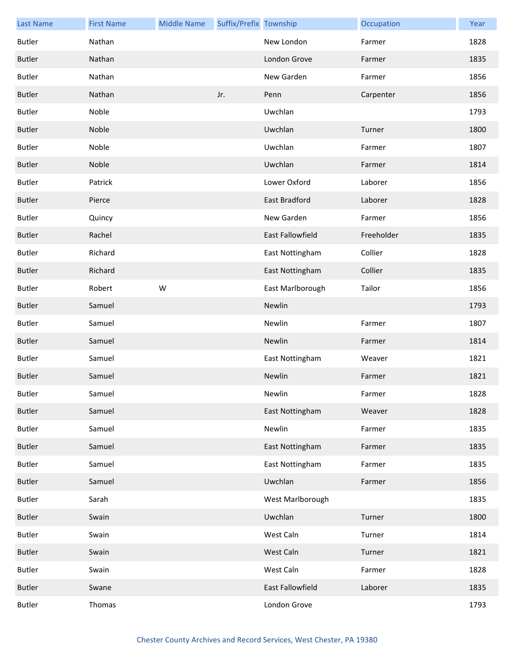| <b>Last Name</b> | <b>First Name</b> | <b>Middle Name</b> | Suffix/Prefix Township |                      | Occupation | Year |
|------------------|-------------------|--------------------|------------------------|----------------------|------------|------|
| <b>Butler</b>    | Nathan            |                    |                        | New London           | Farmer     | 1828 |
| <b>Butler</b>    | Nathan            |                    |                        | London Grove         | Farmer     | 1835 |
| <b>Butler</b>    | Nathan            |                    |                        | New Garden           | Farmer     | 1856 |
| <b>Butler</b>    | Nathan            |                    | Jr.                    | Penn                 | Carpenter  | 1856 |
| Butler           | Noble             |                    |                        | Uwchlan              |            | 1793 |
| <b>Butler</b>    | Noble             |                    |                        | Uwchlan              | Turner     | 1800 |
| Butler           | Noble             |                    |                        | Uwchlan              | Farmer     | 1807 |
| <b>Butler</b>    | Noble             |                    |                        | Uwchlan              | Farmer     | 1814 |
| Butler           | Patrick           |                    |                        | Lower Oxford         | Laborer    | 1856 |
| <b>Butler</b>    | Pierce            |                    |                        | <b>East Bradford</b> | Laborer    | 1828 |
| <b>Butler</b>    | Quincy            |                    |                        | New Garden           | Farmer     | 1856 |
| <b>Butler</b>    | Rachel            |                    |                        | East Fallowfield     | Freeholder | 1835 |
| <b>Butler</b>    | Richard           |                    |                        | East Nottingham      | Collier    | 1828 |
| <b>Butler</b>    | Richard           |                    |                        | East Nottingham      | Collier    | 1835 |
| <b>Butler</b>    | Robert            | W                  |                        | East Marlborough     | Tailor     | 1856 |
| <b>Butler</b>    | Samuel            |                    |                        | Newlin               |            | 1793 |
| <b>Butler</b>    | Samuel            |                    |                        | Newlin               | Farmer     | 1807 |
| <b>Butler</b>    | Samuel            |                    |                        | Newlin               | Farmer     | 1814 |
| <b>Butler</b>    | Samuel            |                    |                        | East Nottingham      | Weaver     | 1821 |
| <b>Butler</b>    | Samuel            |                    |                        | Newlin               | Farmer     | 1821 |
| Butler           | Samuel            |                    |                        | Newlin               | Farmer     | 1828 |
| <b>Butler</b>    | Samuel            |                    |                        | East Nottingham      | Weaver     | 1828 |
| Butler           | Samuel            |                    |                        | Newlin               | Farmer     | 1835 |
| <b>Butler</b>    | Samuel            |                    |                        | East Nottingham      | Farmer     | 1835 |
| <b>Butler</b>    | Samuel            |                    |                        | East Nottingham      | Farmer     | 1835 |
| <b>Butler</b>    | Samuel            |                    |                        | Uwchlan              | Farmer     | 1856 |
| <b>Butler</b>    | Sarah             |                    |                        | West Marlborough     |            | 1835 |
| <b>Butler</b>    | Swain             |                    |                        | Uwchlan              | Turner     | 1800 |
| <b>Butler</b>    | Swain             |                    |                        | West Caln            | Turner     | 1814 |
| <b>Butler</b>    | Swain             |                    |                        | West Caln            | Turner     | 1821 |
| <b>Butler</b>    | Swain             |                    |                        | West Caln            | Farmer     | 1828 |
| <b>Butler</b>    | Swane             |                    |                        | East Fallowfield     | Laborer    | 1835 |
| <b>Butler</b>    | Thomas            |                    |                        | London Grove         |            | 1793 |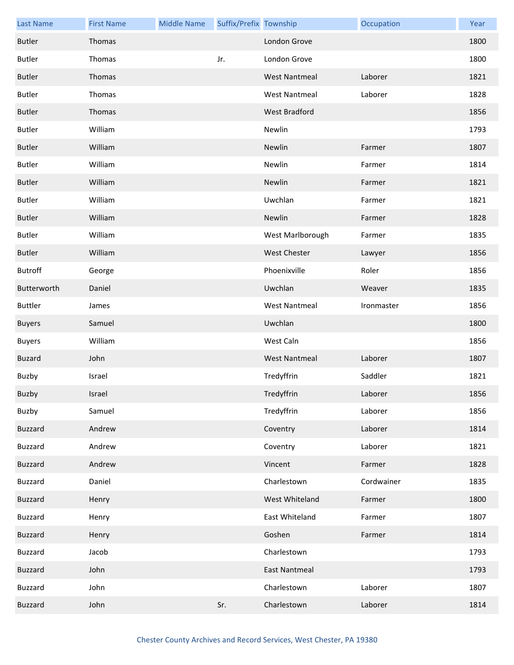| <b>Last Name</b> | <b>First Name</b> | <b>Middle Name</b> | Suffix/Prefix Township |                      | Occupation | Year |
|------------------|-------------------|--------------------|------------------------|----------------------|------------|------|
| <b>Butler</b>    | Thomas            |                    |                        | London Grove         |            | 1800 |
| <b>Butler</b>    | Thomas            |                    | Jr.                    | London Grove         |            | 1800 |
| <b>Butler</b>    | Thomas            |                    |                        | <b>West Nantmeal</b> | Laborer    | 1821 |
| <b>Butler</b>    | Thomas            |                    |                        | <b>West Nantmeal</b> | Laborer    | 1828 |
| <b>Butler</b>    | Thomas            |                    |                        | West Bradford        |            | 1856 |
| <b>Butler</b>    | William           |                    |                        | Newlin               |            | 1793 |
| <b>Butler</b>    | William           |                    |                        | Newlin               | Farmer     | 1807 |
| Butler           | William           |                    |                        | Newlin               | Farmer     | 1814 |
| <b>Butler</b>    | William           |                    |                        | Newlin               | Farmer     | 1821 |
| <b>Butler</b>    | William           |                    |                        | Uwchlan              | Farmer     | 1821 |
| <b>Butler</b>    | William           |                    |                        | Newlin               | Farmer     | 1828 |
| <b>Butler</b>    | William           |                    |                        | West Marlborough     | Farmer     | 1835 |
| <b>Butler</b>    | William           |                    |                        | <b>West Chester</b>  | Lawyer     | 1856 |
| <b>Butroff</b>   | George            |                    |                        | Phoenixville         | Roler      | 1856 |
| Butterworth      | Daniel            |                    |                        | Uwchlan              | Weaver     | 1835 |
| <b>Buttler</b>   | James             |                    |                        | <b>West Nantmeal</b> | Ironmaster | 1856 |
| <b>Buyers</b>    | Samuel            |                    |                        | Uwchlan              |            | 1800 |
| <b>Buyers</b>    | William           |                    |                        | West Caln            |            | 1856 |
| <b>Buzard</b>    | John              |                    |                        | <b>West Nantmeal</b> | Laborer    | 1807 |
| Buzby            | Israel            |                    |                        | Tredyffrin           | Saddler    | 1821 |
| Buzby            | Israel            |                    |                        | Tredyffrin           | Laborer    | 1856 |
| Buzby            | Samuel            |                    |                        | Tredyffrin           | Laborer    | 1856 |
| Buzzard          | Andrew            |                    |                        | Coventry             | Laborer    | 1814 |
| Buzzard          | Andrew            |                    |                        | Coventry             | Laborer    | 1821 |
| <b>Buzzard</b>   | Andrew            |                    |                        | Vincent              | Farmer     | 1828 |
| Buzzard          | Daniel            |                    |                        | Charlestown          | Cordwainer | 1835 |
| Buzzard          | Henry             |                    |                        | West Whiteland       | Farmer     | 1800 |
| Buzzard          | Henry             |                    |                        | East Whiteland       | Farmer     | 1807 |
| <b>Buzzard</b>   | Henry             |                    |                        | Goshen               | Farmer     | 1814 |
| <b>Buzzard</b>   | Jacob             |                    |                        | Charlestown          |            | 1793 |
| <b>Buzzard</b>   | John              |                    |                        | <b>East Nantmeal</b> |            | 1793 |
| Buzzard          | John              |                    |                        | Charlestown          | Laborer    | 1807 |
| <b>Buzzard</b>   | John              |                    | Sr.                    | Charlestown          | Laborer    | 1814 |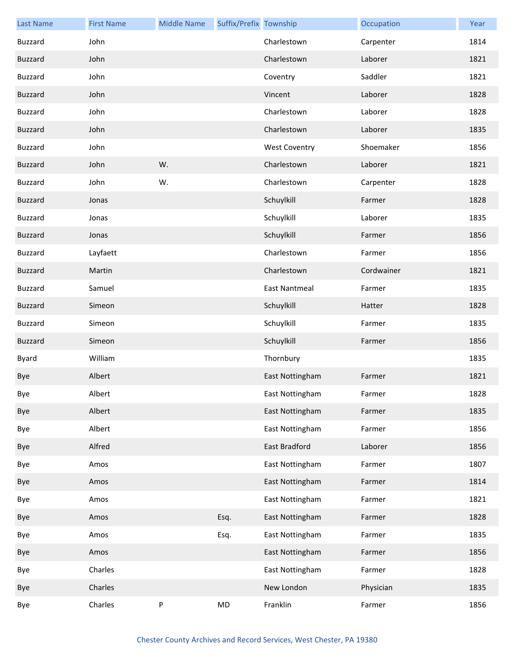| <b>Last Name</b> | <b>First Name</b> | <b>Middle Name</b> | Suffix/Prefix Township |                      | Occupation | Year |
|------------------|-------------------|--------------------|------------------------|----------------------|------------|------|
| <b>Buzzard</b>   | John              |                    |                        | Charlestown          | Carpenter  | 1814 |
| <b>Buzzard</b>   | John              |                    |                        | Charlestown          | Laborer    | 1821 |
| <b>Buzzard</b>   | John              |                    |                        | Coventry             | Saddler    | 1821 |
| <b>Buzzard</b>   | John              |                    |                        | Vincent              | Laborer    | 1828 |
| <b>Buzzard</b>   | John              |                    |                        | Charlestown          | Laborer    | 1828 |
| <b>Buzzard</b>   | John              |                    |                        | Charlestown          | Laborer    | 1835 |
| <b>Buzzard</b>   | John              |                    |                        | <b>West Coventry</b> | Shoemaker  | 1856 |
| <b>Buzzard</b>   | John              | W.                 |                        | Charlestown          | Laborer    | 1821 |
| <b>Buzzard</b>   | John              | W.                 |                        | Charlestown          | Carpenter  | 1828 |
| <b>Buzzard</b>   | Jonas             |                    |                        | Schuylkill           | Farmer     | 1828 |
| <b>Buzzard</b>   | Jonas             |                    |                        | Schuylkill           | Laborer    | 1835 |
| <b>Buzzard</b>   | Jonas             |                    |                        | Schuylkill           | Farmer     | 1856 |
| Buzzard          | Layfaett          |                    |                        | Charlestown          | Farmer     | 1856 |
| <b>Buzzard</b>   | Martin            |                    |                        | Charlestown          | Cordwainer | 1821 |
| <b>Buzzard</b>   | Samuel            |                    |                        | <b>East Nantmeal</b> | Farmer     | 1835 |
| <b>Buzzard</b>   | Simeon            |                    |                        | Schuylkill           | Hatter     | 1828 |
| Buzzard          | Simeon            |                    |                        | Schuylkill           | Farmer     | 1835 |
| <b>Buzzard</b>   | Simeon            |                    |                        | Schuylkill           | Farmer     | 1856 |
| Byard            | William           |                    |                        | Thornbury            |            | 1835 |
| Bye              | Albert            |                    |                        | East Nottingham      | Farmer     | 1821 |
| Bye              | Albert            |                    |                        | East Nottingham      | Farmer     | 1828 |
| Bye              | Albert            |                    |                        | East Nottingham      | Farmer     | 1835 |
| Bye              | Albert            |                    |                        | East Nottingham      | Farmer     | 1856 |
| Bye              | Alfred            |                    |                        | East Bradford        | Laborer    | 1856 |
| Bye              | Amos              |                    |                        | East Nottingham      | Farmer     | 1807 |
| Bye              | Amos              |                    |                        | East Nottingham      | Farmer     | 1814 |
| Bye              | Amos              |                    |                        | East Nottingham      | Farmer     | 1821 |
| Bye              | Amos              |                    | Esq.                   | East Nottingham      | Farmer     | 1828 |
| Bye              | Amos              |                    | Esq.                   | East Nottingham      | Farmer     | 1835 |
| Bye              | Amos              |                    |                        | East Nottingham      | Farmer     | 1856 |
| Bye              | Charles           |                    |                        | East Nottingham      | Farmer     | 1828 |
| Bye              | Charles           |                    |                        | New London           | Physician  | 1835 |
| Bye              | Charles           | P                  | ${\sf MD}$             | Franklin             | Farmer     | 1856 |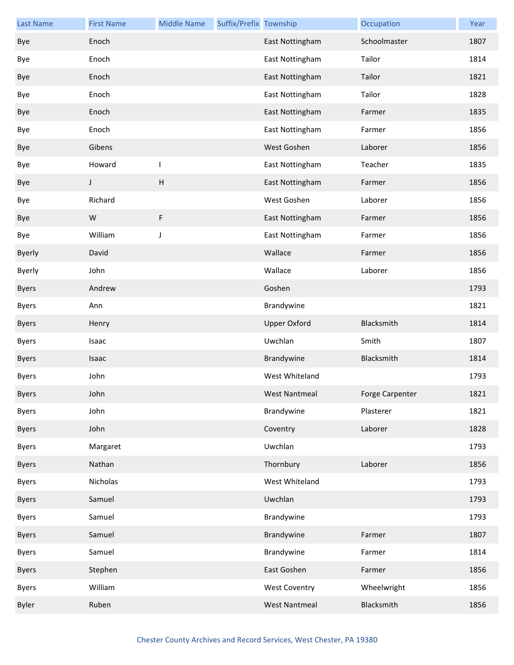| <b>Last Name</b> | <b>First Name</b> | <b>Middle Name</b> | Suffix/Prefix Township |                      | Occupation      | Year |
|------------------|-------------------|--------------------|------------------------|----------------------|-----------------|------|
| Bye              | Enoch             |                    |                        | East Nottingham      | Schoolmaster    | 1807 |
| Bye              | Enoch             |                    |                        | East Nottingham      | Tailor          | 1814 |
| Bye              | Enoch             |                    |                        | East Nottingham      | Tailor          | 1821 |
| Bye              | Enoch             |                    |                        | East Nottingham      | Tailor          | 1828 |
| Bye              | Enoch             |                    |                        | East Nottingham      | Farmer          | 1835 |
| Bye              | Enoch             |                    |                        | East Nottingham      | Farmer          | 1856 |
| Bye              | Gibens            |                    |                        | West Goshen          | Laborer         | 1856 |
| Bye              | Howard            | $\mathsf{I}$       |                        | East Nottingham      | Teacher         | 1835 |
| Bye              | J                 | $\mathsf{H}%$      |                        | East Nottingham      | Farmer          | 1856 |
| Bye              | Richard           |                    |                        | West Goshen          | Laborer         | 1856 |
| Bye              | W                 | F                  |                        | East Nottingham      | Farmer          | 1856 |
| Bye              | William           | J                  |                        | East Nottingham      | Farmer          | 1856 |
| <b>Byerly</b>    | David             |                    |                        | Wallace              | Farmer          | 1856 |
| <b>Byerly</b>    | John              |                    |                        | Wallace              | Laborer         | 1856 |
| <b>Byers</b>     | Andrew            |                    |                        | Goshen               |                 | 1793 |
| <b>Byers</b>     | Ann               |                    |                        | Brandywine           |                 | 1821 |
| <b>Byers</b>     | Henry             |                    |                        | <b>Upper Oxford</b>  | Blacksmith      | 1814 |
| <b>Byers</b>     | Isaac             |                    |                        | Uwchlan              | Smith           | 1807 |
| <b>Byers</b>     | Isaac             |                    |                        | Brandywine           | Blacksmith      | 1814 |
| <b>Byers</b>     | John              |                    |                        | West Whiteland       |                 | 1793 |
| <b>Byers</b>     | John              |                    |                        | <b>West Nantmeal</b> | Forge Carpenter | 1821 |
| <b>Byers</b>     | John              |                    |                        | Brandywine           | Plasterer       | 1821 |
| <b>Byers</b>     | John              |                    |                        | Coventry             | Laborer         | 1828 |
| <b>Byers</b>     | Margaret          |                    |                        | Uwchlan              |                 | 1793 |
| <b>Byers</b>     | Nathan            |                    |                        | Thornbury            | Laborer         | 1856 |
| <b>Byers</b>     | Nicholas          |                    |                        | West Whiteland       |                 | 1793 |
| <b>Byers</b>     | Samuel            |                    |                        | Uwchlan              |                 | 1793 |
| <b>Byers</b>     | Samuel            |                    |                        | Brandywine           |                 | 1793 |
| <b>Byers</b>     | Samuel            |                    |                        | Brandywine           | Farmer          | 1807 |
| <b>Byers</b>     | Samuel            |                    |                        | Brandywine           | Farmer          | 1814 |
| <b>Byers</b>     | Stephen           |                    |                        | East Goshen          | Farmer          | 1856 |
| <b>Byers</b>     | William           |                    |                        | <b>West Coventry</b> | Wheelwright     | 1856 |
| <b>Byler</b>     | Ruben             |                    |                        | <b>West Nantmeal</b> | Blacksmith      | 1856 |